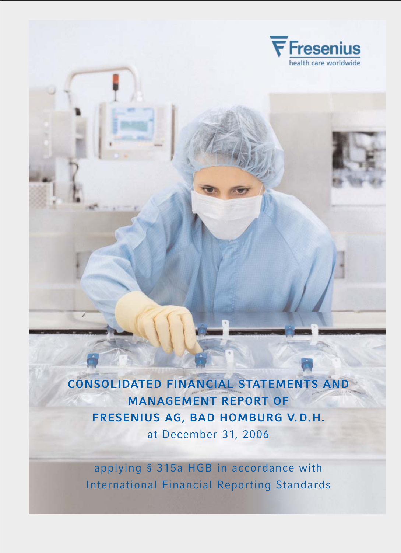

**CONSOLIDATED FINANCIAL STATEMENTS AND MANAGEMENT REPORT OF FRESENIUS AG, BAD HOMBURG V. D.H.**  at December 31, 2006

applying § 315a HGB in accordance with International Financial Reporting Standards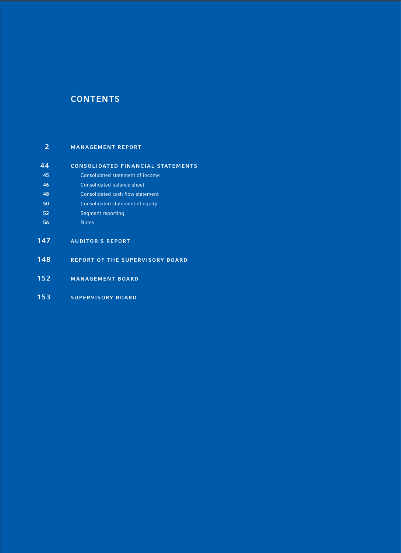## **CONTENTS**

## **MANAGEMENT REPORT**

| 44  | <b>CONSOLIDATED FINANCIAL STATEMENTS</b> |
|-----|------------------------------------------|
| 45  | Consolidated statement of income         |
| 46  | Consolidated balance sheet               |
| 48  | Consolidated cash flow statement         |
| 50  | Consolidated statement of equity         |
| 52  | Segment reporting                        |
| 56  | <b>Notes</b>                             |
| 147 | <b>AUDITOR'S REPORT</b>                  |
| 148 | <b>REPORT OF THE SUPERVISORY BOARD</b>   |
| 152 | <b>MANAGEMENT BOARD</b>                  |

**SUPERVISORY BOARD**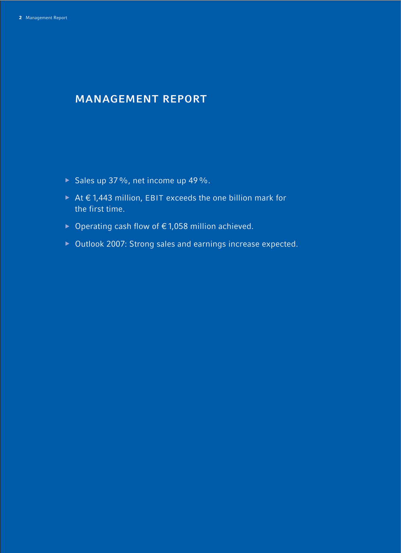# **MANAGEMENT REPORT**

- $\triangleright$  Sales up 37%, net income up 49%.
- <sup>b</sup> At € 1,443 million, EBIT exceeds the one billion mark for the first time.
- <sup>b</sup> Operating cash flow of €1,058 million achieved.
- ▶ Outlook 2007: Strong sales and earnings increase expected.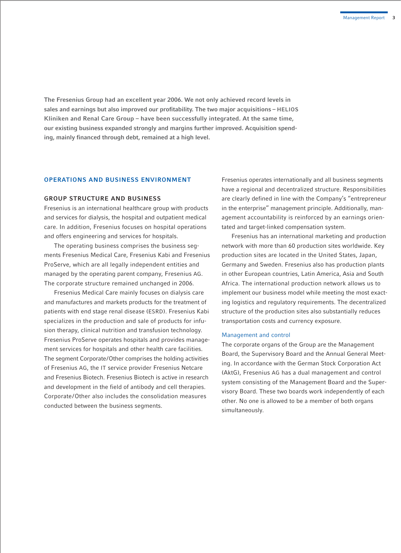**The Fresenius Group had an excellent year 2006. We not only achieved record levels in sales and earnings but also improved our profitability. The two major acquisitions – HELIOS Kliniken and Renal Care Group – have been successfully integrated. At the same time, our existing business expanded strongly and margins further improved. Acquisition spending, mainly financed through debt, remained at a high level.** 

#### **OPERATIONS AND BUSINESS ENVIRONMENT**

#### **GROUP STRUCTURE AND BUSINESS**

Fresenius is an international healthcare group with products and services for dialysis, the hospital and outpatient medical care. In addition, Fresenius focuses on hospital operations and offers engineering and services for hospitals.

The operating business comprises the business segments Fresenius Medical Care, Fresenius Kabi and Fresenius ProServe, which are all legally independent entities and managed by the operating parent company, Fresenius AG. The corporate structure remained unchanged in 2006.

Fresenius Medical Care mainly focuses on dialysis care and manufactures and markets products for the treatment of patients with end stage renal disease (ESRD). Fresenius Kabi specializes in the production and sale of products for infusion therapy, clinical nutrition and transfusion technology. Fresenius ProServe operates hospitals and provides management services for hospitals and other health care facilities. The segment Corporate/Other comprises the holding activities of Fresenius AG, the IT service provider Fresenius Netcare and Fresenius Biotech. Fresenius Biotech is active in research and development in the field of antibody and cell therapies. Corporate/Other also includes the consolidation measures conducted between the business segments.

Fresenius operates internationally and all business segments have a regional and decentralized structure. Responsibilities are clearly defined in line with the Company's "entrepreneur in the enterprise" management principle. Additionally, management accountability is reinforced by an earnings orientated and target-linked compensation system.

Fresenius has an international marketing and production network with more than 60 production sites worldwide. Key production sites are located in the United States, Japan, Germany and Sweden. Fresenius also has production plants in other European countries, Latin America, Asia and South Africa. The international production network allows us to implement our business model while meeting the most exacting logistics and regulatory requirements. The decentralized structure of the production sites also substantially reduces transportation costs and currency exposure.

#### Management and control

The corporate organs of the Group are the Management Board, the Supervisory Board and the Annual General Meeting. In accordance with the German Stock Corporation Act (AktG), Fresenius AG has a dual management and control system consisting of the Management Board and the Supervisory Board. These two boards work independently of each other. No one is allowed to be a member of both organs simultaneously.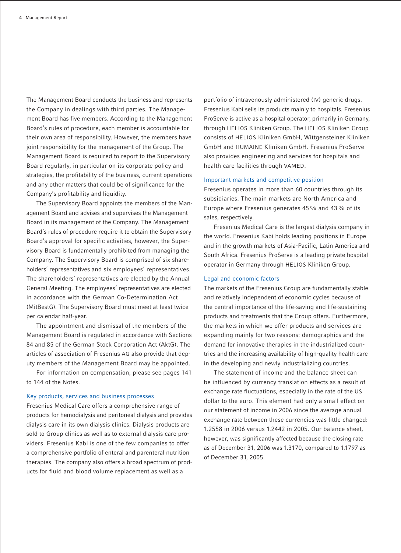The Management Board conducts the business and represents the Company in dealings with third parties. The Management Board has five members. According to the Management Board's rules of procedure, each member is accountable for their own area of responsibility. However, the members have joint responsibility for the management of the Group. The Management Board is required to report to the Supervisory Board regularly, in particular on its corporate policy and strategies, the profitability of the business, current operations and any other matters that could be of significance for the Company's profitability and liquidity.

The Supervisory Board appoints the members of the Management Board and advises and supervises the Management Board in its management of the Company. The Management Board's rules of procedure require it to obtain the Supervisory Board's approval for specific activities, however, the Supervisory Board is fundamentally prohibited from managing the Company. The Supervisory Board is comprised of six shareholders' representatives and six employees' representatives. The shareholders' representatives are elected by the Annual General Meeting. The employees' representatives are elected in accordance with the German Co-Determination Act (MitBestG). The Supervisory Board must meet at least twice per calendar half-year.

The appointment and dismissal of the members of the Management Board is regulated in accordance with Sections 84 and 85 of the German Stock Corporation Act (AktG). The articles of association of Fresenius AG also provide that deputy members of the Management Board may be appointed.

For information on compensation, please see pages 141 to 144 of the Notes.

#### Key products, services and business processes

Fresenius Medical Care offers a comprehensive range of products for hemodialysis and peritoneal dialysis and provides dialysis care in its own dialysis clinics. Dialysis products are sold to Group clinics as well as to external dialysis care providers. Fresenius Kabi is one of the few companies to offer a comprehensive portfolio of enteral and parenteral nutrition therapies. The company also offers a broad spectrum of products for fluid and blood volume replacement as well as a

portfolio of intravenously administered (IV) generic drugs. Fresenius Kabi sells its products mainly to hospitals. Fresenius ProServe is active as a hospital operator, primarily in Germany, through HELIOS Kliniken Group. The HELIOS Kliniken Group consists of HELIOS Kliniken GmbH, Wittgensteiner Kliniken GmbH and HUMAINE Kliniken GmbH. Fresenius ProServe also provides engineering and services for hospitals and health care facilities through VAMED.

#### Important markets and competitive position

Fresenius operates in more than 60 countries through its subsidiaries. The main markets are North America and Europe where Fresenius generates 45% and 43% of its sales, respectively.

Fresenius Medical Care is the largest dialysis company in the world. Fresenius Kabi holds leading positions in Europe and in the growth markets of Asia-Pacific, Latin America and South Africa. Fresenius ProServe is a leading private hospital operator in Germany through HELIOS Kliniken Group.

#### Legal and economic factors

The markets of the Fresenius Group are fundamentally stable and relatively independent of economic cycles because of the central importance of the life-saving and life-sustaining products and treatments that the Group offers. Furthermore, the markets in which we offer products and services are expanding mainly for two reasons: demographics and the demand for innovative therapies in the industrialized countries and the increasing availability of high-quality health care in the developing and newly industrializing countries.

The statement of income and the balance sheet can be influenced by currency translation effects as a result of exchange rate fluctuations, especially in the rate of the US dollar to the euro. This element had only a small effect on our statement of income in 2006 since the average annual exchange rate between these currencies was little changed: 1.2558 in 2006 versus 1.2442 in 2005. Our balance sheet, however, was significantly affected because the closing rate as of December 31, 2006 was 1.3170, compared to 1.1797 as of December 31, 2005.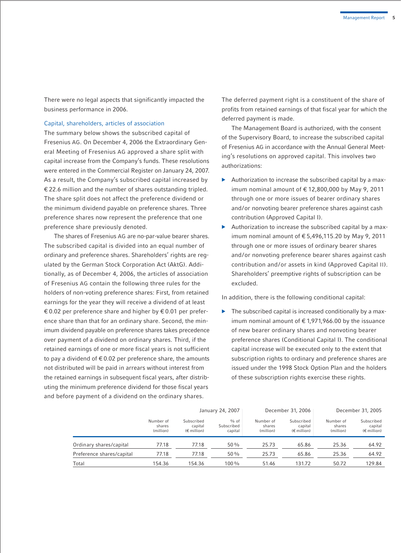There were no legal aspects that significantly impacted the business performance in 2006.

#### Capital, shareholders, articles of association

The summary below shows the subscribed capital of Fresenius AG. On December 4, 2006 the Extraordinary General Meeting of Fresenius AG approved a share split with capital increase from the Company's funds. These resolutions were entered in the Commercial Register on January 24, 2007. As a result, the Company's subscribed capital increased by € 22.6 million and the number of shares outstanding tripled. The share split does not affect the preference dividend or the minimum dividend payable on preference shares. Three preference shares now represent the preference that one preference share previously denoted.

The shares of Fresenius AG are no-par-value bearer shares. The subscribed capital is divided into an equal number of ordinary and preference shares. Shareholders' rights are regulated by the German Stock Corporation Act (AktG). Additionally, as of December 4, 2006, the articles of association of Fresenius AG contain the following three rules for the holders of non-voting preference shares: First, from retained earnings for the year they will receive a dividend of at least € 0.02 per preference share and higher by  $€ 0.01$  per preference share than that for an ordinary share. Second, the minimum dividend payable on preference shares takes precedence over payment of a dividend on ordinary shares. Third, if the retained earnings of one or more fiscal years is not sufficient to pay a dividend of  $\epsilon$  0.02 per preference share, the amounts not distributed will be paid in arrears without interest from the retained earnings in subsequent fiscal years, after distributing the minimum preference dividend for those fiscal years and before payment of a dividend on the ordinary shares.

The deferred payment right is a constituent of the share of profits from retained earnings of that fiscal year for which the deferred payment is made.

The Management Board is authorized, with the consent of the Supervisory Board, to increase the subscribed capital of Fresenius AG in accordance with the Annual General Meeting's resolutions on approved capital. This involves two authorizations:

- b Authorization to increase the subscribed capital by a maximum nominal amount of € 12,800,000 by May 9, 2011 through one or more issues of bearer ordinary shares and/or nonvoting bearer preference shares against cash contribution (Approved Capital I).
- $\blacktriangleright$  Authorization to increase the subscribed capital by a maximum nominal amount of € 5,496,115.20 by May 9, 2011 through one or more issues of ordinary bearer shares and/or nonvoting preference bearer shares against cash contribution and/or assets in kind (Approved Capital II). Shareholders' preemptive rights of subscription can be excluded.

In addition, there is the following conditional capital:

The subscribed capital is increased conditionally by a maximum nominal amount of  $\epsilon$  1,971,966.00 by the issuance of new bearer ordinary shares and nonvoting bearer preference shares (Conditional Capital I). The conditional capital increase will be executed only to the extent that subscription rights to ordinary and preference shares are issued under the 1998 Stock Option Plan and the holders of these subscription rights exercise these rights.

|                           |                                  |                                               | January 24, 2007                | December 31, 2006                |                                               | December 31, 2005                |                                               |
|---------------------------|----------------------------------|-----------------------------------------------|---------------------------------|----------------------------------|-----------------------------------------------|----------------------------------|-----------------------------------------------|
|                           | Number of<br>shares<br>(million) | Subscribed<br>capital<br>$(\epsilon$ million) | $%$ of<br>Subscribed<br>capital | Number of<br>shares<br>(million) | Subscribed<br>capital<br>$(\epsilon$ million) | Number of<br>shares<br>(million) | Subscribed<br>capital<br>$(\epsilon$ million) |
| Ordinary shares/capital   | 77.18                            | 77.18                                         | 50%                             | 25.73                            | 65.86                                         | 25.36                            | 64.92                                         |
| Preference shares/capital | 77.18                            | 77.18                                         | $50\%$                          | 25.73                            | 65.86                                         | 25.36                            | 64.92                                         |
| Total                     | 154.36                           | 154.36                                        | 100%                            | 51.46                            | 131.72                                        | 50.72                            | 129.84                                        |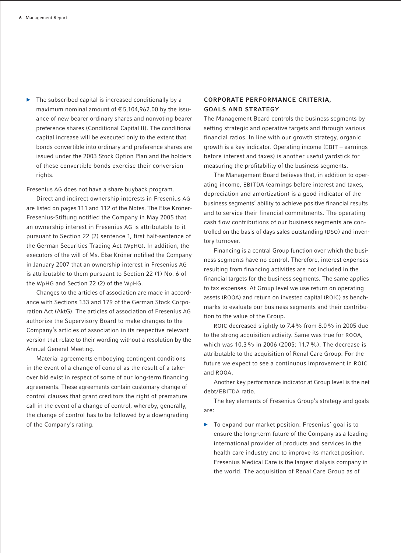$\blacktriangleright$  The subscribed capital is increased conditionally by a maximum nominal amount of € 5,104,962.00 by the issuance of new bearer ordinary shares and nonvoting bearer preference shares (Conditional Capital II). The conditional capital increase will be executed only to the extent that bonds convertible into ordinary and preference shares are issued under the 2003 Stock Option Plan and the holders of these convertible bonds exercise their conversion rights.

Fresenius AG does not have a share buyback program.

Direct and indirect ownership interests in Fresenius AG are listed on pages 111 and 112 of the Notes. The Else Kröner-Fresenius-Stiftung notified the Company in May 2005 that an ownership interest in Fresenius AG is attributable to it pursuant to Section 22 (2) sentence 1, first half-sentence of the German Securities Trading Act (WpHG). In addition, the executors of the will of Ms. Else Kröner notified the Company in January 2007 that an ownership interest in Fresenius AG is attributable to them pursuant to Section 22 (1) No. 6 of the WpHG and Section 22 (2) of the WpHG.

Changes to the articles of association are made in accordance with Sections 133 and 179 of the German Stock Corporation Act (AktG). The articles of association of Fresenius AG authorize the Supervisory Board to make changes to the Company's articles of association in its respective relevant version that relate to their wording without a resolution by the Annual General Meeting.

Material agreements embodying contingent conditions in the event of a change of control as the result of a takeover bid exist in respect of some of our long-term financing agreements. These agreements contain customary change of control clauses that grant creditors the right of premature call in the event of a change of control, whereby, generally, the change of control has to be followed by a downgrading of the Company's rating.

## **CORPORATE PERFORMANCE CRITERIA, GOALS AND STRATEGY**

The Management Board controls the business segments by setting strategic and operative targets and through various financial ratios. In line with our growth strategy, organic growth is a key indicator. Operating income (EBIT – earnings before interest and taxes) is another useful yardstick for measuring the profitability of the business segments.

The Management Board believes that, in addition to operating income, EBITDA (earnings before interest and taxes, depreciation and amortization) is a good indicator of the business segments' ability to achieve positive financial results and to service their financial commitments. The operating cash flow contributions of our business segments are controlled on the basis of days sales outstanding (DSO) and inventory turnover.

Financing is a central Group function over which the business segments have no control. Therefore, interest expenses resulting from financing activities are not included in the financial targets for the business segments. The same applies to tax expenses. At Group level we use return on operating assets (ROOA) and return on invested capital (ROIC) as benchmarks to evaluate our business segments and their contribution to the value of the Group.

ROIC decreased slightly to 7.4% from 8.0% in 2005 due to the strong acquisition activity. Same was true for ROOA, which was 10.3% in 2006 (2005: 11.7%). The decrease is attributable to the acquisition of Renal Care Group. For the future we expect to see a continuous improvement in ROIC and ROOA.

Another key performance indicator at Group level is the net debt/EBITDA ratio.

The key elements of Fresenius Group's strategy and goals are:

 $\triangleright$  To expand our market position: Fresenius' goal is to ensure the long-term future of the Company as a leading international provider of products and services in the health care industry and to improve its market position. Fresenius Medical Care is the largest dialysis company in the world. The acquisition of Renal Care Group as of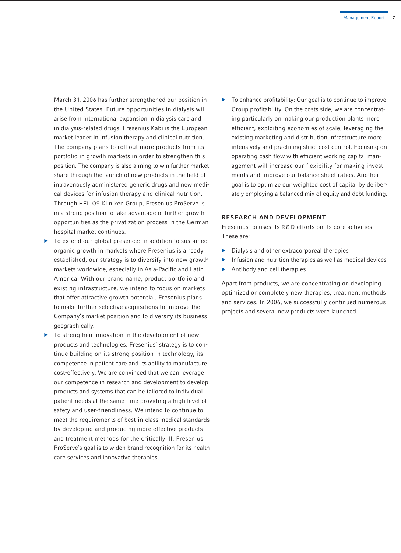March 31, 2006 has further strengthened our position in the United States. Future opportunities in dialysis will arise from international expansion in dialysis care and in dialysis-related drugs. Fresenius Kabi is the European market leader in infusion therapy and clinical nutrition. The company plans to roll out more products from its portfolio in growth markets in order to strengthen this position. The company is also aiming to win further market share through the launch of new products in the field of intravenously administered generic drugs and new medical devices for infusion therapy and clinical nutrition. Through HELIOS Kliniken Group, Fresenius ProServe is in a strong position to take advantage of further growth opportunities as the privatization process in the German hospital market continues.

- $\triangleright$  To extend our global presence: In addition to sustained organic growth in markets where Fresenius is already established, our strategy is to diversify into new growth markets worldwide, especially in Asia-Pacific and Latin America. With our brand name, product portfolio and existing infrastructure, we intend to focus on markets that offer attractive growth potential. Fresenius plans to make further selective acquisitions to improve the Company's market position and to diversify its business geographically.
- $\triangleright$  To strengthen innovation in the development of new products and technologies: Fresenius' strategy is to continue building on its strong position in technology, its competence in patient care and its ability to manufacture cost-effectively. We are convinced that we can leverage our competence in research and development to develop products and systems that can be tailored to individual patient needs at the same time providing a high level of safety and user-friendliness. We intend to continue to meet the requirements of best-in-class medical standards by developing and producing more effective products and treatment methods for the critically ill. Fresenius ProServe's goal is to widen brand recognition for its health care services and innovative therapies.

 $\triangleright$  To enhance profitability: Our goal is to continue to improve Group profitability. On the costs side, we are concentrating particularly on making our production plants more efficient, exploiting economies of scale, leveraging the existing marketing and distribution infrastructure more intensively and practicing strict cost control. Focusing on operating cash flow with efficient working capital management will increase our flexibility for making investments and improve our balance sheet ratios. Another goal is to optimize our weighted cost of capital by deliberately employing a balanced mix of equity and debt funding.

#### **RESEARCH AND DEVELOPMENT**

Fresenius focuses its R&D efforts on its core activities. These are:

- $\triangleright$  Dialysis and other extracorporeal therapies
- Infusion and nutrition therapies as well as medical devices
- $\blacktriangleright$  Antibody and cell therapies

Apart from products, we are concentrating on developing optimized or completely new therapies, treatment methods and services. In 2006, we successfully continued numerous projects and several new products were launched.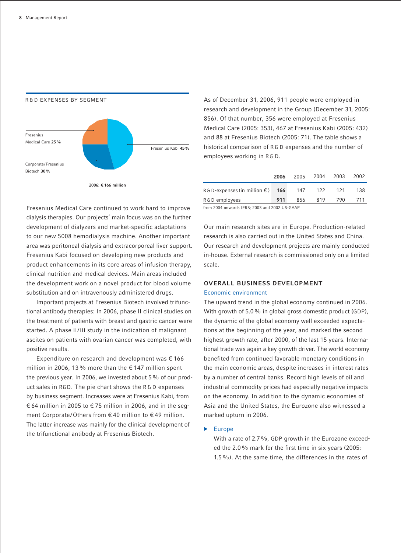

As of December 31, 2006, 911 people were employed in research and development in the Group (December 31, 2005: 856). Of that number, 356 were employed at Fresenius Medical Care (2005: 353), 467 at Fresenius Kabi (2005: 432) and 88 at Fresenius Biotech (2005: 71). The table shows a historical comparison of R&D expenses and the number of employees working in R&D.

|                                             | 2006 | 2005 | 2004 | 2003 | 2002 |
|---------------------------------------------|------|------|------|------|------|
| $R \& D$ -expenses (in million $\epsilon$ ) | 166  | 147  | 122  | 121  | 138  |
| R&D employees                               | 911  | 856  | 819  | 790  | 711  |

from 2004 onwards IFRS; 2003 and 2002 US-GAAP

Fresenius Medical Care continued to work hard to improve dialysis therapies. Our projects' main focus was on the further development of dialyzers and market-specific adaptations to our new 5008 hemodialysis machine. Another important area was peritoneal dialysis and extracorporeal liver support. Fresenius Kabi focused on developing new products and product enhancements in its core areas of infusion therapy, clinical nutrition and medical devices. Main areas included the development work on a novel product for blood volume substitution and on intravenously administered drugs.

Important projects at Fresenius Biotech involved trifunctional antibody therapies: In 2006, phase II clinical studies on the treatment of patients with breast and gastric cancer were started. A phase II/III study in the indication of malignant ascites on patients with ovarian cancer was completed, with positive results.

Expenditure on research and development was  $\epsilon$  166 million in 2006, 13% more than the  $\epsilon$  147 million spent the previous year. In 2006, we invested about 5% of our product sales in R&D. The pie chart shows the R&D expenses by business segment. Increases were at Fresenius Kabi, from € 64 million in 2005 to € 75 million in 2006, and in the segment Corporate/Others from € 40 million to € 49 million. The latter increase was mainly for the clinical development of the trifunctional antibody at Fresenius Biotech.

Our main research sites are in Europe. Production-related research is also carried out in the United States and China. Our research and development projects are mainly conducted in-house. External research is commissioned only on a limited scale.

## **OVERALL BUSINESS DEVELOPMENT**

#### Economic environment

The upward trend in the global economy continued in 2006. With growth of 5.0% in global gross domestic product (GDP), the dynamic of the global economy well exceeded expectations at the beginning of the year, and marked the second highest growth rate, after 2000, of the last 15 years. International trade was again a key growth driver. The world economy benefited from continued favorable monetary conditions in the main economic areas, despite increases in interest rates by a number of central banks. Record high levels of oil and industrial commodity prices had especially negative impacts on the economy. In addition to the dynamic economies of Asia and the United States, the Eurozone also witnessed a marked upturn in 2006.

#### $\blacktriangleright$  Europe

With a rate of 2.7 %, GDP growth in the Eurozone exceeded the 2.0% mark for the first time in six years (2005: 1.5%). At the same time, the differences in the rates of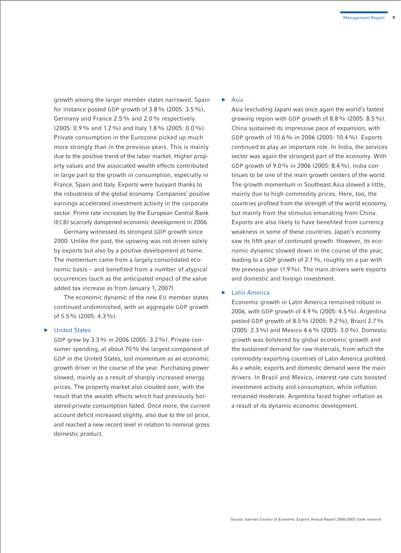growth among the larger member states narrowed. Spain for instance posted GDP growth of 3.8% (2005: 3.5%), Germany and France 2.5% and 2.0% respectively (2005: 0.9% and 1.2%) and Italy 1.8% (2005: 0.0%). Private consumption in the Eurozone picked up much more strongly than in the previous years. This is mainly due to the positive trend of the labor market. Higher property values and the associated wealth effects contributed in large part to the growth in consumption, especially in France, Spain and Italy. Exports were buoyant thanks to the robustness of the global economy. Companies' positive earnings accelerated investment activity in the corporate sector. Prime rate increases by the European Central Bank (ECB) scarcely dampened economic development in 2006.

Germany witnessed its strongest GDP growth since 2000. Unlike the past, the upswing was not driven solely by exports but also by a positive development at home. The momentum came from a largely consolidated economic basis – and benefited from a number of atypical occurrences (such as the anticipated impact of the value added tax increase as from January 1, 2007).

The economic dynamic of the new EU member states continued undiminished, with an aggregate GDP growth of 5.5% (2005: 4.3%).

#### $\blacktriangleright$  United States

GDP grew by 3.3% in 2006 (2005: 3.2%). Private consumer spending, at about 70% the largest component of GDP in the United States, lost momentum as an economic growth driver in the course of the year. Purchasing power slowed, mainly as a result of sharply increased energy prices. The property market also clouded over, with the result that the wealth effects which had previously bolstered private consumption faded. Once more, the current account deficit increased slightly, also due to the oil price, and reached a new record level in relation to nominal gross domestic product.

#### $\blacktriangleright$  Asia

Asia (excluding Japan) was once again the world's fastest growing region with GDP growth of 8.8% (2005: 8.5%). China sustained its impressive pace of expansion, with GDP growth of 10.6% in 2006 (2005: 10.4%). Exports continued to play an important role. In India, the services sector was again the strongest part of the economy. With GDP growth of 9.0% in 2006 (2005: 8.4%), India continues to be one of the main growth centers of the world. The growth momentum in Southeast Asia slowed a little, mainly due to high commodity prices. Here, too, the countries profited from the strength of the world economy, but mainly from the stimulus emanating from China. Exports are also likely to have benefited from currency weakness in some of these countries. Japan's economy saw its fifth year of continued growth. However, its economic dynamic slowed down in the course of the year, leading to a GDP growth of 2.1%, roughly on a par with the previous year (1.9%). The main drivers were exports and domestic and foreign investment.

#### **Latin America**

Economic growth in Latin America remained robust in 2006, with GDP growth of 4.9% (2005: 4.5%). Argentina posted GDP growth of 8.5% (2005: 9.2%), Brazil 2.7% (2005: 2.3%) and Mexico 4.6% (2005: 3.0%). Domestic growth was bolstered by global economic growth and the sustained demand for raw materials, from which the commodity-exporting countries of Latin America profited. As a whole, exports and domestic demand were the main drivers. In Brazil and Mexico, interest rate cuts boosted investment activity and consumption, while inflation remained moderate. Argentina faced higher inflation as a result of its dynamic economic development.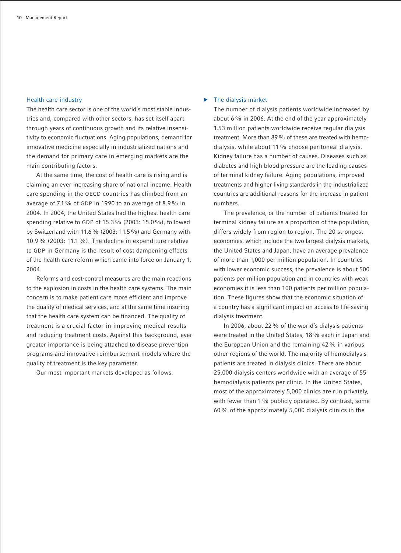## Health care industry

The health care sector is one of the world's most stable industries and, compared with other sectors, has set itself apart through years of continuous growth and its relative insensitivity to economic fluctuations. Aging populations, demand for innovative medicine especially in industrialized nations and the demand for primary care in emerging markets are the main contributing factors.

At the same time, the cost of health care is rising and is claiming an ever increasing share of national income. Health care spending in the OECD countries has climbed from an average of 7.1% of GDP in 1990 to an average of 8.9% in 2004. In 2004, the United States had the highest health care spending relative to GDP of 15.3% (2003: 15.0%), followed by Switzerland with 11.6% (2003: 11.5%) and Germany with 10.9% (2003: 11.1%). The decline in expenditure relative to GDP in Germany is the result of cost dampening effects of the health care reform which came into force on January 1, 2004.

Reforms and cost-control measures are the main reactions to the explosion in costs in the health care systems. The main concern is to make patient care more efficient and improve the quality of medical services, and at the same time insuring that the health care system can be financed. The quality of treatment is a crucial factor in improving medical results and reducing treatment costs. Against this background, ever greater importance is being attached to disease prevention programs and innovative reimbursement models where the quality of treatment is the key parameter.

Our most important markets developed as follows:

## $\blacktriangleright$  The dialysis market

The number of dialysis patients worldwide increased by about 6% in 2006. At the end of the year approximately 1.53 million patients worldwide receive regular dialysis treatment. More than 89% of these are treated with hemodialysis, while about 11% choose peritoneal dialysis. Kidney failure has a number of causes. Diseases such as diabetes and high blood pressure are the leading causes of terminal kidney failure. Aging populations, improved treatments and higher living standards in the industrialized countries are additional reasons for the increase in patient numbers.

The prevalence, or the number of patients treated for terminal kidney failure as a proportion of the population, differs widely from region to region. The 20 strongest economies, which include the two largest dialysis markets, the United States and Japan, have an average prevalence of more than 1,000 per million population. In countries with lower economic success, the prevalence is about 500 patients per million population and in countries with weak economies it is less than 100 patients per million population. These figures show that the economic situation of a country has a significant impact on access to life-saving dialysis treatment.

In 2006, about 22% of the world's dialysis patients were treated in the United States, 18% each in Japan and the European Union and the remaining 42% in various other regions of the world. The majority of hemodialysis patients are treated in dialysis clinics. There are about 25,000 dialysis centers worldwide with an average of 55 hemodialysis patients per clinic. In the United States, most of the approximately 5,000 clinics are run privately, with fewer than 1% publicly operated. By contrast, some 60% of the approximately 5,000 dialysis clinics in the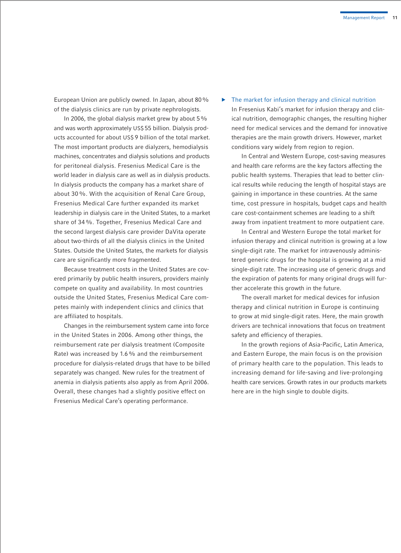European Union are publicly owned. In Japan, about 80% of the dialysis clinics are run by private nephrologists.

In 2006, the global dialysis market grew by about  $5\%$ and was worth approximately US\$ 55 billion. Dialysis products accounted for about US\$ 9 billion of the total market. The most important products are dialyzers, hemodialysis machines, concentrates and dialysis solutions and products for peritoneal dialysis. Fresenius Medical Care is the world leader in dialysis care as well as in dialysis products. In dialysis products the company has a market share of about 30%. With the acquisition of Renal Care Group, Fresenius Medical Care further expanded its market leadership in dialysis care in the United States, to a market share of 34%. Together, Fresenius Medical Care and the second largest dialysis care provider DaVita operate about two-thirds of all the dialysis clinics in the United States. Outside the United States, the markets for dialysis care are significantly more fragmented.

Because treatment costs in the United States are covered primarily by public health insurers, providers mainly compete on quality and availability. In most countries outside the United States, Fresenius Medical Care competes mainly with independent clinics and clinics that are affiliated to hospitals.

Changes in the reimbursement system came into force in the United States in 2006. Among other things, the reimbursement rate per dialysis treatment (Composite Rate) was increased by 1.6% and the reimbursement procedure for dialysis-related drugs that have to be billed separately was changed. New rules for the treatment of anemia in dialysis patients also apply as from April 2006. Overall, these changes had a slightly positive effect on Fresenius Medical Care's operating performance.

#### $\blacktriangleright$  The market for infusion therapy and clinical nutrition

In Fresenius Kabi's market for infusion therapy and clinical nutrition, demographic changes, the resulting higher need for medical services and the demand for innovative therapies are the main growth drivers. However, market conditions vary widely from region to region.

In Central and Western Europe, cost-saving measures and health care reforms are the key factors affecting the public health systems. Therapies that lead to better clinical results while reducing the length of hospital stays are gaining in importance in these countries. At the same time, cost pressure in hospitals, budget caps and health care cost-containment schemes are leading to a shift away from inpatient treatment to more outpatient care.

In Central and Western Europe the total market for infusion therapy and clinical nutrition is growing at a low single-digit rate. The market for intravenously administered generic drugs for the hospital is growing at a mid single-digit rate. The increasing use of generic drugs and the expiration of patents for many original drugs will further accelerate this growth in the future.

The overall market for medical devices for infusion therapy and clinical nutrition in Europe is continuing to grow at mid single-digit rates. Here, the main growth drivers are technical innovations that focus on treatment safety and efficiency of therapies.

In the growth regions of Asia-Pacific, Latin America, and Eastern Europe, the main focus is on the provision of primary health care to the population. This leads to increasing demand for life-saving and live-prolonging health care services. Growth rates in our products markets here are in the high single to double digits.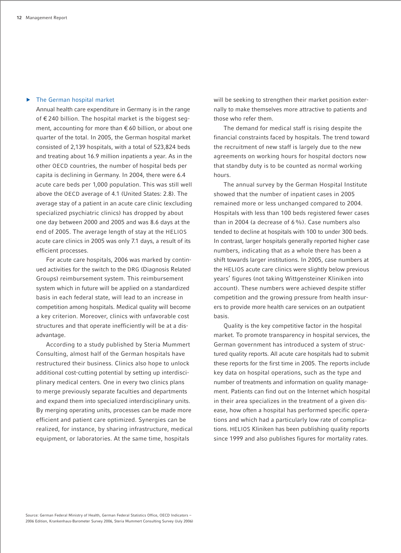### $\blacktriangleright$  The German hospital market

Annual health care expenditure in Germany is in the range of € 240 billion. The hospital market is the biggest segment, accounting for more than € 60 billion, or about one quarter of the total. In 2005, the German hospital market consisted of 2,139 hospitals, with a total of 523,824 beds and treating about 16.9 million inpatients a year. As in the other OECD countries, the number of hospital beds per capita is declining in Germany. In 2004, there were 6.4 acute care beds per 1,000 population. This was still well above the OECD average of 4.1 (United States: 2.8). The average stay of a patient in an acute care clinic (excluding specialized psychiatric clinics) has dropped by about one day between 2000 and 2005 and was 8.6 days at the end of 2005. The average length of stay at the HELIOS acute care clinics in 2005 was only 7.1 days, a result of its efficient processes.

For acute care hospitals, 2006 was marked by continued activities for the switch to the DRG (Diagnosis Related Groups) reimbursement system. This reimbursement system which in future will be applied on a standardized basis in each federal state, will lead to an increase in competition among hospitals. Medical quality will become a key criterion. Moreover, clinics with unfavorable cost structures and that operate inefficiently will be at a disadvantage.

According to a study published by Steria Mummert Consulting, almost half of the German hospitals have restructured their business. Clinics also hope to unlock additional cost-cutting potential by setting up interdisciplinary medical centers. One in every two clinics plans to merge previously separate faculties and departments and expand them into specialized interdisciplinary units. By merging operating units, processes can be made more efficient and patient care optimized. Synergies can be realized, for instance, by sharing infrastructure, medical equipment, or laboratories. At the same time, hospitals

will be seeking to strengthen their market position externally to make themselves more attractive to patients and those who refer them.

The demand for medical staff is rising despite the financial constraints faced by hospitals. The trend toward the recruitment of new staff is largely due to the new agreements on working hours for hospital doctors now that standby duty is to be counted as normal working hours.

The annual survey by the German Hospital Institute showed that the number of inpatient cases in 2005 remained more or less unchanged compared to 2004. Hospitals with less than 100 beds registered fewer cases than in 2004 (a decrease of 6%). Case numbers also tended to decline at hospitals with 100 to under 300 beds. In contrast, larger hospitals generally reported higher case numbers, indicating that as a whole there has been a shift towards larger institutions. In 2005, case numbers at the HELIOS acute care clinics were slightly below previous years' figures (not taking Wittgensteiner Kliniken into account). These numbers were achieved despite stiffer competition and the growing pressure from health insurers to provide more health care services on an outpatient basis.

Quality is the key competitive factor in the hospital market. To promote transparency in hospital services, the German government has introduced a system of structured quality reports. All acute care hospitals had to submit these reports for the first time in 2005. The reports include key data on hospital operations, such as the type and number of treatments and information on quality management. Patients can find out on the Internet which hospital in their area specializes in the treatment of a given disease, how often a hospital has performed specific operations and which had a particularly low rate of complications. HELIOS Kliniken has been publishing quality reports since 1999 and also publishes figures for mortality rates.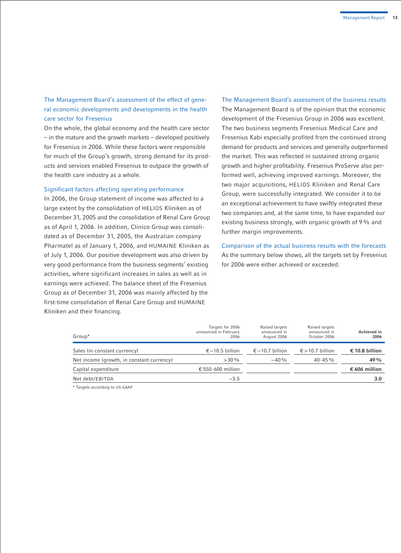## The Management Board's assessment of the effect of general economic developments and developments in the health care sector for Fresenius

On the whole, the global economy and the health care sector – in the mature and the growth markets – developed positively for Fresenius in 2006. While these factors were responsible for much of the Group's growth, strong demand for its products and services enabled Fresenius to outpace the growth of the health care industry as a whole.

#### Significant factors affecting operating performance

In 2006, the Group statement of income was affected to a large extent by the consolidation of HELIOS Kliniken as of December 31, 2005 and the consolidation of Renal Care Group as of April 1, 2006. In addition, Clinico Group was consolidated as of December 31, 2005, the Australian company Pharmatel as of January 1, 2006, and HUMAINE Kliniken as of July 1, 2006. Our positive development was also driven by very good performance from the business segments' existing activities, where significant increases in sales as well as in earnings were achieved. The balance sheet of the Fresenius Group as of December 31, 2006 was mainly affected by the first-time consolidation of Renal Care Group and HUMAINE Kliniken and their financing.

## The Management Board's assessment of the business results The Management Board is of the opinion that the economic development of the Fresenius Group in 2006 was excellent. The two business segments Fresenius Medical Care and Fresenius Kabi especially profited from the continued strong demand for products and services and generally outperformed the market. This was reflected in sustained strong organic growth and higher profitability. Fresenius ProServe also performed well, achieving improved earnings. Moreover, the two major acquisitions, HELIOS Kliniken and Renal Care Group, were successfully integrated. We consider it to be an exceptional achievement to have swiftly integrated these two companies and, at the same time, to have expanded our existing business strongly, with organic growth of 9% and further margin improvements.

Comparison of the actual business results with the forecasts As the summary below shows, all the targets set by Fresenius for 2006 were either achieved or exceeded.

| Group*                                    | Targets for 2006<br>announced in February<br>2006 | Raised targets<br>announced in<br>August 2006 | Raised targets<br>announced in<br>October 2006 | Achieved in<br>2006 |
|-------------------------------------------|---------------------------------------------------|-----------------------------------------------|------------------------------------------------|---------------------|
| Sales (in constant currency)              | $\epsilon$ ~10.5 billion                          | $\epsilon$ ~10.7 billion                      | € > 10.7 billion                               | € 10.8 billion      |
| Net income (growth, in constant currency) | $>30\%$                                           | $\sim$ 40 %                                   | $40 - 45\%$                                    | $49\%$              |
| Capital expenditure                       | € 550-600 million                                 |                                               |                                                | € 606 million       |
| Net debt/EBITDA                           | ~23.5                                             |                                               |                                                | 3.0                 |

\* Targets according to US GAAP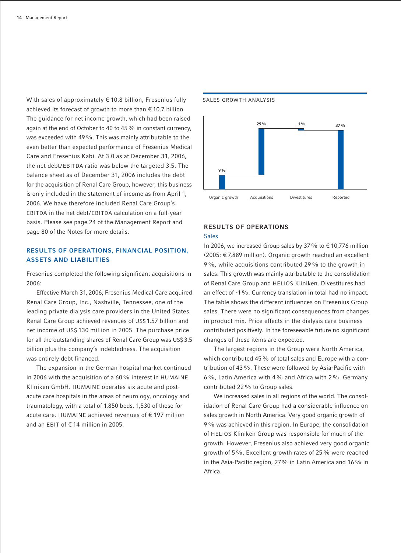With sales of approximately € 10.8 billion, Fresenius fully achieved its forecast of growth to more than  $\epsilon$  10.7 billion. The quidance for net income growth, which had been raised again at the end of October to 40 to 45% in constant currency, was exceeded with 49%. This was mainly attributable to the even better than expected performance of Fresenius Medical Care and Fresenius Kabi. At 3.0 as at December 31, 2006, the net debt/EBITDA ratio was below the targeted 3.5. The balance sheet as of December 31, 2006 includes the debt for the acquisition of Renal Care Group, however, this business is only included in the statement of income as from April 1, 2006. We have therefore included Renal Care Group's EBITDA in the net debt/EBITDA calculation on a full-year basis. Please see page 24 of the Management Report and page 80 of the Notes for more details.

## **RESULTS OF OPERATIONS, FINANCIAL POSITION, ASSETS AND LIABILITIES**

Fresenius completed the following significant acquisitions in 2006:

Effective March 31, 2006, Fresenius Medical Care acquired Renal Care Group, Inc., Nashville, Tennessee, one of the leading private dialysis care providers in the United States. Renal Care Group achieved revenues of US\$ 1.57 billion and net income of US\$ 130 million in 2005. The purchase price for all the outstanding shares of Renal Care Group was US\$ 3.5 billion plus the company's indebtedness. The acquisition was entirely debt financed.

The expansion in the German hospital market continued in 2006 with the acquisition of a 60% interest in HUMAINE Kliniken GmbH. HUMAINE operates six acute and postacute care hospitals in the areas of neurology, oncology and traumatology, with a total of 1,850 beds, 1,530 of these for acute care. HUMAINE achieved revenues of € 197 million and an EBIT of € 14 million in 2005.



#### SALES GROWTH ANALYSIS

#### **RESULTS OF OPERATIONS**

#### Sales

In 2006, we increased Group sales by 37% to € 10,776 million (2005: € 7,889 million). Organic growth reached an excellent 9%, while acquisitions contributed 29% to the growth in sales. This growth was mainly attributable to the consolidation of Renal Care Group and HELIOS Kliniken. Divestitures had an effect of -1%. Currency translation in total had no impact. The table shows the different influences on Fresenius Group sales. There were no significant consequences from changes in product mix. Price effects in the dialysis care business contributed positively. In the foreseeable future no significant changes of these items are expected.

The largest regions in the Group were North America, which contributed 45% of total sales and Europe with a contribution of 43%. These were followed by Asia-Pacific with 6%, Latin America with 4% and Africa with 2%. Germany contributed 22% to Group sales.

We increased sales in all regions of the world. The consolidation of Renal Care Group had a considerable influence on sales growth in North America. Very good organic growth of 9% was achieved in this region. In Europe, the consolidation of HELIOS Kliniken Group was responsible for much of the growth. However, Fresenius also achieved very good organic growth of 5%. Excellent growth rates of 25% were reached in the Asia-Pacific region, 27% in Latin America and 16% in Africa.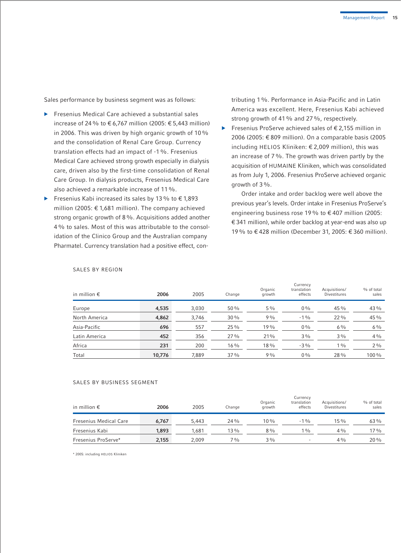Sales performance by business segment was as follows:

- $\blacktriangleright$  Fresenius Medical Care achieved a substantial sales increase of 24 % to € 6.767 million (2005: € 5.443 million) in 2006. This was driven by high organic growth of 10% and the consolidation of Renal Care Group. Currency translation effects had an impact of -1%. Fresenius Medical Care achieved strong growth especially in dialysis care, driven also by the first-time consolidation of Renal Care Group. In dialysis products, Fresenius Medical Care also achieved a remarkable increase of 11%.
- Fresenius Kabi increased its sales by 13% to  $\epsilon$  1,893 million (2005: € 1,681 million). The company achieved strong organic growth of 8%. Acquisitions added another 4% to sales. Most of this was attributable to the consolidation of the Clinico Group and the Australian company Pharmatel. Currency translation had a positive effect, con-

tributing 1%. Performance in Asia-Pacific and in Latin America was excellent. Here, Fresenius Kabi achieved strong growth of 41% and 27%, respectively.

b Fresenius ProServe achieved sales of € 2,155 million in 2006 (2005: € 809 million). On a comparable basis (2005 including HELIOS Kliniken: € 2,009 million), this was an increase of 7%. The growth was driven partly by the acquisition of HUMAINE Kliniken, which was consolidated as from July 1, 2006. Fresenius ProServe achieved organic growth of 3%.

Order intake and order backlog were well above the previous year's levels. Order intake in Fresenius ProServe's engineering business rose 19% to € 407 million (2005: € 341 million), while order backlog at year-end was also up 19% to € 428 million (December 31, 2005: € 360 million).

| in million $\epsilon$ | 2006   | 2005  | Change | Organic<br>growth | Currency<br>translation<br>effects | Acquisitions/<br><b>Divestitures</b> | % of total<br>sales |
|-----------------------|--------|-------|--------|-------------------|------------------------------------|--------------------------------------|---------------------|
| Europe                | 4,535  | 3,030 | 50%    | $5\%$             | $0\%$                              | 45 %                                 | 43 %                |
| North America         | 4,862  | 3,746 | 30%    | 9%                | $-1\%$                             | $22\%$                               | 45 %                |
| Asia-Pacific          | 696    | 557   | 25 %   | 19%               | $0\%$                              | $6\%$                                | $6\%$               |
| Latin America         | 452    | 356   | 27%    | 21%               | $3\%$                              | $3\%$                                | $4\%$               |
| Africa                | 231    | 200   | $16\%$ | 18%               | $-3\%$                             | $1\%$                                | $2\%$               |
| Total                 | 10,776 | 7.889 | 37%    | 9%                | $0\%$                              | 28 %                                 | 100%                |

## SALES BY REGION

#### SALES BY BUSINESS SEGMENT

| in million $\epsilon$         | 2006  | 2005  | Change         | Organic<br>growth | Currency<br>translation<br>effects | Acquisitions/<br><b>Divestitures</b> | % of total<br>sales |
|-------------------------------|-------|-------|----------------|-------------------|------------------------------------|--------------------------------------|---------------------|
| <b>Fresenius Medical Care</b> | 6.767 | 5.443 | 24 %           | $10\%$            | $-1\%$                             | $15\%$                               | $63\%$              |
| Fresenius Kabi                | 1,893 | 1.681 | 13%            | $8\%$             | $1\%$                              | $4\frac{0}{0}$                       | 17%                 |
| Fresenius ProServe*           | 2,155 | 2.009 | $7\frac{0}{0}$ | $3\%$             | $\overline{\phantom{a}}$           | $4\frac{0}{0}$                       | $20\%$              |

\* 2005: including HELIOS Kliniken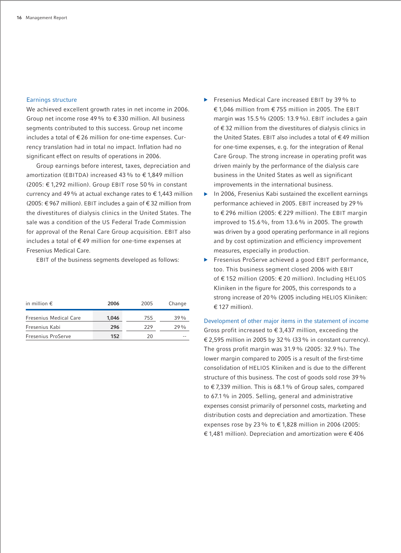## Earnings structure

We achieved excellent growth rates in net income in 2006. Group net income rose 49% to € 330 million. All business segments contributed to this success. Group net income includes a total of € 26 million for one-time expenses. Currency translation had in total no impact. Inflation had no significant effect on results of operations in 2006.

Group earnings before interest, taxes, depreciation and amortization (EBITDA) increased 43% to  $\epsilon$  1.849 million (2005: € 1,292 million). Group EBIT rose 50% in constant currency and 49% at actual exchange rates to  $\epsilon$  1,443 million (2005: € 967 million). EBIT includes a gain of € 32 million from the divestitures of dialysis clinics in the United States. The sale was a condition of the US Federal Trade Commission for approval of the Renal Care Group acquisition. EBIT also includes a total of € 49 million for one-time expenses at Fresenius Medical Care.

EBIT of the business segments developed as follows:

| in million $\epsilon$         | 2006  | 2005 | Change |
|-------------------------------|-------|------|--------|
| <b>Fresenius Medical Care</b> | 1,046 | 755  | $39\%$ |
| Fresenius Kabi                | 296   | 229  | 29%    |
| Fresenius ProServe            | 152   | 20   | --     |

- ▶ Fresenius Medical Care increased EBIT by 39 % to € 1,046 million from € 755 million in 2005. The EBIT margin was 15.5% (2005: 13.9%). EBIT includes a gain of € 32 million from the divestitures of dialysis clinics in the United States. EBIT also includes a total of € 49 million for one-time expenses, e.g. for the integration of Renal Care Group. The strong increase in operating profit was driven mainly by the performance of the dialysis care business in the United States as well as significant improvements in the international business.
- $\blacktriangleright$  In 2006, Fresenius Kabi sustained the excellent earnings performance achieved in 2005. EBIT increased by 29% to € 296 million (2005: € 229 million). The EBIT margin improved to 15.6%, from 13.6% in 2005. The growth was driven by a good operating performance in all regions and by cost optimization and efficiency improvement measures, especially in production.
- **Filter** Fresenius ProServe achieved a good EBIT performance, too. This business segment closed 2006 with EBIT of € 152 million (2005: € 20 million). Including HELIOS Kliniken in the figure for 2005, this corresponds to a strong increase of 20% (2005 including HELIOS Kliniken: € 127 million).

Development of other major items in the statement of income Gross profit increased to € 3,437 million, exceeding the € 2,595 million in 2005 by 32% (33% in constant currency). The gross profit margin was 31.9% (2005: 32.9%). The lower margin compared to 2005 is a result of the first-time consolidation of HELIOS Kliniken and is due to the different structure of this business. The cost of goods sold rose 39% to € 7,339 million. This is 68.1% of Group sales, compared to 67.1% in 2005. Selling, general and administrative expenses consist primarily of personnel costs, marketing and distribution costs and depreciation and amortization. These expenses rose by 23 % to  $\epsilon$  1,828 million in 2006 (2005: € 1,481 million). Depreciation and amortization were € 406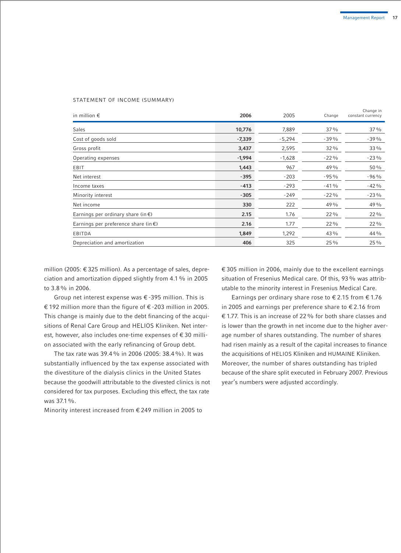#### STATEMENT OF INCOME (SUMMARY)

| in million $\epsilon$                          | 2006     | 2005     | Change  | Change in<br>constant currency |
|------------------------------------------------|----------|----------|---------|--------------------------------|
| Sales                                          | 10,776   | 7,889    | 37%     | 37%                            |
| Cost of goods sold                             | $-7,339$ | $-5,294$ | $-39%$  | $-39%$                         |
| Gross profit                                   | 3,437    | 2,595    | 32 %    | $33\%$                         |
| Operating expenses                             | $-1,994$ | $-1,628$ | $-22\%$ | $-23\%$                        |
| EBIT                                           | 1,443    | 967      | 49%     | 50%                            |
| Net interest                                   | $-395$   | $-203$   | $-95%$  | $-96%$                         |
| Income taxes                                   | $-413$   | $-293$   | $-41%$  | $-42%$                         |
| Minority interest                              | $-305$   | $-249$   | $-22\%$ | $-23%$                         |
| Net income                                     | 330      | 222      | 49 %    | 49 %                           |
| Earnings per ordinary share (in $\epsilon$ )   | 2.15     | 1.76     | 22 %    | $22\%$                         |
| Earnings per preference share (in $\epsilon$ ) | 2.16     | 1.77     | 22 %    | $22\%$                         |
| EBITDA                                         | 1,849    | 1,292    | 43 %    | 44 %                           |
| Depreciation and amortization                  | 406      | 325      | 25 %    | 25 %                           |

million (2005: € 325 million). As a percentage of sales, depreciation and amortization dipped slightly from 4.1% in 2005 to 3.8% in 2006.

Group net interest expense was € -395 million. This is € 192 million more than the figure of € -203 million in 2005. This change is mainly due to the debt financing of the acquisitions of Renal Care Group and HELIOS Kliniken. Net interest, however, also includes one-time expenses of € 30 million associated with the early refinancing of Group debt.

The tax rate was 39.4% in 2006 (2005: 38.4%). It was substantially influenced by the tax expense associated with the divestiture of the dialysis clinics in the United States because the goodwill attributable to the divested clinics is not considered for tax purposes. Excluding this effect, the tax rate was 37.1%.

Minority interest increased from € 249 million in 2005 to

€ 305 million in 2006, mainly due to the excellent earnings situation of Fresenius Medical care. Of this, 93% was attributable to the minority interest in Fresenius Medical Care.

Earnings per ordinary share rose to  $\epsilon$  2.15 from  $\epsilon$  1.76 in 2005 and earnings per preference share to  $\epsilon$  2.16 from € 1.77. This is an increase of 22% for both share classes and is lower than the growth in net income due to the higher average number of shares outstanding. The number of shares had risen mainly as a result of the capital increases to finance the acquisitions of HELIOS Kliniken and HUMAINE Kliniken. Moreover, the number of shares outstanding has tripled because of the share split executed in February 2007. Previous year's numbers were adjusted accordingly.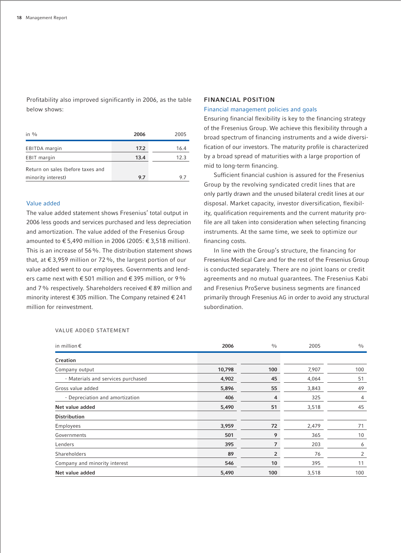Profitability also improved significantly in 2006, as the table below shows:

| in $\frac{0}{0}$                  | 2006 | 2005 |
|-----------------------------------|------|------|
| EBITDA margin                     | 17.2 | 16.4 |
| EBIT margin                       | 13.4 | 12.3 |
| Return on sales (before taxes and |      |      |
| minority interest)                | 9.7  |      |

## Value added

The value added statement shows Fresenius' total output in 2006 less goods and services purchased and less depreciation and amortization. The value added of the Fresenius Group amounted to € 5,490 million in 2006 (2005: € 3,518 million). This is an increase of 56%. The distribution statement shows that, at  $\epsilon$  3,959 million or 72%, the largest portion of our value added went to our employees. Governments and lenders came next with  $\epsilon$  501 million and  $\epsilon$  395 million, or 9% and 7% respectively. Shareholders received € 89 million and minority interest € 305 million. The Company retained € 241 million for reinvestment.

#### **FINANCIAL POSITION**

#### Financial management policies and goals

Ensuring financial flexibility is key to the financing strategy of the Fresenius Group. We achieve this flexibility through a broad spectrum of financing instruments and a wide diversification of our investors. The maturity profile is characterized by a broad spread of maturities with a large proportion of mid to long-term financing.

Sufficient financial cushion is assured for the Fresenius Group by the revolving syndicated credit lines that are only partly drawn and the unused bilateral credit lines at our disposal. Market capacity, investor diversification, flexibility, qualification requirements and the current maturity profile are all taken into consideration when selecting financing instruments. At the same time, we seek to optimize our financing costs.

In line with the Group's structure, the financing for Fresenius Medical Care and for the rest of the Fresenius Group is conducted separately. There are no joint loans or credit agreements and no mutual guarantees. The Fresenius Kabi and Fresenius ProServe business segments are financed primarily through Fresenius AG in order to avoid any structural subordination.

| in million $\epsilon$              | 2006   | $\frac{0}{0}$ | 2005  | $\frac{0}{0}$ |
|------------------------------------|--------|---------------|-------|---------------|
| Creation                           |        |               |       |               |
| Company output                     | 10,798 | 100           | 7,907 | 100           |
| - Materials and services purchased | 4,902  | 45            | 4,064 | 51            |
| Gross value added                  | 5,896  | 55            | 3,843 | 49            |
| - Depreciation and amortization    | 406    | 4             | 325   | 4             |
| Net value added                    | 5,490  | 51            | 3,518 | 45            |
| <b>Distribution</b>                |        |               |       |               |
| <b>Employees</b>                   | 3,959  | 72            | 2,479 | 71            |
| Governments                        | 501    | 9             | 365   | 10            |
| Lenders                            | 395    | 7             | 203   | 6             |
| Shareholders                       | 89     | 2             | 76    | 2             |
| Company and minority interest      | 546    | 10            | 395   | 11            |
| Net value added                    | 5,490  | 100           | 3,518 | 100           |

#### VALUE ADDED STATEMENT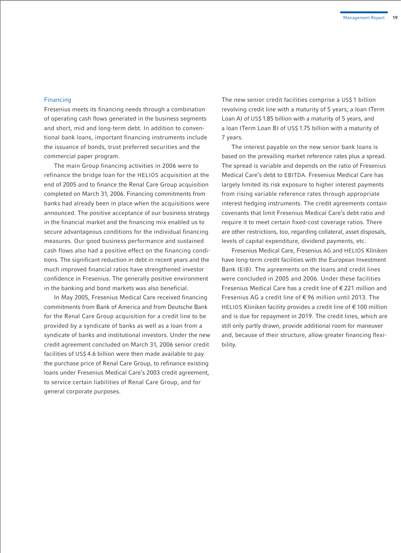## Financing

Fresenius meets its financing needs through a combination of operating cash flows generated in the business segments and short, mid and long-term debt. In addition to conventional bank loans, important financing instruments include the issuance of bonds, trust preferred securities and the commercial paper program.

The main Group financing activities in 2006 were to refinance the bridge loan for the HELIOS acquisition at the end of 2005 and to finance the Renal Care Group acquisition completed on March 31, 2006. Financing commitments from banks had already been in place when the acquisitions were announced. The positive acceptance of our business strategy in the financial market and the financing mix enabled us to secure advantageous conditions for the individual financing measures. Our good business performance and sustained cash flows also had a positive effect on the financing conditions. The significant reduction in debt in recent years and the much improved financial ratios have strengthened investor confidence in Fresenius. The generally positive environment in the banking and bond markets was also beneficial.

In May 2005, Fresenius Medical Care received financing commitments from Bank of America and from Deutsche Bank for the Renal Care Group acquisition for a credit line to be provided by a syndicate of banks as well as a loan from a syndicate of banks and institutional investors. Under the new credit agreement concluded on March 31, 2006 senior credit facilities of US\$ 4.6 billion were then made available to pay the purchase price of Renal Care Group, to refinance existing loans under Fresenius Medical Care's 2003 credit agreement, to service certain liabilities of Renal Care Group, and for general corporate purposes.

The new senior credit facilities comprise a US\$ 1 billion revolving credit line with a maturity of 5 years, a loan (Term Loan A) of US\$ 1.85 billion with a maturity of 5 years, and a loan (Term Loan B) of US\$ 1.75 billion with a maturity of 7 years.

The interest payable on the new senior bank loans is based on the prevailing market reference rates plus a spread. The spread is variable and depends on the ratio of Fresenius Medical Care's debt to EBITDA. Fresenius Medical Care has largely limited its risk exposure to higher interest payments from rising variable reference rates through appropriate interest hedging instruments. The credit agreements contain covenants that limit Fresenius Medical Care's debt ratio and require it to meet certain fixed-cost coverage ratios. There are other restrictions, too, regarding collateral, asset disposals, levels of capital expenditure, dividend payments, etc.

Fresenius Medical Care, Fresenius AG and HELIOS Kliniken have long-term credit facilities with the European Investment Bank (EIB). The agreements on the loans and credit lines were concluded in 2005 and 2006. Under these facilities Fresenius Medical Care has a credit line of € 221 million and Fresenius AG a credit line of € 96 million until 2013. The HELIOS Kliniken facility provides a credit line of € 100 million and is due for repayment in 2019. The credit lines, which are still only partly drawn, provide additional room for maneuver and, because of their structure, allow greater financing flexibility.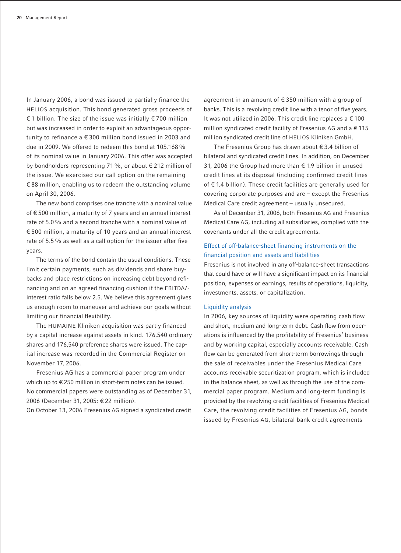In January 2006, a bond was issued to partially finance the HELIOS acquisition. This bond generated gross proceeds of € 1 billion. The size of the issue was initially € 700 million but was increased in order to exploit an advantageous opportunity to refinance a € 300 million bond issued in 2003 and due in 2009. We offered to redeem this bond at 105.168% of its nominal value in January 2006. This offer was accepted by bondholders representing 71%, or about € 212 million of the issue. We exercised our call option on the remaining € 88 million, enabling us to redeem the outstanding volume on April 30, 2006.

The new bond comprises one tranche with a nominal value of € 500 million, a maturity of 7 years and an annual interest rate of 5.0% and a second tranche with a nominal value of € 500 million, a maturity of 10 years and an annual interest rate of 5.5% as well as a call option for the issuer after five years.

The terms of the bond contain the usual conditions. These limit certain payments, such as dividends and share buybacks and place restrictions on increasing debt beyond refinancing and on an agreed financing cushion if the EBITDA/ interest ratio falls below 2.5. We believe this agreement gives us enough room to maneuver and achieve our goals without limiting our financial flexibility.

The HUMAINE Kliniken acquisition was partly financed by a capital increase against assets in kind. 176,540 ordinary shares and 176,540 preference shares were issued. The capital increase was recorded in the Commercial Register on November 17, 2006.

Fresenius AG has a commercial paper program under which up to €250 million in short-term notes can be issued. No commercial papers were outstanding as of December 31, 2006 (December 31, 2005: € 22 million).

On October 13, 2006 Fresenius AG signed a syndicated credit

agreement in an amount of € 350 million with a group of banks. This is a revolving credit line with a tenor of five years. It was not utilized in 2006. This credit line replaces a  $\epsilon$  100 million syndicated credit facility of Fresenius AG and a € 115 million syndicated credit line of HELIOS Kliniken GmbH.

The Fresenius Group has drawn about € 3.4 billion of bilateral and syndicated credit lines. In addition, on December 31, 2006 the Group had more than € 1.9 billion in unused credit lines at its disposal (including confirmed credit lines of € 1.4 billion). These credit facilities are generally used for covering corporate purposes and are – except the Fresenius Medical Care credit agreement – usually unsecured.

As of December 31, 2006, both Fresenius AG and Fresenius Medical Care AG, including all subsidiaries, complied with the covenants under all the credit agreements.

## Effect of off-balance-sheet financing instruments on the financial position and assets and liabilities

Fresenius is not involved in any off-balance-sheet transactions that could have or will have a significant impact on its financial position, expenses or earnings, results of operations, liquidity, investments, assets, or capitalization.

#### Liquidity analysis

In 2006, key sources of liquidity were operating cash flow and short, medium and long-term debt. Cash flow from operations is influenced by the profitability of Fresenius' business and by working capital, especially accounts receivable. Cash flow can be generated from short-term borrowings through the sale of receivables under the Fresenius Medical Care accounts receivable securitization program, which is included in the balance sheet, as well as through the use of the commercial paper program. Medium and long-term funding is provided by the revolving credit facilities of Fresenius Medical Care, the revolving credit facilities of Fresenius AG, bonds issued by Fresenius AG, bilateral bank credit agreements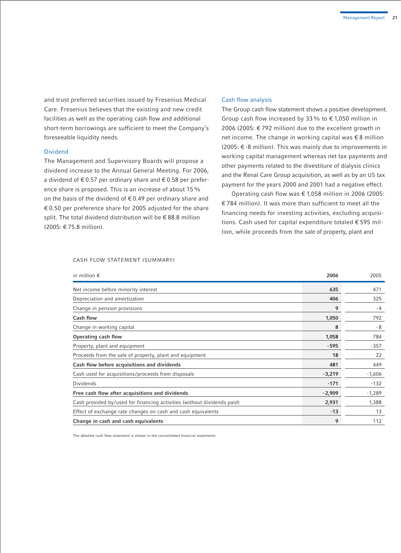and trust preferred securities issued by Fresenius Medical Care. Fresenius believes that the existing and new credit facilities as well as the operating cash flow and additional short-term borrowings are sufficient to meet the Company's foreseeable liquidity needs.

#### Dividend

The Management and Supervisory Boards will propose a dividend increase to the Annual General Meeting. For 2006, a dividend of €0.57 per ordinary share and €0.58 per preference share is proposed. This is an increase of about 15 % on the basis of the dividend of  $\epsilon$  0.49 per ordinary share and € 0.50 per preference share for 2005 adjusted for the share split. The total dividend distribution will be € 88.8 million (2005: € 75.8 million).

#### Cash flow analysis

The Group cash flow statement shows a positive development. Group cash flow increased by 33% to  $\epsilon$  1.050 million in 2006 (2005: € 792 million) due to the excellent growth in net income. The change in working capital was € 8 million (2005: € -8 million). This was mainly due to improvements in working capital management whereas net tax payments and other payments related to the divestiture of dialysis clinics and the Renal Care Group acquisition, as well as by an US tax payment for the years 2000 and 2001 had a negative effect.

Operating cash flow was € 1,058 million in 2006 (2005: € 784 million). It was more than sufficient to meet all the financing needs for investing activities, excluding acquisitions. Cash used for capital expenditure totaled € 595 million, while proceeds from the sale of property, plant and

#### CASH FLOW STATEMENT (SUMMARY)

| in million $\epsilon$                                                   | 2006     | 2005     |
|-------------------------------------------------------------------------|----------|----------|
| Net income before minority interest                                     | 635      | 471      |
| Depreciation and amortization                                           | 406      | 325      |
| Change in pension provisions                                            | 9        | $-4$     |
| Cash flow                                                               | 1,050    | 792      |
| Change in working capital                                               | 8        | -8       |
| Operating cash flow                                                     | 1,058    | 784      |
| Property, plant and equipment                                           | $-595$   | $-357$   |
| Proceeds from the sale of property, plant and equipment                 | 18       | 22       |
| Cash flow before acquisitions and dividends                             | 481      | 449      |
| Cash used for acquisitions/proceeds from disposals                      | $-3,219$ | $-1,606$ |
| Dividends                                                               | $-171$   | $-132$   |
| Free cash flow after acquisitions and dividends                         | $-2,909$ | $-1,289$ |
| Cash provided by/used for financing activities (without dividends paid) | 2,931    | 1,388    |
| Effect of exchange rate changes on cash and cash equivalents            | $-13$    | 13       |
| Change in cash and cash equivalents                                     | 9        | 112      |

The detailed cash flow statement is shown in the consolidated financial statements.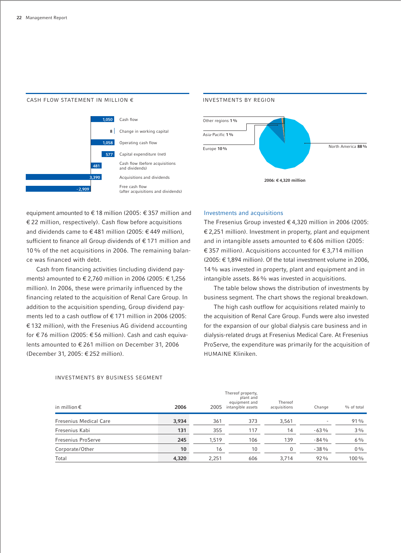#### CASH FLOW STATEMENT IN MILLION  $\epsilon$



#### INVESTMENTS BY REGION



equipment amounted to € 18 million (2005: € 357 million and € 22 million, respectively). Cash flow before acquisitions and dividends came to € 481 million (2005: € 449 million), sufficient to finance all Group dividends of € 171 million and 10% of the net acquisitions in 2006. The remaining balance was financed with debt.

Cash from financing activities (including dividend payments) amounted to € 2,760 million in 2006 (2005: € 1,256 million). In 2006, these were primarily influenced by the financing related to the acquisition of Renal Care Group. In addition to the acquisition spending, Group dividend payments led to a cash outflow of € 171 million in 2006 (2005: € 132 million), with the Fresenius AG dividend accounting for € 76 million (2005: € 56 million). Cash and cash equivalents amounted to € 261 million on December 31, 2006 (December 31, 2005: € 252 million).

## Investments and acquisitions

The Fresenius Group invested € 4,320 million in 2006 (2005: € 2,251 million). Investment in property, plant and equipment and in intangible assets amounted to  $\epsilon$  606 million (2005: € 357 million). Acquisitions accounted for € 3,714 million (2005: € 1,894 million). Of the total investment volume in 2006, 14% was invested in property, plant and equipment and in intangible assets. 86% was invested in acquisitions.

The table below shows the distribution of investments by business segment. The chart shows the regional breakdown.

The high cash outflow for acquisitions related mainly to the acquisition of Renal Care Group. Funds were also invested for the expansion of our global dialysis care business and in dialysis-related drugs at Fresenius Medical Care. At Fresenius ProServe, the expenditure was primarily for the acquisition of HUMAINE Kliniken.

| in million $\epsilon$         | 2006  | 2005  | Thereof property,<br>plant and<br>equipment and<br>intangible assets | Thereof<br>acquisitions | Change                   | % of total |
|-------------------------------|-------|-------|----------------------------------------------------------------------|-------------------------|--------------------------|------------|
| <b>Fresenius Medical Care</b> | 3,934 | 361   | 373                                                                  | 3,561                   | $\overline{\phantom{a}}$ | 91%        |
| Fresenius Kabi                | 131   | 355   | 117                                                                  | 14                      | $-63%$                   | $3\%$      |
| Fresenius ProServe            | 245   | 1,519 | 106                                                                  | 139                     | $-84%$                   | $6\%$      |
| Corporate/Other               | 10    | 16    | 10                                                                   |                         | $-38%$                   | $0\%$      |
| Total                         | 4,320 | 2,251 | 606                                                                  | 3,714                   | $92\%$                   | $100\%$    |

#### INVESTMENTS BY BUSINESS SEGMENT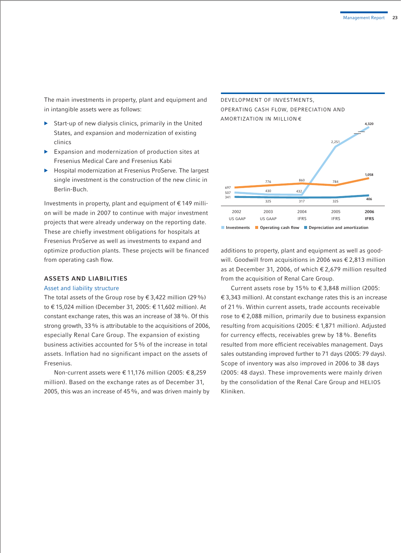The main investments in property, plant and equipment and in intangible assets were as follows:

- b Start-up of new dialysis clinics, primarily in the United States, and expansion and modernization of existing clinics
- $\blacktriangleright$  Expansion and modernization of production sites at Fresenius Medical Care and Fresenius Kabi
- **Hospital modernization at Fresenius ProServe. The largest** single investment is the construction of the new clinic in Berlin-Buch.

Investments in property, plant and equipment of € 149 million will be made in 2007 to continue with major investment projects that were already underway on the reporting date. These are chiefly investment obligations for hospitals at Fresenius ProServe as well as investments to expand and optimize production plants. These projects will be financed from operating cash flow.

## **ASSETS AND LIABILITIES**

#### Asset and liability structure

The total assets of the Group rose by  $\epsilon$  3,422 million (29%) to € 15,024 million (December 31, 2005: € 11,602 million). At constant exchange rates, this was an increase of 38%. Of this strong growth, 33% is attributable to the acquisitions of 2006, especially Renal Care Group. The expansion of existing business activities accounted for 5% of the increase in total assets. Inflation had no significant impact on the assets of Fresenius.

Non-current assets were € 11,176 million (2005: € 8,259 million). Based on the exchange rates as of December 31, 2005, this was an increase of 45%, and was driven mainly by



additions to property, plant and equipment as well as goodwill. Goodwill from acquisitions in 2006 was € 2,813 million as at December 31, 2006, of which € 2,679 million resulted from the acquisition of Renal Care Group.

Current assets rose by 15% to  $\epsilon$  3,848 million (2005: € 3,343 million). At constant exchange rates this is an increase of 21%. Within current assets, trade accounts receivable rose to € 2,088 million, primarily due to business expansion resulting from acquisitions (2005: € 1,871 million). Adjusted for currency effects, receivables grew by 18%. Benefits resulted from more efficient receivables management. Days sales outstanding improved further to 71 days (2005: 79 days). Scope of inventory was also improved in 2006 to 38 days (2005: 48 days). These improvements were mainly driven by the consolidation of the Renal Care Group and HELIOS Kliniken.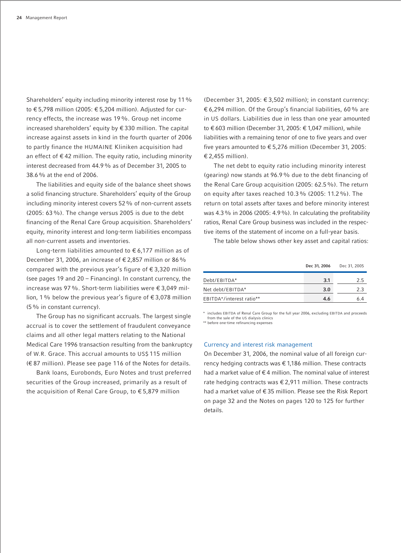Shareholders' equity including minority interest rose by 11% to € 5,798 million (2005: € 5,204 million). Adjusted for currency effects, the increase was 19%. Group net income increased shareholders' equity by € 330 million. The capital increase against assets in kind in the fourth quarter of 2006 to partly finance the HUMAINE Kliniken acquisition had an effect of  $\epsilon$  42 million. The equity ratio, including minority interest decreased from 44.9% as of December 31, 2005 to 38.6% at the end of 2006.

The liabilities and equity side of the balance sheet shows a solid financing structure. Shareholders' equity of the Group including minority interest covers 52% of non-current assets (2005: 63%). The change versus 2005 is due to the debt financing of the Renal Care Group acquisition. Shareholders' equity, minority interest and long-term liabilities encompass all non-current assets and inventories.

Long-term liabilities amounted to € 6,177 million as of December 31, 2006, an increase of  $\epsilon$  2,857 million or 86% compared with the previous year's figure of  $\epsilon$  3,320 million (see pages 19 and 20 – Financing). In constant currency, the increase was 97%. Short-term liabilities were € 3,049 million, 1% below the previous year's figure of € 3,078 million (5% in constant currency).

The Group has no significant accruals. The largest single accrual is to cover the settlement of fraudulent conveyance claims and all other legal matters relating to the National Medical Care 1996 transaction resulting from the bankruptcy of W.R. Grace. This accrual amounts to US\$ 115 million (€ 87 million). Please see page 116 of the Notes for details.

Bank loans, Eurobonds, Euro Notes and trust preferred securities of the Group increased, primarily as a result of the acquisition of Renal Care Group, to € 5,879 million

(December 31, 2005: € 3,502 million); in constant currency: € 6,294 million. Of the Group's financial liabilities, 60% are in US dollars. Liabilities due in less than one year amounted to € 603 million (December 31, 2005: € 1,047 million), while liabilities with a remaining tenor of one to five years and over five years amounted to € 5,276 million (December 31, 2005: € 2,455 million).

The net debt to equity ratio including minority interest (gearing) now stands at 96.9% due to the debt financing of the Renal Care Group acquisition (2005: 62.5%). The return on equity after taxes reached 10.3% (2005: 11.2%). The return on total assets after taxes and before minority interest was 4.3% in 2006 (2005: 4.9%). In calculating the profitability ratios, Renal Care Group business was included in the respective items of the statement of income on a full-year basis.

The table below shows other key asset and capital ratios:

|                          | Dec 31, 2006 | Dec 31, 2005 |
|--------------------------|--------------|--------------|
| Debt/EBITDA*             | 3.1          | 25           |
| Net debt/EBITDA*         | 3.0          | 23           |
| EBITDA*/interest ratio** | 4.6          |              |

\* includes EBITDA of Renal Care Group for the full year 2006, excluding EBITDA and proceeds from the sale of the US dialysis clinics \*\* before one-time refinancing expenses

## Currency and interest risk management

On December 31, 2006, the nominal value of all foreign currency hedging contracts was € 1,186 million. These contracts had a market value of  $\epsilon$  4 million. The nominal value of interest rate hedging contracts was € 2,911 million. These contracts had a market value of € 35 million. Please see the Risk Report on page 32 and the Notes on pages 120 to 125 for further details.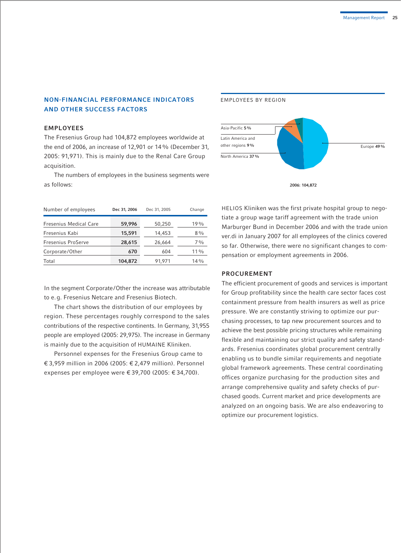## **NON-FINANCIAL PERFORMANCE INDICATORS AND OTHER SUCCESS FACTORS**

## **EMPLOYEES**

The Fresenius Group had 104,872 employees worldwide at the end of 2006, an increase of 12,901 or 14% (December 31, 2005: 91,971). This is mainly due to the Renal Care Group acquisition.

The numbers of employees in the business segments were as follows:



**2006: 104,872** 

| Number of employees           | Dec 31, 2006 | Dec 31, 2005 | Change         |
|-------------------------------|--------------|--------------|----------------|
| <b>Fresenius Medical Care</b> | 59,996       | 50,250       | $19\%$         |
| Fresenius Kabi                | 15,591       | 14,453       | $8\%$          |
| Fresenius ProServe            | 28,615       | 26,664       | $7\frac{0}{0}$ |
| Corporate/Other               | 670          | 604          | $11\%$         |
| Total                         | 104,872      | 91,971       | $14\%$         |

In the segment Corporate/Other the increase was attributable to e.g. Fresenius Netcare and Fresenius Biotech.

The chart shows the distribution of our employees by region. These percentages roughly correspond to the sales contributions of the respective continents. In Germany, 31,955 people are employed (2005: 29,975). The increase in Germany is mainly due to the acquisition of HUMAINE Kliniken.

Personnel expenses for the Fresenius Group came to € 3,959 million in 2006 (2005: € 2,479 million). Personnel expenses per employee were € 39,700 (2005: € 34,700).

HELIOS Kliniken was the first private hospital group to negotiate a group wage tariff agreement with the trade union Marburger Bund in December 2006 and with the trade union ver.di in January 2007 for all employees of the clinics covered so far. Otherwise, there were no significant changes to compensation or employment agreements in 2006.

## **PROCUREMENT**

EMPLOYEES BY REGION

The efficient procurement of goods and services is important for Group profitability since the health care sector faces cost containment pressure from health insurers as well as price pressure. We are constantly striving to optimize our purchasing processes, to tap new procurement sources and to achieve the best possible pricing structures while remaining flexible and maintaining our strict quality and safety standards. Fresenius coordinates global procurement centrally enabling us to bundle similar requirements and negotiate global framework agreements. These central coordinating offices organize purchasing for the production sites and arrange comprehensive quality and safety checks of purchased goods. Current market and price developments are analyzed on an ongoing basis. We are also endeavoring to optimize our procurement logistics.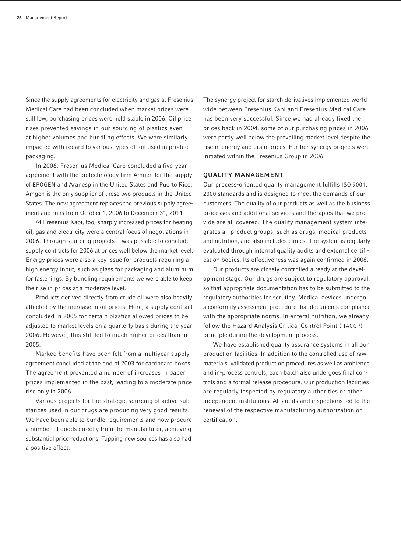Since the supply agreements for electricity and gas at Fresenius Medical Care had been concluded when market prices were still low, purchasing prices were held stable in 2006. Oil price rises prevented savings in our sourcing of plastics even at higher volumes and bundling effects. We were similarly impacted with regard to various types of foil used in product packaging.

In 2006, Fresenius Medical Care concluded a five-year agreement with the biotechnology firm Amgen for the supply of EPOGEN and Aranesp in the United States and Puerto Rico. Amgen is the only supplier of these two products in the United States. The new agreement replaces the previous supply agreement and runs from October 1, 2006 to December 31, 2011.

At Fresenius Kabi, too, sharply increased prices for heating oil, gas and electricity were a central focus of negotiations in 2006. Through sourcing projects it was possible to conclude supply contracts for 2006 at prices well below the market level. Energy prices were also a key issue for products requiring a high energy input, such as glass for packaging and aluminum for fastenings. By bundling requirements we were able to keep the rise in prices at a moderate level.

Products derived directly from crude oil were also heavily affected by the increase in oil prices. Here, a supply contract concluded in 2005 for certain plastics allowed prices to be adjusted to market levels on a quarterly basis during the year 2006. However, this still led to much higher prices than in 2005.

Marked benefits have been felt from a multiyear supply agreement concluded at the end of 2003 for cardboard boxes. The agreement prevented a number of increases in paper prices implemented in the past, leading to a moderate price rise only in 2006.

Various projects for the strategic sourcing of active substances used in our drugs are producing very good results. We have been able to bundle requirements and now procure a number of goods directly from the manufacturer, achieving substantial price reductions. Tapping new sources has also had a positive effect.

The synergy project for starch derivatives implemented worldwide between Fresenius Kabi and Fresenius Medical Care has been very successful. Since we had already fixed the prices back in 2004, some of our purchasing prices in 2006 were partly well below the prevailing market level despite the rise in energy and grain prices. Further synergy projects were initiated within the Fresenius Group in 2006.

## **QUALITY MANAGEMENT**

Our process-oriented quality management fulfills ISO 9001: 2000 standards and is designed to meet the demands of our customers. The quality of our products as well as the business processes and additional services and therapies that we provide are all covered. The quality management system integrates all product groups, such as drugs, medical products and nutrition, and also includes clinics. The system is regularly evaluated through internal quality audits and external certification bodies. Its effectiveness was again confirmed in 2006.

Our products are closely controlled already at the development stage. Our drugs are subject to regulatory approval, so that appropriate documentation has to be submitted to the regulatory authorities for scrutiny. Medical devices undergo a conformity assessment procedure that documents compliance with the appropriate norms. In enteral nutrition, we already follow the Hazard Analysis Critical Control Point (HACCP) principle during the development process.

We have established quality assurance systems in all our production facilities. In addition to the controlled use of raw materials, validated production procedures as well as ambience and in-process controls, each batch also undergoes final controls and a formal release procedure. Our production facilities are regularly inspected by regulatory authorities or other independent institutions. All audits and inspections led to the renewal of the respective manufacturing authorization or certification.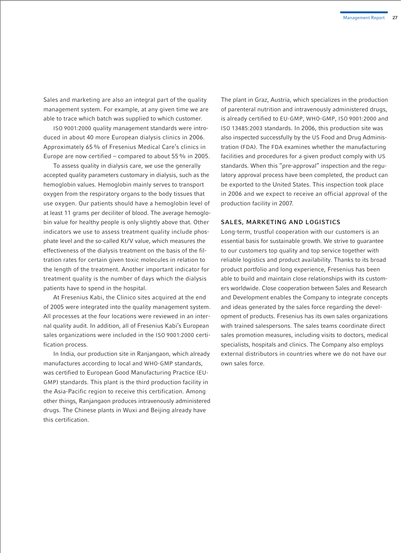Sales and marketing are also an integral part of the quality management system. For example, at any given time we are able to trace which batch was supplied to which customer.

ISO 9001:2000 quality management standards were introduced in about 40 more European dialysis clinics in 2006. Approximately 65% of Fresenius Medical Care's clinics in Europe are now certified – compared to about 55% in 2005.

To assess quality in dialysis care, we use the generally accepted quality parameters customary in dialysis, such as the hemoglobin values. Hemoglobin mainly serves to transport oxygen from the respiratory organs to the body tissues that use oxygen. Our patients should have a hemoglobin level of at least 11 grams per deciliter of blood. The average hemoglobin value for healthy people is only slightly above that. Other indicators we use to assess treatment quality include phosphate level and the so-called Kt/V value, which measures the effectiveness of the dialysis treatment on the basis of the filtration rates for certain given toxic molecules in relation to the length of the treatment. Another important indicator for treatment quality is the number of days which the dialysis patients have to spend in the hospital.

At Fresenius Kabi, the Clinico sites acquired at the end of 2005 were integrated into the quality management system. All processes at the four locations were reviewed in an internal quality audit. In addition, all of Fresenius Kabi's European sales organizations were included in the ISO 9001:2000 certification process.

In India, our production site in Ranjangaon, which already manufactures according to local and WHO-GMP standards, was certified to European Good Manufacturing Practice (EU-GMP) standards. This plant is the third production facility in the Asia-Pacific region to receive this certification. Among other things, Ranjangaon produces intravenously administered drugs. The Chinese plants in Wuxi and Beijing already have this certification.

The plant in Graz, Austria, which specializes in the production of parenteral nutrition and intravenously administered drugs, is already certified to EU-GMP, WHO-GMP, ISO 9001:2000 and ISO 13485:2003 standards. In 2006, this production site was also inspected successfully by the US Food and Drug Administration (FDA). The FDA examines whether the manufacturing facilities and procedures for a given product comply with US standards. When this "pre-approval" inspection and the regulatory approval process have been completed, the product can be exported to the United States. This inspection took place in 2006 and we expect to receive an official approval of the production facility in 2007.

#### **SALES, MARKETING AND LOGISTICS**

Long-term, trustful cooperation with our customers is an essential basis for sustainable growth. We strive to guarantee to our customers top quality and top service together with reliable logistics and product availability. Thanks to its broad product portfolio and long experience, Fresenius has been able to build and maintain close relationships with its customers worldwide. Close cooperation between Sales and Research and Development enables the Company to integrate concepts and ideas generated by the sales force regarding the development of products. Fresenius has its own sales organizations with trained salespersons. The sales teams coordinate direct sales promotion measures, including visits to doctors, medical specialists, hospitals and clinics. The Company also employs external distributors in countries where we do not have our own sales force.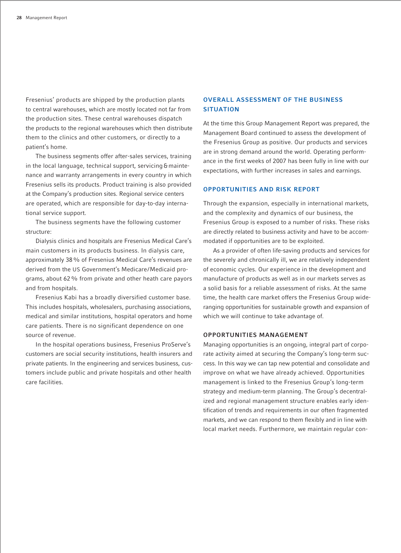Fresenius' products are shipped by the production plants to central warehouses, which are mostly located not far from the production sites. These central warehouses dispatch the products to the regional warehouses which then distribute them to the clinics and other customers, or directly to a patient's home.

The business segments offer after-sales services, training in the local language, technical support, servicing & maintenance and warranty arrangements in every country in which Fresenius sells its products. Product training is also provided at the Company's production sites. Regional service centers are operated, which are responsible for day-to-day international service support.

The business segments have the following customer structure:

Dialysis clinics and hospitals are Fresenius Medical Care's main customers in its products business. In dialysis care, approximately 38% of Fresenius Medical Care's revenues are derived from the US Government's Medicare/Medicaid programs, about 62% from private and other heath care payors and from hospitals.

Fresenius Kabi has a broadly diversified customer base. This includes hospitals, wholesalers, purchasing associations, medical and similar institutions, hospital operators and home care patients. There is no significant dependence on one source of revenue.

In the hospital operations business, Fresenius ProServe's customers are social security institutions, health insurers and private patients. In the engineering and services business, customers include public and private hospitals and other health care facilities.

## **OVERALL ASSESSMENT OF THE BUSINESS SITUATION**

At the time this Group Management Report was prepared, the Management Board continued to assess the development of the Fresenius Group as positive. Our products and services are in strong demand around the world. Operating performance in the first weeks of 2007 has been fully in line with our expectations, with further increases in sales and earnings.

## **OPPORTUNITIES AND RISK REPORT**

Through the expansion, especially in international markets, and the complexity and dynamics of our business, the Fresenius Group is exposed to a number of risks. These risks are directly related to business activity and have to be accommodated if opportunities are to be exploited.

As a provider of often life-saving products and services for the severely and chronically ill, we are relatively independent of economic cycles. Our experience in the development and manufacture of products as well as in our markets serves as a solid basis for a reliable assessment of risks. At the same time, the health care market offers the Fresenius Group wideranging opportunities for sustainable growth and expansion of which we will continue to take advantage of.

## **OPPORTUNITIES MANAGEMENT**

Managing opportunities is an ongoing, integral part of corporate activity aimed at securing the Company's long-term success. In this way we can tap new potential and consolidate and improve on what we have already achieved. Opportunities management is linked to the Fresenius Group's long-term strategy and medium-term planning. The Group's decentralized and regional management structure enables early identification of trends and requirements in our often fragmented markets, and we can respond to them flexibly and in line with local market needs. Furthermore, we maintain regular con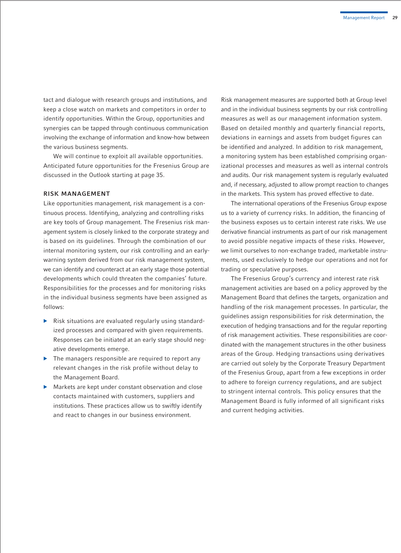tact and dialogue with research groups and institutions, and keep a close watch on markets and competitors in order to identify opportunities. Within the Group, opportunities and synergies can be tapped through continuous communication involving the exchange of information and know-how between the various business segments.

We will continue to exploit all available opportunities. Anticipated future opportunities for the Fresenius Group are discussed in the Outlook starting at page 35.

#### **RISK MANAGEMENT**

Like opportunities management, risk management is a continuous process. Identifying, analyzing and controlling risks are key tools of Group management. The Fresenius risk management system is closely linked to the corporate strategy and is based on its guidelines. Through the combination of our internal monitoring system, our risk controlling and an earlywarning system derived from our risk management system, we can identify and counteract at an early stage those potential developments which could threaten the companies' future. Responsibilities for the processes and for monitoring risks in the individual business segments have been assigned as follows:

- $\triangleright$  Risk situations are evaluated regularly using standardized processes and compared with given requirements. Responses can be initiated at an early stage should negative developments emerge.
- $\blacktriangleright$  The managers responsible are required to report any relevant changes in the risk profile without delay to the Management Board.
- $\blacktriangleright$  Markets are kept under constant observation and close contacts maintained with customers, suppliers and institutions. These practices allow us to swiftly identify and react to changes in our business environment.

Risk management measures are supported both at Group level and in the individual business segments by our risk controlling measures as well as our management information system. Based on detailed monthly and quarterly financial reports, deviations in earnings and assets from budget figures can be identified and analyzed. In addition to risk management, a monitoring system has been established comprising organizational processes and measures as well as internal controls and audits. Our risk management system is regularly evaluated and, if necessary, adjusted to allow prompt reaction to changes in the markets. This system has proved effective to date.

The international operations of the Fresenius Group expose us to a variety of currency risks. In addition, the financing of the business exposes us to certain interest rate risks. We use derivative financial instruments as part of our risk management to avoid possible negative impacts of these risks. However, we limit ourselves to non-exchange traded, marketable instruments, used exclusively to hedge our operations and not for trading or speculative purposes.

The Fresenius Group's currency and interest rate risk management activities are based on a policy approved by the Management Board that defines the targets, organization and handling of the risk management processes. In particular, the guidelines assign responsibilities for risk determination, the execution of hedging transactions and for the regular reporting of risk management activities. These responsibilities are coordinated with the management structures in the other business areas of the Group. Hedging transactions using derivatives are carried out solely by the Corporate Treasury Department of the Fresenius Group, apart from a few exceptions in order to adhere to foreign currency regulations, and are subject to stringent internal controls. This policy ensures that the Management Board is fully informed of all significant risks and current hedging activities.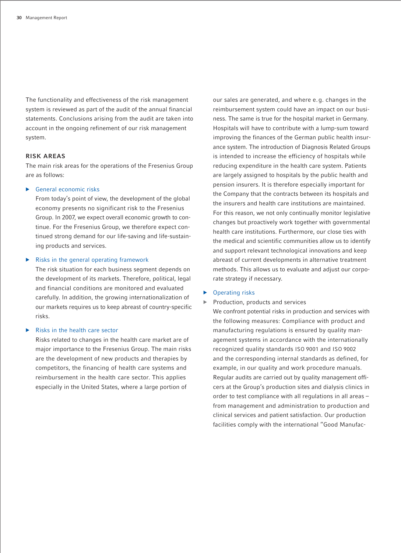The functionality and effectiveness of the risk management system is reviewed as part of the audit of the annual financial statements. Conclusions arising from the audit are taken into account in the ongoing refinement of our risk management system.

#### **RISK AREAS**

The main risk areas for the operations of the Fresenius Group are as follows:

#### $\triangleright$  General economic risks

From today's point of view, the development of the global economy presents no significant risk to the Fresenius Group. In 2007, we expect overall economic growth to continue. For the Fresenius Group, we therefore expect continued strong demand for our life-saving and life-sustaining products and services.

#### Risks in the general operating framework

The risk situation for each business segment depends on the development of its markets. Therefore, political, legal and financial conditions are monitored and evaluated carefully. In addition, the growing internationalization of our markets requires us to keep abreast of country-specific risks.

#### **Risks in the health care sector**

Risks related to changes in the health care market are of major importance to the Fresenius Group. The main risks are the development of new products and therapies by competitors, the financing of health care systems and reimbursement in the health care sector. This applies especially in the United States, where a large portion of

our sales are generated, and where e.g. changes in the reimbursement system could have an impact on our business. The same is true for the hospital market in Germany. Hospitals will have to contribute with a lump-sum toward improving the finances of the German public health insurance system. The introduction of Diagnosis Related Groups is intended to increase the efficiency of hospitals while reducing expenditure in the health care system. Patients are largely assigned to hospitals by the public health and pension insurers. It is therefore especially important for the Company that the contracts between its hospitals and the insurers and health care institutions are maintained. For this reason, we not only continually monitor legislative changes but proactively work together with governmental health care institutions. Furthermore, our close ties with the medical and scientific communities allow us to identify and support relevant technological innovations and keep abreast of current developments in alternative treatment methods. This allows us to evaluate and adjust our corporate strategy if necessary.

#### **Operating risks**

Production, products and services

We confront potential risks in production and services with the following measures: Compliance with product and manufacturing regulations is ensured by quality management systems in accordance with the internationally recognized quality standards ISO 9001 and ISO 9002 and the corresponding internal standards as defined, for example, in our quality and work procedure manuals. Regular audits are carried out by quality management officers at the Group's production sites and dialysis clinics in order to test compliance with all regulations in all areas – from management and administration to production and clinical services and patient satisfaction. Our production facilities comply with the international "Good Manufac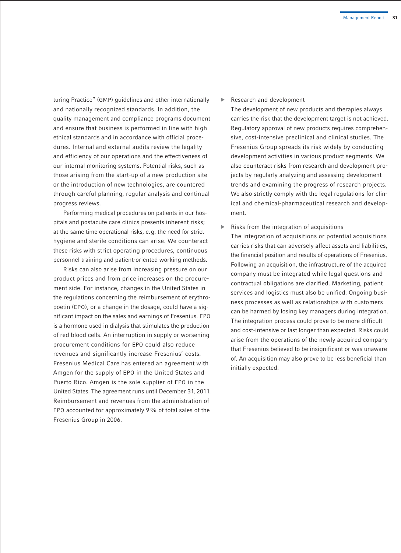turing Practice" (GMP) guidelines and other internationally and nationally recognized standards. In addition, the quality management and compliance programs document and ensure that business is performed in line with high ethical standards and in accordance with official procedures. Internal and external audits review the legality and efficiency of our operations and the effectiveness of our internal monitoring systems. Potential risks, such as those arising from the start-up of a new production site or the introduction of new technologies, are countered through careful planning, regular analysis and continual progress reviews.

Performing medical procedures on patients in our hospitals and postacute care clinics presents inherent risks; at the same time operational risks, e.g. the need for strict hygiene and sterile conditions can arise. We counteract these risks with strict operating procedures, continuous personnel training and patient-oriented working methods.

Risks can also arise from increasing pressure on our product prices and from price increases on the procurement side. For instance, changes in the United States in the regulations concerning the reimbursement of erythropoetin (EPO), or a change in the dosage, could have a significant impact on the sales and earnings of Fresenius. EPO is a hormone used in dialysis that stimulates the production of red blood cells. An interruption in supply or worsening procurement conditions for EPO could also reduce revenues and significantly increase Fresenius' costs. Fresenius Medical Care has entered an agreement with Amgen for the supply of EPO in the United States and Puerto Rico. Amgen is the sole supplier of EPO in the United States. The agreement runs until December 31, 2011. Reimbursement and revenues from the administration of EPO accounted for approximately 9% of total sales of the Fresenius Group in 2006.

b Research and development

The development of new products and therapies always carries the risk that the development target is not achieved. Regulatory approval of new products requires comprehensive, cost-intensive preclinical and clinical studies. The Fresenius Group spreads its risk widely by conducting development activities in various product segments. We also counteract risks from research and development projects by regularly analyzing and assessing development trends and examining the progress of research projects. We also strictly comply with the legal regulations for clinical and chemical-pharmaceutical research and development.

Risks from the integration of acquisitions The integration of acquisitions or potential acquisitions carries risks that can adversely affect assets and liabilities, the financial position and results of operations of Fresenius. Following an acquisition, the infrastructure of the acquired company must be integrated while legal questions and contractual obligations are clarified. Marketing, patient services and logistics must also be unified. Ongoing business processes as well as relationships with customers can be harmed by losing key managers during integration. The integration process could prove to be more difficult and cost-intensive or last longer than expected. Risks could arise from the operations of the newly acquired company that Fresenius believed to be insignificant or was unaware of. An acquisition may also prove to be less beneficial than initially expected.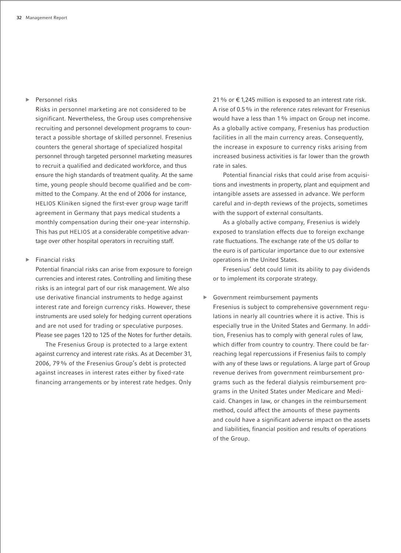## b Personnel risks

Risks in personnel marketing are not considered to be significant. Nevertheless, the Group uses comprehensive recruiting and personnel development programs to counteract a possible shortage of skilled personnel. Fresenius counters the general shortage of specialized hospital personnel through targeted personnel marketing measures to recruit a qualified and dedicated workforce, and thus ensure the high standards of treatment quality. At the same time, young people should become qualified and be committed to the Company. At the end of 2006 for instance, HELIOS Kliniken signed the first-ever group wage tariff agreement in Germany that pays medical students a monthly compensation during their one-year internship. This has put HELIOS at a considerable competitive advantage over other hospital operators in recruiting staff.

#### Financial risks

Potential financial risks can arise from exposure to foreign currencies and interest rates. Controlling and limiting these risks is an integral part of our risk management. We also use derivative financial instruments to hedge against interest rate and foreign currency risks. However, these instruments are used solely for hedging current operations and are not used for trading or speculative purposes. Please see pages 120 to 125 of the Notes for further details.

The Fresenius Group is protected to a large extent against currency and interest rate risks. As at December 31, 2006, 79% of the Fresenius Group's debt is protected against increases in interest rates either by fixed-rate financing arrangements or by interest rate hedges. Only

21% or € 1,245 million is exposed to an interest rate risk. A rise of 0.5% in the reference rates relevant for Fresenius would have a less than 1% impact on Group net income. As a globally active company, Fresenius has production facilities in all the main currency areas. Consequently, the increase in exposure to currency risks arising from increased business activities is far lower than the growth rate in sales.

Potential financial risks that could arise from acquisitions and investments in property, plant and equipment and intangible assets are assessed in advance. We perform careful and in-depth reviews of the projects, sometimes with the support of external consultants.

As a globally active company, Fresenius is widely exposed to translation effects due to foreign exchange rate fluctuations. The exchange rate of the US dollar to the euro is of particular importance due to our extensive operations in the United States.

Fresenius' debt could limit its ability to pay dividends or to implement its corporate strategy.

#### Government reimbursement payments

Fresenius is subject to comprehensive government regulations in nearly all countries where it is active. This is especially true in the United States and Germany. In addition, Fresenius has to comply with general rules of law, which differ from country to country. There could be farreaching legal repercussions if Fresenius fails to comply with any of these laws or regulations. A large part of Group revenue derives from government reimbursement programs such as the federal dialysis reimbursement programs in the United States under Medicare and Medicaid. Changes in law, or changes in the reimbursement method, could affect the amounts of these payments and could have a significant adverse impact on the assets and liabilities, financial position and results of operations of the Group.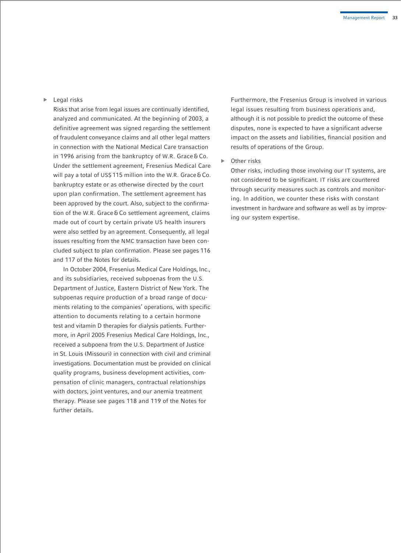$\blacktriangleright$  Legal risks

Risks that arise from legal issues are continually identified, analyzed and communicated. At the beginning of 2003, a definitive agreement was signed regarding the settlement of fraudulent conveyance claims and all other legal matters in connection with the National Medical Care transaction in 1996 arising from the bankruptcy of W.R. Grace & Co. Under the settlement agreement, Fresenius Medical Care will pay a total of US\$ 115 million into the W.R. Grace & Co. bankruptcy estate or as otherwise directed by the court upon plan confirmation. The settlement agreement has been approved by the court. Also, subject to the confirmation of the W.R. Grace & Co settlement agreement, claims made out of court by certain private US health insurers were also settled by an agreement. Consequently, all legal issues resulting from the NMC transaction have been concluded subject to plan confirmation. Please see pages 116 and 117 of the Notes for details.

In October 2004, Fresenius Medical Care Holdings, Inc., and its subsidiaries, received subpoenas from the U.S. Department of Justice, Eastern District of New York. The subpoenas require production of a broad range of documents relating to the companies' operations, with specific attention to documents relating to a certain hormone test and vitamin D therapies for dialysis patients. Furthermore, in April 2005 Fresenius Medical Care Holdings, Inc., received a subpoena from the U.S. Department of Justice in St. Louis (Missouri) in connection with civil and criminal investigations. Documentation must be provided on clinical quality programs, business development activities, compensation of clinic managers, contractual relationships with doctors, joint ventures, and our anemia treatment therapy. Please see pages 118 and 119 of the Notes for further details.

Furthermore, the Fresenius Group is involved in various legal issues resulting from business operations and, although it is not possible to predict the outcome of these disputes, none is expected to have a significant adverse impact on the assets and liabilities, financial position and results of operations of the Group.

Other risks

Other risks, including those involving our IT systems, are not considered to be significant. IT risks are countered through security measures such as controls and monitoring. In addition, we counter these risks with constant investment in hardware and software as well as by improving our system expertise.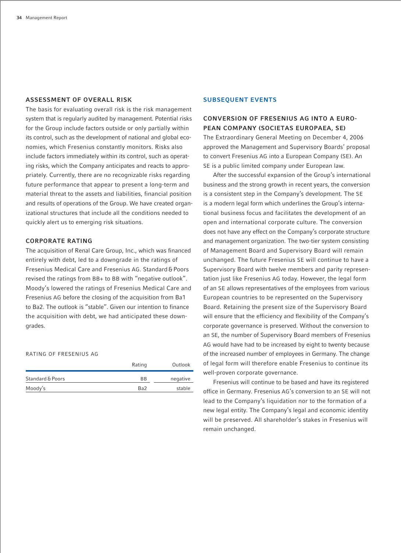#### **ASSESSMENT OF OVERALL RISK**

The basis for evaluating overall risk is the risk management system that is regularly audited by management. Potential risks for the Group include factors outside or only partially within its control, such as the development of national and global economies, which Fresenius constantly monitors. Risks also include factors immediately within its control, such as operating risks, which the Company anticipates and reacts to appropriately. Currently, there are no recognizable risks regarding future performance that appear to present a long-term and material threat to the assets and liabilities, financial position and results of operations of the Group. We have created organizational structures that include all the conditions needed to quickly alert us to emerging risk situations.

#### **CORPORATE RATING**

The acquisition of Renal Care Group, Inc., which was financed entirely with debt, led to a downgrade in the ratings of Fresenius Medical Care and Fresenius AG. Standard& Poors revised the ratings from BB+ to BB with "negative outlook". Moody's lowered the ratings of Fresenius Medical Care and Fresenius AG before the closing of the acquisition from Ba1 to Ba2. The outlook is "stable". Given our intention to finance the acquisition with debt, we had anticipated these downgrades.

#### RATING OF FRESENIUS AG

|                  | Rating          | Outlook  |
|------------------|-----------------|----------|
| Standard & Poors | <b>BB</b>       | negative |
| Moody's          | Ba <sub>2</sub> | stable   |

#### **SUBSEQUENT EVENTS**

## **CONVERSION OF FRESENIUS AG INTO A EURO-PEAN COMPANY (SOCIETAS EUROPAEA, SE)**

The Extraordinary General Meeting on December 4, 2006 approved the Management and Supervisory Boards' proposal to convert Fresenius AG into a European Company (SE). An SE is a public limited company under European law.

After the successful expansion of the Group's international business and the strong growth in recent years, the conversion is a consistent step in the Company's development. The SE is a modern legal form which underlines the Group's international business focus and facilitates the development of an open and international corporate culture. The conversion does not have any effect on the Company's corporate structure and management organization. The two-tier system consisting of Management Board and Supervisory Board will remain unchanged. The future Fresenius SE will continue to have a Supervisory Board with twelve members and parity representation just like Fresenius AG today. However, the legal form of an SE allows representatives of the employees from various European countries to be represented on the Supervisory Board. Retaining the present size of the Supervisory Board will ensure that the efficiency and flexibility of the Company's corporate governance is preserved. Without the conversion to an SE, the number of Supervisory Board members of Fresenius AG would have had to be increased by eight to twenty because of the increased number of employees in Germany. The change of legal form will therefore enable Fresenius to continue its well-proven corporate governance.

Fresenius will continue to be based and have its registered office in Germany. Fresenius AG's conversion to an SE will not lead to the Company's liquidation nor to the formation of a new legal entity. The Company's legal and economic identity will be preserved. All shareholder's stakes in Fresenius will remain unchanged.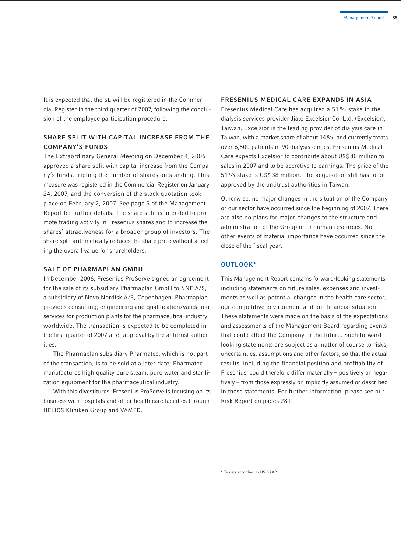It is expected that the SE will be registered in the Commercial Register in the third quarter of 2007, following the conclusion of the employee participation procedure.

## **SHARE SPLIT WITH CAPITAL INCREASE FROM THE COMPANY'S FUNDS**

The Extraordinary General Meeting on December 4, 2006 approved a share split with capital increase from the Company's funds, tripling the number of shares outstanding. This measure was registered in the Commercial Register on January 24, 2007, and the conversion of the stock quotation took place on February 2, 2007. See page 5 of the Management Report for further details. The share split is intended to promote trading activity in Fresenius shares and to increase the shares' attractiveness for a broader group of investors. The share split arithmetically reduces the share price without affecting the overall value for shareholders.

#### **SALE OF PHARMAPLAN GMBH**

In December 2006, Fresenius ProServe signed an agreement for the sale of its subsidiary Pharmaplan GmbH to NNE A/S, a subsidiary of Novo Nordisk A/S, Copenhagen. Pharmaplan provides consulting, engineering and qualification/validation services for production plants for the pharmaceutical industry worldwide. The transaction is expected to be completed in the first quarter of 2007 after approval by the antitrust authorities.

The Pharmaplan subsidiary Pharmatec, which is not part of the transaction, is to be sold at a later date. Pharmatec manufactures high quality pure steam, pure water and sterilization equipment for the pharmaceutical industry.

With this divestitures, Fresenius ProServe is focusing on its business with hospitals and other health care facilities through HELIOS Kliniken Group and VAMED.

#### **FRESENIUS MEDICAL CARE EXPANDS IN ASIA**

Fresenius Medical Care has acquired a 51% stake in the dialysis services provider Jiate Excelsior Co. Ltd. (Excelsior), Taiwan. Excelsior is the leading provider of dialysis care in Taiwan, with a market share of about 14%, and currently treats over 6,500 patients in 90 dialysis clinics. Fresenius Medical Care expects Excelsior to contribute about US\$ 80 million to sales in 2007 and to be accretive to earnings. The price of the 51% stake is US\$ 38 million. The acquisition still has to be approved by the antitrust authorities in Taiwan.

Otherwise, no major changes in the situation of the Company or our sector have occurred since the beginning of 2007. There are also no plans for major changes to the structure and administration of the Group or in human resources. No other events of material importance have occurred since the close of the fiscal year.

## **OUTLOOK\***

This Management Report contains forward-looking statements, including statements on future sales, expenses and investments as well as potential changes in the health care sector, our competitive environment and our financial situation. These statements were made on the basis of the expectations and assessments of the Management Board regarding events that could affect the Company in the future. Such forwardlooking statements are subject as a matter of course to risks, uncertainties, assumptions and other factors, so that the actual results, including the financial position and profitability of Fresenius, could therefore differ materially – positively or negatively – from those expressly or implicitly assumed or described in these statements. For further information, please see our Risk Report on pages 28 f.

<sup>\*</sup> Targets according to US-GAAP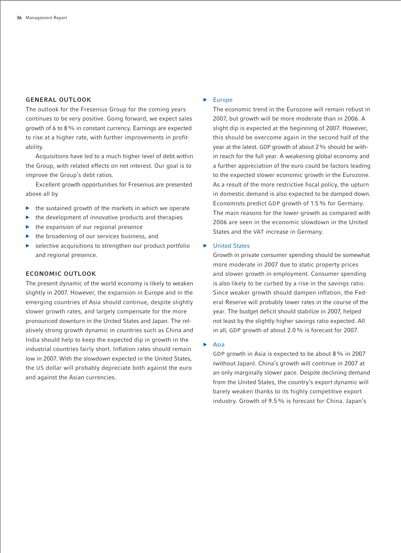#### **GENERAL OUTLOOK**

The outlook for the Fresenius Group for the coming years continues to be very positive. Going forward, we expect sales growth of 6 to 8% in constant currency. Earnings are expected to rise at a higher rate, with further improvements in profitability.

Acquisitions have led to a much higher level of debt within the Group, with related effects on net interest. Our goal is to improve the Group's debt ratios.

Excellent growth opportunities for Fresenius are presented above all by

- the sustained growth of the markets in which we operate
- the development of innovative products and therapies
- the expansion of our regional presence
- the broadening of our services business, and
- $\blacktriangleright$  selective acquisitions to strengthen our product portfolio and regional presence.

#### **ECONOMIC OUTLOOK**

The present dynamic of the world economy is likely to weaken slightly in 2007. However, the expansion in Europe and in the emerging countries of Asia should continue, despite slightly slower growth rates, and largely compensate for the more pronounced downturn in the United States and Japan. The relatively strong growth dynamic in countries such as China and India should help to keep the expected dip in growth in the industrial countries fairly short. Inflation rates should remain low in 2007. With the slowdown expected in the United States, the US dollar will probably depreciate both against the euro and against the Asian currencies.

#### $\blacktriangleright$  Europe

The economic trend in the Eurozone will remain robust in 2007, but growth will be more moderate than in 2006. A slight dip is expected at the beginning of 2007. However, this should be overcome again in the second half of the year at the latest. GDP growth of about 2 % should be within reach for the full year. A weakening global economy and a further appreciation of the euro could be factors leading to the expected slower economic growth in the Eurozone. As a result of the more restrictive fiscal policy, the upturn in domestic demand is also expected to be damped down. Economists predict GDP growth of 1.5% for Germany. The main reasons for the lower growth as compared with 2006 are seen in the economic slowdown in the United States and the VAT increase in Germany.

#### ▶ United States

Growth in private consumer spending should be somewhat more moderate in 2007 due to static property prices and slower growth in employment. Consumer spending is also likely to be curbed by a rise in the savings ratio. Since weaker growth should dampen inflation, the Federal Reserve will probably lower rates in the course of the year. The budget deficit should stabilize in 2007, helped not least by the slightly higher savings ratio expected. All in all, GDP growth of about 2.0% is forecast for 2007.

#### $\blacktriangleright$  Asia

GDP growth in Asia is expected to be about 8% in 2007 (without Japan). China's growth will continue in 2007 at an only marginally slower pace. Despite declining demand from the United States, the country's export dynamic will barely weaken thanks to its highly competitive export industry. Growth of 9.5% is forecast for China. Japan's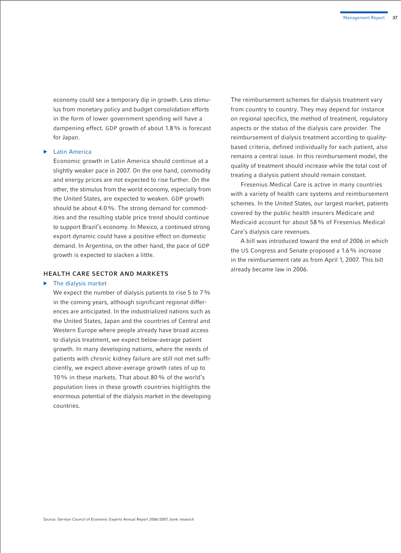economy could see a temporary dip in growth. Less stimulus from monetary policy and budget consolidation efforts in the form of lower government spending will have a dampening effect. GDP growth of about 1.8% is forecast for Japan.

#### $\blacktriangleright$  Latin America

Economic growth in Latin America should continue at a slightly weaker pace in 2007. On the one hand, commodity and energy prices are not expected to rise further. On the other, the stimulus from the world economy, especially from the United States, are expected to weaken. GDP growth should be about 4.0%. The strong demand for commodities and the resulting stable price trend should continue to support Brazil's economy. In Mexico, a continued strong export dynamic could have a positive effect on domestic demand. In Argentina, on the other hand, the pace of GDP growth is expected to slacken a little.

#### **HEALTH CARE SECTOR AND MARKETS**

#### $\blacktriangleright$  The dialysis market

We expect the number of dialysis patients to rise 5 to 7% in the coming years, although significant regional differences are anticipated. In the industrialized nations such as the United States, Japan and the countries of Central and Western Europe where people already have broad access to dialysis treatment, we expect below-average patient growth. In many developing nations, where the needs of patients with chronic kidney failure are still not met sufficiently, we expect above-average growth rates of up to 10% in these markets. That about 80% of the world's population lives in these growth countries highlights the enormous potential of the dialysis market in the developing countries.

The reimbursement schemes for dialysis treatment vary from country to country. They may depend for instance on regional specifics, the method of treatment, regulatory aspects or the status of the dialysis care provider. The reimbursement of dialysis treatment according to qualitybased criteria, defined individually for each patient, also remains a central issue. In this reimbursement model, the quality of treatment should increase while the total cost of treating a dialysis patient should remain constant.

Fresenius Medical Care is active in many countries with a variety of health care systems and reimbursement schemes. In the United States, our largest market, patients covered by the public health insurers Medicare and Medicaid account for about 58% of Fresenius Medical Care's dialysis care revenues.

A bill was introduced toward the end of 2006 in which the US Congress and Senate proposed a 1.6% increase in the reimbursement rate as from April 1, 2007. This bill already became law in 2006.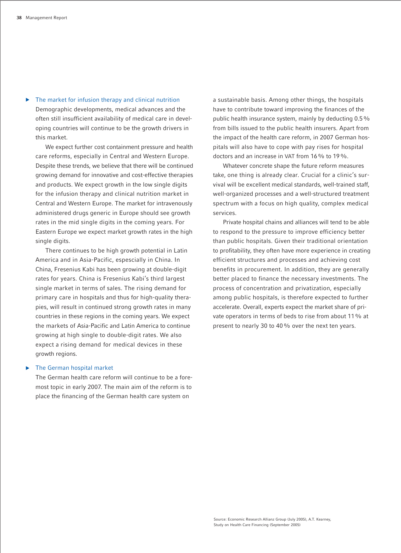$\blacktriangleright$  The market for infusion therapy and clinical nutrition Demographic developments, medical advances and the often still insufficient availability of medical care in developing countries will continue to be the growth drivers in this market.

We expect further cost containment pressure and health care reforms, especially in Central and Western Europe. Despite these trends, we believe that there will be continued growing demand for innovative and cost-effective therapies and products. We expect growth in the low single digits for the infusion therapy and clinical nutrition market in Central and Western Europe. The market for intravenously administered drugs generic in Europe should see growth rates in the mid single digits in the coming years. For Eastern Europe we expect market growth rates in the high single digits.

There continues to be high growth potential in Latin America and in Asia-Pacific, espescially in China. In China, Fresenius Kabi has been growing at double-digit rates for years. China is Fresenius Kabi's third largest single market in terms of sales. The rising demand for primary care in hospitals and thus for high-quality therapies, will result in continued strong growth rates in many countries in these regions in the coming years. We expect the markets of Asia-Pacific and Latin America to continue growing at high single to double-digit rates. We also expect a rising demand for medical devices in these growth regions.

#### The German hospital market

The German health care reform will continue to be a foremost topic in early 2007. The main aim of the reform is to place the financing of the German health care system on

a sustainable basis. Among other things, the hospitals have to contribute toward improving the finances of the public health insurance system, mainly by deducting 0.5% from bills issued to the public health insurers. Apart from the impact of the health care reform, in 2007 German hospitals will also have to cope with pay rises for hospital doctors and an increase in VAT from 16% to 19%.

Whatever concrete shape the future reform measures take, one thing is already clear. Crucial for a clinic's survival will be excellent medical standards, well-trained staff, well-organized processes and a well-structured treatment spectrum with a focus on high quality, complex medical services.

Private hospital chains and alliances will tend to be able to respond to the pressure to improve efficiency better than public hospitals. Given their traditional orientation to profitability, they often have more experience in creating efficient structures and processes and achieving cost benefits in procurement. In addition, they are generally better placed to finance the necessary investments. The process of concentration and privatization, especially among public hospitals, is therefore expected to further accelerate. Overall, experts expect the market share of private operators in terms of beds to rise from about 11% at present to nearly 30 to 40% over the next ten years.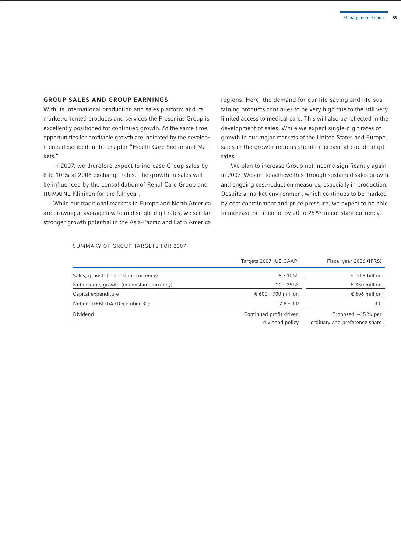#### **GROUP SALES AND GROUP EARNINGS**

With its international production and sales platform and its market-oriented products and services the Fresenius Group is excellently positioned for continued growth. At the same time, opportunities for profitable growth are indicated by the developments described in the chapter "Health Care Sector and Markets."

In 2007, we therefore expect to increase Group sales by 8 to 10% at 2006 exchange rates. The growth in sales will be influenced by the consolidation of Renal Care Group and HUMAINE Kliniken for the full year.

While our traditional markets in Europe and North America are growing at average low to mid single-digit rates, we see far stronger growth potential in the Asia-Pacific and Latin America regions. Here, the demand for our life-saving and life-sustaining products continues to be very high due to the still very limited access to medical care. This will also be reflected in the development of sales. While we expect single-digit rates of growth in our major markets of the United States and Europe, sales in the growth regions should increase at double-digit rates.

We plan to increase Group net income significantly again in 2007. We aim to achieve this through sustained sales growth and ongoing cost-reduction measures, especially in production. Despite a market environment which continues to be marked by cost containment and price pressure, we expect to be able to increase net income by 20 to 25% in constant currency.

#### SUMMARY OF GROUP TARGETS FOR 2007

|                                           | Targets 2007 (US GAAP)                     | Fiscal year 2006 (IFRS)                              |
|-------------------------------------------|--------------------------------------------|------------------------------------------------------|
| Sales, growth (in constant currency)      | $8 - 10\%$                                 | € 10.8 billion                                       |
| Net income, growth (in constant currency) | $20 - 25\%$                                | € 330 million                                        |
| Capital expenditure                       | € 600 - 700 million                        | € 606 million                                        |
| Net debt/EBITDA (December 31)             | $2.8 - 3.0$                                | 3.0                                                  |
| Dividend                                  | Continued profit-driven<br>dividend policy | Proposed: ~15 % per<br>ordinary and preference share |
|                                           |                                            |                                                      |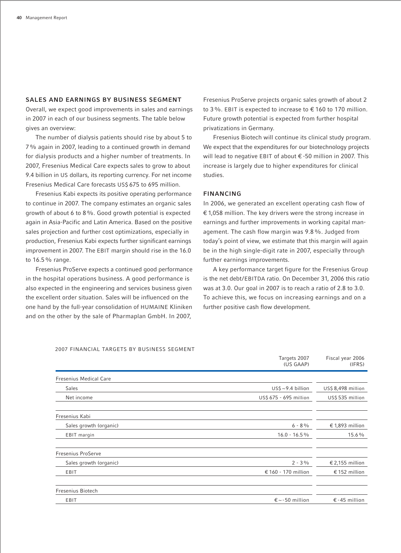#### **SALES AND EARNINGS BY BUSINESS SEGMENT**

Overall, we expect good improvements in sales and earnings in 2007 in each of our business segments. The table below gives an overview:

The number of dialysis patients should rise by about 5 to 7% again in 2007, leading to a continued growth in demand for dialysis products and a higher number of treatments. In 2007, Fresenius Medical Care expects sales to grow to about 9.4 billion in US dollars, its reporting currency. For net income Fresenius Medical Care forecasts US\$ 675 to 695 million.

Fresenius Kabi expects its positive operating performance to continue in 2007. The company estimates an organic sales growth of about 6 to 8%. Good growth potential is expected again in Asia-Pacific and Latin America. Based on the positive sales projection and further cost optimizations, especially in production, Fresenius Kabi expects further significant earnings improvement in 2007. The EBIT margin should rise in the 16.0 to 16.5% range.

Fresenius ProServe expects a continued good performance in the hospital operations business. A good performance is also expected in the engineering and services business given the excellent order situation. Sales will be influenced on the one hand by the full-year consolidation of HUMAINE Kliniken and on the other by the sale of Pharmaplan GmbH. In 2007,

Fresenius ProServe projects organic sales growth of about 2 to 3%. EBIT is expected to increase to € 160 to 170 million. Future growth potential is expected from further hospital privatizations in Germany.

Fresenius Biotech will continue its clinical study program. We expect that the expenditures for our biotechnology projects will lead to negative EBIT of about € -50 million in 2007. This increase is largely due to higher expenditures for clinical studies.

#### **FINANCING**

In 2006, we generated an excellent operating cash flow of € 1,058 million. The key drivers were the strong increase in earnings and further improvements in working capital management. The cash flow margin was 9.8%. Judged from today's point of view, we estimate that this margin will again be in the high single-digit rate in 2007, especially through further earnings improvements.

A key performance target figure for the Fresenius Group is the net debt/EBITDA ratio. On December 31, 2006 this ratio was at 3.0. Our goal in 2007 is to reach a ratio of 2.8 to 3.0. To achieve this, we focus on increasing earnings and on a further positive cash flow development.

|                               | Targets 2007<br>(US GAAP) | Fiscal year 2006<br>(IFRS) |  |
|-------------------------------|---------------------------|----------------------------|--|
| <b>Fresenius Medical Care</b> |                           |                            |  |
| <b>Sales</b>                  | $US\$ ~9.4 billion        | US\$ 8,498 million         |  |
| Net income                    | US\$ 675 - 695 million    | US\$ 535 million           |  |
| Fresenius Kabi                |                           |                            |  |
| Sales growth (organic)        | $6 - 8\%$                 | € 1,893 million            |  |
| EBIT margin                   | $16.0 - 16.5\%$           | 15.6%                      |  |
| <b>Fresenius ProServe</b>     |                           |                            |  |
| Sales growth (organic)        | $2 - 3\%$                 | € 2,155 million            |  |
| EBIT                          | € 160 - 170 million       | € 152 million              |  |
| <b>Fresenius Biotech</b>      |                           |                            |  |
| EBIT                          | $\epsilon$ ~ -50 million  | $\epsilon$ -45 million     |  |

2007 FINANCIAL TARGETS BY BUSINESS SEGMENT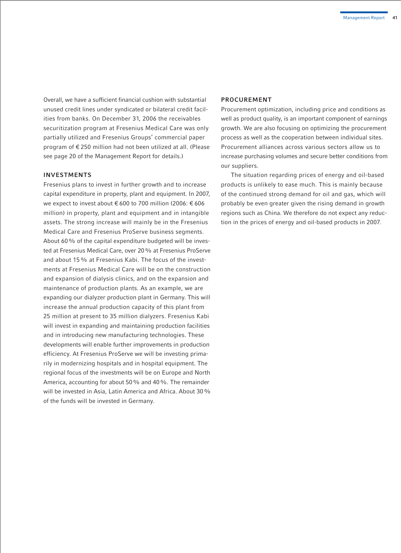Overall, we have a sufficient financial cushion with substantial unused credit lines under syndicated or bilateral credit facilities from banks. On December 31, 2006 the receivables securitization program at Fresenius Medical Care was only partially utilized and Fresenius Groups' commercial paper program of € 250 million had not been utilized at all. (Please see page 20 of the Management Report for details.)

#### **INVESTMENTS**

Fresenius plans to invest in further growth and to increase capital expenditure in property, plant and equipment. In 2007, we expect to invest about € 600 to 700 million (2006: € 606 million) in property, plant and equipment and in intangible assets. The strong increase will mainly be in the Fresenius Medical Care and Fresenius ProServe business segments. About 60% of the capital expenditure budgeted will be invested at Fresenius Medical Care, over 20% at Fresenius ProServe and about 15% at Fresenius Kabi. The focus of the investments at Fresenius Medical Care will be on the construction and expansion of dialysis clinics, and on the expansion and maintenance of production plants. As an example, we are expanding our dialyzer production plant in Germany. This will increase the annual production capacity of this plant from 25 million at present to 35 million dialyzers. Fresenius Kabi will invest in expanding and maintaining production facilities and in introducing new manufacturing technologies. These developments will enable further improvements in production efficiency. At Fresenius ProServe we will be investing primarily in modernizing hospitals and in hospital equipment. The regional focus of the investments will be on Europe and North America, accounting for about 50% and 40%. The remainder will be invested in Asia, Latin America and Africa. About 30% of the funds will be invested in Germany.

#### **PROCUREMENT**

Procurement optimization, including price and conditions as well as product quality, is an important component of earnings growth. We are also focusing on optimizing the procurement process as well as the cooperation between individual sites. Procurement alliances across various sectors allow us to increase purchasing volumes and secure better conditions from our suppliers.

The situation regarding prices of energy and oil-based products is unlikely to ease much. This is mainly because of the continued strong demand for oil and gas, which will probably be even greater given the rising demand in growth regions such as China. We therefore do not expect any reduction in the prices of energy and oil-based products in 2007.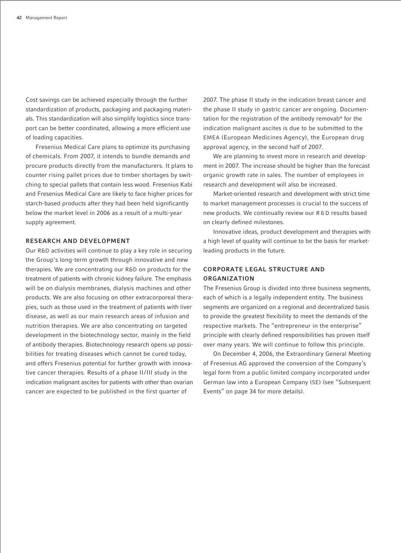Cost savings can be achieved especially through the further standardization of products, packaging and packaging materials. This standardization will also simplify logistics since transport can be better coordinated, allowing a more efficient use of loading capacities.

Fresenius Medical Care plans to optimize its purchasing of chemicals. From 2007, it intends to bundle demands and procure products directly from the manufacturers. It plans to counter rising pallet prices due to timber shortages by switching to special pallets that contain less wood. Fresenius Kabi and Fresenius Medical Care are likely to face higher prices for starch-based products after they had been held significantly below the market level in 2006 as a result of a multi-year supply agreement.

#### **RESEARCH AND DEVELOPMENT**

Our R&D activities will continue to play a key role in securing the Group's long-term growth through innovative and new therapies. We are concentrating our R&D on products for the treatment of patients with chronic kidney failure. The emphasis will be on dialysis membranes, dialysis machines and other products. We are also focusing on other extracorporeal therapies, such as those used in the treatment of patients with liver disease, as well as our main research areas of infusion and nutrition therapies. We are also concentrating on targeted development in the biotechnology sector, mainly in the field of antibody therapies. Biotechnology research opens up possibilities for treating diseases which cannot be cured today, and offers Fresenius potential for further growth with innovative cancer therapies. Results of a phase II/III study in the indication malignant ascites for patients with other than ovarian cancer are expected to be published in the first quarter of

2007. The phase II study in the indication breast cancer and the phase II study in gastric cancer are ongoing. Documentation for the registration of the antibody removab® for the indication malignant ascites is due to be submitted to the EMEA (European Medicines Agency), the European drug approval agency, in the second half of 2007.

We are planning to invest more in research and development in 2007. The increase should be higher than the forecast organic growth rate in sales. The number of employees in research and development will also be increased.

Market-oriented research and development with strict time to market management processes is crucial to the success of new products. We continually review our R&D results based on clearly defined milestones.

Innovative ideas, product development and therapies with a high level of quality will continue to be the basis for marketleading products in the future.

#### **CORPORATE LEGAL STRUCTURE AND ORGANIZATION**

The Fresenius Group is divided into three business segments, each of which is a legally independent entity. The business segments are organized on a regional and decentralized basis to provide the greatest flexibility to meet the demands of the respective markets. The "entrepreneur in the enterprise" principle with clearly defined responsibilities has proven itself over many years. We will continue to follow this principle.

On December 4, 2006, the Extraordinary General Meeting of Fresenius AG approved the conversion of the Company's legal form from a public limited company incorporated under German law into a European Company (SE) (see "Subsequent Events" on page 34 for more details).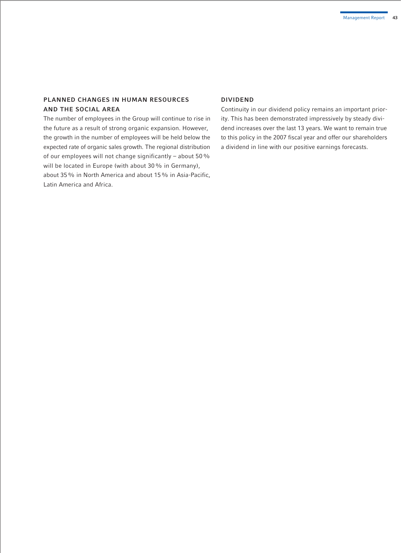### **PLANNED CHANGES IN HUMAN RESOURCES AND THE SOCIAL AREA**

The number of employees in the Group will continue to rise in the future as a result of strong organic expansion. However, the growth in the number of employees will be held below the expected rate of organic sales growth. The regional distribution of our employees will not change significantly – about 50% will be located in Europe (with about 30% in Germany), about 35% in North America and about 15% in Asia-Pacific, Latin America and Africa.

#### **DIVIDEND**

Continuity in our dividend policy remains an important priority. This has been demonstrated impressively by steady dividend increases over the last 13 years. We want to remain true to this policy in the 2007 fiscal year and offer our shareholders a dividend in line with our positive earnings forecasts.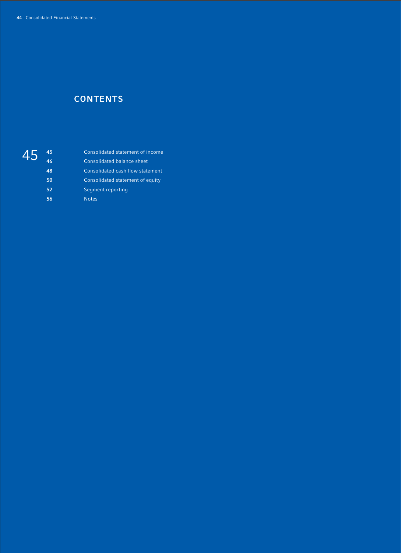# **CONTENTS**

# 

| 45 | Consolidated statement of income |
|----|----------------------------------|
| 46 | Consolidated balance sheet       |
| 48 | Consolidated cash flow statement |
| 50 | Consolidated statement of equity |
| 52 | Segment reporting                |
| 56 | <b>Notes</b>                     |
|    |                                  |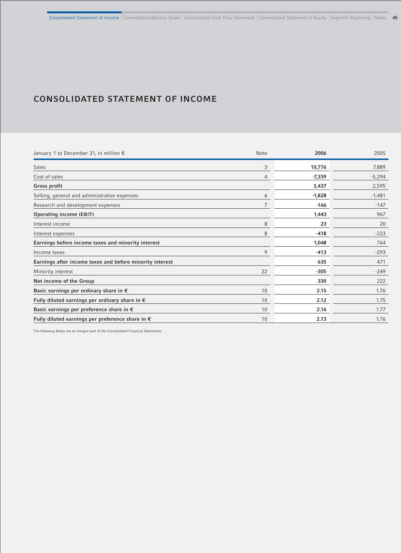# **CONSOLIDATED STATEMENT OF INCOME**

| January 1 to December 31, in million $\epsilon$           | <b>Note</b>    | 2006     | 2005     |
|-----------------------------------------------------------|----------------|----------|----------|
| <b>Sales</b>                                              | 3              | 10,776   | 7,889    |
| Cost of sales                                             | $\overline{4}$ | $-7,339$ | $-5,294$ |
| Gross profit                                              |                | 3,437    | 2,595    |
| Selling, general and administrative expenses              | 6              | $-1,828$ | $-1,481$ |
| Research and development expenses                         | 7              | $-166$   | $-147$   |
| <b>Operating income (EBIT)</b>                            |                | 1,443    | 967      |
| Interest income                                           | 8              | 23       | 20       |
| Interest expenses                                         | 8              | $-418$   | $-223$   |
| Earnings before income taxes and minority interest        |                | 1,048    | 764      |
| Income taxes                                              | 9              | $-413$   | $-293$   |
| Earnings after income taxes and before minority interest  |                | 635      | 471      |
| Minority interest                                         | 22             | $-305$   | $-249$   |
| Net income of the Group                                   |                | 330      | 222      |
| Basic earnings per ordinary share in $\epsilon$           | 10             | 2.15     | 1.76     |
| Fully diluted earnings per ordinary share in $\epsilon$   | 10             | 2.12     | 1.75     |
| Basic earnings per preference share in $\epsilon$         | 10             | 2.16     | 1.77     |
| Fully diluted earnings per preference share in $\epsilon$ | 10             | 2.13     | 1.76     |

The following Notes are an integral part of the Consolidated Financial Statements.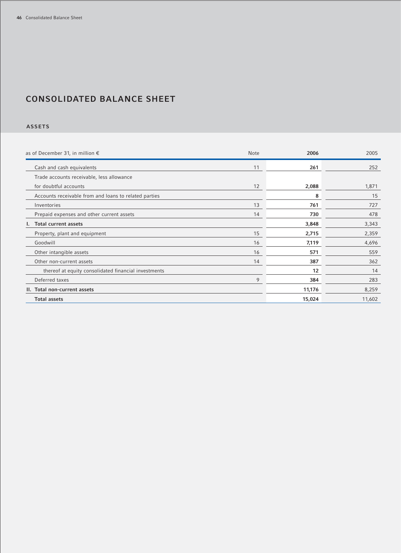# **CONSOLIDATED BALANCE SHEET**

### **ASSETS**

| as of December 31, in million $\epsilon$              | <b>Note</b> | 2006   | 2005   |
|-------------------------------------------------------|-------------|--------|--------|
| Cash and cash equivalents                             | 11          | 261    | 252    |
| Trade accounts receivable, less allowance             |             |        |        |
| for doubtful accounts                                 | 12          | 2,088  | 1,871  |
| Accounts receivable from and loans to related parties |             | 8      | 15     |
| Inventories                                           | 13          | 761    | 727    |
| Prepaid expenses and other current assets             | 14          | 730    | 478    |
| I. Total current assets                               |             | 3,848  | 3,343  |
| Property, plant and equipment                         | 15          | 2,715  | 2,359  |
| Goodwill                                              | 16          | 7,119  | 4,696  |
| Other intangible assets                               | 16          | 571    | 559    |
| Other non-current assets                              | 14          | 387    | 362    |
| thereof at equity consolidated financial investments  |             | 12     | 14     |
| Deferred taxes                                        | 9           | 384    | 283    |
| II. Total non-current assets                          |             | 11,176 | 8,259  |
| <b>Total assets</b>                                   |             | 15,024 | 11,602 |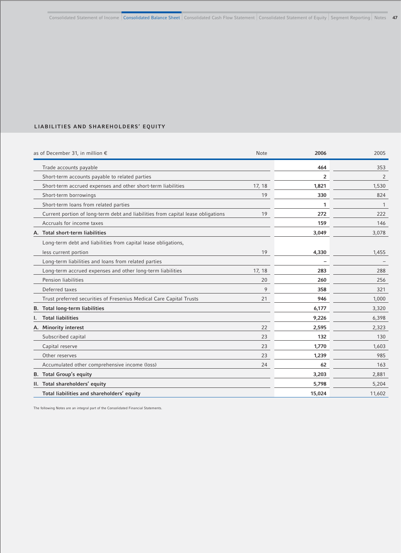### **LIABILITIES AND SHAREHOLDERS' EQUITY**

| as of December 31, in million $\epsilon$                                         | Note   | 2006   | 2005   |
|----------------------------------------------------------------------------------|--------|--------|--------|
| Trade accounts payable                                                           |        | 464    | 353    |
| Short-term accounts payable to related parties                                   |        | 2      | 2      |
| Short-term accrued expenses and other short-term liabilities                     | 17, 18 | 1,821  | 1,530  |
| Short-term borrowings                                                            | 19     | 330    | 824    |
| Short-term loans from related parties                                            |        | 1      | -1     |
| Current portion of long-term debt and liabilities from capital lease obligations | 19     | 272    | 222    |
| Accruals for income taxes                                                        |        | 159    | 146    |
| A. Total short-term liabilities                                                  |        | 3,049  | 3,078  |
| Long-term debt and liabilities from capital lease obligations,                   |        |        |        |
| less current portion                                                             | 19     | 4,330  | 1,455  |
| Long-term liabilities and loans from related parties                             |        |        |        |
| Long-term accrued expenses and other long-term liabilities                       | 17, 18 | 283    | 288    |
| Pension liabilities                                                              | 20     | 260    | 256    |
| Deferred taxes                                                                   | 9      | 358    | 321    |
| Trust preferred securities of Fresenius Medical Care Capital Trusts              | 21     | 946    | 1,000  |
| <b>B.</b> Total long-term liabilities                                            |        | 6,177  | 3,320  |
| <b>Total liabilities</b><br>ı.                                                   |        | 9,226  | 6,398  |
| A. Minority interest                                                             | 22     | 2,595  | 2,323  |
| Subscribed capital                                                               | 23     | 132    | 130    |
| Capital reserve                                                                  | 23     | 1,770  | 1,603  |
| Other reserves                                                                   | 23     | 1,239  | 985    |
| Accumulated other comprehensive income (loss)                                    | 24     | 62     | 163    |
| <b>B.</b> Total Group's equity                                                   |        | 3,203  | 2,881  |
| II. Total shareholders' equity                                                   |        | 5,798  | 5,204  |
| Total liabilities and shareholders' equity                                       |        | 15,024 | 11,602 |

The following Notes are an integral part of the Consolidated Financial Statements.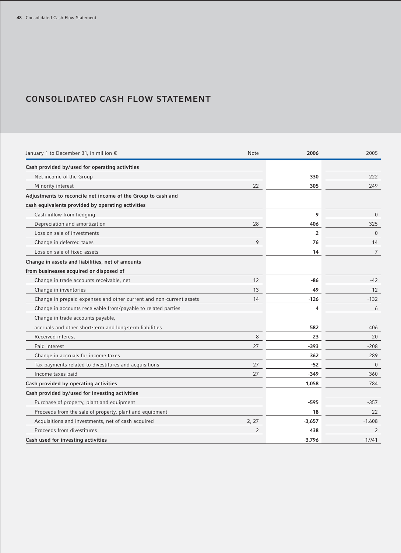### **CONSOLIDATED CASH FLOW STATEMENT**

| January 1 to December 31, in million €                              | Note           | 2006           | 2005         |
|---------------------------------------------------------------------|----------------|----------------|--------------|
| Cash provided by/used for operating activities                      |                |                |              |
| Net income of the Group                                             |                | 330            | 222          |
| Minority interest                                                   | 22             | 305            | 249          |
| Adjustments to reconcile net income of the Group to cash and        |                |                |              |
| cash equivalents provided by operating activities                   |                |                |              |
| Cash inflow from hedging                                            |                | 9              | $\mathbf{0}$ |
| Depreciation and amortization                                       | 28             | 406            | 325          |
| Loss on sale of investments                                         |                | $\overline{2}$ | $\Omega$     |
| Change in deferred taxes                                            | 9              | 76             | 14           |
| Loss on sale of fixed assets                                        |                | 14             | 7            |
| Change in assets and liabilities, net of amounts                    |                |                |              |
| from businesses acquired or disposed of                             |                |                |              |
| Change in trade accounts receivable, net                            | 12             | -86            | $-42$        |
| Change in inventories                                               | 13             | -49            | $-12$        |
| Change in prepaid expenses and other current and non-current assets | 14             | -126           | $-132$       |
| Change in accounts receivable from/payable to related parties       |                | 4              | 6            |
| Change in trade accounts payable,                                   |                |                |              |
| accruals and other short-term and long-term liabilities             |                | 582            | 406          |
| Received interest                                                   | 8              | 23             | 20           |
| Paid interest                                                       | 27             | -393           | $-208$       |
| Change in accruals for income taxes                                 |                | 362            | 289          |
| Tax payments related to divestitures and acquisitions               | 27             | $-52$          | $\Omega$     |
| Income taxes paid                                                   | 27             | $-349$         | $-360$       |
| Cash provided by operating activities                               |                | 1,058          | 784          |
| Cash provided by/used for investing activities                      |                |                |              |
| Purchase of property, plant and equipment                           |                | $-595$         | $-357$       |
| Proceeds from the sale of property, plant and equipment             |                | 18             | 22           |
| Acquisitions and investments, net of cash acquired                  | 2, 27          | $-3,657$       | $-1,608$     |
| Proceeds from divestitures                                          | $\overline{2}$ | 438            | 2            |
| Cash used for investing activities                                  |                | $-3,796$       | $-1,941$     |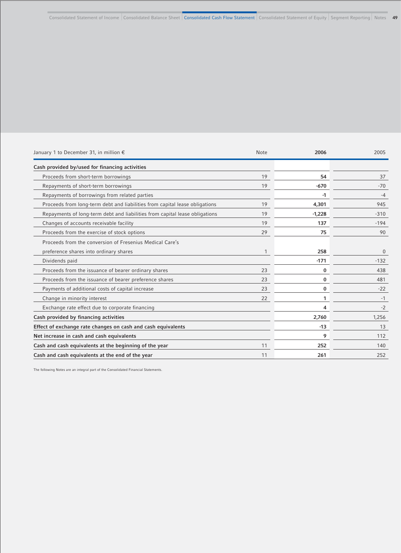| January 1 to December 31, in million $\epsilon$                             | <b>Note</b> | 2006     | 2005     |
|-----------------------------------------------------------------------------|-------------|----------|----------|
| Cash provided by/used for financing activities                              |             |          |          |
| Proceeds from short-term borrowings                                         | 19          | 54       | 37       |
| Repayments of short-term borrowings                                         | 19          | $-670$   | $-70$    |
| Repayments of borrowings from related parties                               |             | -1       | -4       |
| Proceeds from long-term debt and liabilities from capital lease obligations | 19          | 4,301    | 945      |
| Repayments of long-term debt and liabilities from capital lease obligations | 19          | $-1,228$ | $-310$   |
| Changes of accounts receivable facility                                     | 19          | 137      | $-194$   |
| Proceeds from the exercise of stock options                                 | 29          | 75       | 90       |
| Proceeds from the conversion of Fresenius Medical Care's                    |             |          |          |
| preference shares into ordinary shares                                      | 1           | 258      | $\Omega$ |
| Dividends paid                                                              |             | $-171$   | $-132$   |
| Proceeds from the issuance of bearer ordinary shares                        | 23          | 0        | 438      |
| Proceeds from the issuance of bearer preference shares                      | 23          | 0        | 481      |
| Payments of additional costs of capital increase                            | 23          | 0        | $-22$    |
| Change in minority interest                                                 | 22          | 1        | $-1$     |
| Exchange rate effect due to corporate financing                             |             | 4        | $-2$     |
| Cash provided by financing activities                                       |             | 2,760    | 1,256    |
| Effect of exchange rate changes on cash and cash equivalents                |             | $-13$    | 13       |
| Net increase in cash and cash equivalents                                   |             | 9        | 112      |
| Cash and cash equivalents at the beginning of the year                      | 11          | 252      | 140      |
| Cash and cash equivalents at the end of the year                            | 11          | 261      | 252      |

The following Notes are an integral part of the Consolidated Financial Statements.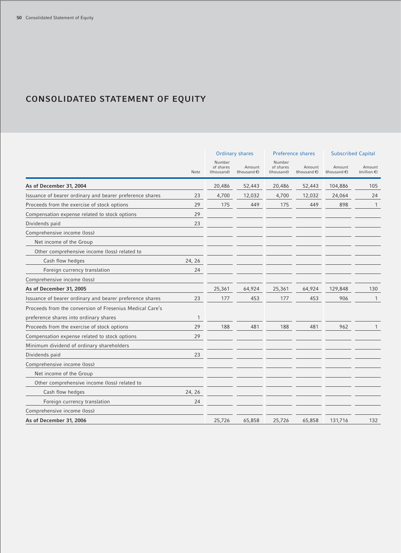# **CONSOLIDATED STATEMENT OF EQUITY**

|                                                          |        | <b>Ordinary shares</b>            |                        |                                   | Preference shares                | <b>Subscribed Capital</b> |                                 |
|----------------------------------------------------------|--------|-----------------------------------|------------------------|-----------------------------------|----------------------------------|---------------------------|---------------------------------|
|                                                          | Note   | Number<br>of shares<br>(thousand) | Amount<br>(thousand €) | Number<br>of shares<br>(thousand) | Amount<br>(thousand $\epsilon$ ) | Amount<br>(thousand €)    | Amount<br>(million $\epsilon$ ) |
| As of December 31, 2004                                  |        | 20,486                            | 52,443                 | 20,486                            | 52,443                           | 104,886                   | 105                             |
| Issuance of bearer ordinary and bearer preference shares | 23     | 4,700                             | 12,032                 | 4,700                             | 12,032                           | 24,064                    | 24                              |
| Proceeds from the exercise of stock options              | 29     | 175                               | 449                    | 175                               | 449                              | 898                       | 1                               |
| Compensation expense related to stock options            | 29     |                                   |                        |                                   |                                  |                           |                                 |
| Dividends paid                                           | 23     |                                   |                        |                                   |                                  |                           |                                 |
| Comprehensive income (loss)                              |        |                                   |                        |                                   |                                  |                           |                                 |
| Net income of the Group                                  |        |                                   |                        |                                   |                                  |                           |                                 |
| Other comprehensive income (loss) related to             |        |                                   |                        |                                   |                                  |                           |                                 |
| Cash flow hedges                                         | 24, 26 |                                   |                        |                                   |                                  |                           |                                 |
| Foreign currency translation                             | 24     |                                   |                        |                                   |                                  |                           |                                 |
| Comprehensive income (loss)                              |        |                                   |                        |                                   |                                  |                           |                                 |
| As of December 31, 2005                                  |        | 25,361                            | 64,924                 | 25,361                            | 64,924                           | 129,848                   | 130                             |
| Issuance of bearer ordinary and bearer preference shares | 23     | 177                               | 453                    | 177                               | 453                              | 906                       | 1                               |
| Proceeds from the conversion of Fresenius Medical Care's |        |                                   |                        |                                   |                                  |                           |                                 |
| preference shares into ordinary shares                   | 1      |                                   |                        |                                   |                                  |                           |                                 |
| Proceeds from the exercise of stock options              | 29     | 188                               | 481                    | 188                               | 481                              | 962                       |                                 |
| Compensation expense related to stock options            | 29     |                                   |                        |                                   |                                  |                           |                                 |
| Minimum dividend of ordinary shareholders                |        |                                   |                        |                                   |                                  |                           |                                 |
| Dividends paid                                           | 23     |                                   |                        |                                   |                                  |                           |                                 |
| Comprehensive income (loss)                              |        |                                   |                        |                                   |                                  |                           |                                 |
| Net income of the Group                                  |        |                                   |                        |                                   |                                  |                           |                                 |
| Other comprehensive income (loss) related to             |        |                                   |                        |                                   |                                  |                           |                                 |
| Cash flow hedges                                         | 24, 26 |                                   |                        |                                   |                                  |                           |                                 |
| Foreign currency translation                             | 24     |                                   |                        |                                   |                                  |                           |                                 |
| Comprehensive income (loss)                              |        |                                   |                        |                                   |                                  |                           |                                 |
| As of December 31, 2006                                  |        | 25,726                            | 65,858                 | 25,726                            | 65,858                           | 131,716                   | 132                             |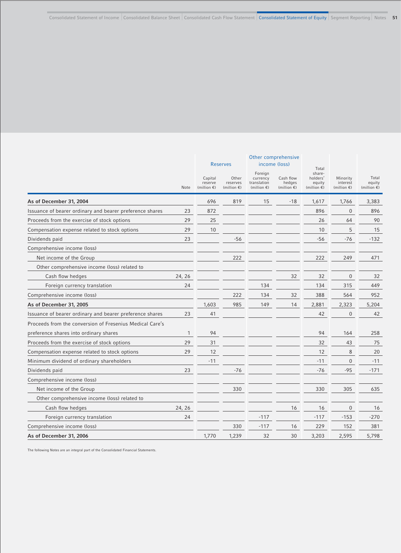|                                                          |              |                                             | <b>Reserves</b>                            |                                                             | Other comprehensive<br>income (loss)         |                                                                |                                               |                                          |
|----------------------------------------------------------|--------------|---------------------------------------------|--------------------------------------------|-------------------------------------------------------------|----------------------------------------------|----------------------------------------------------------------|-----------------------------------------------|------------------------------------------|
|                                                          | Note         | Capital<br>reserve<br>(million $\epsilon$ ) | Other<br>reserves<br>(million $\epsilon$ ) | Foreign<br>currency<br>translation<br>(million $\epsilon$ ) | Cash flow<br>hedges<br>(million $\epsilon$ ) | Total<br>share-<br>holders'<br>equity<br>(million $\epsilon$ ) | Minority<br>interest<br>(million $\epsilon$ ) | Total<br>equity<br>(million $\epsilon$ ) |
| As of December 31, 2004                                  |              | 696                                         | 819                                        | 15                                                          | $-18$                                        | 1,617                                                          | 1,766                                         | 3,383                                    |
| Issuance of bearer ordinary and bearer preference shares | 23           | 872                                         |                                            |                                                             |                                              | 896                                                            | $\overline{0}$                                | 896                                      |
| Proceeds from the exercise of stock options              | 29           | 25                                          |                                            |                                                             |                                              | 26                                                             | 64                                            | 90                                       |
| Compensation expense related to stock options            | 29           | 10                                          |                                            |                                                             |                                              | 10                                                             | 5                                             | 15                                       |
| Dividends paid                                           | 23           |                                             | $-56$                                      |                                                             |                                              | $-56$                                                          | $-76$                                         | $-132$                                   |
| Comprehensive income (loss)                              |              |                                             |                                            |                                                             |                                              |                                                                |                                               |                                          |
| Net income of the Group                                  |              |                                             | 222                                        |                                                             |                                              | 222                                                            | 249                                           | 471                                      |
| Other comprehensive income (loss) related to             |              |                                             |                                            |                                                             |                                              |                                                                |                                               |                                          |
| Cash flow hedges                                         | 24, 26       |                                             |                                            |                                                             | 32                                           | 32                                                             | 0                                             | 32                                       |
| Foreign currency translation                             | 24           |                                             |                                            | 134                                                         |                                              | 134                                                            | 315                                           | 449                                      |
| Comprehensive income (loss)                              |              |                                             | 222                                        | 134                                                         | 32                                           | 388                                                            | 564                                           | 952                                      |
| As of December 31, 2005                                  |              | 1,603                                       | 985                                        | 149                                                         | 14                                           | 2,881                                                          | 2,323                                         | 5,204                                    |
| Issuance of bearer ordinary and bearer preference shares | 23           | 41                                          |                                            |                                                             |                                              | 42                                                             | $\overline{0}$                                | 42                                       |
| Proceeds from the conversion of Fresenius Medical Care's |              |                                             |                                            |                                                             |                                              |                                                                |                                               |                                          |
| preference shares into ordinary shares                   | $\mathbf{1}$ | 94                                          |                                            |                                                             |                                              | 94                                                             | 164                                           | 258                                      |
| Proceeds from the exercise of stock options              | 29           | 31                                          |                                            |                                                             |                                              | 32                                                             | 43                                            | 75                                       |
| Compensation expense related to stock options            | 29           | 12                                          |                                            |                                                             |                                              | 12                                                             | 8                                             | 20                                       |
| Minimum dividend of ordinary shareholders                |              | $-11$                                       |                                            |                                                             |                                              | $-11$                                                          | 0                                             | $-11$                                    |
| Dividends paid                                           | 23           |                                             | $-76$                                      |                                                             |                                              | $-76$                                                          | $-95$                                         | $-171$                                   |
| Comprehensive income (loss)                              |              |                                             |                                            |                                                             |                                              |                                                                |                                               |                                          |
| Net income of the Group                                  |              |                                             | 330                                        |                                                             |                                              | 330                                                            | 305                                           | 635                                      |
| Other comprehensive income (loss) related to             |              |                                             |                                            |                                                             |                                              |                                                                |                                               |                                          |
| Cash flow hedges                                         | 24, 26       |                                             |                                            |                                                             | 16                                           | 16                                                             | 0                                             | 16                                       |
| Foreign currency translation                             | 24           |                                             |                                            | $-117$                                                      |                                              | $-117$                                                         | $-153$                                        | $-270$                                   |
| Comprehensive income (loss)                              |              |                                             | 330                                        | $-117$                                                      | 16                                           | 229                                                            | 152                                           | 381                                      |
| As of December 31, 2006                                  |              | 1,770                                       | 1,239                                      | 32                                                          | 30                                           | 3,203                                                          | 2,595                                         | 5,798                                    |

The following Notes are an integral part of the Consolidated Financial Statements.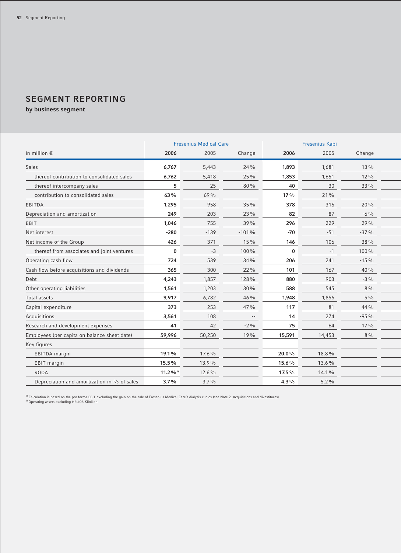# **SEGMENT REPORTING**

**by business segment**

|                                              |                        | <b>Fresenius Medical Care</b> |         | Fresenius Kabi |         |        |  |
|----------------------------------------------|------------------------|-------------------------------|---------|----------------|---------|--------|--|
| in million $\epsilon$                        | 2006                   | 2005                          | Change  | 2006           | 2005    | Change |  |
| <b>Sales</b>                                 | 6,767                  | 5,443                         | 24 %    | 1,893          | 1,681   | 13 %   |  |
| thereof contribution to consolidated sales   | 6,762                  | 5,418                         | 25 %    | 1,853          | 1,651   | 12 %   |  |
| thereof intercompany sales                   | 5                      | 25                            | $-80%$  | 40             | 30      | 33 %   |  |
| contribution to consolidated sales           | 63%                    | 69 %                          |         | 17%            | 21%     |        |  |
| EBITDA                                       | 1,295                  | 958                           | 35 %    | 378            | 316     | 20 %   |  |
| Depreciation and amortization                | 249                    | 203                           | 23 %    | 82             | 87      | $-6\%$ |  |
| EBIT                                         | 1,046                  | 755                           | 39 %    | 296            | 229     | 29 %   |  |
| Net interest                                 | $-280$                 | $-139$                        | $-101%$ | $-70$          | $-51$   | $-37%$ |  |
| Net income of the Group                      | 426                    | 371                           | 15 %    | 146            | 106     | 38 %   |  |
| thereof from associates and joint ventures   | $\bf{0}$               | $-3$                          | 100 %   | $\bf{0}$       | $-1$    | 100 %  |  |
| Operating cash flow                          | 724                    | 539                           | 34 %    | 206            | 241     | $-15%$ |  |
| Cash flow before acquisitions and dividends  | 365                    | 300                           | 22 %    | 101            | 167     | $-40%$ |  |
| Debt                                         | 4,243                  | 1,857                         | 128 %   | 880            | 903     | $-3\%$ |  |
| Other operating liabilities                  | 1,561                  | 1,203                         | 30%     | 588            | 545     | $8\%$  |  |
| <b>Total assets</b>                          | 9,917                  | 6,782                         | 46 %    | 1,948          | 1,856   | $5\%$  |  |
| Capital expenditure                          | 373                    | 253                           | 47%     | 117            | 81      | 44 %   |  |
| Acquisitions                                 | 3,561                  | 108                           | $-$     | 14             | 274     | $-95%$ |  |
| Research and development expenses            | 41                     | 42                            | $-2\%$  | 75             | 64      | 17%    |  |
| Employees (per capita on balance sheet date) | 59,996                 | 50,250                        | 19%     | 15,591         | 14,453  | $8\%$  |  |
| Key figures                                  |                        |                               |         |                |         |        |  |
| EBITDA margin                                | 19.1%                  | 17.6 %                        |         | 20.0%          | 18.8%   |        |  |
| EBIT margin                                  | 15.5%                  | 13.9%                         |         | 15.6%          | 13.6%   |        |  |
| <b>ROOA</b>                                  | $11.2\%$ <sup>1)</sup> | 12.6%                         |         | 17.5%          | 14.1%   |        |  |
| Depreciation and amortization in % of sales  | 3.7%                   | 3.7%                          |         | 4.3%           | $5.2\%$ |        |  |

<sup>1)</sup> Calculation is based on the pro forma EBIT excluding the gain on the sale of Fresenius Medical Care's dialysis clinics (see Note 2, Acquisitions and divestitures)<br><sup>2)</sup> Operating assets excluding HELIOS Kliniken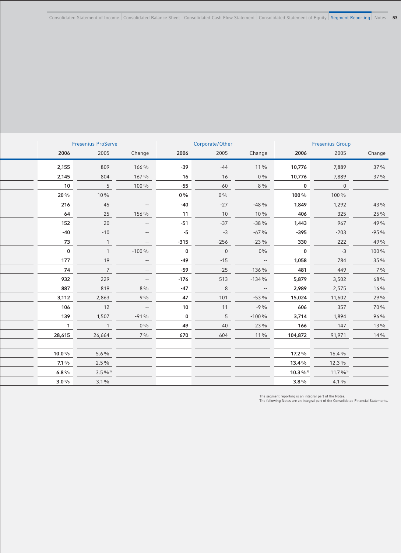| <b>Fresenius ProServe</b> |              |                          |          | Corporate/Other |                                                  | <b>Fresenius Group</b> |                                 |                |
|---------------------------|--------------|--------------------------|----------|-----------------|--------------------------------------------------|------------------------|---------------------------------|----------------|
| 2006                      | 2005         | Change                   | 2006     | 2005            | Change                                           | 2006                   | 2005                            | Change         |
| 2,155                     | 809          | 166 %                    | $-39$    | $-44$           | $11\%$                                           | 10,776                 | 7,889                           | 37 %           |
| 2,145                     | 804          | 167%                     | 16       | 16              | $0\%$                                            | 10,776                 | 7,889                           | 37 %           |
| 10                        | 5            | 100%                     | $-55$    | $-60$           | $8\%$                                            | $\bf{0}$               | $\mathbf 0$                     |                |
| 20%                       | $10\%$       |                          | $0\%$    | $0\%$           |                                                  | 100%                   | 100%                            |                |
| 216                       | 45           | $-\, -$                  | $-40$    | $-27$           | $-48%$                                           | 1,849                  | 1,292                           | 43 %           |
| 64                        | 25           | 156 %                    | 11       | 10              | 10%                                              | 406                    | 325                             | 25 %           |
| 152                       | 20           | $\overline{\phantom{a}}$ | $-51$    | $-37$           | $-38%$                                           | 1,443                  | 967                             | 49 %           |
| $-40$                     | $-10$        | $-\,-$                   | $-5$     | $-3$            | $-67%$                                           | $-395$                 | $-203$                          | $-95%$         |
| 73                        | $\mathbf{1}$ | $\overline{\phantom{m}}$ | $-315$   | $-256$          | $-23%$                                           | 330                    | 222                             | 49 %           |
| $\bf{0}$                  | $\mathbf{1}$ | $-100%$                  | $\bf{0}$ | $\mathbf 0$     | $0\%$                                            | $\bf{0}$               | $-3$                            | 100%           |
| 177                       | 19           | $\overline{\phantom{a}}$ | $-49$    | $-15$           | $\sim$ 100 $\mu$                                 | 1,058                  | 784                             | 35 %           |
| 74                        | 7            | $\overline{\phantom{a}}$ | $-59$    | $-25$           | $-136%$                                          | 481                    | 449                             | $7\frac{0}{0}$ |
| 932                       | 229          | $-\,-$                   | $-176$   | 513             | $-134%$                                          | 5,879                  | 3,502                           | 68%            |
| 887                       | 819          | $8\%$                    | $-47$    | $\,8\,$         | $\hspace{0.1mm}-\hspace{-0.1mm}-\hspace{-0.1mm}$ | 2,989                  | 2,575                           | 16 %           |
| 3,112                     | 2,863        | 9%                       | 47       | 101             | $-53%$                                           | 15,024                 | 11,602                          | 29 %           |
| 106                       | 12           | $\overline{\phantom{a}}$ | 10       | 11              | $-9%$                                            | 606                    | 357                             | 70 %           |
| 139                       | 1,507        | $-91%$                   | $\bf{0}$ | 5               | $-100%$                                          | 3,714                  | 1,894                           | 96 %           |
| $\mathbf{1}$              | $\mathbf{1}$ | $0\%$                    | 49       | 40              | 23 %                                             | 166                    | 147                             | 13 %           |
| 28,615                    | 26,664       | $7\%$                    | 670      | 604             | $11\%$                                           | 104,872                | 91,971                          | 14%            |
|                           |              |                          |          |                 |                                                  |                        |                                 |                |
| 10.0%                     | $5.6\%$      |                          |          |                 |                                                  | 17.2 %                 | 16.4%                           |                |
| $7.1\%$                   | $2.5\%$      |                          |          |                 |                                                  | 13.4%                  | 12.3%                           |                |
| $6.8\%$                   | $3.5\%^{2}$  |                          |          |                 |                                                  | $10.3\%$ <sup>1)</sup> | $11.7\frac{9}{6}$ <sup>2)</sup> |                |
| $3.0\%$                   | $3.1\%$      |                          |          |                 |                                                  | $3.8\%$                | $4.1\%$                         |                |

The segment reporting is an integral part of the Notes. The following Notes are an integral part of the Consolidated Financial Statements.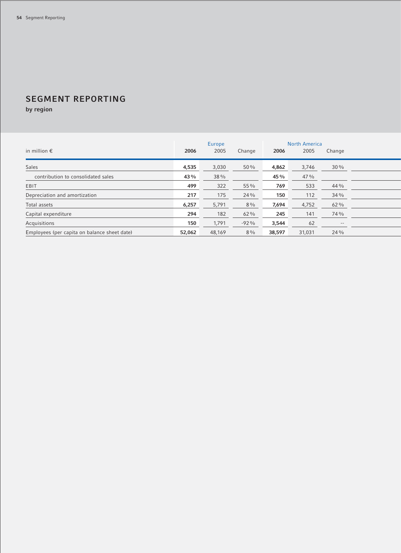# **SEGMENT REPORTING**

**by region**

|                                              |        | Europe |        |        | <b>North America</b> |        |
|----------------------------------------------|--------|--------|--------|--------|----------------------|--------|
| in million $\epsilon$                        | 2006   | 2005   | Change | 2006   | 2005                 | Change |
| Sales                                        | 4,535  | 3,030  | 50%    | 4,862  | 3,746                | 30%    |
| contribution to consolidated sales           | 43%    | 38 %   |        | 45%    | 47%                  |        |
| EBIT                                         | 499    | 322    | 55 %   | 769    | 533                  | 44 %   |
| Depreciation and amortization                | 217    | 175    | 24 %   | 150    | 112                  | 34%    |
| Total assets                                 | 6,257  | 5,791  | $8\%$  | 7,694  | 4,752                | 62%    |
| Capital expenditure                          | 294    | 182    | $62\%$ | 245    | 141                  | 74 %   |
| Acquisitions                                 | 150    | 1,791  | $-92%$ | 3,544  | 62                   | $- -$  |
| Employees (per capita on balance sheet date) | 52,062 | 48,169 | $8\%$  | 38,597 | 31,031               | 24%    |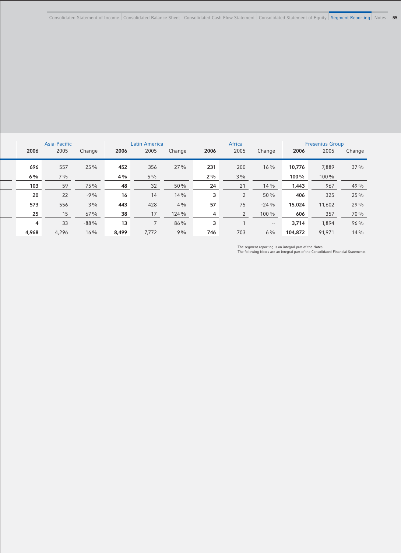| Asia-Pacific |       |        | Latin America |       |        | Africa |                |        | <b>Fresenius Group</b> |        |        |
|--------------|-------|--------|---------------|-------|--------|--------|----------------|--------|------------------------|--------|--------|
| 2006         | 2005  | Change | 2006          | 2005  | Change | 2006   | 2005           | Change | 2006                   | 2005   | Change |
| 696          | 557   | 25 %   | 452           | 356   | $27\%$ | 231    | 200            | $16\%$ | 10,776                 | 7,889  | 37 %   |
| $6\%$        | $7\%$ |        | 4%            | $5\%$ |        | $2\%$  | $3\%$          |        | 100%                   | 100 %  |        |
| 103          | 59    | 75 %   | 48            | 32    | 50%    | 24     | 21             | 14%    | 1,443                  | 967    | 49%    |
| 20           | 22    | $-9\%$ | 16            | 14    | 14%    | 3      | $\overline{2}$ | 50 %   | 406                    | 325    | 25 %   |
| 573          | 556   | $3\%$  | 443           | 428   | $4\%$  | 57     | 75             | $-24%$ | 15,024                 | 11,602 | 29%    |
| 25           | 15    | 67%    | 38            | 17    | 124 %  | 4      | 2              | 100 %  | 606                    | 357    | 70 %   |
| 4            | 33    | $-88%$ | 13            |       | $86\%$ | 3      |                | $- -$  | 3,714                  | 1,894  | 96%    |
| 4,968        | 4,296 | $16\%$ | 8,499         | 7,772 | 9%     | 746    | 703            | $6\%$  | 104,872                | 91,971 | 14 %   |

The segment reporting is an integral part of the Notes. The following Notes are an integral part of the Consolidated Financial Statements.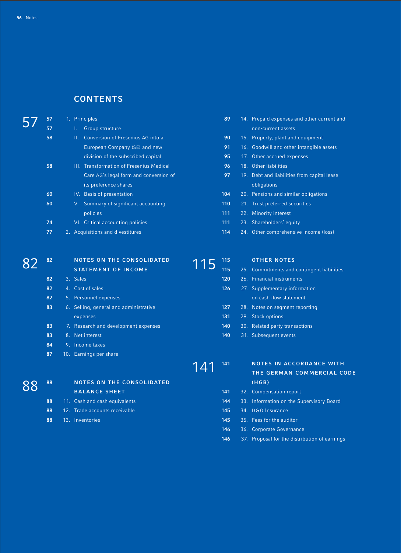### **CONTENTS**

| 57<br>Group structure<br>non-current assets<br>58<br>Conversion of Fresenius AG into a<br>90<br>П.<br>15. Property, plant and equipment<br>91<br>European Company (SE) and new<br>16. Goodwill and other intangible assets<br>division of the subscribed capital<br>95<br>17. Other accrued expenses<br>58<br>III. Transformation of Fresenius Medical<br>96<br>18. Other liabilities<br>97<br>Care AG's legal form and conversion of<br>19. Debt and liabilities from capital lease<br>its preference shares<br>obligations<br>60<br>IV. Basis of presentation<br>104<br>20. Pensions and similar obligations<br>110<br>60<br>V. Summary of significant accounting<br>21. Trust preferred securities<br>111<br>22. Minority interest<br>policies<br>74<br>VI. Critical accounting policies<br>111<br>23. Shareholders' equity<br>114<br>77<br>2. Acquisitions and divestitures<br>24. Other comprehensive income (loss) |  |
|--------------------------------------------------------------------------------------------------------------------------------------------------------------------------------------------------------------------------------------------------------------------------------------------------------------------------------------------------------------------------------------------------------------------------------------------------------------------------------------------------------------------------------------------------------------------------------------------------------------------------------------------------------------------------------------------------------------------------------------------------------------------------------------------------------------------------------------------------------------------------------------------------------------------------|--|
|                                                                                                                                                                                                                                                                                                                                                                                                                                                                                                                                                                                                                                                                                                                                                                                                                                                                                                                          |  |
|                                                                                                                                                                                                                                                                                                                                                                                                                                                                                                                                                                                                                                                                                                                                                                                                                                                                                                                          |  |
|                                                                                                                                                                                                                                                                                                                                                                                                                                                                                                                                                                                                                                                                                                                                                                                                                                                                                                                          |  |
|                                                                                                                                                                                                                                                                                                                                                                                                                                                                                                                                                                                                                                                                                                                                                                                                                                                                                                                          |  |
|                                                                                                                                                                                                                                                                                                                                                                                                                                                                                                                                                                                                                                                                                                                                                                                                                                                                                                                          |  |
|                                                                                                                                                                                                                                                                                                                                                                                                                                                                                                                                                                                                                                                                                                                                                                                                                                                                                                                          |  |
|                                                                                                                                                                                                                                                                                                                                                                                                                                                                                                                                                                                                                                                                                                                                                                                                                                                                                                                          |  |
|                                                                                                                                                                                                                                                                                                                                                                                                                                                                                                                                                                                                                                                                                                                                                                                                                                                                                                                          |  |
|                                                                                                                                                                                                                                                                                                                                                                                                                                                                                                                                                                                                                                                                                                                                                                                                                                                                                                                          |  |
|                                                                                                                                                                                                                                                                                                                                                                                                                                                                                                                                                                                                                                                                                                                                                                                                                                                                                                                          |  |
|                                                                                                                                                                                                                                                                                                                                                                                                                                                                                                                                                                                                                                                                                                                                                                                                                                                                                                                          |  |
|                                                                                                                                                                                                                                                                                                                                                                                                                                                                                                                                                                                                                                                                                                                                                                                                                                                                                                                          |  |
| <b>OTHER NOTES</b><br>82<br><b>NOTES ON THE CONSOLIDATED</b><br>115                                                                                                                                                                                                                                                                                                                                                                                                                                                                                                                                                                                                                                                                                                                                                                                                                                                      |  |
| 115<br>115<br><b>STATEMENT OF INCOME</b><br>25. Commitments and contingent liabilities                                                                                                                                                                                                                                                                                                                                                                                                                                                                                                                                                                                                                                                                                                                                                                                                                                   |  |
| 3. Sales<br>120<br>26. Financial instruments<br>82                                                                                                                                                                                                                                                                                                                                                                                                                                                                                                                                                                                                                                                                                                                                                                                                                                                                       |  |
| 126<br>82<br>4. Cost of sales<br>27. Supplementary information                                                                                                                                                                                                                                                                                                                                                                                                                                                                                                                                                                                                                                                                                                                                                                                                                                                           |  |
| 82<br>5. Personnel expenses<br>on cash flow statement                                                                                                                                                                                                                                                                                                                                                                                                                                                                                                                                                                                                                                                                                                                                                                                                                                                                    |  |
| 83<br>127<br>6. Selling, general and administrative<br>28. Notes on segment reporting                                                                                                                                                                                                                                                                                                                                                                                                                                                                                                                                                                                                                                                                                                                                                                                                                                    |  |
| 131<br>29. Stock options<br>expenses                                                                                                                                                                                                                                                                                                                                                                                                                                                                                                                                                                                                                                                                                                                                                                                                                                                                                     |  |
| 140<br>83<br>7. Research and development expenses<br>30. Related party transactions                                                                                                                                                                                                                                                                                                                                                                                                                                                                                                                                                                                                                                                                                                                                                                                                                                      |  |
| 83<br>8. Net interest<br>140<br>31. Subsequent events                                                                                                                                                                                                                                                                                                                                                                                                                                                                                                                                                                                                                                                                                                                                                                                                                                                                    |  |
| 84<br>9. Income taxes                                                                                                                                                                                                                                                                                                                                                                                                                                                                                                                                                                                                                                                                                                                                                                                                                                                                                                    |  |
| 87<br>10. Earnings per share                                                                                                                                                                                                                                                                                                                                                                                                                                                                                                                                                                                                                                                                                                                                                                                                                                                                                             |  |
| <b>NOTES IN ACCORDANCE WITH</b><br>141                                                                                                                                                                                                                                                                                                                                                                                                                                                                                                                                                                                                                                                                                                                                                                                                                                                                                   |  |
| 141<br>THE GERMAN COMMERCIAL CODE                                                                                                                                                                                                                                                                                                                                                                                                                                                                                                                                                                                                                                                                                                                                                                                                                                                                                        |  |
| <b>NOTES ON THE CONSOLIDATED</b><br>(HGB)<br>88                                                                                                                                                                                                                                                                                                                                                                                                                                                                                                                                                                                                                                                                                                                                                                                                                                                                          |  |
| 88<br><b>BALANCE SHEET</b><br>32. Compensation report<br>141                                                                                                                                                                                                                                                                                                                                                                                                                                                                                                                                                                                                                                                                                                                                                                                                                                                             |  |
| 88<br>11. Cash and cash equivalents<br>144<br>33. Information on the Supervisory Board                                                                                                                                                                                                                                                                                                                                                                                                                                                                                                                                                                                                                                                                                                                                                                                                                                   |  |
| 88<br>145<br>12. Trade accounts receivable<br>34. D&O Insurance                                                                                                                                                                                                                                                                                                                                                                                                                                                                                                                                                                                                                                                                                                                                                                                                                                                          |  |
| 88<br>35. Fees for the auditor<br>13. Inventories<br>145                                                                                                                                                                                                                                                                                                                                                                                                                                                                                                                                                                                                                                                                                                                                                                                                                                                                 |  |
| 146<br>36. Corporate Governance                                                                                                                                                                                                                                                                                                                                                                                                                                                                                                                                                                                                                                                                                                                                                                                                                                                                                          |  |

37. Proposal for the distribution of earnings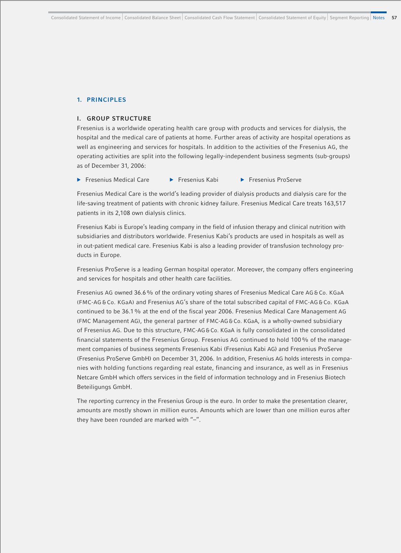#### **1. PRINCIPLES**

#### **I. GROUP STRUCTURE**

Fresenius is a worldwide operating health care group with products and services for dialysis, the hospital and the medical care of patients at home. Further areas of activity are hospital operations as well as engineering and services for hospitals. In addition to the activities of the Fresenius AG, the operating activities are split into the following legally-independent business segments (sub-groups) as of December 31, 2006:

**Example 3 Fresenius Medical Care b Fresenius Kabi b Fresenius ProServe** 

Fresenius Medical Care is the world's leading provider of dialysis products and dialysis care for the life-saving treatment of patients with chronic kidney failure. Fresenius Medical Care treats 163,517 patients in its 2,108 own dialysis clinics.

Fresenius Kabi is Europe's leading company in the field of infusion therapy and clinical nutrition with subsidiaries and distributors worldwide. Fresenius Kabi's products are used in hospitals as well as in out-patient medical care. Fresenius Kabi is also a leading provider of transfusion technology products in Europe.

Fresenius ProServe is a leading German hospital operator. Moreover, the company offers engineering and services for hospitals and other health care facilities.

Fresenius AG owned 36.6% of the ordinary voting shares of Fresenius Medical Care AG & Co. KGaA (FMC-AG & Co. KGaA) and Fresenius AG's share of the total subscribed capital of FMC-AG & Co. KGaA continued to be 36.1% at the end of the fiscal year 2006. Fresenius Medical Care Management AG (FMC Management AG), the general partner of FMC-AG & Co. KGaA, is a wholly-owned subsidiary of Fresenius AG. Due to this structure, FMC-AG & Co. KGaA is fully consolidated in the consolidated financial statements of the Fresenius Group. Fresenius AG continued to hold 100% of the management companies of business segments Fresenius Kabi (Fresenius Kabi AG) and Fresenius ProServe (Fresenius ProServe GmbH) on December 31, 2006. In addition, Fresenius AG holds interests in companies with holding functions regarding real estate, financing and insurance, as well as in Fresenius Netcare GmbH which offers services in the field of information technology and in Fresenius Biotech Beteiligungs GmbH.

The reporting currency in the Fresenius Group is the euro. In order to make the presentation clearer, amounts are mostly shown in million euros. Amounts which are lower than one million euros after they have been rounded are marked with "-".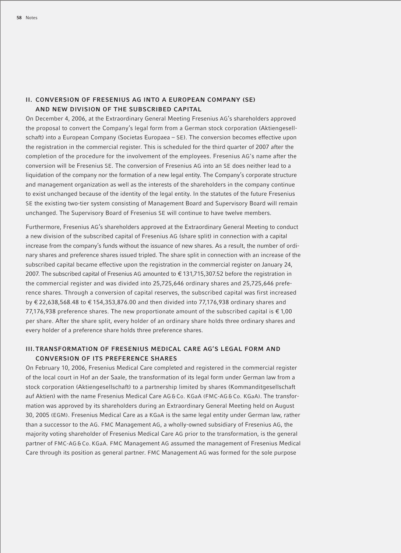### **II. CONVERSION OF FRESENIUS AG INTO A EUROPEAN COMPANY (SE) AND NEW DIVISION OF THE SUBSCRIBED CAPITAL**

On December 4, 2006, at the Extraordinary General Meeting Fresenius AG's shareholders approved the proposal to convert the Company's legal form from a German stock corporation (Aktiengesellschaft) into a European Company (Societas Europaea – SE). The conversion becomes effective upon the registration in the commercial register. This is scheduled for the third quarter of 2007 after the completion of the procedure for the involvement of the employees. Fresenius AG's name after the conversion will be Fresenius SE. The conversion of Fresenius AG into an SE does neither lead to a liquidation of the company nor the formation of a new legal entity. The Company's corporate structure and management organization as well as the interests of the shareholders in the company continue to exist unchanged because of the identity of the legal entity. In the statutes of the future Fresenius SE the existing two-tier system consisting of Management Board and Supervisory Board will remain unchanged. The Supervisory Board of Fresenius SE will continue to have twelve members.

Furthermore, Fresenius AG's shareholders approved at the Extraordinary General Meeting to conduct a new division of the subscribed capital of Fresenius AG (share split) in connection with a capital increase from the company's funds without the issuance of new shares. As a result, the number of ordinary shares and preference shares issued tripled. The share split in connection with an increase of the subscribed capital became effective upon the registration in the commercial register on January 24, 2007. The subscribed capital of Fresenius AG amounted to € 131,715,307.52 before the registration in the commercial register and was divided into 25,725,646 ordinary shares and 25,725,646 preference shares. Through a conversion of capital reserves, the subscribed capital was first increased by € 22,638,568.48 to € 154,353,876.00 and then divided into 77,176,938 ordinary shares and 77,176,938 preference shares. The new proportionate amount of the subscribed capital is  $\epsilon$  1,00 per share. After the share split, every holder of an ordinary share holds three ordinary shares and every holder of a preference share holds three preference shares.

### **III. TRANSFORMATION OF FRESENIUS MEDICAL CARE AG'S LEGAL FORM AND CONVERSION OF ITS PREFERENCE SHARES**

On February 10, 2006, Fresenius Medical Care completed and registered in the commercial register of the local court in Hof an der Saale, the transformation of its legal form under German law from a stock corporation (Aktiengesellschaft) to a partnership limited by shares (Kommanditgesellschaft auf Aktien) with the name Fresenius Medical Care AG & Co. KGaA (FMC-AG & Co. KGaA). The transformation was approved by its shareholders during an Extraordinary General Meeting held on August 30, 2005 (EGM). Fresenius Medical Care as a KGaA is the same legal entity under German law, rather than a successor to the AG. FMC Management AG, a wholly-owned subsidiary of Fresenius AG, the majority voting shareholder of Fresenius Medical Care AG prior to the transformation, is the general partner of FMC-AG & Co. KGaA. FMC Management AG assumed the management of Fresenius Medical Care through its position as general partner. FMC Management AG was formed for the sole purpose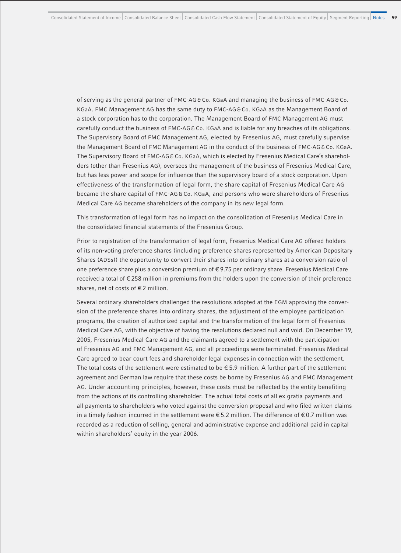of serving as the general partner of FMC-AG & Co. KGaA and managing the business of FMC-AG & Co. KGaA. FMC Management AG has the same duty to FMC-AG & Co. KGaA as the Management Board of a stock corporation has to the corporation. The Management Board of FMC Management AG must carefully conduct the business of FMC-AG&Co. KGaA and is liable for any breaches of its obligations. The Supervisory Board of FMC Management AG, elected by Fresenius AG, must carefully supervise the Management Board of FMC Management AG in the conduct of the business of FMC-AG & Co. KGaA. The Supervisory Board of FMC-AG & Co. KGaA, which is elected by Fresenius Medical Care's shareholders (other than Fresenius AG), oversees the management of the business of Fresenius Medical Care, but has less power and scope for influence than the supervisory board of a stock corporation. Upon effectiveness of the transformation of legal form, the share capital of Fresenius Medical Care AG became the share capital of FMC-AG & Co. KGaA, and persons who were shareholders of Fresenius Medical Care AG became shareholders of the company in its new legal form.

This transformation of legal form has no impact on the consolidation of Fresenius Medical Care in the consolidated financial statements of the Fresenius Group.

Prior to registration of the transformation of legal form, Fresenius Medical Care AG offered holders of its non-voting preference shares (including preference shares represented by American Depositary Shares (ADSs)) the opportunity to convert their shares into ordinary shares at a conversion ratio of one preference share plus a conversion premium of € 9.75 per ordinary share. Fresenius Medical Care received a total of € 258 million in premiums from the holders upon the conversion of their preference shares, net of costs of € 2 million.

Several ordinary shareholders challenged the resolutions adopted at the EGM approving the conversion of the preference shares into ordinary shares, the adjustment of the employee participation programs, the creation of authorized capital and the transformation of the legal form of Fresenius Medical Care AG, with the objective of having the resolutions declared null and void. On December 19, 2005, Fresenius Medical Care AG and the claimants agreed to a settlement with the participation of Fresenius AG and FMC Management AG, and all proceedings were terminated. Fresenius Medical Care agreed to bear court fees and shareholder legal expenses in connection with the settlement. The total costs of the settlement were estimated to be  $\epsilon$ 5.9 million. A further part of the settlement agreement and German law require that these costs be borne by Fresenius AG and FMC Management AG. Under accounting principles, however, these costs must be reflected by the entity benefiting from the actions of its controlling shareholder. The actual total costs of all ex gratia payments and all payments to shareholders who voted against the conversion proposal and who filed written claims in a timely fashion incurred in the settlement were  $\epsilon$  5.2 million. The difference of  $\epsilon$  0.7 million was recorded as a reduction of selling, general and administrative expense and additional paid in capital within shareholders' equity in the year 2006.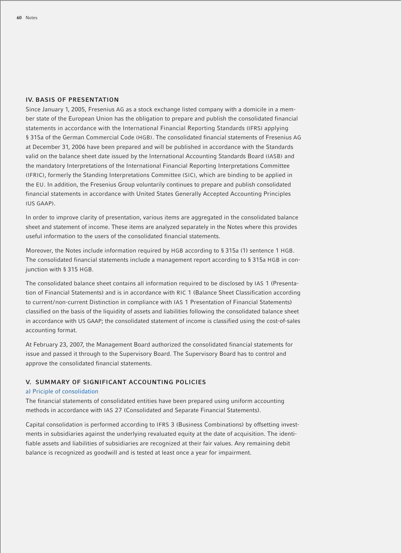#### **IV. BASIS OF PRESENTATION**

Since January 1, 2005, Fresenius AG as a stock exchange listed company with a domicile in a member state of the European Union has the obligation to prepare and publish the consolidated financial statements in accordance with the International Financial Reporting Standards (IFRS) applying § 315a of the German Commercial Code (HGB). The consolidated financial statements of Fresenius AG at December 31, 2006 have been prepared and will be published in accordance with the Standards valid on the balance sheet date issued by the International Accounting Standards Board (IASB) and the mandatory Interpretations of the International Financial Reporting Interpretations Committee (IFRIC), formerly the Standing Interpretations Committee (SIC), which are binding to be applied in the EU. In addition, the Fresenius Group voluntarily continues to prepare and publish consolidated financial statements in accordance with United States Generally Accepted Accounting Principles (US GAAP).

In order to improve clarity of presentation, various items are aggregated in the consolidated balance sheet and statement of income. These items are analyzed separately in the Notes where this provides useful information to the users of the consolidated financial statements.

Moreover, the Notes include information required by HGB according to § 315a (1) sentence 1 HGB. The consolidated financial statements include a management report according to § 315a HGB in conjunction with § 315 HGB.

The consolidated balance sheet contains all information required to be disclosed by IAS 1 (Presentation of Financial Statements) and is in accordance with RIC 1 (Balance Sheet Classification according to current/non-current Distinction in compliance with IAS 1 Presentation of Financial Statements) classified on the basis of the liquidity of assets and liabilities following the consolidated balance sheet in accordance with US GAAP; the consolidated statement of income is classified using the cost-of-sales accounting format.

At February 23, 2007, the Management Board authorized the consolidated financial statements for issue and passed it through to the Supervisory Board. The Supervisory Board has to control and approve the consolidated financial statements.

#### **V. SUMMARY OF SIGNIFICANT ACCOUNTING POLICIES**

#### a) Priciple of consolidation

The financial statements of consolidated entities have been prepared using uniform accounting methods in accordance with IAS 27 (Consolidated and Separate Financial Statements).

Capital consolidation is performed according to IFRS 3 (Business Combinations) by offsetting investments in subsidiaries against the underlying revaluated equity at the date of acquisition. The identifiable assets and liabilities of subsidiaries are recognized at their fair values. Any remaining debit balance is recognized as goodwill and is tested at least once a year for impairment.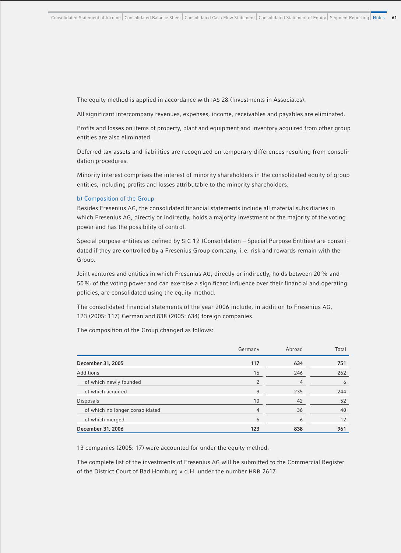The equity method is applied in accordance with IAS 28 (Investments in Associates).

All significant intercompany revenues, expenses, income, receivables and payables are eliminated.

Profits and losses on items of property, plant and equipment and inventory acquired from other group entities are also eliminated.

Deferred tax assets and liabilities are recognized on temporary differences resulting from consolidation procedures.

Minority interest comprises the interest of minority shareholders in the consolidated equity of group entities, including profits and losses attributable to the minority shareholders.

#### b) Composition of the Group

Besides Fresenius AG, the consolidated financial statements include all material subsidiaries in which Fresenius AG, directly or indirectly, holds a majority investment or the majority of the voting power and has the possibility of control.

Special purpose entities as defined by SIC 12 (Consolidation – Special Purpose Entities) are consolidated if they are controlled by a Fresenius Group company, i. e. risk and rewards remain with the Group.

Joint ventures and entities in which Fresenius AG, directly or indirectly, holds between 20% and 50% of the voting power and can exercise a significant influence over their financial and operating policies, are consolidated using the equity method.

The consolidated financial statements of the year 2006 include, in addition to Fresenius AG, 123 (2005: 117) German and 838 (2005: 634) foreign companies.

The composition of the Group changed as follows:

|                                 | Germany | Abroad | Total |
|---------------------------------|---------|--------|-------|
| December 31, 2005               | 117     | 634    | 751   |
| Additions                       | 16      | 246    | 262   |
| of which newly founded          |         |        | 6     |
| of which acquired               | Q       | 235    | 244   |
| <b>Disposals</b>                | 10      | 42     | 52    |
| of which no longer consolidated | 4       | 36     | 40    |
| of which merged                 | 6       | O      | 12    |
| December 31, 2006               | 123     | 838    | 961   |

13 companies (2005: 17) were accounted for under the equity method.

The complete list of the investments of Fresenius AG will be submitted to the Commercial Register of the District Court of Bad Homburg v.d.H. under the number HRB 2617.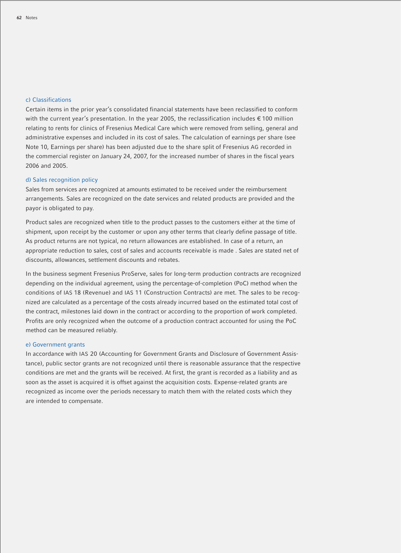#### c) Classifications

Certain items in the prior year's consolidated financial statements have been reclassified to conform with the current year's presentation. In the year 2005, the reclassification includes € 100 million relating to rents for clinics of Fresenius Medical Care which were removed from selling, general and administrative expenses and included in its cost of sales. The calculation of earnings per share (see Note 10, Earnings per share) has been adjusted due to the share split of Fresenius AG recorded in the commercial register on January 24, 2007, for the increased number of shares in the fiscal years 2006 and 2005.

#### d) Sales recognition policy

Sales from services are recognized at amounts estimated to be received under the reimbursement arrangements. Sales are recognized on the date services and related products are provided and the payor is obligated to pay.

Product sales are recognized when title to the product passes to the customers either at the time of shipment, upon receipt by the customer or upon any other terms that clearly define passage of title. As product returns are not typical, no return allowances are established. In case of a return, an appropriate reduction to sales, cost of sales and accounts receivable is made . Sales are stated net of discounts, allowances, settlement discounts and rebates.

In the business segment Fresenius ProServe, sales for long-term production contracts are recognized depending on the individual agreement, using the percentage-of-completion (PoC) method when the conditions of IAS 18 (Revenue) and IAS 11 (Construction Contracts) are met. The sales to be recognized are calculated as a percentage of the costs already incurred based on the estimated total cost of the contract, milestones laid down in the contract or according to the proportion of work completed. Profits are only recognized when the outcome of a production contract accounted for using the PoC method can be measured reliably.

#### e) Government grants

In accordance with IAS 20 (Accounting for Government Grants and Disclosure of Government Assistance), public sector grants are not recognized until there is reasonable assurance that the respective conditions are met and the grants will be received. At first, the grant is recorded as a liability and as soon as the asset is acquired it is offset against the acquisition costs. Expense-related grants are recognized as income over the periods necessary to match them with the related costs which they are intended to compensate.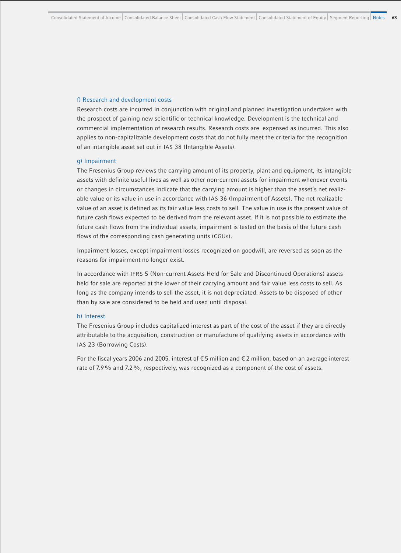#### f) Research and development costs

Research costs are incurred in conjunction with original and planned investigation undertaken with the prospect of gaining new scientific or technical knowledge. Development is the technical and commercial implementation of research results. Research costs are expensed as incurred. This also applies to non-capitalizable development costs that do not fully meet the criteria for the recognition of an intangible asset set out in IAS 38 (Intangible Assets).

#### g) Impairment

The Fresenius Group reviews the carrying amount of its property, plant and equipment, its intangible assets with definite useful lives as well as other non-current assets for impairment whenever events or changes in circumstances indicate that the carrying amount is higher than the asset's net realizable value or its value in use in accordance with IAS 36 (Impairment of Assets). The net realizable value of an asset is defined as its fair value less costs to sell. The value in use is the present value of future cash flows expected to be derived from the relevant asset. If it is not possible to estimate the future cash flows from the individual assets, impairment is tested on the basis of the future cash flows of the corresponding cash generating units (CGUs).

Impairment losses, except impairment losses recognized on goodwill, are reversed as soon as the reasons for impairment no longer exist.

In accordance with IFRS 5 (Non-current Assets Held for Sale and Discontinued Operations) assets held for sale are reported at the lower of their carrying amount and fair value less costs to sell. As long as the company intends to sell the asset, it is not depreciated. Assets to be disposed of other than by sale are considered to be held and used until disposal.

#### h) Interest

The Fresenius Group includes capitalized interest as part of the cost of the asset if they are directly attributable to the acquisition, construction or manufacture of qualifying assets in accordance with IAS 23 (Borrowing Costs).

For the fiscal years 2006 and 2005, interest of € 5 million and € 2 million, based on an average interest rate of 7.9% and 7.2%, respectively, was recognized as a component of the cost of assets.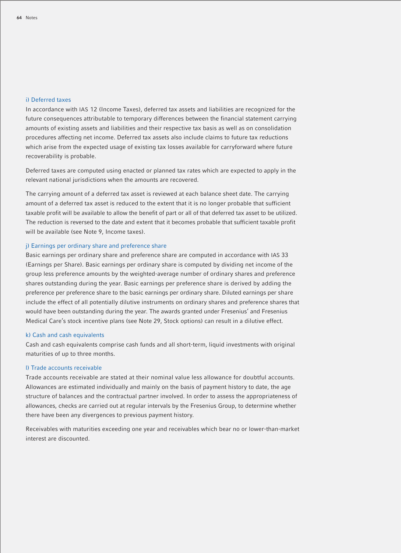#### i) Deferred taxes

In accordance with IAS 12 (Income Taxes), deferred tax assets and liabilities are recognized for the future consequences attributable to temporary differences between the financial statement carrying amounts of existing assets and liabilities and their respective tax basis as well as on consolidation procedures affecting net income. Deferred tax assets also include claims to future tax reductions which arise from the expected usage of existing tax losses available for carryforward where future recoverability is probable.

Deferred taxes are computed using enacted or planned tax rates which are expected to apply in the relevant national jurisdictions when the amounts are recovered.

The carrying amount of a deferred tax asset is reviewed at each balance sheet date. The carrying amount of a deferred tax asset is reduced to the extent that it is no longer probable that sufficient taxable profit will be available to allow the benefit of part or all of that deferred tax asset to be utilized. The reduction is reversed to the date and extent that it becomes probable that sufficient taxable profit will be available (see Note 9, Income taxes).

#### j) Earnings per ordinary share and preference share

Basic earnings per ordinary share and preference share are computed in accordance with IAS 33 (Earnings per Share). Basic earnings per ordinary share is computed by dividing net income of the group less preference amounts by the weighted-average number of ordinary shares and preference shares outstanding during the year. Basic earnings per preference share is derived by adding the preference per preference share to the basic earnings per ordinary share. Diluted earnings per share include the effect of all potentially dilutive instruments on ordinary shares and preference shares that would have been outstanding during the year. The awards granted under Fresenius' and Fresenius Medical Care's stock incentive plans (see Note 29, Stock options) can result in a dilutive effect.

#### k) Cash and cash equivalents

Cash and cash equivalents comprise cash funds and all short-term, liquid investments with original maturities of up to three months.

#### l) Trade accounts receivable

Trade accounts receivable are stated at their nominal value less allowance for doubtful accounts. Allowances are estimated individually and mainly on the basis of payment history to date, the age structure of balances and the contractual partner involved. In order to assess the appropriateness of allowances, checks are carried out at regular intervals by the Fresenius Group, to determine whether there have been any divergences to previous payment history.

Receivables with maturities exceeding one year and receivables which bear no or lower-than-market interest are discounted.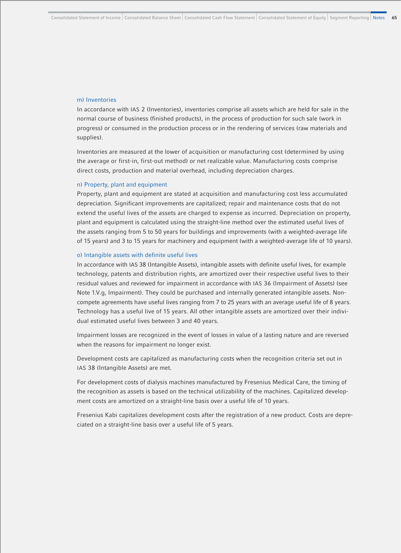#### m) Inventories

In accordance with IAS 2 (Inventories), inventories comprise all assets which are held for sale in the normal course of business (finished products), in the process of production for such sale (work in progress) or consumed in the production process or in the rendering of services (raw materials and supplies).

Inventories are measured at the lower of acquisition or manufacturing cost (determined by using the average or first-in, first-out method) or net realizable value. Manufacturing costs comprise direct costs, production and material overhead, including depreciation charges.

#### n) Property, plant and equipment

Property, plant and equipment are stated at acquisition and manufacturing cost less accumulated depreciation. Significant improvements are capitalized; repair and maintenance costs that do not extend the useful lives of the assets are charged to expense as incurred. Depreciation on property, plant and equipment is calculated using the straight-line method over the estimated useful lives of the assets ranging from 5 to 50 years for buildings and improvements (with a weighted-average life of 15 years) and 3 to 15 years for machinery and equipment (with a weighted-average life of 10 years).

#### o) Intangible assets with definite useful lives

In accordance with IAS 38 (Intangible Assets), intangible assets with definite useful lives, for example technology, patents and distribution rights, are amortized over their respective useful lives to their residual values and reviewed for impairment in accordance with IAS 36 (Impairment of Assets) (see Note 1.V.g, Impairment). They could be purchased and internally generated intangible assets. Noncompete agreements have useful lives ranging from 7 to 25 years with an average useful life of 8 years. Technology has a useful live of 15 years. All other intangible assets are amortized over their individual estimated useful lives between 3 and 40 years.

Impairment losses are recognized in the event of losses in value of a lasting nature and are reversed when the reasons for impairment no longer exist.

Development costs are capitalized as manufacturing costs when the recognition criteria set out in IAS 38 (Intangible Assets) are met.

For development costs of dialysis machines manufactured by Fresenius Medical Care, the timing of the recognition as assets is based on the technical utilizability of the machines. Capitalized development costs are amortized on a straight-line basis over a useful life of 10 years.

Fresenius Kabi capitalizes development costs after the registration of a new product. Costs are depreciated on a straight-line basis over a useful life of 5 years.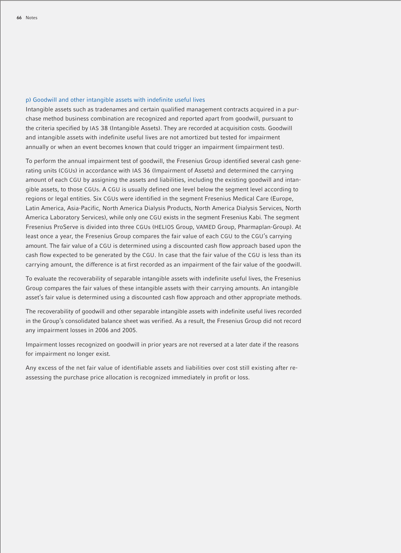#### p) Goodwill and other intangible assets with indefinite useful lives

Intangible assets such as tradenames and certain qualified management contracts acquired in a purchase method business combination are recognized and reported apart from goodwill, pursuant to the criteria specified by IAS 38 (Intangible Assets). They are recorded at acquisition costs. Goodwill and intangible assets with indefinite useful lives are not amortized but tested for impairment annually or when an event becomes known that could trigger an impairment (impairment test).

To perform the annual impairment test of goodwill, the Fresenius Group identified several cash generating units (CGUs) in accordance with IAS 36 (Impairment of Assets) and determined the carrying amount of each CGU by assigning the assets and liabilities, including the existing goodwill and intangible assets, to those CGUs. A CGU is usually defined one level below the segment level according to regions or legal entities. Six CGUs were identified in the segment Fresenius Medical Care (Europe, Latin America, Asia-Pacific, North America Dialysis Products, North America Dialysis Services, North America Laboratory Services), while only one CGU exists in the segment Fresenius Kabi. The segment Fresenius ProServe is divided into three CGUs (HELIOS Group, VAMED Group, Pharmaplan-Group). At least once a year, the Fresenius Group compares the fair value of each CGU to the CGU's carrying amount. The fair value of a CGU is determined using a discounted cash flow approach based upon the cash flow expected to be generated by the CGU. In case that the fair value of the CGU is less than its carrying amount, the difference is at first recorded as an impairment of the fair value of the goodwill.

To evaluate the recoverability of separable intangible assets with indefinite useful lives, the Fresenius Group compares the fair values of these intangible assets with their carrying amounts. An intangible asset's fair value is determined using a discounted cash flow approach and other appropriate methods.

The recoverability of goodwill and other separable intangible assets with indefinite useful lives recorded in the Group's consolidated balance sheet was verified. As a result, the Fresenius Group did not record any impairment losses in 2006 and 2005.

Impairment losses recognized on goodwill in prior years are not reversed at a later date if the reasons for impairment no longer exist.

Any excess of the net fair value of identifiable assets and liabilities over cost still existing after reassessing the purchase price allocation is recognized immediately in profit or loss.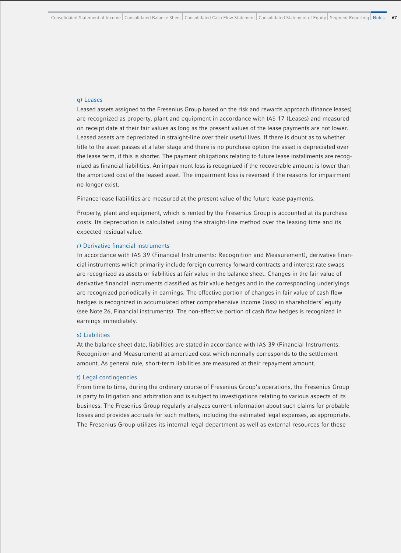#### q) Leases

Leased assets assigned to the Fresenius Group based on the risk and rewards approach (finance leases) are recognized as property, plant and equipment in accordance with IAS 17 (Leases) and measured on receipt date at their fair values as long as the present values of the lease payments are not lower. Leased assets are depreciated in straight-line over their useful lives. If there is doubt as to whether title to the asset passes at a later stage and there is no purchase option the asset is depreciated over the lease term, if this is shorter. The payment obligations relating to future lease installments are recognized as financial liabilities. An impairment loss is recognized if the recoverable amount is lower than the amortized cost of the leased asset. The impairment loss is reversed if the reasons for impairment no longer exist.

Finance lease liabilities are measured at the present value of the future lease payments.

Property, plant and equipment, which is rented by the Fresenius Group is accounted at its purchase costs. Its depreciation is calculated using the straight-line method over the leasing time and its expected residual value.

#### r) Derivative financial instruments

In accordance with IAS 39 (Financial Instruments: Recognition and Measurement), derivative financial instruments which primarily include foreign currency forward contracts and interest rate swaps are recognized as assets or liabilities at fair value in the balance sheet. Changes in the fair value of derivative financial instruments classified as fair value hedges and in the corresponding underlyings are recognized periodically in earnings. The effective portion of changes in fair value of cash flow hedges is recognized in accumulated other comprehensive income (loss) in shareholders' equity (see Note 26, Financial instruments). The non-effective portion of cash flow hedges is recognized in earnings immediately.

#### s) Liabilities

At the balance sheet date, liabilities are stated in accordance with IAS 39 (Financial Instruments: Recognition and Measurement) at amortized cost which normally corresponds to the settlement amount. As general rule, short-term liabilities are measured at their repayment amount.

#### t) Legal contingencies

From time to time, during the ordinary course of Fresenius Group's operations, the Fresenius Group is party to litigation and arbitration and is subject to investigations relating to various aspects of its business. The Fresenius Group regularly analyzes current information about such claims for probable losses and provides accruals for such matters, including the estimated legal expenses, as appropriate. The Fresenius Group utilizes its internal legal department as well as external resources for these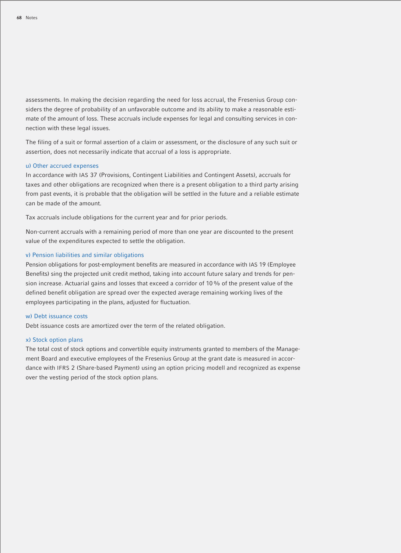assessments. In making the decision regarding the need for loss accrual, the Fresenius Group considers the degree of probability of an unfavorable outcome and its ability to make a reasonable estimate of the amount of loss. These accruals include expenses for legal and consulting services in connection with these legal issues.

The filing of a suit or formal assertion of a claim or assessment, or the disclosure of any such suit or assertion, does not necessarily indicate that accrual of a loss is appropriate.

#### u) Other accrued expenses

In accordance with IAS 37 (Provisions, Contingent Liabilities and Contingent Assets), accruals for taxes and other obligations are recognized when there is a present obligation to a third party arising from past events, it is probable that the obligation will be settled in the future and a reliable estimate can be made of the amount.

Tax accruals include obligations for the current year and for prior periods.

Non-current accruals with a remaining period of more than one year are discounted to the present value of the expenditures expected to settle the obligation.

#### v) Pension liabilities and similar obligations

Pension obligations for post-employment benefits are measured in accordance with IAS 19 (Employee Benefits) sing the projected unit credit method, taking into account future salary and trends for pension increase. Actuarial gains and losses that exceed a corridor of 10% of the present value of the defined benefit obligation are spread over the expected average remaining working lives of the employees participating in the plans, adjusted for fluctuation.

#### w) Debt issuance costs

Debt issuance costs are amortized over the term of the related obligation.

#### x) Stock option plans

The total cost of stock options and convertible equity instruments granted to members of the Management Board and executive employees of the Fresenius Group at the grant date is measured in accordance with IFRS 2 (Share-based Payment) using an option pricing modell and recognized as expense over the vesting period of the stock option plans.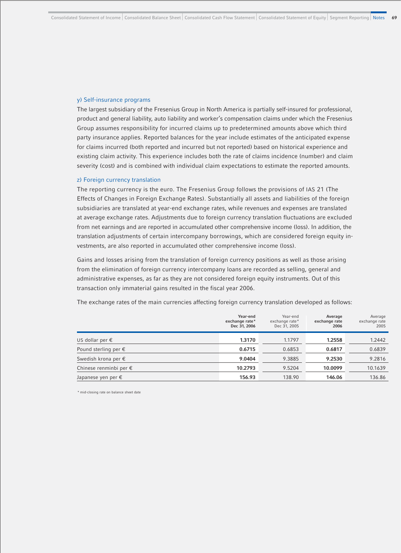#### y) Self-insurance programs

The largest subsidiary of the Fresenius Group in North America is partially self-insured for professional, product and general liability, auto liability and worker's compensation claims under which the Fresenius Group assumes responsibility for incurred claims up to predetermined amounts above which third party insurance applies. Reported balances for the year include estimates of the anticipated expense for claims incurred (both reported and incurred but not reported) based on historical experience and existing claim activity. This experience includes both the rate of claims incidence (number) and claim severity (cost) and is combined with individual claim expectations to estimate the reported amounts.

#### z) Foreign currency translation

The reporting currency is the euro. The Fresenius Group follows the provisions of IAS 21 (The Effects of Changes in Foreign Exchange Rates). Substantially all assets and liabilities of the foreign subsidiaries are translated at year-end exchange rates, while revenues and expenses are translated at average exchange rates. Adjustments due to foreign currency translation fluctuations are excluded from net earnings and are reported in accumulated other comprehensive income (loss). In addition, the translation adjustments of certain intercompany borrowings, which are considered foreign equity investments, are also reported in accumulated other comprehensive income (loss).

Gains and losses arising from the translation of foreign currency positions as well as those arising from the elimination of foreign currency intercompany loans are recorded as selling, general and administrative expenses, as far as they are not considered foreign equity instruments. Out of this transaction only immaterial gains resulted in the fiscal year 2006.

The exchange rates of the main currencies affecting foreign currency translation developed as follows:

|                                 | Year-end<br>exchange rate*<br>Dec 31, 2006 | Year-end<br>exchange rate*<br>Dec 31, 2005 | Average<br>exchange rate<br>2006 | Average<br>exchange rate<br>2005 |
|---------------------------------|--------------------------------------------|--------------------------------------------|----------------------------------|----------------------------------|
| US dollar per €                 | 1.3170                                     | 1.1797                                     | 1.2558                           | 1.2442                           |
| Pound sterling per $\epsilon$   | 0.6715                                     | 0.6853                                     | 0.6817                           | 0.6839                           |
| Swedish krona per $\epsilon$    | 9.0404                                     | 9.3885                                     | 9.2530                           | 9.2816                           |
| Chinese renminbi per $\epsilon$ | 10.2793                                    | 9.5204                                     | 10.0099                          | 10.1639                          |
| Japanese yen per $\epsilon$     | 156.93                                     | 138.90                                     | 146.06                           | 136.86                           |

\* mid-closing rate on balance sheet date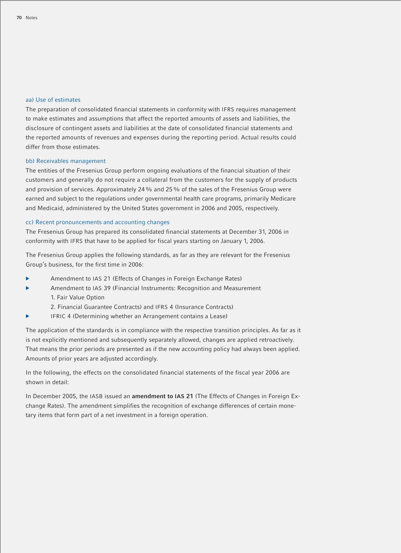#### aa) Use of estimates

The preparation of consolidated financial statements in conformity with IFRS requires management to make estimates and assumptions that affect the reported amounts of assets and liabilities, the disclosure of contingent assets and liabilities at the date of consolidated financial statements and the reported amounts of revenues and expenses during the reporting period. Actual results could differ from those estimates.

#### bb) Receivables management

The entities of the Fresenius Group perform ongoing evaluations of the financial situation of their customers and generally do not require a collateral from the customers for the supply of products and provision of services. Approximately 24% and 25% of the sales of the Fresenius Group were earned and subject to the regulations under governmental health care programs, primarily Medicare and Medicaid, administered by the United States government in 2006 and 2005, respectively.

#### cc) Recent pronouncements and accounting changes

The Fresenius Group has prepared its consolidated financial statements at December 31, 2006 in conformity with IFRS that have to be applied for fiscal years starting on January 1, 2006.

The Fresenius Group applies the following standards, as far as they are relevant for the Fresenius Group's business, for the first time in 2006:

- Amendment to IAS 21 (Effects of Changes in Foreign Exchange Rates)
- Amendment to IAS 39 (Financial Instruments: Recognition and Measurement 1. Fair Value Option
	- 2. Financial Guarantee Contracts) and IFRS 4 (Insurance Contracts)
	- IFRIC 4 (Determining whether an Arrangement contains a Lease)

The application of the standards is in compliance with the respective transition principles. As far as it is not explicitly mentioned and subsequently separately allowed, changes are applied retroactively. That means the prior periods are presented as if the new accounting policy had always been applied. Amounts of prior years are adjusted accordingly.

In the following, the effects on the consolidated financial statements of the fiscal year 2006 are shown in detail:

In December 2005, the IASB issued an **amendment to IAS 21** (The Effects of Changes in Foreign Exchange Rates). The amendment simplifies the recognition of exchange differences of certain monetary items that form part of a net investment in a foreign operation.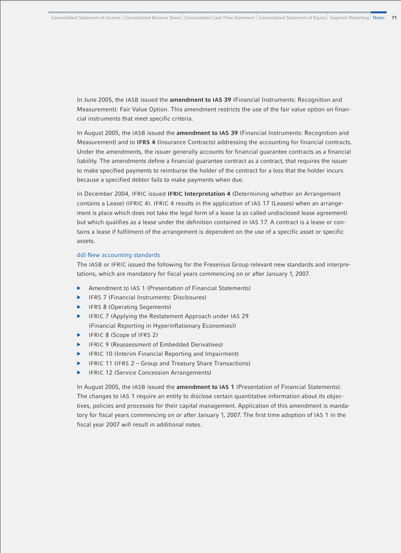In June 2005, the IASB issued the **amendment to IAS 39** (Financial Instruments: Recognition and Measurement): Fair Value Option. This amendment restricts the use of the fair value option on financial instruments that meet specific criteria.

In August 2005, the IASB issued the **amendment to IAS 39** (Financial Instruments: Recognition and Measurement) and to **IFRS 4** (Insurance Contracts) addressing the accounting for financial contracts. Under the amendments, the issuer generally accounts for financial guarantee contracts as a financial liability. The amendments define a financial guarantee contract as a contract, that requires the issuer to make specified payments to reimburse the holder of the contract for a loss that the holder incurs because a specified debtor fails to make payments when due.

In December 2004, IFRIC issued **IFRIC Interpretation 4** (Determining whether an Arrangement contains a Lease) (IFRIC 4). IFRIC 4 results in the application of IAS 17 (Leases) when an arrangement is place which does not take the legal form of a lease (a so called undisclosed lease agreement) but which qualifies as a lease under the definition contained in IAS 17. A contract is a lease or contains a lease if fulfilment of the arrangement is dependent on the use of a specific asset or specific assets.

#### dd) New accounting standards

The IASB or IFRIC issued the following for the Fresenius Group relevant new standards and interpretations, which are mandatory for fiscal years commencing on or after January 1, 2007.

- Amendment to IAS 1 (Presentation of Financial Statements)
- b IFRS 7 (Financial Instruments: Disclosures)
- IFRS 8 (Operating Segements)
- IFRIC 7 (Applying the Restatement Approach under IAS 29 (Financial Reporting in Hyperinflationary Economies))
- IFRIC 8 (Scope of IFRS 2)
- IFRIC 9 (Reassessment of Embedded Derivatives)
- IFRIC 10 (Interim Financial Reporting and Impairment)
- IFRIC 11 (IFRS 2 Group and Treasury Share Transactions)
- **FRIC 12 (Service Concession Arrangements)**

In August 2005, the IASB issued the **amendment to IAS 1** (Presentation of Financial Statements). The changes to IAS 1 require an entity to disclose certain quantitative information about its objectives, policies and processes for their capital management. Application of this amendment is mandatory for fiscal years commencing on or after January 1, 2007. The first time adoption of IAS 1 in the fiscal year 2007 will result in additional notes.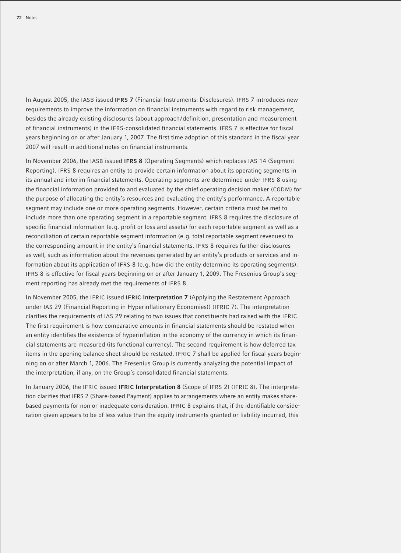In August 2005, the IASB issued **IFRS 7** (Financial Instruments: Disclosures). IFRS 7 introduces new requirements to improve the information on financial instruments with regard to risk management. besides the already existing disclosures (about approach/definition, presentation and measurement of financial instruments) in the IFRS-consolidated financial statements. IFRS 7 is effective for fiscal years beginning on or after January 1, 2007. The first time adoption of this standard in the fiscal year 2007 will result in additional notes on financial instruments.

In November 2006, the IASB issued **IFRS 8** (Operating Segments) which replaces IAS 14 (Segment Reporting). IFRS 8 requires an entity to provide certain information about its operating segments in its annual and interim financial statements. Operating segments are determined under IFRS 8 using the financial information provided to and evaluated by the chief operating decision maker (CODM) for the purpose of allocating the entity's resources and evaluating the entity's performance. A reportable segment may include one or more operating segments. However, certain criteria must be met to include more than one operating segment in a reportable segment. IFRS 8 requires the disclosure of specific financial information (e.g. profit or loss and assets) for each reportable segment as well as a reconciliation of certain reportable segment information (e.g. total reportable segment revenues) to the corresponding amount in the entity's financial statements. IFRS 8 requires further disclosures as well, such as information about the revenues generated by an entity's products or services and information about its application of IFRS 8 (e.g. how did the entity determine its operating segments). IFRS 8 is effective for fiscal years beginning on or after January 1, 2009. The Fresenius Group's segment reporting has already met the requirements of IFRS 8.

In November 2005, the IFRIC issued **IFRIC Interpretation 7** (Applying the Restatement Approach under IAS 29 (Financial Reporting in Hyperinflationary Economies)) (IFRIC 7). The interpretation clarifies the requirements of IAS 29 relating to two issues that constituents had raised with the IFRIC. The first requirement is how comparative amounts in financial statements should be restated when an entity identifies the existence of hyperinflation in the economy of the currency in which its financial statements are measured (its functional currency). The second requirement is how deferred tax items in the opening balance sheet should be restated. IFRIC 7 shall be applied for fiscal years beginning on or after March 1, 2006. The Fresenius Group is currently analyzing the potential impact of the interpretation, if any, on the Group's consolidated financial statements.

In January 2006, the IFRIC issued **IFRIC Interpretation 8** (Scope of IFRS 2) (IFRIC 8). The interpretation clarifies that IFRS 2 (Share-based Payment) applies to arrangements where an entity makes sharebased payments for non or inadequate consideration. IFRIC 8 explains that, if the identifiable consideration given appears to be of less value than the equity instruments granted or liability incurred, this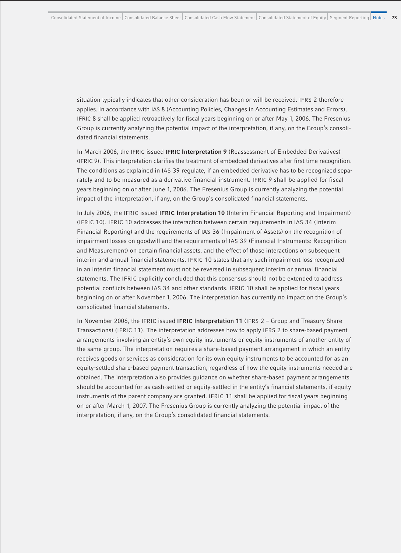situation typically indicates that other consideration has been or will be received. IFRS 2 therefore applies. In accordance with IAS 8 (Accounting Policies, Changes in Accounting Estimates and Errors), IFRIC 8 shall be applied retroactively for fiscal years beginning on or after May 1, 2006. The Fresenius Group is currently analyzing the potential impact of the interpretation, if any, on the Group's consolidated financial statements.

In March 2006, the IFRIC issued **IFRIC Interpretation 9** (Reassessment of Embedded Derivatives) (IFRIC 9). This interpretation clarifies the treatment of embedded derivatives after first time recognition. The conditions as explained in IAS 39 regulate, if an embedded derivative has to be recognized separately and to be measured as a derivative financial instrument. IFRIC 9 shall be applied for fiscal years beginning on or after June 1, 2006. The Fresenius Group is currently analyzing the potential impact of the interpretation, if any, on the Group's consolidated financial statements.

In July 2006, the IFRIC issued **IFRIC Interpretation 10** (Interim Financial Reporting and Impairment) (IFRIC 10). IFRIC 10 addresses the interaction between certain requirements in IAS 34 (Interim Financial Reporting) and the requirements of IAS 36 (Impairment of Assets) on the recognition of impairment losses on goodwill and the requirements of IAS 39 (Financial Instruments: Recognition and Measurement) on certain financial assets, and the effect of those interactions on subsequent interim and annual financial statements. IFRIC 10 states that any such impairment loss recognized in an interim financial statement must not be reversed in subsequent interim or annual financial statements. The IFRIC explicitly concluded that this consensus should not be extended to address potential conflicts between IAS 34 and other standards. IFRIC 10 shall be applied for fiscal years beginning on or after November 1, 2006. The interpretation has currently no impact on the Group's consolidated financial statements.

In November 2006, the IFRIC issued **IFRIC Interpretation 11** (IFRS 2 – Group and Treasury Share Transactions) (IFRIC 11). The interpretation addresses how to apply IFRS 2 to share-based payment arrangements involving an entity's own equity instruments or equity instruments of another entity of the same group. The interpretation requires a share-based payment arrangement in which an entity receives goods or services as consideration for its own equity instruments to be accounted for as an equity-settled share-based payment transaction, regardless of how the equity instruments needed are obtained. The interpretation also provides guidance on whether share-based payment arrangements should be accounted for as cash-settled or equity-settled in the entity's financial statements, if equity instruments of the parent company are granted. IFRIC 11 shall be applied for fiscal years beginning on or after March 1, 2007. The Fresenius Group is currently analyzing the potential impact of the interpretation, if any, on the Group's consolidated financial statements.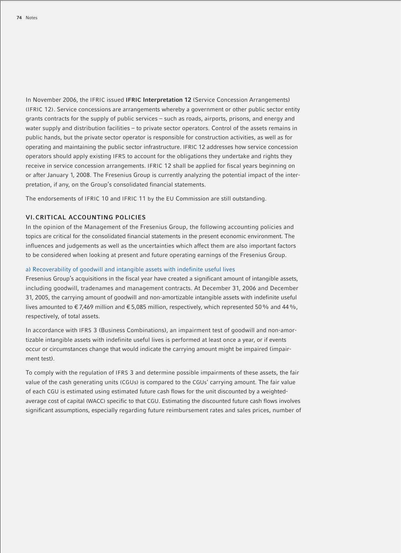In November 2006, the IFRIC issued **IFRIC Interpretation 12** (Service Concession Arrangements) (IFRIC 12). Service concessions are arrangements whereby a government or other public sector entity grants contracts for the supply of public services – such as roads, airports, prisons, and energy and water supply and distribution facilities – to private sector operators. Control of the assets remains in public hands, but the private sector operator is responsible for construction activities, as well as for operating and maintaining the public sector infrastructure. IFRIC 12 addresses how service concession operators should apply existing IFRS to account for the obligations they undertake and rights they receive in service concession arrangements. IFRIC 12 shall be applied for fiscal years beginning on or after January 1, 2008. The Fresenius Group is currently analyzing the potential impact of the interpretation, if any, on the Group's consolidated financial statements.

The endorsements of IFRIC 10 and IFRIC 11 by the EU Commission are still outstanding.

#### **VI.CRITICAL ACCOUNTING POLICIES**

In the opinion of the Management of the Fresenius Group, the following accounting policies and topics are critical for the consolidated financial statements in the present economic environment. The influences and judgements as well as the uncertainties which affect them are also important factors to be considered when looking at present and future operating earnings of the Fresenius Group.

#### a) Recoverability of goodwill and intangible assets with indefinite useful lives

Fresenius Group's acquisitions in the fiscal year have created a significant amount of intangible assets, including goodwill, tradenames and management contracts. At December 31, 2006 and December 31, 2005, the carrying amount of goodwill and non-amortizable intangible assets with indefinite useful lives amounted to  $\epsilon$  7,469 million and  $\epsilon$  5,085 million, respectively, which represented 50% and 44%, respectively, of total assets.

In accordance with IFRS 3 (Business Combinations), an impairment test of goodwill and non-amortizable intangible assets with indefinite useful lives is performed at least once a year, or if events occur or circumstances change that would indicate the carrying amount might be impaired (impairment test).

To comply with the regulation of IFRS 3 and determine possible impairments of these assets, the fair value of the cash generating units (CGUs) is compared to the CGUs' carrying amount. The fair value of each CGU is estimated using estimated future cash flows for the unit discounted by a weightedaverage cost of capital (WACC) specific to that CGU. Estimating the discounted future cash flows involves significant assumptions, especially regarding future reimbursement rates and sales prices, number of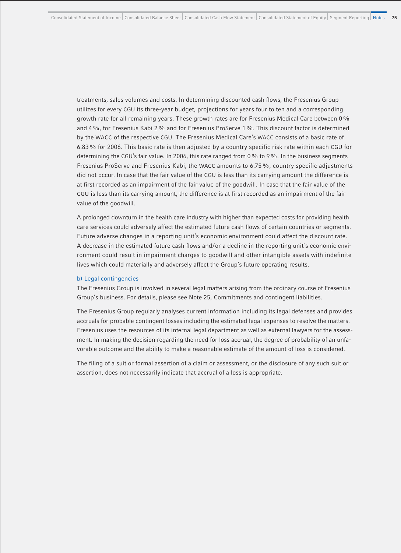treatments, sales volumes and costs. In determining discounted cash flows, the Fresenius Group utilizes for every CGU its three-year budget, projections for years four to ten and a corresponding growth rate for all remaining years. These growth rates are for Fresenius Medical Care between 0% and 4%, for Fresenius Kabi 2% and for Fresenius ProServe 1%. This discount factor is determined by the WACC of the respective CGU. The Fresenius Medical Care's WACC consists of a basic rate of 6.83% for 2006. This basic rate is then adjusted by a country specific risk rate within each CGU for determining the CGU's fair value. In 2006, this rate ranged from 0% to 9%. In the business segments Fresenius ProServe and Fresenius Kabi, the WACC amounts to 6.75%, country specific adjustments did not occur. In case that the fair value of the CGU is less than its carrying amount the difference is at first recorded as an impairment of the fair value of the goodwill. In case that the fair value of the CGU is less than its carrying amount, the difference is at first recorded as an impairment of the fair value of the goodwill.

A prolonged downturn in the health care industry with higher than expected costs for providing health care services could adversely affect the estimated future cash flows of certain countries or segments. Future adverse changes in a reporting unit's economic environment could affect the discount rate. A decrease in the estimated future cash flows and/or a decline in the reporting unit`s economic environment could result in impairment charges to goodwill and other intangible assets with indefinite lives which could materially and adversely affect the Group's future operating results.

#### b) Legal contingencies

The Fresenius Group is involved in several legal matters arising from the ordinary course of Fresenius Group's business. For details, please see Note 25, Commitments and contingent liabilities.

The Fresenius Group regularly analyses current information including its legal defenses and provides accruals for probable contingent losses including the estimated legal expenses to resolve the matters. Fresenius uses the resources of its internal legal department as well as external lawyers for the assessment. In making the decision regarding the need for loss accrual, the degree of probability of an unfavorable outcome and the ability to make a reasonable estimate of the amount of loss is considered.

The filing of a suit or formal assertion of a claim or assessment, or the disclosure of any such suit or assertion, does not necessarily indicate that accrual of a loss is appropriate.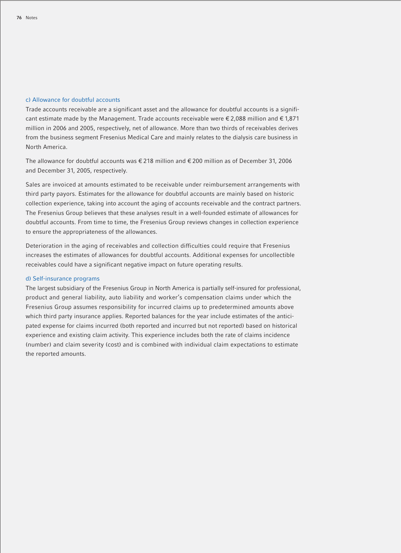## c) Allowance for doubtful accounts

Trade accounts receivable are a significant asset and the allowance for doubtful accounts is a significant estimate made by the Management. Trade accounts receivable were  $\epsilon$  2.088 million and  $\epsilon$  1.871 million in 2006 and 2005, respectively, net of allowance. More than two thirds of receivables derives from the business segment Fresenius Medical Care and mainly relates to the dialysis care business in North America.

The allowance for doubtful accounts was € 218 million and € 200 million as of December 31, 2006 and December 31, 2005, respectively.

Sales are invoiced at amounts estimated to be receivable under reimbursement arrangements with third party payors. Estimates for the allowance for doubtful accounts are mainly based on historic collection experience, taking into account the aging of accounts receivable and the contract partners. The Fresenius Group believes that these analyses result in a well-founded estimate of allowances for doubtful accounts. From time to time, the Fresenius Group reviews changes in collection experience to ensure the appropriateness of the allowances.

Deterioration in the aging of receivables and collection difficulties could require that Fresenius increases the estimates of allowances for doubtful accounts. Additional expenses for uncollectible receivables could have a significant negative impact on future operating results.

#### d) Self-insurance programs

The largest subsidiary of the Fresenius Group in North America is partially self-insured for professional, product and general liability, auto liability and worker's compensation claims under which the Fresenius Group assumes responsibility for incurred claims up to predetermined amounts above which third party insurance applies. Reported balances for the year include estimates of the anticipated expense for claims incurred (both reported and incurred but not reported) based on historical experience and existing claim activity. This experience includes both the rate of claims incidence (number) and claim severity (cost) and is combined with individual claim expectations to estimate the reported amounts.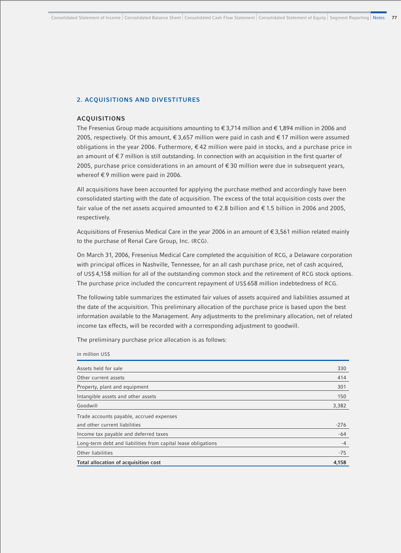## **2. ACQUISITIONS AND DIVESTITURES**

#### **ACQUISITIONS**

in million US\$

The Fresenius Group made acquisitions amounting to  $\epsilon$  3,714 million and  $\epsilon$  1,894 million in 2006 and 2005, respectively. Of this amount,  $\epsilon$  3,657 million were paid in cash and  $\epsilon$  17 million were assumed obligations in the year 2006. Futhermore, € 42 million were paid in stocks, and a purchase price in an amount of € 7 million is still outstanding. In connection with an acquisition in the first quarter of 2005, purchase price considerations in an amount of  $\epsilon$  30 million were due in subsequent years, whereof €9 million were paid in 2006.

All acquisitions have been accounted for applying the purchase method and accordingly have been consolidated starting with the date of acquisition. The excess of the total acquisition costs over the fair value of the net assets acquired amounted to € 2.8 billion and € 1.5 billion in 2006 and 2005, respectively.

Acquisitions of Fresenius Medical Care in the year 2006 in an amount of € 3,561 million related mainly to the purchase of Renal Care Group, Inc. (RCG).

On March 31, 2006, Fresenius Medical Care completed the acquisition of RCG, a Delaware corporation with principal offices in Nashville, Tennessee, for an all cash purchase price, net of cash acquired, of US\$ 4,158 million for all of the outstanding common stock and the retirement of RCG stock options. The purchase price included the concurrent repayment of US\$ 658 million indebtedness of RCG.

The following table summarizes the estimated fair values of assets acquired and liabilities assumed at the date of the acquisition. This preliminary allocation of the purchase price is based upon the best information available to the Management. Any adjustments to the preliminary allocation, net of related income tax effects, will be recorded with a corresponding adjustment to goodwill.

The preliminary purchase price allocation is as follows:

| Total allocation of acquisition cost                          | 4,158  |
|---------------------------------------------------------------|--------|
| Other liabilities                                             | $-75$  |
| Long-term debt and liabilities from capital lease obligations | $-4$   |
| Income tax payable and deferred taxes                         | $-64$  |
| and other current liabilities                                 | $-276$ |
| Trade accounts payable, accrued expenses                      |        |
| Goodwill                                                      | 3,382  |
| Intangible assets and other assets                            | 150    |
| Property, plant and equipment                                 | 301    |
| Other current assets                                          | 414    |
| Assets held for sale                                          | 330    |
|                                                               |        |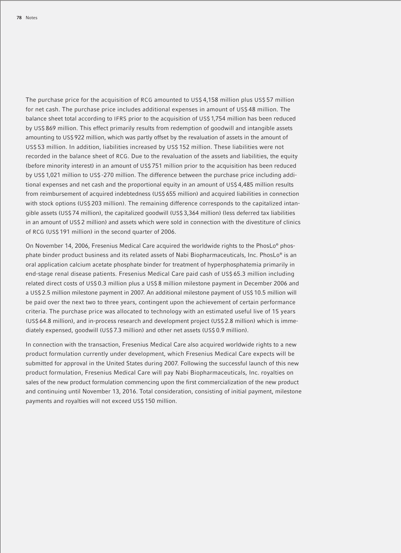The purchase price for the acquisition of RCG amounted to US\$ 4,158 million plus US\$ 57 million for net cash. The purchase price includes additional expenses in amount of US\$ 48 million. The balance sheet total according to IFRS prior to the acquisition of US\$ 1,754 million has been reduced by US\$ 869 million. This effect primarily results from redemption of goodwill and intangible assets amounting to US\$ 922 million, which was partly offset by the revaluation of assets in the amount of US\$ 53 million. In addition, liabilities increased by US\$ 152 million. These liabilities were not recorded in the balance sheet of RCG. Due to the revaluation of the assets and liabilities, the equity (before minority interest) in an amount of US\$ 751 million prior to the acquisition has been reduced by US\$ 1,021 million to US\$ -270 million. The difference between the purchase price including additional expenses and net cash and the proportional equity in an amount of US\$ 4,485 million results from reimbursement of acquired indebtedness (US\$ 655 million) and acquired liabilities in connection with stock options (US\$ 203 million). The remaining difference corresponds to the capitalized intangible assets (US\$ 74 million), the capitalized goodwill (US\$ 3,364 million) (less deferred tax liabilities in an amount of US\$ 2 million) and assets which were sold in connection with the divestiture of clinics of RCG (US\$ 191 million) in the second quarter of 2006.

On November 14, 2006, Fresenius Medical Care acquired the worldwide rights to the PhosLo® phosphate binder product business and its related assets of Nabi Biopharmaceuticals, Inc. PhosLo® is an oral application calcium acetate phosphate binder for treatment of hyperphosphatemia primarily in end-stage renal disease patients. Fresenius Medical Care paid cash of US\$ 65.3 million including related direct costs of US\$ 0.3 million plus a US\$ 8 million milestone payment in December 2006 and a US\$ 2.5 million milestone payment in 2007. An additional milestone payment of US\$ 10.5 million will be paid over the next two to three years, contingent upon the achievement of certain performance criteria. The purchase price was allocated to technology with an estimated useful live of 15 years (US\$ 64.8 million), and in-process research and development project (US\$ 2.8 million) which is immediately expensed, goodwill (US\$ 7.3 million) and other net assets (US\$ 0.9 million).

In connection with the transaction, Fresenius Medical Care also acquired worldwide rights to a new product formulation currently under development, which Fresenius Medical Care expects will be submitted for approval in the United States during 2007. Following the successful launch of this new product formulation, Fresenius Medical Care will pay Nabi Biopharmaceuticals, Inc. royalties on sales of the new product formulation commencing upon the first commercialization of the new product and continuing until November 13, 2016. Total consideration, consisting of initial payment, milestone payments and royalties will not exceed US\$ 150 million.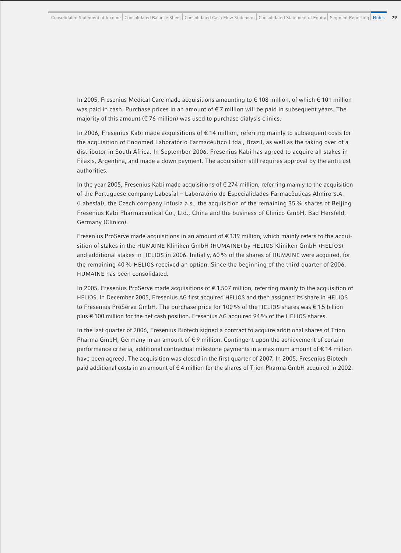In 2005, Fresenius Medical Care made acquisitions amounting to € 108 million, of which € 101 million was paid in cash. Purchase prices in an amount of  $\epsilon$ 7 million will be paid in subsequent years. The majority of this amount ( $\epsilon$  76 million) was used to purchase dialysis clinics.

In 2006, Fresenius Kabi made acquisitions of € 14 million, referring mainly to subsequent costs for the acquisition of Endomed Laboratório Farmacéutico Ltda., Brazil, as well as the taking over of a distributor in South Africa. In September 2006, Fresenius Kabi has agreed to acquire all stakes in Filaxis, Argentina, and made a down payment. The acquisition still requires approval by the antitrust authorities.

In the year 2005, Fresenius Kabi made acquisitions of  $\epsilon$  274 million, referring mainly to the acquisition of the Portuguese company Labesfal – Laboratório de Especialidades Farmacêuticas Almiro S.A. (Labesfal), the Czech company Infusia a.s., the acquisition of the remaining 35% shares of Beijing Fresenius Kabi Pharmaceutical Co., Ltd., China and the business of Clinico GmbH, Bad Hersfeld, Germany (Clinico).

Fresenius ProServe made acquisitions in an amount of  $\epsilon$  139 million, which mainly refers to the acquisition of stakes in the HUMAINE Kliniken GmbH (HUMAINE) by HELIOS Kliniken GmbH (HELIOS) and additional stakes in HELIOS in 2006. Initially, 60% of the shares of HUMAINE were acquired, for the remaining 40% HELIOS received an option. Since the beginning of the third quarter of 2006, HUMAINE has been consolidated.

In 2005, Fresenius ProServe made acquisitions of € 1,507 million, referring mainly to the acquisition of HELIOS. In December 2005, Fresenius AG first acquired HELIOS and then assigned its share in HELIOS to Fresenius ProServe GmbH. The purchase price for 100% of the HELIOS shares was € 1.5 billion plus € 100 million for the net cash position. Fresenius AG acquired 94% of the HELIOS shares.

In the last quarter of 2006, Fresenius Biotech signed a contract to acquire additional shares of Trion Pharma GmbH, Germany in an amount of €9 million. Contingent upon the achievement of certain performance criteria, additional contractual milestone payments in a maximum amount of € 14 million have been agreed. The acquisition was closed in the first quarter of 2007. In 2005, Fresenius Biotech paid additional costs in an amount of € 4 million for the shares of Trion Pharma GmbH acquired in 2002.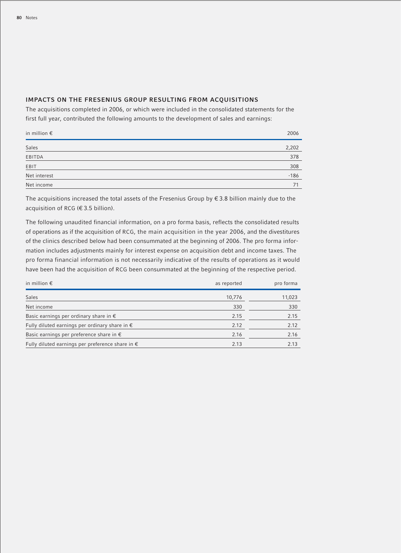# **IMPACTS ON THE FRESENIUS GROUP RESULTING FROM ACQUISITIONS**

The acquisitions completed in 2006, or which were included in the consolidated statements for the first full year, contributed the following amounts to the development of sales and earnings:

| in million $\epsilon$ | 2006   |
|-----------------------|--------|
| Sales                 | 2,202  |
| EBITDA                | 378    |
| EBIT                  | 308    |
| Net interest          | $-186$ |
| Net income            | 71     |

The acquisitions increased the total assets of the Fresenius Group by  $\epsilon$  3.8 billion mainly due to the acquisition of RCG (€ 3.5 billion).

The following unaudited financial information, on a pro forma basis, reflects the consolidated results of operations as if the acquisition of RCG, the main acquisition in the year 2006, and the divestitures of the clinics described below had been consummated at the beginning of 2006. The pro forma information includes adjustments mainly for interest expense on acquisition debt and income taxes. The pro forma financial information is not necessarily indicative of the results of operations as it would have been had the acquisition of RCG been consummated at the beginning of the respective period.

| in million $\epsilon$                                     | as reported | pro forma |
|-----------------------------------------------------------|-------------|-----------|
| <b>Sales</b>                                              | 10,776      | 11,023    |
| Net income                                                | 330         | 330       |
| Basic earnings per ordinary share in $\epsilon$           | 2.15        | 2.15      |
| Fully diluted earnings per ordinary share in $\epsilon$   | 2.12        | 2.12      |
| Basic earnings per preference share in $\epsilon$         | 2.16        | 2.16      |
| Fully diluted earnings per preference share in $\epsilon$ | 2.13        | 2.13      |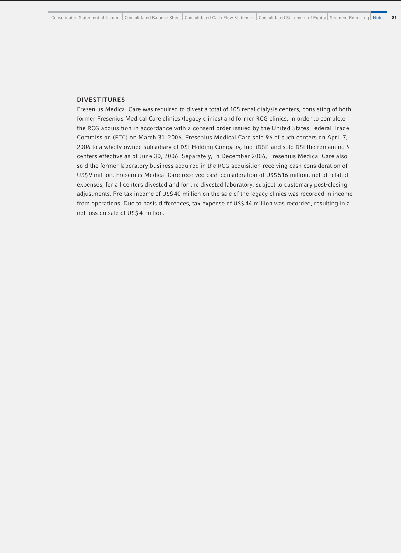## **DIVESTITURES**

Fresenius Medical Care was required to divest a total of 105 renal dialysis centers, consisting of both former Fresenius Medical Care clinics (legacy clinics) and former RCG clinics, in order to complete the RCG acquisition in accordance with a consent order issued by the United States Federal Trade Commission (FTC) on March 31, 2006. Fresenius Medical Care sold 96 of such centers on April 7, 2006 to a wholly-owned subsidiary of DSI Holding Company, Inc. (DSI) and sold DSI the remaining 9 centers effective as of June 30, 2006. Separately, in December 2006, Fresenius Medical Care also sold the former laboratory business acquired in the RCG acquisition receiving cash consideration of US\$ 9 million. Fresenius Medical Care received cash consideration of US\$ 516 million, net of related expenses, for all centers divested and for the divested laboratory, subject to customary post-closing adjustments. Pre-tax income of US\$ 40 million on the sale of the legacy clinics was recorded in income from operations. Due to basis differences, tax expense of US\$ 44 million was recorded, resulting in a net loss on sale of US\$ 4 million.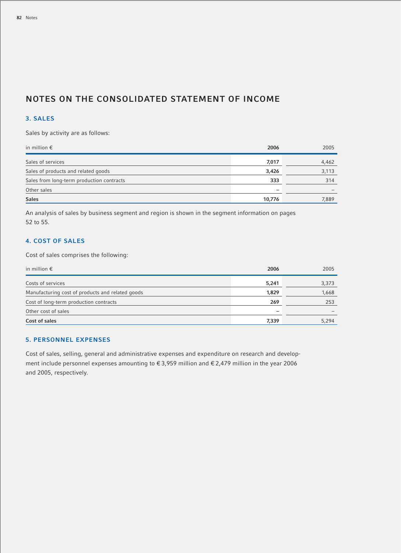# **NOTES ON THE CONSOLIDATED STATEMENT OF INCOME**

# **3. SALES**

Sales by activity are as follows:

| in million $\epsilon$                     | 2006                     | 2005  |
|-------------------------------------------|--------------------------|-------|
| Sales of services                         | 7,017                    | 4,462 |
| Sales of products and related goods       | 3,426                    | 3,113 |
| Sales from long-term production contracts | 333                      | 314   |
| Other sales                               | $\overline{\phantom{0}}$ |       |
| <b>Sales</b>                              | 10,776                   | 7,889 |

An analysis of sales by business segment and region is shown in the segment information on pages 52 to 55.

# **4. COST OF SALES**

Cost of sales comprises the following:

| in million $\epsilon$                            | 2006                     | 2005  |
|--------------------------------------------------|--------------------------|-------|
| Costs of services                                | 5,241                    | 3,373 |
| Manufacturing cost of products and related goods | 1,829                    | 1,668 |
| Cost of long-term production contracts           | 269                      | 253   |
| Other cost of sales                              | $\overline{\phantom{0}}$ |       |
| Cost of sales                                    | 7,339                    | 5,294 |

# **5. PERSONNEL EXPENSES**

Cost of sales, selling, general and administrative expenses and expenditure on research and development include personnel expenses amounting to € 3,959 million and € 2,479 million in the year 2006 and 2005, respectively.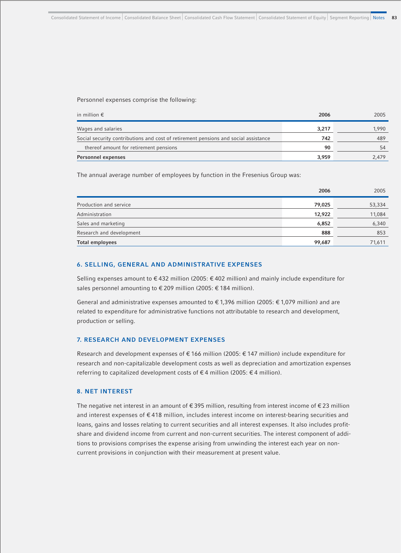Personnel expenses comprise the following:

| in million $\epsilon$                                                               | 2006  | 2005  |
|-------------------------------------------------------------------------------------|-------|-------|
| Wages and salaries                                                                  | 3,217 | 1.990 |
| Social security contributions and cost of retirement pensions and social assistance | 742   | 489   |
| thereof amount for retirement pensions                                              | 90    | 54    |
| Personnel expenses                                                                  | 3,959 | 2.479 |

The annual average number of employees by function in the Fresenius Group was:

|                          | 2006   | 2005   |
|--------------------------|--------|--------|
| Production and service   | 79,025 | 53,334 |
| Administration           | 12,922 | 11,084 |
| Sales and marketing      | 6,852  | 6,340  |
| Research and development | 888    | 853    |
| <b>Total employees</b>   | 99,687 | 71,611 |

## **6. SELLING, GENERAL AND ADMINISTRATIVE EXPENSES**

Selling expenses amount to € 432 million (2005: € 402 million) and mainly include expenditure for sales personnel amounting to € 209 million (2005: € 184 million).

General and administrative expenses amounted to €1,396 million (2005: €1,079 million) and are related to expenditure for administrative functions not attributable to research and development, production or selling.

## **7. RESEARCH AND DEVELOPMENT EXPENSES**

Research and development expenses of € 166 million (2005: € 147 million) include expenditure for research and non-capitalizable development costs as well as depreciation and amortization expenses referring to capitalized development costs of €4 million (2005: €4 million).

## **8. NET INTEREST**

The negative net interest in an amount of € 395 million, resulting from interest income of € 23 million and interest expenses of € 418 million, includes interest income on interest-bearing securities and loans, gains and losses relating to current securities and all interest expenses. It also includes profitshare and dividend income from current and non-current securities. The interest component of additions to provisions comprises the expense arising from unwinding the interest each year on noncurrent provisions in conjunction with their measurement at present value.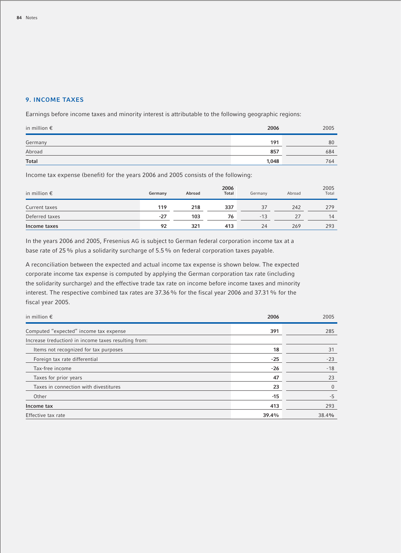# **9. INCOME TAXES**

Earnings before income taxes and minority interest is attributable to the following geographic regions:

| in million $\epsilon$ | 2006  | 2005 |
|-----------------------|-------|------|
| Germany               | 191   | 80   |
| Abroad                | 857   | 684  |
| <b>Total</b>          | 1,048 | 764  |

Income tax expense (benefit) for the years 2006 and 2005 consists of the following:

| in million $\epsilon$ | Germany | Abroad | 2006<br><b>Total</b> | Germany | Abroad | 2005<br>Total |
|-----------------------|---------|--------|----------------------|---------|--------|---------------|
| Current taxes         | 119     | 218    | 337                  | 37      | 242    | 279           |
| Deferred taxes        | $-27$   | 103    | 76                   | $-13$   | 27     | 14            |
| Income taxes          | 92      | 321    | 413                  | 24      | 269    | 293           |

In the years 2006 and 2005, Fresenius AG is subject to German federal corporation income tax at a base rate of 25% plus a solidarity surcharge of 5.5% on federal corporation taxes payable.

A reconciliation between the expected and actual income tax expense is shown below. The expected corporate income tax expense is computed by applying the German corporation tax rate (including the solidarity surcharge) and the effective trade tax rate on income before income taxes and minority interest. The respective combined tax rates are 37.36% for the fiscal year 2006 and 37.31% for the fiscal year 2005.

| in million $\epsilon$                                | 2006  | 2005         |
|------------------------------------------------------|-------|--------------|
| Computed "expected" income tax expense               | 391   | 285          |
| Increase (reduction) in income taxes resulting from: |       |              |
| Items not recognized for tax purposes                | 18    | 31           |
| Foreign tax rate differential                        | $-25$ | $-23$        |
| Tax-free income                                      | $-26$ | $-18$        |
| Taxes for prior years                                | 47    | 23           |
| Taxes in connection with divestitures                | 23    | $\mathbf{0}$ |
| Other                                                | -15   | $-5$         |
| Income tax                                           | 413   | 293          |
| Effective tax rate                                   | 39.4% | 38.4%        |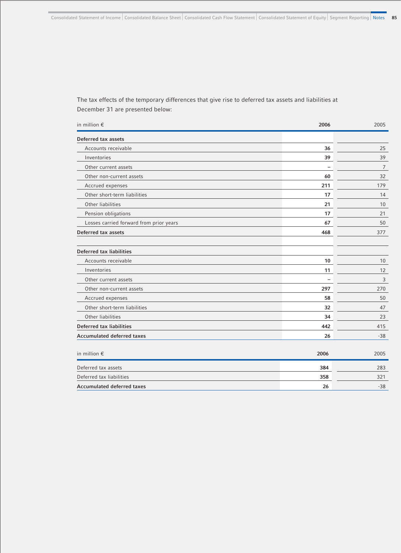The tax effects of the temporary differences that give rise to deferred tax assets and liabilities at December 31 are presented below:

| in million $\epsilon$                   | 2006                     | 2005  |
|-----------------------------------------|--------------------------|-------|
| Deferred tax assets                     |                          |       |
| Accounts receivable                     | 36                       | 25    |
| Inventories                             | 39                       | 39    |
| Other current assets                    | -                        | 7     |
| Other non-current assets                | 60                       | 32    |
| Accrued expenses                        | 211                      | 179   |
| Other short-term liabilities            | 17                       | 14    |
| Other liabilities                       | 21                       | 10    |
| Pension obligations                     | 17                       | 21    |
| Losses carried forward from prior years | 67                       | 50    |
| Deferred tax assets                     | 468                      | 377   |
| Deferred tax liabilities                |                          |       |
| Accounts receivable                     | 10                       | 10    |
| Inventories                             | 11                       | 12    |
| Other current assets                    | $\overline{\phantom{0}}$ | 3     |
| Other non-current assets                | 297                      | 270   |
| Accrued expenses                        | 58                       | 50    |
| Other short-term liabilities            | 32                       | 47    |
| Other liabilities                       | 34                       | 23    |
| Deferred tax liabilities                | 442                      | 415   |
| <b>Accumulated deferred taxes</b>       | 26                       | $-38$ |
| in million $\epsilon$                   | 2006                     | 2005  |
| Deferred tax assets                     | 384                      | 283   |
| Deferred tax liabilities                | 358                      | 321   |
| <b>Accumulated deferred taxes</b>       | 26                       | $-38$ |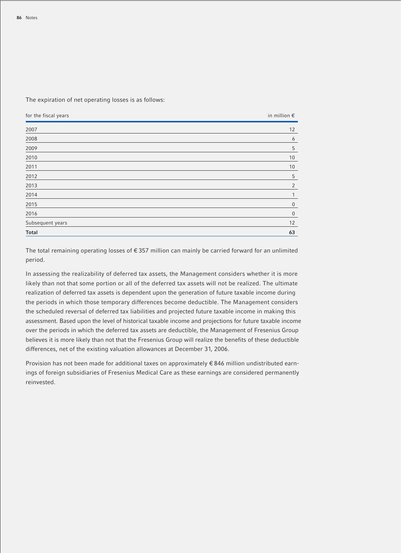The expiration of net operating losses is as follows:

| for the fiscal years | in million $\epsilon$ |
|----------------------|-----------------------|
| 2007                 | 12                    |
| 2008                 | 6                     |
| 2009                 | 5                     |
| 2010                 | 10                    |
| 2011                 | 10                    |
| 2012                 | 5                     |
| 2013                 | 2                     |
| 2014                 | 1                     |
| 2015                 | $\mathbf 0$           |
| 2016                 | $\boldsymbol{0}$      |
| Subsequent years     | 12                    |
| <b>Total</b>         | 63                    |

The total remaining operating losses of € 357 million can mainly be carried forward for an unlimited period.

In assessing the realizability of deferred tax assets, the Management considers whether it is more likely than not that some portion or all of the deferred tax assets will not be realized. The ultimate realization of deferred tax assets is dependent upon the generation of future taxable income during the periods in which those temporary differences become deductible. The Management considers the scheduled reversal of deferred tax liabilities and projected future taxable income in making this assessment. Based upon the level of historical taxable income and projections for future taxable income over the periods in which the deferred tax assets are deductible, the Management of Fresenius Group believes it is more likely than not that the Fresenius Group will realize the benefits of these deductible differences, net of the existing valuation allowances at December 31, 2006.

Provision has not been made for additional taxes on approximately € 846 million undistributed earnings of foreign subsidiaries of Fresenius Medical Care as these earnings are considered permanently reinvested.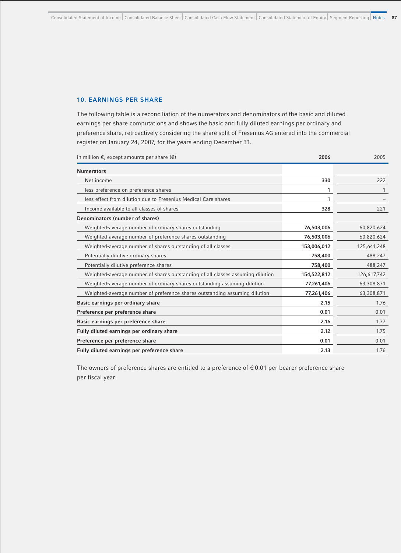## **10. EARNINGS PER SHARE**

The following table is a reconciliation of the numerators and denominators of the basic and diluted earnings per share computations and shows the basic and fully diluted earnings per ordinary and preference share, retroactively considering the share split of Fresenius AG entered into the commercial register on January 24, 2007, for the years ending December 31.

in million €, except amounts per share (€) **2006** 2005

| <b>Numerators</b>                                                              |             |             |
|--------------------------------------------------------------------------------|-------------|-------------|
| Net income                                                                     | 330         | 222         |
| less preference on preference shares                                           | 1           |             |
| less effect from dilution due to Fresenius Medical Care shares                 | 1           |             |
| Income available to all classes of shares                                      | 328         | 221         |
| Denominators (number of shares)                                                |             |             |
| Weighted-average number of ordinary shares outstanding                         | 76,503,006  | 60,820,624  |
| Weighted-average number of preference shares outstanding                       | 76,503,006  | 60,820,624  |
| Weighted-average number of shares outstanding of all classes                   | 153,006,012 | 125,641,248 |
| Potentially dilutive ordinary shares                                           | 758,400     | 488,247     |
| Potentially dilutive preference shares                                         | 758,400     | 488,247     |
| Weighted-average number of shares outstanding of all classes assuming dilution | 154,522,812 | 126,617,742 |
| Weighted-average number of ordinary shares outstanding assuming dilution       | 77,261,406  | 63,308,871  |
| Weighted-average number of preference shares outstanding assuming dilution     | 77,261,406  | 63,308,871  |
| Basic earnings per ordinary share                                              | 2.15        | 1.76        |
| Preference per preference share                                                | 0.01        | 0.01        |
| Basic earnings per preference share                                            | 2.16        | 1.77        |
| Fully diluted earnings per ordinary share                                      | 2.12        | 1.75        |
| Preference per preference share                                                | 0.01        | 0.01        |
| Fully diluted earnings per preference share                                    | 2.13        | 1.76        |

The owners of preference shares are entitled to a preference of  $\epsilon$  0.01 per bearer preference share per fiscal year.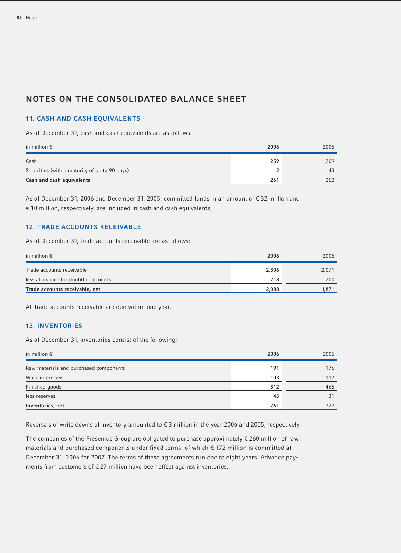# **NOTES ON THE CONSOLIDATED BALANCE SHEET**

## **11. CASH AND CASH EQUIVALENTS**

As of December 31, cash and cash equivalents are as follows:

| in million $\epsilon$                         | 2006 | 2005 |
|-----------------------------------------------|------|------|
| Cash                                          | 259  | 209  |
| Securities (with a maturity of up to 90 days) |      | 43   |
| Cash and cash equivalents                     | 261  | 252  |

As of December 31, 2006 and December 31, 2005, committed funds in an amount of € 32 million and € 10 million, respectively, are included in cash and cash equivalents

## **12. TRADE ACCOUNTS RECEIVABLE**

As of December 31, trade accounts receivable are as follows:

| in million $\epsilon$                | 2006  | 2005  |
|--------------------------------------|-------|-------|
| Trade accounts receivable            | 2,306 | 2.071 |
| less allowance for doubtful accounts | 218   | 200   |
| Trade accounts receivable, net       | 2,088 | 1.871 |

All trade accounts receivable are due within one year.

## **13. INVENTORIES**

As of December 31, inventories consist of the following:

| in million $\epsilon$                  | 2006 | 2005 |
|----------------------------------------|------|------|
| Raw materials and purchased components | 191  | 176  |
| Work in process                        | 103  | 117  |
| Finished goods                         | 512  | 465  |
| less reserves                          | 45   | 31   |
| Inventories, net                       | 761  | 727  |

Reversals of write downs of inventory amounted to € 3 million in the year 2006 and 2005, respectively.

The companies of the Fresenius Group are obligated to purchase approximately € 260 million of raw materials and purchased components under fixed terms, of which € 172 million is committed at December 31, 2006 for 2007. The terms of these agreements run one to eight years. Advance payments from customers of  $E$  27 million have been offset against inventories.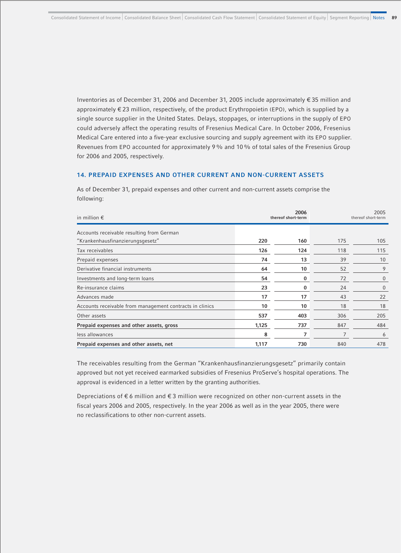Inventories as of December 31, 2006 and December 31, 2005 include approximately € 35 million and approximately € 23 million, respectively, of the product Erythropoietin (EPO), which is supplied by a single source supplier in the United States. Delays, stoppages, or interruptions in the supply of EPO could adversely affect the operating results of Fresenius Medical Care. In October 2006, Fresenius Medical Care entered into a five-year exclusive sourcing and supply agreement with its EPO supplier. Revenues from EPO accounted for approximately 9% and 10% of total sales of the Fresenius Group for 2006 and 2005, respectively.

### **14. PREPAID EXPENSES AND OTHER CURRENT AND NON-CURRENT ASSETS**

As of December 31, prepaid expenses and other current and non-current assets comprise the following:

| in million $\epsilon$                                    |       | 2006<br>thereof short-term | 2005<br>thereof short-term |                |
|----------------------------------------------------------|-------|----------------------------|----------------------------|----------------|
| Accounts receivable resulting from German                |       |                            |                            |                |
| "Krankenhausfinanzierungsgesetz"                         | 220   | 160                        | 175                        | 105            |
| Tax receivables                                          | 126   | 124                        | 118                        | 115            |
| Prepaid expenses                                         | 74    | 13                         | 39                         | 10             |
| Derivative financial instruments                         | 64    | 10                         | 52                         | 9              |
| Investments and long-term loans                          | 54    | 0                          | 72                         | $\overline{0}$ |
| Re-insurance claims                                      | 23    | 0                          | 24                         | $\overline{0}$ |
| Advances made                                            | 17    | 17                         | 43                         | 22             |
| Accounts receivable from management contracts in clinics | 10    | 10                         | 18                         | 18             |
| Other assets                                             | 537   | 403                        | 306                        | 205            |
| Prepaid expenses and other assets, gross                 | 1,125 | 737                        | 847                        | 484            |
| less allowances                                          | 8     | 7                          | 7                          | 6              |
| Prepaid expenses and other assets, net                   | 1,117 | 730                        | 840                        | 478            |

The receivables resulting from the German "Krankenhausfinanzierungsgesetz" primarily contain approved but not yet received earmarked subsidies of Fresenius ProServe's hospital operations. The approval is evidenced in a letter written by the granting authorities.

Depreciations of € 6 million and € 3 million were recognized on other non-current assets in the fiscal years 2006 and 2005, respectively. In the year 2006 as well as in the year 2005, there were no reclassifications to other non-current assets.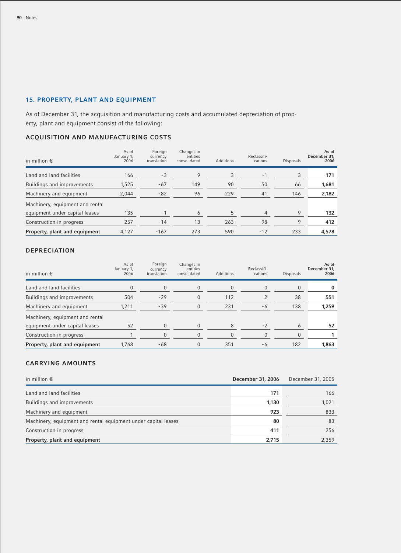# **15. PROPERTY, PLANT AND EQUIPMENT**

As of December 31, the acquisition and manufacturing costs and accumulated depreciation of property, plant and equipment consist of the following:

# **ACQUISITION AND MANUFACTURING COSTS**

| in million $\epsilon$           | As of<br>January 1,<br>2006 | Foreign<br>currency<br>translation | Changes in<br>entities<br>consolidated | <b>Additions</b> | Reclassifi-<br>cations | <b>Disposals</b> | As of<br>December 31,<br>2006 |
|---------------------------------|-----------------------------|------------------------------------|----------------------------------------|------------------|------------------------|------------------|-------------------------------|
| Land and land facilities        | 166                         | $-3$                               | 9                                      | 3                | $-1$                   | 3                | 171                           |
| Buildings and improvements      | 1,525                       | $-67$                              | 149                                    | 90               | 50                     | 66               | 1,681                         |
| Machinery and equipment         | 2.044                       | $-82$                              | 96                                     | 229              | 41                     | 146              | 2,182                         |
| Machinery, equipment and rental |                             |                                    |                                        |                  |                        |                  |                               |
| equipment under capital leases  | 135                         | $-1$                               | 6                                      | 5                | $-4$                   | 9                | 132                           |
| Construction in progress        | 257                         | $-14$                              | 13                                     | 263              | -98                    | 9                | 412                           |
| Property, plant and equipment   | 4.127                       | $-167$                             | 273                                    | 590              | $-12$                  | 233              | 4,578                         |

# **DEPRECIATION**

| in million $\epsilon$           | As of<br>January 1,<br>2006 | Foreign<br>currency<br>translation | Changes in<br>entities<br>consolidated | Additions | Reclassifi-<br>cations | <b>Disposals</b> | As of<br>December 31,<br>2006 |
|---------------------------------|-----------------------------|------------------------------------|----------------------------------------|-----------|------------------------|------------------|-------------------------------|
| Land and land facilities        |                             |                                    | $\Omega$                               | $\Omega$  | $\Omega$               | 0                |                               |
| Buildings and improvements      | 504                         | $-29$                              | 0                                      | 112       |                        | 38               | 551                           |
| Machinery and equipment         | 1,211                       | $-39$                              |                                        | 231       | - 6                    | 138              | 1,259                         |
| Machinery, equipment and rental |                             |                                    |                                        |           |                        |                  |                               |
| equipment under capital leases  | 52                          |                                    |                                        | 8         | $-2$                   | 6                | 52                            |
| Construction in progress        |                             |                                    |                                        |           |                        | $\Omega$         |                               |
| Property, plant and equipment   | 1.768                       | -68                                | 0                                      | 351       | - 6                    | 182              | 1,863                         |

# **CARRYING AMOUNTS**

| in million $\epsilon$                                          | December 31, 2006 | December 31, 2005 |
|----------------------------------------------------------------|-------------------|-------------------|
| Land and land facilities                                       | 171               | 166               |
| Buildings and improvements                                     | 1,130             | 1,021             |
| Machinery and equipment                                        | 923               | 833               |
| Machinery, equipment and rental equipment under capital leases | 80                | 83                |
| Construction in progress                                       | 411               | 256               |
| Property, plant and equipment                                  | 2,715             | 2,359             |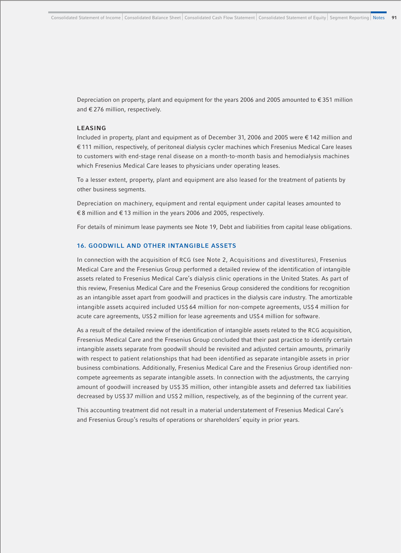Depreciation on property, plant and equipment for the years 2006 and 2005 amounted to  $\epsilon$  351 million and € 276 million, respectively.

## **LEASING**

Included in property, plant and equipment as of December 31, 2006 and 2005 were € 142 million and € 111 million, respectively, of peritoneal dialysis cycler machines which Fresenius Medical Care leases to customers with end-stage renal disease on a month-to-month basis and hemodialysis machines which Fresenius Medical Care leases to physicians under operating leases.

To a lesser extent, property, plant and equipment are also leased for the treatment of patients by other business segments.

Depreciation on machinery, equipment and rental equipment under capital leases amounted to € 8 million and € 13 million in the years 2006 and 2005, respectively.

For details of minimum lease payments see Note 19, Debt and liabilities from capital lease obligations.

## **16. GOODWILL AND OTHER INTANGIBLE ASSETS**

In connection with the acquisition of RCG (see Note 2, Acquisitions and divestitures), Fresenius Medical Care and the Fresenius Group performed a detailed review of the identification of intangible assets related to Fresenius Medical Care's dialysis clinic operations in the United States. As part of this review, Fresenius Medical Care and the Fresenius Group considered the conditions for recognition as an intangible asset apart from goodwill and practices in the dialysis care industry. The amortizable intangible assets acquired included US\$ 64 million for non-compete agreements, US\$ 4 million for acute care agreements, US\$ 2 million for lease agreements and US\$ 4 million for software.

As a result of the detailed review of the identification of intangible assets related to the RCG acquisition, Fresenius Medical Care and the Fresenius Group concluded that their past practice to identify certain intangible assets separate from goodwill should be revisited and adjusted certain amounts, primarily with respect to patient relationships that had been identified as separate intangible assets in prior business combinations. Additionally, Fresenius Medical Care and the Fresenius Group identified noncompete agreements as separate intangible assets. In connection with the adjustments, the carrying amount of goodwill increased by US\$ 35 million, other intangible assets and deferred tax liabilities decreased by US\$ 37 million and US\$ 2 million, respectively, as of the beginning of the current year.

This accounting treatment did not result in a material understatement of Fresenius Medical Care's and Fresenius Group's results of operations or shareholders' equity in prior years.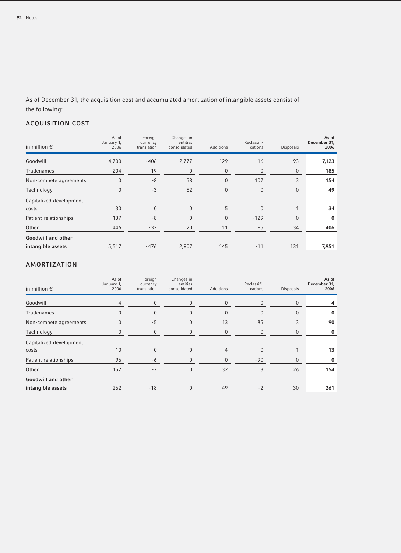As of December 31, the acquisition cost and accumulated amortization of intangible assets consist of the following:

# **ACQUISITION COST**

| in million $\epsilon$   | As of<br>January 1,<br>2006 | Foreign<br>currency<br>translation | Changes in<br>entities<br>consolidated | Additions | Reclassifi-<br>cations | Disposals | As of<br>December 31,<br>2006 |
|-------------------------|-----------------------------|------------------------------------|----------------------------------------|-----------|------------------------|-----------|-------------------------------|
| Goodwill                | 4,700                       | $-406$                             | 2,777                                  | 129       | 16                     | 93        | 7,123                         |
| Tradenames              | 204                         | $-19$                              | 0                                      | 0         | $\mathbf{0}$           | 0         | 185                           |
| Non-compete agreements  | $\mathbf{0}$                | -8                                 | 58                                     | 0         | 107                    | 3         | 154                           |
| Technology              | 0                           | $-3$                               | 52                                     | 0         | $\mathbf{0}$           | 0         | 49                            |
| Capitalized development |                             |                                    |                                        |           |                        |           |                               |
| costs                   | 30                          | $\Omega$                           | $\Omega$                               | 5         | $\Omega$               |           | 34                            |
| Patient relationships   | 137                         | $-8$                               | $\Omega$                               | 0         | $-129$                 | $\Omega$  | 0                             |
| Other                   | 446                         | $-32$                              | 20                                     | 11        | $-5$                   | 34        | 406                           |
| Goodwill and other      |                             |                                    |                                        |           |                        |           |                               |
| intangible assets       | 5,517                       | $-476$                             | 2,907                                  | 145       | $-11$                  | 131       | 7,951                         |

# **AMORTIZATION**

| in million $\epsilon$   | As of<br>January 1,<br>2006 | Foreign<br>currency<br>translation | Changes in<br>entities<br>consolidated | Additions      | Reclassifi-<br>cations | <b>Disposals</b> | As of<br>December 31,<br>2006 |
|-------------------------|-----------------------------|------------------------------------|----------------------------------------|----------------|------------------------|------------------|-------------------------------|
| Goodwill                | $\overline{4}$              | $\mathbf{0}$                       | $\mathbf{0}$                           | 0              | $\mathbf{0}$           | $\Omega$         |                               |
| Tradenames              | $\boldsymbol{0}$            | 0                                  | $\mathbf{0}$                           | 0              | $\mathbf{0}$           | 0                | 0                             |
| Non-compete agreements  | $\mathbf{0}$                | $-5$                               | $\mathbf{0}$                           | 13             | 85                     | 3                | 90                            |
| Technology              | $\mathbf{0}$                | $\mathbf{0}$                       | $\mathbf{0}$                           | 0              | $\overline{0}$         | $\mathbf{0}$     | 0                             |
| Capitalized development |                             |                                    |                                        |                |                        |                  |                               |
| costs                   | 10                          | $\mathbf{0}$                       | $\mathbf{0}$                           | $\overline{4}$ | $\overline{0}$         |                  | 13                            |
| Patient relationships   | 96                          | -6                                 | $\mathbf{0}$                           | $\Omega$       | $-90$                  | $\Omega$         | $\bf{0}$                      |
| Other                   | 152                         | $-7$                               | $\mathbf{0}$                           | 32             | 3                      | 26               | 154                           |
| Goodwill and other      |                             |                                    |                                        |                |                        |                  |                               |
| intangible assets       | 262                         | $-18$                              | $\mathbf{0}$                           | 49             | $-2$                   | 30               | 261                           |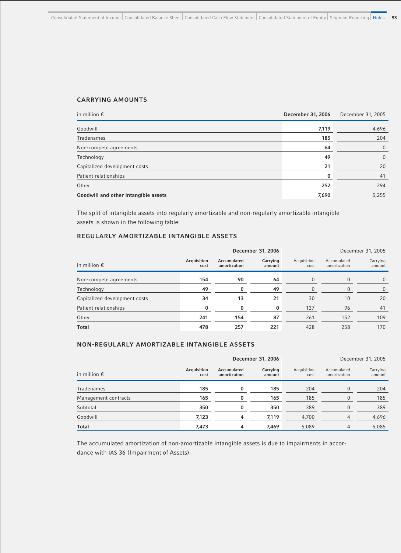# **CARRYING AMOUNTS**

| in million $\epsilon$                | December 31, 2006 | December 31, 2005 |
|--------------------------------------|-------------------|-------------------|
| Goodwill                             | 7,119             | 4,696             |
| Tradenames                           | 185               | 204               |
| Non-compete agreements               | 64                | $\overline{0}$    |
| Technology                           | 49                | $\overline{0}$    |
| Capitalized development costs        | 21                | 20                |
| Patient relationships                | $\bf{0}$          | 41                |
| Other                                | 252               | 294               |
| Goodwill and other intangible assets | 7,690             | 5,255             |

The split of intangible assets into regularly amortizable and non-regularly amortizable intangible assets is shown in the following table:

# **REGULARLY AMORTIZABLE INTANGIBLE ASSETS**

|                               |                     |                             | December 31, 2006  |                     | December 31, 2005           |                    |  |
|-------------------------------|---------------------|-----------------------------|--------------------|---------------------|-----------------------------|--------------------|--|
| in million $\epsilon$         | Acquisition<br>cost | Accumulated<br>amortization | Carrying<br>amount | Acquisition<br>cost | Accumulated<br>amortization | Carrying<br>amount |  |
| Non-compete agreements        | 154                 | 90                          | 64                 |                     |                             | $\Omega$           |  |
| Technology                    | 49                  | 0                           | 49                 |                     |                             | $\Omega$           |  |
| Capitalized development costs | 34                  | 13                          | 21                 | 30                  | 10                          | 20                 |  |
| Patient relationships         | $\Omega$            | $\Omega$                    | 0                  | 137                 | 96                          | 41                 |  |
| Other                         | 241                 | 154                         | 87                 | 261                 | 152                         | 109                |  |
| <b>Total</b>                  | 478                 | 257                         | 221                | 428                 | 258                         | 170                |  |

## **NON-REGULARLY AMORTIZABLE INTANGIBLE ASSETS**

|                       |                     | December 31, 2006           |                    |                     | December 31, 2005           |                    |  |
|-----------------------|---------------------|-----------------------------|--------------------|---------------------|-----------------------------|--------------------|--|
| in million $\epsilon$ | Acquisition<br>cost | Accumulated<br>amortization | Carrying<br>amount | Acquisition<br>cost | Accumulated<br>amortization | Carrying<br>amount |  |
| Tradenames            | 185                 | $\bf{0}$                    | 185                | 204                 | $\Omega$                    | 204                |  |
| Management contracts  | 165                 | $\Omega$                    | 165                | 185                 |                             | 185                |  |
| Subtotal              | 350                 |                             | 350                | 389                 |                             | 389                |  |
| Goodwill              | 7,123               | 4                           | 7,119              | 4,700               |                             | 4,696              |  |
| <b>Total</b>          | 7,473               | 4                           | 7,469              | 5,089               | 4                           | 5,085              |  |

The accumulated amortization of non-amortizable intangible assets is due to impairments in accordance with IAS 36 (Impairment of Assets).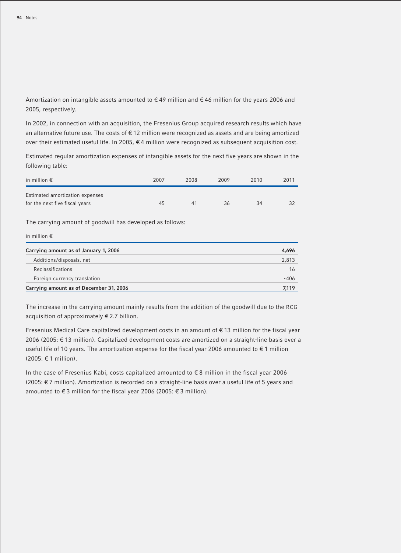Amortization on intangible assets amounted to  $\in$  49 million and  $\in$  46 million for the years 2006 and 2005, respectively.

In 2002, in connection with an acquisition, the Fresenius Group acquired research results which have an alternative future use. The costs of € 12 million were recognized as assets and are being amortized over their estimated useful life. In 2005, € 4 million were recognized as subsequent acquisition cost.

Estimated regular amortization expenses of intangible assets for the next five years are shown in the following table:

| in million $\epsilon$           | 2007 | 2008 | 2009 | 2010 | 2011 |
|---------------------------------|------|------|------|------|------|
| Estimated amortization expenses |      |      |      |      |      |
| for the next five fiscal years  | 45   | 41   | 36   | 34   | 32   |

The carrying amount of goodwill has developed as follows:

| in million $\epsilon$                   |       |
|-----------------------------------------|-------|
| Carrying amount as of January 1, 2006   | 4,696 |
| Additions/disposals, net                | 2,813 |
| Reclassifications                       | 16    |
| Foreign currency translation            | -406  |
| Carrying amount as of December 31, 2006 | 7.119 |

The increase in the carrying amount mainly results from the addition of the goodwill due to the RCG acquisition of approximately € 2.7 billion.

Fresenius Medical Care capitalized development costs in an amount of € 13 million for the fiscal year 2006 (2005: € 13 million). Capitalized development costs are amortized on a straight-line basis over a useful life of 10 years. The amortization expense for the fiscal year 2006 amounted to €1 million (2005: € 1 million).

In the case of Fresenius Kabi, costs capitalized amounted to € 8 million in the fiscal year 2006 (2005: € 7 million). Amortization is recorded on a straight-line basis over a useful life of 5 years and amounted to € 3 million for the fiscal year 2006 (2005: € 3 million).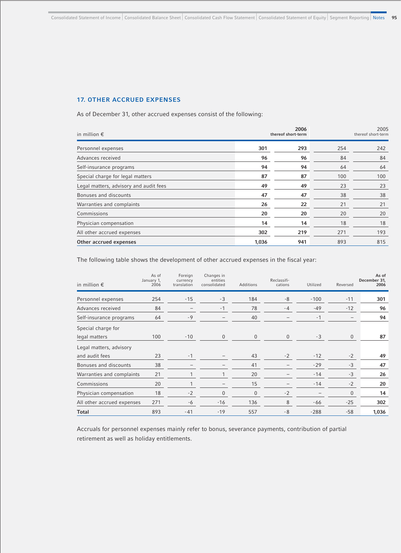# **17. OTHER ACCRUED EXPENSES**

As of December 31, other accrued expenses consist of the following:

| in million $\epsilon$                  |       | 2006<br>thereof short-term |     | 2005<br>thereof short-term |  |
|----------------------------------------|-------|----------------------------|-----|----------------------------|--|
| Personnel expenses                     | 301   | 293                        | 254 | 242                        |  |
| Advances received                      | 96    | 96                         | 84  | 84                         |  |
| Self-insurance programs                | 94    | 94                         | 64  | 64                         |  |
| Special charge for legal matters       | 87    | 87                         | 100 | 100                        |  |
| Legal matters, advisory and audit fees | 49    | 49                         | 23  | 23                         |  |
| Bonuses and discounts                  | 47    | 47                         | 38  | 38                         |  |
| Warranties and complaints              | 26    | 22                         | 21  | 21                         |  |
| Commissions                            | 20    | 20                         | 20  | 20                         |  |
| Physician compensation                 | 14    | 14                         | 18  | 18                         |  |
| All other accrued expenses             | 302   | 219                        | 271 | 193                        |  |
| Other accrued expenses                 | 1,036 | 941                        | 893 | 815                        |  |

The following table shows the development of other accrued expenses in the fiscal year:

| in million $\epsilon$      | As of<br>January 1,<br>2006 | Foreign<br>currency<br>translation | Changes in<br>entities<br>consolidated | <b>Additions</b> | Reclassifi-<br>cations | Utilized | Reversed          | As of<br>December 31.<br>2006 |
|----------------------------|-----------------------------|------------------------------------|----------------------------------------|------------------|------------------------|----------|-------------------|-------------------------------|
| Personnel expenses         | 254                         | $-15$                              | $-3$                                   | 184              | $-8$                   | $-100$   | $-11$             | 301                           |
| Advances received          | 84                          |                                    | $-1$                                   | 78               | $-4$                   | $-49$    | $-12$             | 96                            |
| Self-insurance programs    | 64                          | $-9$                               | -                                      | 40               |                        | $-1$     | $\qquad \qquad -$ | 94                            |
| Special charge for         |                             |                                    |                                        |                  |                        |          |                   |                               |
| legal matters              | 100                         | $-10$                              | $\mathbf{0}$                           | $\mathbf{0}$     | $\mathbf{0}$           | $-3$     | $\mathbf{0}$      | 87                            |
| Legal matters, advisory    |                             |                                    |                                        |                  |                        |          |                   |                               |
| and audit fees             | 23                          | $-1$                               |                                        | 43               | $-2$                   | $-12$    | $-2$              | 49                            |
| Bonuses and discounts      | 38                          |                                    |                                        | 41               |                        | $-29$    | $-3$              | 47                            |
| Warranties and complaints  | 21                          |                                    |                                        | 20               |                        | $-14$    | $-3$              | 26                            |
| Commissions                | 20                          |                                    | -                                      | 15               | $\qquad \qquad -$      | $-14$    | $-2$              | 20                            |
| Physician compensation     | 18                          | $-2$                               | $\Omega$                               | $\mathbf{0}$     | $-2$                   |          | $\Omega$          | 14                            |
| All other accrued expenses | 271                         | -6                                 | $-16$                                  | 136              | 8                      | -66      | $-25$             | 302                           |
| <b>Total</b>               | 893                         | $-41$                              | $-19$                                  | 557              | $-8$                   | $-288$   | $-58$             | 1,036                         |

Accruals for personnel expenses mainly refer to bonus, severance payments, contribution of partial retirement as well as holiday entitlements.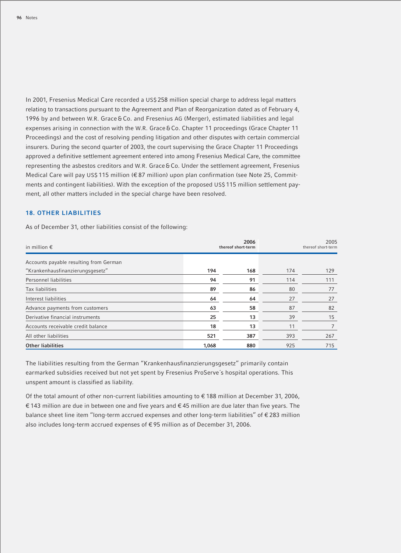In 2001, Fresenius Medical Care recorded a US\$ 258 million special charge to address legal matters relating to transactions pursuant to the Agreement and Plan of Reorganization dated as of February 4, 1996 by and between W.R. Grace & Co. and Fresenius AG (Merger), estimated liabilities and legal expenses arising in connection with the W.R. Grace & Co. Chapter 11 proceedings (Grace Chapter 11 Proceedings) and the cost of resolving pending litigation and other disputes with certain commercial insurers. During the second quarter of 2003, the court supervising the Grace Chapter 11 Proceedings approved a definitive settlement agreement entered into among Fresenius Medical Care, the committee representing the asbestos creditors and W.R. Grace & Co. Under the settlement agreement, Fresenius Medical Care will pay US\$ 115 million (€ 87 million) upon plan confirmation (see Note 25, Commitments and contingent liabilities). With the exception of the proposed US\$ 115 million settlement payment, all other matters included in the special charge have been resolved.

## **18. OTHER LIABILITIES**

As of December 31, other liabilities consist of the following:

| in million $\epsilon$                  | 2006<br>thereof short-term |     |     | 2005<br>thereof short-term |
|----------------------------------------|----------------------------|-----|-----|----------------------------|
| Accounts payable resulting from German |                            |     |     |                            |
| "Krankenhausfinanzierungsgesetz"       | 194                        | 168 | 174 | 129                        |
| Personnel liabilities                  | 94                         | 91  | 114 | 111                        |
| Tax liabilities                        | 89                         | 86  | 80  | 77                         |
| Interest liabilities                   | 64                         | 64  | 27  | 27                         |
| Advance payments from customers        | 63                         | 58  | 87  | 82                         |
| Derivative financial instruments       | 25                         | 13  | 39  | 15                         |
| Accounts receivable credit balance     | 18                         | 13  | 11  |                            |
| All other liabilities                  | 521                        | 387 | 393 | 267                        |
| <b>Other liabilities</b>               | 1,068                      | 880 | 925 | 715                        |

The liabilities resulting from the German "Krankenhausfinanzierungsgesetz" primarily contain earmarked subsidies received but not yet spent by Fresenius ProServe´s hospital operations. This unspent amount is classified as liability.

Of the total amount of other non-current liabilities amounting to € 188 million at December 31, 2006, € 143 million are due in between one and five years and € 45 million are due later than five years. The balance sheet line item "long-term accrued expenses and other long-term liabilities" of € 283 million also includes long-term accrued expenses of € 95 million as of December 31, 2006.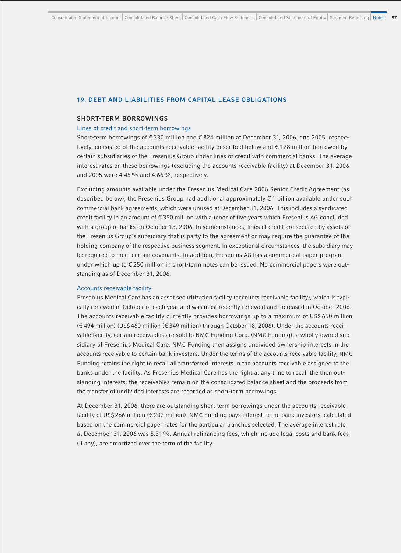### **19. DEBT AND LIABILITIES FROM CAPITAL LEASE OBLIGATIONS**

#### **SHORT-TERM BORROWINGS**

#### Lines of credit and short-term borrowings

Short-term borrowings of € 330 million and € 824 million at December 31, 2006, and 2005, respectively, consisted of the accounts receivable facility described below and € 128 million borrowed by certain subsidiaries of the Fresenius Group under lines of credit with commercial banks. The average interest rates on these borrowings (excluding the accounts receivable facility) at December 31, 2006 and 2005 were 4.45% and 4.66%, respectively.

Excluding amounts available under the Fresenius Medical Care 2006 Senior Credit Agreement (as described below), the Fresenius Group had additional approximately € 1 billion available under such commercial bank agreements, which were unused at December 31, 2006. This includes a syndicated credit facility in an amount of € 350 million with a tenor of five years which Fresenius AG concluded with a group of banks on October 13, 2006. In some instances, lines of credit are secured by assets of the Fresenius Group's subsidiary that is party to the agreement or may require the guarantee of the holding company of the respective business segment. In exceptional circumstances, the subsidiary may be required to meet certain covenants. In addition, Fresenius AG has a commercial paper program under which up to € 250 million in short-term notes can be issued. No commercial papers were outstanding as of December 31, 2006.

#### Accounts receivable facility

Fresenius Medical Care has an asset securitization facility (accounts receivable facility), which is typically renewed in October of each year and was most recently renewed and increased in October 2006. The accounts receivable facility currently provides borrowings up to a maximum of US\$ 650 million (€ 494 million) (US\$ 460 million (€ 349 million) through October 18, 2006). Under the accounts receivable facility, certain receivables are sold to NMC Funding Corp. (NMC Funding), a wholly-owned subsidiary of Fresenius Medical Care. NMC Funding then assigns undivided ownership interests in the accounts receivable to certain bank investors. Under the terms of the accounts receivable facility, NMC Funding retains the right to recall all transferred interests in the accounts receivable assigned to the banks under the facility. As Fresenius Medical Care has the right at any time to recall the then outstanding interests, the receivables remain on the consolidated balance sheet and the proceeds from the transfer of undivided interests are recorded as short-term borrowings.

At December 31, 2006, there are outstanding short-term borrowings under the accounts receivable facility of US\$ 266 million (€ 202 million). NMC Funding pays interest to the bank investors, calculated based on the commercial paper rates for the particular tranches selected. The average interest rate at December 31, 2006 was 5.31%. Annual refinancing fees, which include legal costs and bank fees (if any), are amortized over the term of the facility.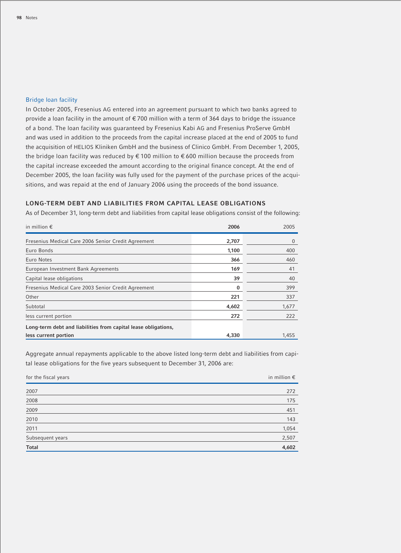## Bridge loan facility

In October 2005, Fresenius AG entered into an agreement pursuant to which two banks agreed to provide a loan facility in the amount of € 700 million with a term of 364 days to bridge the issuance of a bond. The loan facility was guaranteed by Fresenius Kabi AG and Fresenius ProServe GmbH and was used in addition to the proceeds from the capital increase placed at the end of 2005 to fund the acquisition of HELIOS Kliniken GmbH and the business of Clinico GmbH. From December 1, 2005, the bridge loan facility was reduced by € 100 million to € 600 million because the proceeds from the capital increase exceeded the amount according to the original finance concept. At the end of December 2005, the loan facility was fully used for the payment of the purchase prices of the acquisitions, and was repaid at the end of January 2006 using the proceeds of the bond issuance.

# **LONG-TERM DEBT AND LIABILITIES FROM CAPITAL LEASE OBLIGATIONS**

As of December 31, long-term debt and liabilities from capital lease obligations consist of the following:

| in million $\epsilon$                                          | 2006  | 2005  |
|----------------------------------------------------------------|-------|-------|
| Fresenius Medical Care 2006 Senior Credit Agreement            | 2.707 | 0     |
| Euro Bonds                                                     | 1,100 | 400   |
| Euro Notes                                                     | 366   | 460   |
| European Investment Bank Agreements                            | 169   | 41    |
| Capital lease obligations                                      | 39    | 40    |
| Fresenius Medical Care 2003 Senior Credit Agreement            | 0     | 399   |
| Other                                                          | 221   | 337   |
| Subtotal                                                       | 4,602 | 1,677 |
| less current portion                                           | 272   | 222   |
| Long-term debt and liabilities from capital lease obligations, |       |       |
| less current portion                                           | 4,330 | 1,455 |

Aggregate annual repayments applicable to the above listed long-term debt and liabilities from capital lease obligations for the five years subsequent to December 31, 2006 are:

| for the fiscal years | in million $\epsilon$ |
|----------------------|-----------------------|
| 2007                 | 272                   |
| 2008                 | 175                   |
| 2009                 | 451                   |
| 2010                 | 143                   |
| 2011                 | 1,054                 |
| Subsequent years     | 2,507                 |
| <b>Total</b>         | 4,602                 |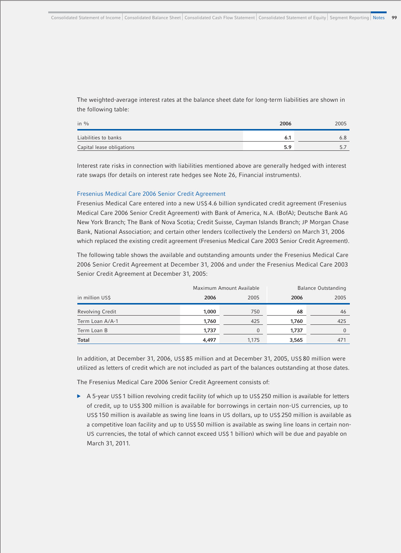The weighted-average interest rates at the balance sheet date for long-term liabilities are shown in the following table:

| in $\%$                   | 2006 | 2005 |
|---------------------------|------|------|
| Liabilities to banks      | 6.1  |      |
| Capital lease obligations | 5.9  |      |

Interest rate risks in connection with liabilities mentioned above are generally hedged with interest rate swaps (for details on interest rate hedges see Note 26, Financial instruments).

#### Fresenius Medical Care 2006 Senior Credit Agreement

Fresenius Medical Care entered into a new US\$ 4.6 billion syndicated credit agreement (Fresenius Medical Care 2006 Senior Credit Agreement) with Bank of America, N.A. (BofA); Deutsche Bank AG New York Branch; The Bank of Nova Scotia; Credit Suisse, Cayman Islands Branch; JP Morgan Chase Bank, National Association; and certain other lenders (collectively the Lenders) on March 31, 2006 which replaced the existing credit agreement (Fresenius Medical Care 2003 Senior Credit Agreement).

The following table shows the available and outstanding amounts under the Fresenius Medical Care 2006 Senior Credit Agreement at December 31, 2006 and under the Fresenius Medical Care 2003 Senior Credit Agreement at December 31, 2005:

|                         |       | Maximum Amount Available | <b>Balance Outstanding</b> |      |
|-------------------------|-------|--------------------------|----------------------------|------|
| in million US\$         | 2006  | 2005                     | 2006                       | 2005 |
| <b>Revolving Credit</b> | 1,000 | 750                      | 68                         | 46   |
| Term Loan A/A-1         | 1,760 | 425                      | 1,760                      | 425  |
| Term Loan B             | 1.737 | $\Omega$                 | 1,737                      |      |
| <b>Total</b>            | 4,497 | 1,175                    | 3,565                      | 471  |

In addition, at December 31, 2006, US\$ 85 million and at December 31, 2005, US\$ 80 million were utilized as letters of credit which are not included as part of the balances outstanding at those dates.

The Fresenius Medical Care 2006 Senior Credit Agreement consists of:

▶ A 5-year US\$ 1 billion revolving credit facility (of which up to US\$ 250 million is available for letters of credit, up to US\$ 300 million is available for borrowings in certain non-US currencies, up to US\$ 150 million is available as swing line loans in US dollars, up to US\$ 250 million is available as a competitive loan facility and up to US\$ 50 million is available as swing line loans in certain non-US currencies, the total of which cannot exceed US\$ 1 billion) which will be due and payable on March 31, 2011.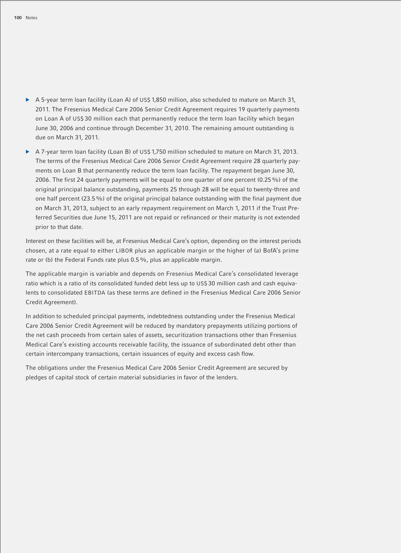- $\triangleright$  A 5-year term loan facility (Loan A) of US\$ 1.850 million, also scheduled to mature on March 31, 2011. The Fresenius Medical Care 2006 Senior Credit Agreement requires 19 quarterly payments on Loan A of US\$ 30 million each that permanently reduce the term loan facility which began June 30, 2006 and continue through December 31, 2010. The remaining amount outstanding is due on March 31, 2011.
- b A 7-year term loan facility (Loan B) of US\$ 1,750 million scheduled to mature on March 31, 2013. The terms of the Fresenius Medical Care 2006 Senior Credit Agreement require 28 quarterly payments on Loan B that permanently reduce the term loan facility. The repayment began June 30, 2006. The first 24 quarterly payments will be equal to one quarter of one percent (0.25%) of the original principal balance outstanding, payments 25 through 28 will be equal to twenty-three and one half percent (23.5%) of the original principal balance outstanding with the final payment due on March 31, 2013, subject to an early repayment requirement on March 1, 2011 if the Trust Preferred Securities due June 15, 2011 are not repaid or refinanced or their maturity is not extended prior to that date.

Interest on these facilities will be, at Fresenius Medical Care's option, depending on the interest periods chosen, at a rate equal to either LIBOR plus an applicable margin or the higher of (a) BofA's prime rate or (b) the Federal Funds rate plus 0.5%, plus an applicable margin.

The applicable margin is variable and depends on Fresenius Medical Care's consolidated leverage ratio which is a ratio of its consolidated funded debt less up to US\$ 30 million cash and cash equivalents to consolidated EBITDA (as these terms are defined in the Fresenius Medical Care 2006 Senior Credit Agreement).

In addition to scheduled principal payments, indebtedness outstanding under the Fresenius Medical Care 2006 Senior Credit Agreement will be reduced by mandatory prepayments utilizing portions of the net cash proceeds from certain sales of assets, securitization transactions other than Fresenius Medical Care's existing accounts receivable facility, the issuance of subordinated debt other than certain intercompany transactions, certain issuances of equity and excess cash flow.

The obligations under the Fresenius Medical Care 2006 Senior Credit Agreement are secured by pledges of capital stock of certain material subsidiaries in favor of the lenders.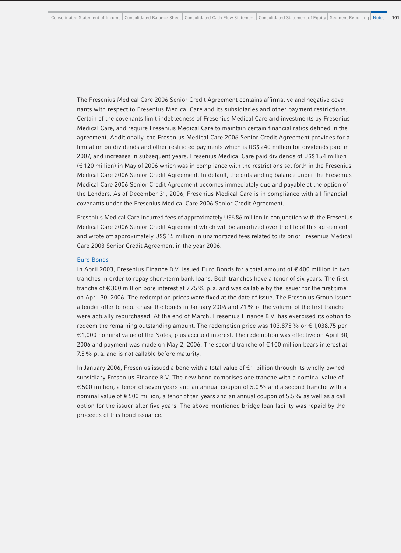The Fresenius Medical Care 2006 Senior Credit Agreement contains affirmative and negative covenants with respect to Fresenius Medical Care and its subsidiaries and other payment restrictions. Certain of the covenants limit indebtedness of Fresenius Medical Care and investments by Fresenius Medical Care, and require Fresenius Medical Care to maintain certain financial ratios defined in the agreement. Additionally, the Fresenius Medical Care 2006 Senior Credit Agreement provides for a limitation on dividends and other restricted payments which is US\$ 240 million for dividends paid in 2007, and increases in subsequent years. Fresenius Medical Care paid dividends of US\$ 154 million (€ 120 million) in May of 2006 which was in compliance with the restrictions set forth in the Fresenius Medical Care 2006 Senior Credit Agreement. In default, the outstanding balance under the Fresenius Medical Care 2006 Senior Credit Agreement becomes immediately due and payable at the option of the Lenders. As of December 31, 2006, Fresenius Medical Care is in compliance with all financial covenants under the Fresenius Medical Care 2006 Senior Credit Agreement.

Fresenius Medical Care incurred fees of approximately US\$ 86 million in conjunction with the Fresenius Medical Care 2006 Senior Credit Agreement which will be amortized over the life of this agreement and wrote off approximately US\$ 15 million in unamortized fees related to its prior Fresenius Medical Care 2003 Senior Credit Agreement in the year 2006.

#### Euro Bonds

In April 2003, Fresenius Finance B.V. issued Euro Bonds for a total amount of € 400 million in two tranches in order to repay short-term bank loans. Both tranches have a tenor of six years. The first tranche of € 300 million bore interest at 7.75% p. a. and was callable by the issuer for the first time on April 30, 2006. The redemption prices were fixed at the date of issue. The Fresenius Group issued a tender offer to repurchase the bonds in January 2006 and 71% of the volume of the first tranche were actually repurchased. At the end of March, Fresenius Finance B.V. has exercised its option to redeem the remaining outstanding amount. The redemption price was 103.875 % or €1,038.75 per € 1,000 nominal value of the Notes, plus accrued interest. The redemption was effective on April 30, 2006 and payment was made on May 2, 2006. The second tranche of € 100 million bears interest at 7.5% p. a. and is not callable before maturity.

In January 2006, Fresenius issued a bond with a total value of € 1 billion through its wholly-owned subsidiary Fresenius Finance B.V. The new bond comprises one tranche with a nominal value of € 500 million, a tenor of seven years and an annual coupon of 5.0% and a second tranche with a nominal value of € 500 million, a tenor of ten years and an annual coupon of 5.5% as well as a call option for the issuer after five years. The above mentioned bridge loan facility was repaid by the proceeds of this bond issuance.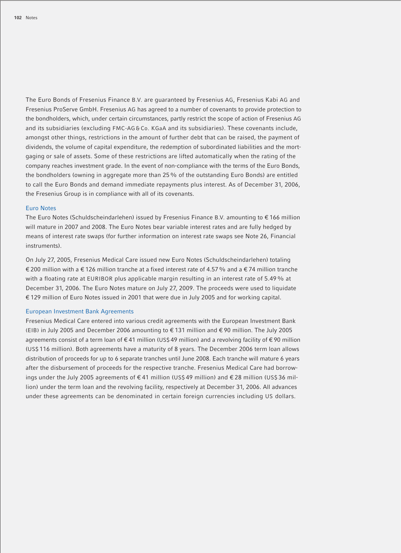The Euro Bonds of Fresenius Finance B.V. are guaranteed by Fresenius AG, Fresenius Kabi AG and Fresenius ProServe GmbH. Fresenius AG has agreed to a number of covenants to provide protection to the bondholders, which, under certain circumstances, partly restrict the scope of action of Fresenius AG and its subsidiaries (excluding FMC-AG & Co. KGaA and its subsidiaries). These covenants include, amongst other things, restrictions in the amount of further debt that can be raised, the payment of dividends, the volume of capital expenditure, the redemption of subordinated liabilities and the mortgaging or sale of assets. Some of these restrictions are lifted automatically when the rating of the company reaches investment grade. In the event of non-compliance with the terms of the Euro Bonds, the bondholders (owning in aggregate more than 25% of the outstanding Euro Bonds) are entitled to call the Euro Bonds and demand immediate repayments plus interest. As of December 31, 2006, the Fresenius Group is in compliance with all of its covenants.

#### Euro Notes

The Euro Notes (Schuldscheindarlehen) issued by Fresenius Finance B.V. amounting to € 166 million will mature in 2007 and 2008. The Euro Notes bear variable interest rates and are fully hedged by means of interest rate swaps (for further information on interest rate swaps see Note 26, Financial instruments).

On July 27, 2005, Fresenius Medical Care issued new Euro Notes (Schuldscheindarlehen) totaling € 200 million with a € 126 million tranche at a fixed interest rate of 4.57% and a € 74 million tranche with a floating rate at EURIBOR plus applicable margin resulting in an interest rate of 5.49% at December 31, 2006. The Euro Notes mature on July 27, 2009. The proceeds were used to liquidate € 129 million of Euro Notes issued in 2001 that were due in July 2005 and for working capital.

### European Investment Bank Agreements

Fresenius Medical Care entered into various credit agreements with the European Investment Bank (EIB) in July 2005 and December 2006 amounting to € 131 million and € 90 million. The July 2005 agreements consist of a term loan of € 41 million (US\$ 49 million) and a revolving facility of € 90 million (US\$ 116 million). Both agreements have a maturity of 8 years. The December 2006 term loan allows distribution of proceeds for up to 6 separate tranches until June 2008. Each tranche will mature 6 years after the disbursement of proceeds for the respective tranche. Fresenius Medical Care had borrowings under the July 2005 agreements of € 41 million (US\$ 49 million) and € 28 million (US\$ 36 million) under the term loan and the revolving facility, respectively at December 31, 2006. All advances under these agreements can be denominated in certain foreign currencies including US dollars.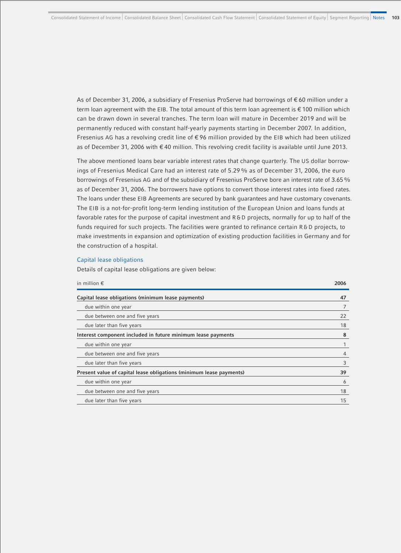As of December 31, 2006, a subsidiary of Fresenius ProServe had borrowings of € 60 million under a term loan agreement with the EIB. The total amount of this term loan agreement is € 100 million which can be drawn down in several tranches. The term loan will mature in December 2019 and will be permanently reduced with constant half-yearly payments starting in December 2007. In addition, Fresenius AG has a revolving credit line of € 96 million provided by the EIB which had been utilized as of December 31, 2006 with € 40 million. This revolving credit facility is available until June 2013.

The above mentioned loans bear variable interest rates that change quarterly. The US dollar borrowings of Fresenius Medical Care had an interest rate of 5.29% as of December 31, 2006, the euro borrowings of Fresenius AG and of the subsidiary of Fresenius ProServe bore an interest rate of 3.65% as of December 31, 2006. The borrowers have options to convert those interest rates into fixed rates. The loans under these EIB Agreements are secured by bank guarantees and have customary covenants. The EIB is a not-for-profit long-term lending institution of the European Union and loans funds at favorable rates for the purpose of capital investment and R&D projects, normally for up to half of the funds required for such projects. The facilities were granted to refinance certain R&D projects, to make investments in expansion and optimization of existing production facilities in Germany and for the construction of a hospital.

#### Capital lease obligations

Details of capital lease obligations are given below:

| in million $\epsilon$                                               | 2006           |
|---------------------------------------------------------------------|----------------|
| Capital lease obligations (minimum lease payments)                  | 47             |
| due within one year                                                 |                |
| due between one and five years                                      | 22             |
| due later than five years                                           | 18             |
| Interest component included in future minimum lease payments        | 8              |
| due within one year                                                 |                |
| due between one and five years                                      | $\overline{4}$ |
| due later than five years                                           | 3              |
| Present value of capital lease obligations (minimum lease payments) | 39             |
| due within one year                                                 | 6              |
| due between one and five years                                      | 18             |
| due later than five years                                           | 15             |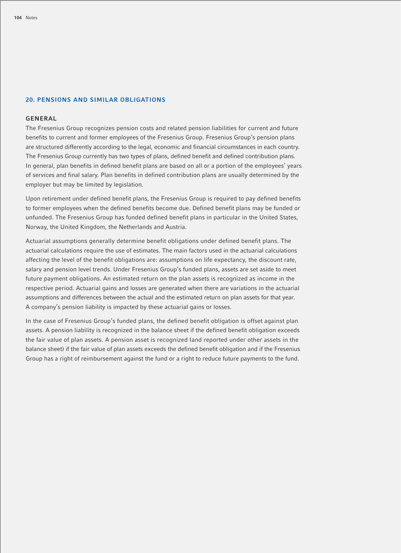### **20. PENSIONS AND SIMILAR OBLIGATIONS**

#### **GENERAL**

The Fresenius Group recognizes pension costs and related pension liabilities for current and future benefits to current and former employees of the Fresenius Group. Fresenius Group's pension plans are structured differently according to the legal, economic and financial circumstances in each country. The Fresenius Group currently has two types of plans, defined benefit and defined contribution plans. In general, plan benefits in defined benefit plans are based on all or a portion of the employees' years of services and final salary. Plan benefits in defined contribution plans are usually determined by the employer but may be limited by legislation.

Upon retirement under defined benefit plans, the Fresenius Group is required to pay defined benefits to former employees when the defined benefits become due. Defined benefit plans may be funded or unfunded. The Fresenius Group has funded defined benefit plans in particular in the United States, Norway, the United Kingdom, the Netherlands and Austria.

Actuarial assumptions generally determine benefit obligations under defined benefit plans. The actuarial calculations require the use of estimates. The main factors used in the actuarial calculations affecting the level of the benefit obligations are: assumptions on life expectancy, the discount rate, salary and pension level trends. Under Fresenius Group's funded plans, assets are set aside to meet future payment obligations. An estimated return on the plan assets is recognized as income in the respective period. Actuarial gains and losses are generated when there are variations in the actuarial assumptions and differences between the actual and the estimated return on plan assets for that year. A company's pension liability is impacted by these actuarial gains or losses.

In the case of Fresenius Group's funded plans, the defined benefit obligation is offset against plan assets. A pension liability is recognized in the balance sheet if the defined benefit obligation exceeds the fair value of plan assets. A pension asset is recognized (and reported under other assets in the balance sheet) if the fair value of plan assets exceeds the defined benefit obligation and if the Fresenius Group has a right of reimbursement against the fund or a right to reduce future payments to the fund.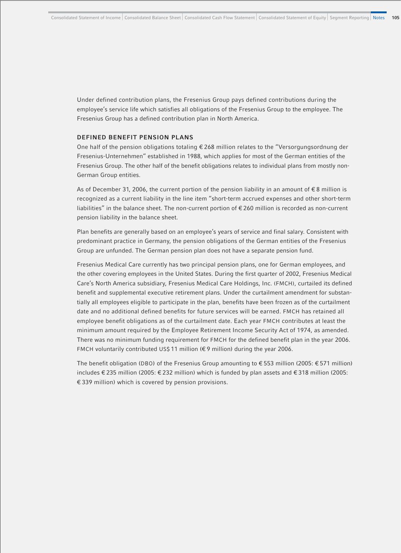Under defined contribution plans, the Fresenius Group pays defined contributions during the employee's service life which satisfies all obligations of the Fresenius Group to the employee. The Fresenius Group has a defined contribution plan in North America.

### **DEFINED BENEFIT PENSION PLANS**

One half of the pension obligations totaling € 268 million relates to the "Versorgungsordnung der Fresenius-Unternehmen" established in 1988, which applies for most of the German entities of the Fresenius Group. The other half of the benefit obligations relates to individual plans from mostly non-German Group entities.

As of December 31, 2006, the current portion of the pension liability in an amount of  $\epsilon$ 8 million is recognized as a current liability in the line item "short-term accrued expenses and other short-term liabilities" in the balance sheet. The non-current portion of € 260 million is recorded as non-current pension liability in the balance sheet.

Plan benefits are generally based on an employee's years of service and final salary. Consistent with predominant practice in Germany, the pension obligations of the German entities of the Fresenius Group are unfunded. The German pension plan does not have a separate pension fund.

Fresenius Medical Care currently has two principal pension plans, one for German employees, and the other covering employees in the United States. During the first quarter of 2002, Fresenius Medical Care's North America subsidiary, Fresenius Medical Care Holdings, Inc. (FMCH), curtailed its defined benefit and supplemental executive retirement plans. Under the curtailment amendment for substantially all employees eligible to participate in the plan, benefits have been frozen as of the curtailment date and no additional defined benefits for future services will be earned. FMCH has retained all employee benefit obligations as of the curtailment date. Each year FMCH contributes at least the minimum amount required by the Employee Retirement Income Security Act of 1974, as amended. There was no minimum funding requirement for FMCH for the defined benefit plan in the year 2006. FMCH voluntarily contributed US\$ 11 million (€ 9 million) during the year 2006.

The benefit obligation (DBO) of the Fresenius Group amounting to € 553 million (2005: € 571 million) includes € 235 million (2005: € 232 million) which is funded by plan assets and € 318 million (2005: € 339 million) which is covered by pension provisions.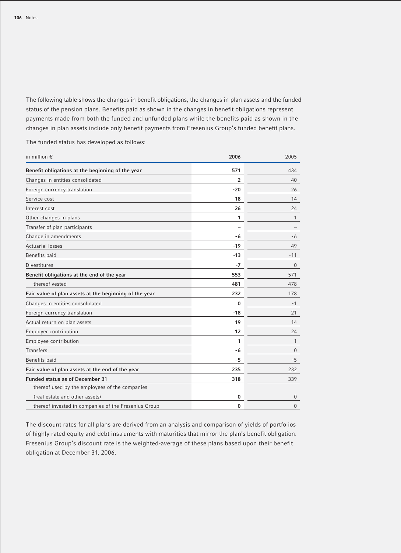The following table shows the changes in benefit obligations, the changes in plan assets and the funded status of the pension plans. Benefits paid as shown in the changes in benefit obligations represent payments made from both the funded and unfunded plans while the benefits paid as shown in the changes in plan assets include only benefit payments from Fresenius Group's funded benefit plans.

in million € **2006** 2005 **Benefit obligations at the beginning of the year 571** 434 Changes in entities consolidated **2** 40 Foreign currency translation **26** 26 Service cost **18** 14 **Interest cost** 24 **24** 24 Other changes in plans **1** 1 Transfer of plan participants **–** – Change in amendments **-6** -6 Actuarial losses **-19** 49 Benefits paid **-13** -11 Divestitures **-7** 0 **Benefit obligations at the end of the year 553** 571 thereof vested **481** 478 **Fair value of plan assets at the beginning of the year 232** 178 Changes in entities consolidated **0** -1 Foreign currency translation **-18** 21 Actual return on plan assets **19** 14 Employer contribution **12** 24 Employee contribution **1** 1 Transfers **-6** 0 Benefits paid **-5** -5 **Fair value of plan assets at the end of the year 235** 232 **Funded status as of December 31 318** 339 thereof used by the employees of the companies (real estate and other assets) **0** 0 thereof invested in companies of the Fresenius Group **0** 0

The funded status has developed as follows:

The discount rates for all plans are derived from an analysis and comparison of yields of portfolios of highly rated equity and debt instruments with maturities that mirror the plan's benefit obligation. Fresenius Group's discount rate is the weighted-average of these plans based upon their benefit obligation at December 31, 2006.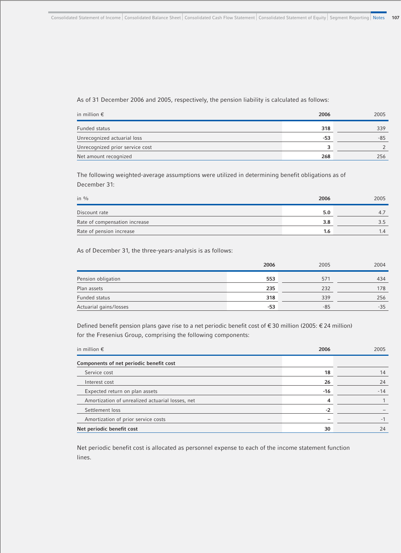## As of 31 December 2006 and 2005, respectively, the pension liability is calculated as follows:

| in million $\epsilon$           | 2006 | 2005 |
|---------------------------------|------|------|
| Funded status                   | 318  | 339  |
| Unrecognized actuarial loss     | -53  | -85  |
| Unrecognized prior service cost | ર    |      |
| Net amount recognized           | 268  | 256  |

The following weighted-average assumptions were utilized in determining benefit obligations as of December 31:

| in $\%$                       | 2006 | 2005 |
|-------------------------------|------|------|
| Discount rate                 | 5.0  |      |
| Rate of compensation increase | 3.8  |      |
| Rate of pension increase      | 1.6  | 1.4  |

As of December 31, the three-years-analysis is as follows:

|                        | 2006  | 2005  | 2004  |
|------------------------|-------|-------|-------|
| Pension obligation     | 553   | 57'   | 434   |
| Plan assets            | 235   | 232   | 178   |
| Funded status          | 318   | 339   | 256   |
| Actuarial gains/losses | $-53$ | $-85$ | $-35$ |

Defined benefit pension plans gave rise to a net periodic benefit cost of € 30 million (2005: € 24 million) for the Fresenius Group, comprising the following components:

| in million $\epsilon$                            | 2006 | 2005  |
|--------------------------------------------------|------|-------|
| Components of net periodic benefit cost          |      |       |
| Service cost                                     | 18   | 14    |
| Interest cost                                    | 26   | 24    |
| Expected return on plan assets                   | -16  | $-14$ |
| Amortization of unrealized actuarial losses, net | 4    |       |
| Settlement loss                                  | $-2$ |       |
| Amortization of prior service costs              | -    |       |
| Net periodic benefit cost                        | 30   | 24    |

Net periodic benefit cost is allocated as personnel expense to each of the income statement function lines.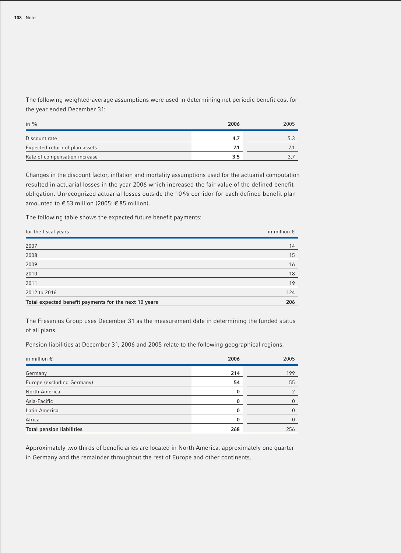The following weighted-average assumptions were used in determining net periodic benefit cost for the year ended December 31:

| in $\%$                        | 2006 | 2005 |
|--------------------------------|------|------|
| Discount rate                  | 4.7  |      |
| Expected return of plan assets | 7.1  |      |
| Rate of compensation increase  | 3.5  |      |

Changes in the discount factor, inflation and mortality assumptions used for the actuarial computation resulted in actuarial losses in the year 2006 which increased the fair value of the defined benefit obligation. Unrecognized actuarial losses outside the 10% corridor for each defined benefit plan amounted to  $\epsilon$  53 million (2005:  $\epsilon$  85 million).

The following table shows the expected future benefit payments:

| for the fiscal years                                  | in million $\epsilon$ |
|-------------------------------------------------------|-----------------------|
| 2007                                                  | 14                    |
| 2008                                                  | 15                    |
| 2009                                                  | 16                    |
| 2010                                                  | 18                    |
| 2011                                                  | 19                    |
| 2012 to 2016                                          | 124                   |
| Total expected benefit payments for the next 10 years | 206                   |

The Fresenius Group uses December 31 as the measurement date in determining the funded status of all plans.

Pension liabilities at December 31, 2006 and 2005 relate to the following geographical regions:

| in million $\epsilon$            | 2006 | 2005 |
|----------------------------------|------|------|
| Germany                          | 214  | 199  |
| Europe (excluding Germany)       | 54   | 55   |
| North America                    | 0    |      |
| Asia-Pacific                     | 0    | 0    |
| Latin America                    | 0    | 0    |
| Africa                           | 0    | U    |
| <b>Total pension liabilities</b> | 268  | 256  |

Approximately two thirds of beneficiaries are located in North America, approximately one quarter in Germany and the remainder throughout the rest of Europe and other continents.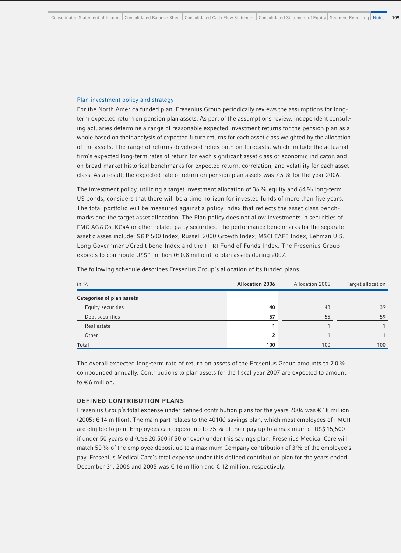## Plan investment policy and strategy

For the North America funded plan, Fresenius Group periodically reviews the assumptions for longterm expected return on pension plan assets. As part of the assumptions review, independent consulting actuaries determine a range of reasonable expected investment returns for the pension plan as a whole based on their analysis of expected future returns for each asset class weighted by the allocation of the assets. The range of returns developed relies both on forecasts, which include the actuarial firm's expected long-term rates of return for each significant asset class or economic indicator, and on broad-market historical benchmarks for expected return, correlation, and volatility for each asset class. As a result, the expected rate of return on pension plan assets was 7.5% for the year 2006.

The investment policy, utilizing a target investment allocation of 36% equity and 64% long-term US bonds, considers that there will be a time horizon for invested funds of more than five years. The total portfolio will be measured against a policy index that reflects the asset class benchmarks and the target asset allocation. The Plan policy does not allow investments in securities of FMC-AG & Co. KGaA or other related party securities. The performance benchmarks for the separate asset classes include: S&P 500 Index, Russell 2000 Growth Index, MSCI EAFE Index, Lehman U.S. Long Government/Credit bond Index and the HFRI Fund of Funds Index. The Fresenius Group expects to contribute US\$ 1 million (€ 0.8 million) to plan assets during 2007.

| in $\frac{0}{0}$          | <b>Allocation 2006</b> | Allocation 2005 | Target allocation |
|---------------------------|------------------------|-----------------|-------------------|
| Categories of plan assets |                        |                 |                   |
| Equity securities         | 40                     | 43              | 39                |
| Debt securities           | 57                     | 55              | 59                |
| Real estate               |                        |                 |                   |
| Other                     |                        |                 |                   |
| <b>Total</b>              | 100                    | 100             | 100               |

The following schedule describes Fresenius Group´s allocation of its funded plans.

The overall expected long-term rate of return on assets of the Fresenius Group amounts to 7.0% compounded annually. Contributions to plan assets for the fiscal year 2007 are expected to amount to € 6 million.

# **DEFINED CONTRIBUTION PLANS**

Fresenius Group's total expense under defined contribution plans for the years 2006 was € 18 million (2005: € 14 million). The main part relates to the 401(k) savings plan, which most employees of FMCH are eligible to join. Employees can deposit up to 75% of their pay up to a maximum of US\$ 15,500 if under 50 years old (US\$ 20,500 if 50 or over) under this savings plan. Fresenius Medical Care will match 50% of the employee deposit up to a maximum Company contribution of 3% of the employee's pay. Fresenius Medical Care's total expense under this defined contribution plan for the years ended December 31, 2006 and 2005 was € 16 million and € 12 million, respectively.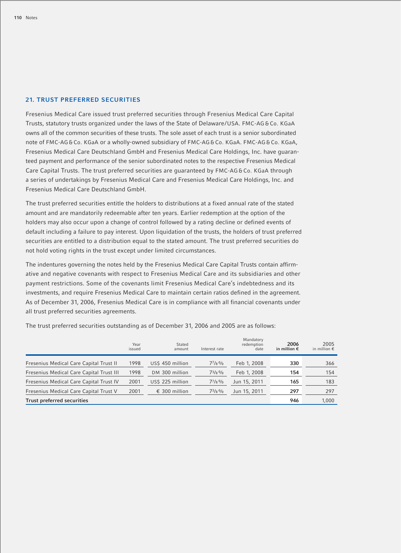# **21. TRUST PREFERRED SECURITIES**

Fresenius Medical Care issued trust preferred securities through Fresenius Medical Care Capital Trusts, statutory trusts organized under the laws of the State of Delaware/USA. FMC-AG & Co. KGaA owns all of the common securities of these trusts. The sole asset of each trust is a senior subordinated note of FMC-AG & Co. KGaA or a wholly-owned subsidiary of FMC-AG & Co. KGaA. FMC-AG & Co. KGaA, Fresenius Medical Care Deutschland GmbH and Fresenius Medical Care Holdings, Inc. have guaranteed payment and performance of the senior subordinated notes to the respective Fresenius Medical Care Capital Trusts. The trust preferred securities are quaranteed by FMC-AG & Co. KGaA through a series of undertakings by Fresenius Medical Care and Fresenius Medical Care Holdings, Inc. and Fresenius Medical Care Deutschland GmbH.

The trust preferred securities entitle the holders to distributions at a fixed annual rate of the stated amount and are mandatorily redeemable after ten years. Earlier redemption at the option of the holders may also occur upon a change of control followed by a rating decline or defined events of default including a failure to pay interest. Upon liquidation of the trusts, the holders of trust preferred securities are entitled to a distribution equal to the stated amount. The trust preferred securities do not hold voting rights in the trust except under limited circumstances.

The indentures governing the notes held by the Fresenius Medical Care Capital Trusts contain affirmative and negative covenants with respect to Fresenius Medical Care and its subsidiaries and other payment restrictions. Some of the covenants limit Fresenius Medical Care's indebtedness and its investments, and require Fresenius Medical Care to maintain certain ratios defined in the agreement. As of December 31, 2006, Fresenius Medical Care is in compliance with all financial covenants under all trust preferred securities agreements.

The trust preferred securities outstanding as of December 31, 2006 and 2005 are as follows:

|                                          | Year<br>issued | Stated<br>amount | Interest rate         | Mandatory<br>redemption<br>date | 2006<br>in million $\epsilon$ | 2005<br>in million $\epsilon$ |
|------------------------------------------|----------------|------------------|-----------------------|---------------------------------|-------------------------------|-------------------------------|
| Fresenius Medical Care Capital Trust II  | 1998           | US\$ 450 million | $7^{7}/_8\frac{0}{0}$ | Feb 1, 2008                     | 330                           | 366                           |
| Fresenius Medical Care Capital Trust III | 1998           | DM 300 million   | $7^{3}/8\%$           | Feb 1, 2008                     | 154                           | 154                           |
| Fresenius Medical Care Capital Trust IV  | 2001           | US\$ 225 million | $7^{7}/8\%$           | Jun 15, 2011                    | 165                           | 183                           |
| Fresenius Medical Care Capital Trust V   | 2001           | € 300 million    | $7^{3}/8\%$           | Jun 15, 2011                    | 297                           | 297                           |
| <b>Trust preferred securities</b>        |                |                  |                       |                                 | 946                           | 1.000                         |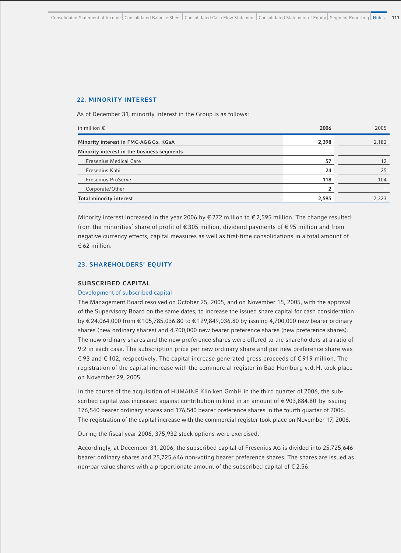## **22. MINORITY INTEREST**

As of December 31, minority interest in the Group is as follows:

| in million $\epsilon$                      | 2006  | 2005  |
|--------------------------------------------|-------|-------|
| Minority interest in FMC-AG&Co. KGaA       | 2,398 | 2,182 |
| Minority interest in the business segments |       |       |
| <b>Fresenius Medical Care</b>              | 57    | 12    |
| Fresenius Kabi                             | 24    | 25    |
| <b>Fresenius ProServe</b>                  | 118   | 104   |
| Corporate/Other                            | $-2$  |       |
| <b>Total minority interest</b>             | 2,595 | 2,323 |

Minority interest increased in the year 2006 by  $\epsilon$  272 million to  $\epsilon$  2,595 million. The change resulted from the minorities' share of profit of € 305 million, dividend payments of € 95 million and from negative currency effects, capital measures as well as first-time consolidations in a total amount of € 62 million.

## **23. SHAREHOLDERS' EQUITY**

#### **SUBSCRIBED CAPITAL**

#### Development of subscribed capital

The Management Board resolved on October 25, 2005, and on November 15, 2005, with the approval of the Supervisory Board on the same dates, to increase the issued share capital for cash consideration by € 24,064,000 from € 105,785,036.80 to € 129,849,036.80 by issuing 4,700,000 new bearer ordinary shares (new ordinary shares) and 4,700,000 new bearer preference shares (new preference shares). The new ordinary shares and the new preference shares were offered to the shareholders at a ratio of 9:2 in each case. The subscription price per new ordinary share and per new preference share was € 93 and € 102, respectively. The capital increase generated gross proceeds of € 919 million. The registration of the capital increase with the commercial register in Bad Homburg v.d.H. took place on November 29, 2005.

In the course of the acquisition of HUMAINE Kliniken GmbH in the third quarter of 2006, the subscribed capital was increased against contribution in kind in an amount of €903,884.80 by issuing 176,540 bearer ordinary shares and 176,540 bearer preference shares in the fourth quarter of 2006. The registration of the capital increase with the commercial register took place on November 17, 2006.

During the fiscal year 2006, 375,932 stock options were exercised.

Accordingly, at December 31, 2006, the subscribed capital of Fresenius AG is divided into 25,725,646 bearer ordinary shares and 25,725,646 non-voting bearer preference shares. The shares are issued as non-par value shares with a proportionate amount of the subscribed capital of € 2.56.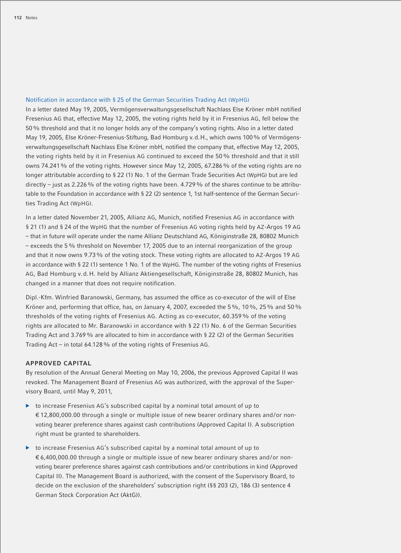## Notification in accordance with § 25 of the German Securities Trading Act (WpHG)

In a letter dated May 19, 2005, Vermögensverwaltungsgesellschaft Nachlass Else Kröner mbH notified Fresenius AG that, effective May 12, 2005, the voting rights held by it in Fresenius AG, fell below the 50% threshold and that it no longer holds any of the company's voting rights. Also in a letter dated May 19, 2005, Else Kröner-Fresenius-Stiftung, Bad Homburg v.d.H., which owns 100% of Vermögensverwaltungsgesellschaft Nachlass Else Kröner mbH, notified the company that, effective May 12, 2005, the voting rights held by it in Fresenius AG continued to exceed the 50% threshold and that it still owns 74.241% of the voting rights. However since May 12, 2005, 67.286% of the voting rights are no longer attributable according to § 22 (1) No. 1 of the German Trade Securities Act (WpHG) but are led directly – just as 2.226% of the voting rights have been. 4.729% of the shares continue to be attributable to the Foundation in accordance with § 22 (2) sentence 1, 1st half-sentence of the German Securities Trading Act (WpHG).

In a letter dated November 21, 2005, Allianz AG, Munich, notified Fresenius AG in accordance with § 21 (1) and § 24 of the WpHG that the number of Fresenius AG voting rights held by AZ-Argos 19 AG – that in future will operate under the name Allianz Deutschland AG, Königinstraße 28, 80802 Munich – exceeds the 5% threshold on November 17, 2005 due to an internal reorganization of the group and that it now owns 9.73% of the voting stock. These voting rights are allocated to AZ-Argos 19 AG in accordance with § 22 (1) sentence 1 No. 1 of the WpHG. The number of the voting rights of Fresenius AG, Bad Homburg v.d.H. held by Allianz Aktiengesellschaft, Königinstraße 28, 80802 Munich, has changed in a manner that does not require notification.

Dipl.-Kfm. Winfried Baranowski, Germany, has assumed the office as co-executor of the will of Else Kröner and, performing that office, has, on January 4, 2007, exceeded the 5%, 10%, 25% and 50% thresholds of the voting rights of Fresenius AG. Acting as co-executor, 60.359% of the voting rights are allocated to Mr. Baranowski in accordance with § 22 (1) No. 6 of the German Securities Trading Act and 3.769% are allocated to him in accordance with § 22 (2) of the German Securities Trading Act – in total 64.128% of the voting rights of Fresenius AG.

#### **APPROVED CAPITAL**

By resolution of the Annual General Meeting on May 10, 2006, the previous Approved Capital II was revoked. The Management Board of Fresenius AG was authorized, with the approval of the Supervisory Board, until May 9, 2011,

- $\triangleright$  to increase Fresenius AG's subscribed capital by a nominal total amount of up to € 12,800,000.00 through a single or multiple issue of new bearer ordinary shares and/or nonvoting bearer preference shares against cash contributions (Approved Capital I). A subscription right must be granted to shareholders.
- $\triangleright$  to increase Fresenius AG's subscribed capital by a nominal total amount of up to € 6,400,000.00 through a single or multiple issue of new bearer ordinary shares and/or nonvoting bearer preference shares against cash contributions and/or contributions in kind (Approved Capital II). The Management Board is authorized, with the consent of the Supervisory Board, to decide on the exclusion of the shareholders' subscription right (§§ 203 (2), 186 (3) sentence 4 German Stock Corporation Act (AktG)).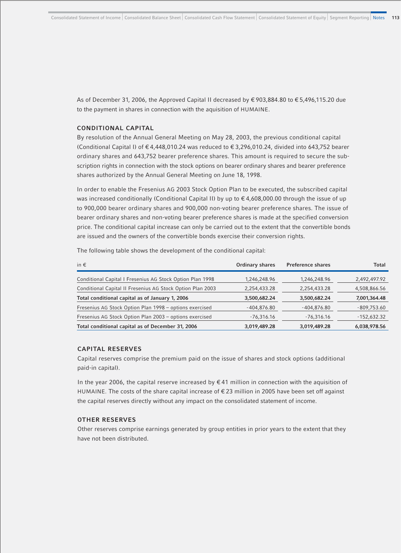As of December 31, 2006, the Approved Capital II decreased by € 903,884.80 to € 5,496,115.20 due to the payment in shares in connection with the aquisition of HUMAINE.

## **CONDITIONAL CAPITAL**

By resolution of the Annual General Meeting on May 28, 2003, the previous conditional capital (Conditional Capital I) of  $\epsilon$  4,448,010.24 was reduced to  $\epsilon$  3,296,010.24, divided into 643,752 bearer ordinary shares and 643,752 bearer preference shares. This amount is required to secure the subscription rights in connection with the stock options on bearer ordinary shares and bearer preference shares authorized by the Annual General Meeting on June 18, 1998.

In order to enable the Fresenius AG 2003 Stock Option Plan to be executed, the subscribed capital was increased conditionally (Conditional Capital II) by up to € 4,608,000.00 through the issue of up to 900,000 bearer ordinary shares and 900,000 non-voting bearer preference shares. The issue of bearer ordinary shares and non-voting bearer preference shares is made at the specified conversion price. The conditional capital increase can only be carried out to the extent that the convertible bonds are issued and the owners of the convertible bonds exercise their conversion rights.

The following table shows the development of the conditional capital:

| in $\epsilon$                                              | Ordinary shares | <b>Preference shares</b> | Total         |
|------------------------------------------------------------|-----------------|--------------------------|---------------|
| Conditional Capital I Fresenius AG Stock Option Plan 1998  | 1,246,248.96    | 1,246,248.96             | 2,492,497.92  |
| Conditional Capital II Fresenius AG Stock Option Plan 2003 | 2,254,433.28    | 2,254,433.28             | 4,508,866.56  |
| Total conditional capital as of January 1, 2006            | 3,500,682.24    | 3,500,682.24             | 7,001,364.48  |
| Fresenius AG Stock Option Plan 1998 - options exercised    | $-404,876.80$   | $-404,876.80$            | $-809,753.60$ |
| Fresenius AG Stock Option Plan 2003 - options exercised    | $-76,316.16$    | $-76,316.16$             | $-152,632.32$ |
| Total conditional capital as of December 31, 2006          | 3,019,489.28    | 3,019,489.28             | 6,038,978.56  |

# **CAPITAL RESERVES**

Capital reserves comprise the premium paid on the issue of shares and stock options (additional paid-in capital).

In the year 2006, the capital reserve increased by  $\epsilon$  41 million in connection with the aquisition of HUMAINE. The costs of the share capital increase of € 23 million in 2005 have been set off against the capital reserves directly without any impact on the consolidated statement of income.

## **OTHER RESERVES**

Other reserves comprise earnings generated by group entities in prior years to the extent that they have not been distributed.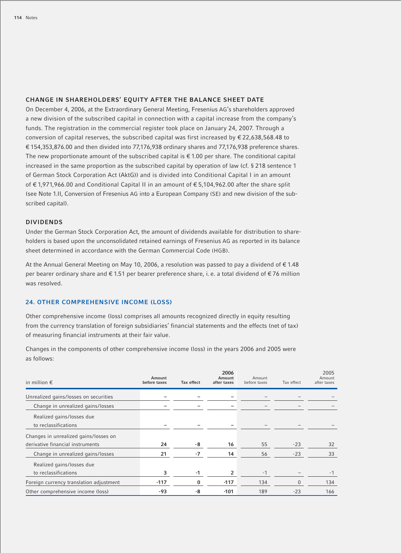# **CHANGE IN SHAREHOLDERS' EQUITY AFTER THE BALANCE SHEET DATE**

On December 4, 2006, at the Extraordinary General Meeting, Fresenius AG's shareholders approved a new division of the subscribed capital in connection with a capital increase from the company's funds. The registration in the commercial register took place on January 24, 2007. Through a conversion of capital reserves, the subscribed capital was first increased by  $\epsilon$  22,638,568.48 to € 154,353,876.00 and then divided into 77,176,938 ordinary shares and 77,176,938 preference shares. The new proportionate amount of the subscribed capital is  $\epsilon$  1.00 per share. The conditional capital increased in the same proportion as the subscribed capital by operation of law (cf. § 218 sentence 1 of German Stock Corporation Act (AktG)) and is divided into Conditional Capital I in an amount of € 1,971,966.00 and Conditional Capital II in an amount of € 5,104,962.00 after the share split (see Note 1.II, Conversion of Fresenius AG into a European Company (SE) and new division of the subscribed capital).

## **DIVIDENDS**

Under the German Stock Corporation Act, the amount of dividends available for distribution to shareholders is based upon the unconsolidated retained earnings of Fresenius AG as reported in its balance sheet determined in accordance with the German Commercial Code (HGB).

At the Annual General Meeting on May 10, 2006, a resolution was passed to pay a dividend of  $\epsilon$  1.48 per bearer ordinary share and € 1.51 per bearer preference share, i. e. a total dividend of € 76 million was resolved.

## **24. OTHER COMPREHENSIVE INCOME (LOSS)**

Other comprehensive income (loss) comprises all amounts recognized directly in equity resulting from the currency translation of foreign subsidiaries' financial statements and the effects (net of tax) of measuring financial instruments at their fair value.

Changes in the components of other comprehensive income (loss) in the years 2006 and 2005 were as follows:

| in million $\epsilon$                   | Amount<br>before taxes | Tax effect | 2006<br>Amount<br>after taxes | Amount<br>before taxes | Tax effect   | 2005<br>Amount<br>after taxes |
|-----------------------------------------|------------------------|------------|-------------------------------|------------------------|--------------|-------------------------------|
| Unrealized gains/losses on securities   |                        |            |                               |                        |              |                               |
| Change in unrealized gains/losses       |                        |            |                               |                        |              |                               |
| Realized gains/losses due               |                        |            |                               |                        |              |                               |
| to reclassifications                    |                        |            |                               |                        |              |                               |
| Changes in unrealized gains/losses on   |                        |            |                               |                        |              |                               |
| derivative financial instruments        | 24                     | -8         | 16                            | 55                     | $-23$        | 32                            |
| Change in unrealized gains/losses       | 21                     | $-7$       | 14                            | 56                     | $-23$        | 33                            |
| Realized gains/losses due               |                        |            |                               |                        |              |                               |
| to reclassifications                    | 3                      | $-1$       | 2                             | $-1$                   |              | $-1$                          |
| Foreign currency translation adjustment | $-117$                 | 0          | $-117$                        | 134                    | $\mathbf{0}$ | 134                           |
| Other comprehensive income (loss)       | -93                    | -8         | $-101$                        | 189                    | $-23$        | 166                           |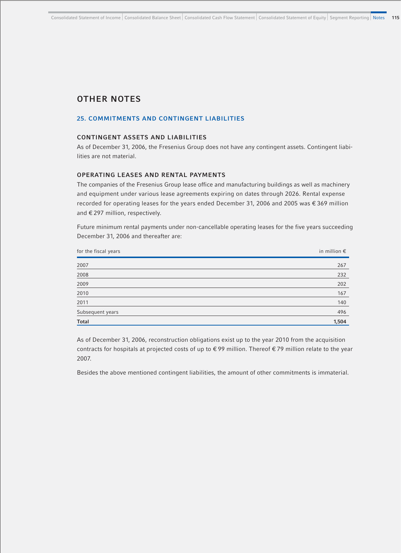# **OTHER NOTES**

# **25. COMMITMENTS AND CONTINGENT LIABILITIES**

## **CONTINGENT ASSETS AND LIABILITIES**

As of December 31, 2006, the Fresenius Group does not have any contingent assets. Contingent liabilities are not material.

#### **OPERATING LEASES AND RENTAL PAYMENTS**

The companies of the Fresenius Group lease office and manufacturing buildings as well as machinery and equipment under various lease agreements expiring on dates through 2026. Rental expense recorded for operating leases for the years ended December 31, 2006 and 2005 was € 369 million and € 297 million, respectively.

Future minimum rental payments under non-cancellable operating leases for the five years succeeding December 31, 2006 and thereafter are:

| for the fiscal years | in million $\epsilon$ |
|----------------------|-----------------------|
| 2007                 | 267                   |
| 2008                 | 232                   |
| 2009                 | 202                   |
| 2010                 | 167                   |
| 2011                 | 140                   |
| Subsequent years     | 496                   |
| <b>Total</b>         | 1,504                 |

As of December 31, 2006, reconstruction obligations exist up to the year 2010 from the acquisition contracts for hospitals at projected costs of up to € 99 million. Thereof € 79 million relate to the year 2007.

Besides the above mentioned contingent liabilities, the amount of other commitments is immaterial.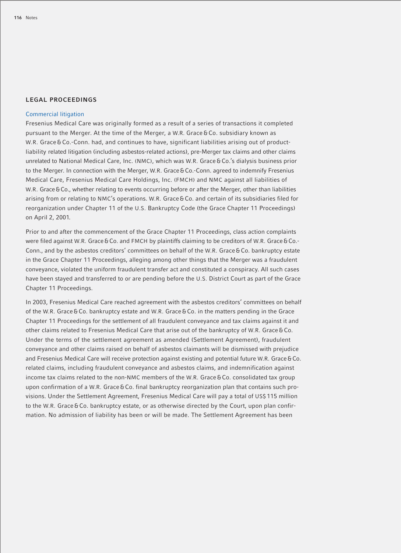## **LEGAL PROCEEDINGS**

#### Commercial litigation

Fresenius Medical Care was originally formed as a result of a series of transactions it completed pursuant to the Merger. At the time of the Merger, a W.R. Grace & Co. subsidiary known as W.R. Grace & Co.-Conn. had, and continues to have, significant liabilities arising out of productliability related litigation (including asbestos-related actions), pre-Merger tax claims and other claims unrelated to National Medical Care, Inc. (NMC), which was W.R. Grace & Co.'s dialysis business prior to the Merger. In connection with the Merger, W.R. Grace & Co.-Conn. agreed to indemnify Fresenius Medical Care, Fresenius Medical Care Holdings, Inc. (FMCH) and NMC against all liabilities of W.R. Grace & Co., whether relating to events occurring before or after the Merger, other than liabilities arising from or relating to NMC's operations. W.R. Grace & Co. and certain of its subsidiaries filed for reorganization under Chapter 11 of the U.S. Bankruptcy Code (the Grace Chapter 11 Proceedings) on April 2, 2001.

Prior to and after the commencement of the Grace Chapter 11 Proceedings, class action complaints were filed against W.R. Grace & Co. and FMCH by plaintiffs claiming to be creditors of W.R. Grace & Co.-Conn., and by the asbestos creditors' committees on behalf of the W.R. Grace & Co. bankruptcy estate in the Grace Chapter 11 Proceedings, alleging among other things that the Merger was a fraudulent conveyance, violated the uniform fraudulent transfer act and constituted a conspiracy. All such cases have been stayed and transferred to or are pending before the U.S. District Court as part of the Grace Chapter 11 Proceedings.

In 2003, Fresenius Medical Care reached agreement with the asbestos creditors' committees on behalf of the W.R. Grace & Co. bankruptcy estate and W.R. Grace & Co. in the matters pending in the Grace Chapter 11 Proceedings for the settlement of all fraudulent conveyance and tax claims against it and other claims related to Fresenius Medical Care that arise out of the bankruptcy of W.R. Grace & Co. Under the terms of the settlement agreement as amended (Settlement Agreement), fraudulent conveyance and other claims raised on behalf of asbestos claimants will be dismissed with prejudice and Fresenius Medical Care will receive protection against existing and potential future W.R. Grace & Co. related claims, including fraudulent conveyance and asbestos claims, and indemnification against income tax claims related to the non-NMC members of the W.R. Grace & Co. consolidated tax group upon confirmation of a W.R. Grace & Co. final bankruptcy reorganization plan that contains such provisions. Under the Settlement Agreement, Fresenius Medical Care will pay a total of US\$ 115 million to the W.R. Grace & Co. bankruptcy estate, or as otherwise directed by the Court, upon plan confirmation. No admission of liability has been or will be made. The Settlement Agreement has been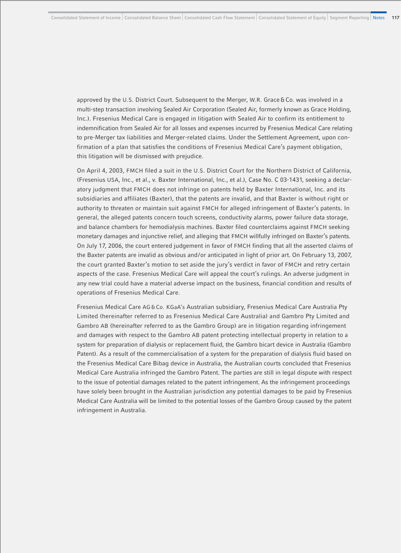approved by the U.S. District Court. Subsequent to the Merger, W.R. Grace & Co. was involved in a multi-step transaction involving Sealed Air Corporation (Sealed Air, formerly known as Grace Holding, Inc.). Fresenius Medical Care is engaged in litigation with Sealed Air to confirm its entitlement to indemnification from Sealed Air for all losses and expenses incurred by Fresenius Medical Care relating to pre-Merger tax liabilities and Merger-related claims. Under the Settlement Agreement, upon confirmation of a plan that satisfies the conditions of Fresenius Medical Care's payment obligation, this litigation will be dismissed with prejudice.

On April 4, 2003, FMCH filed a suit in the U.S. District Court for the Northern District of California, (Fresenius USA, Inc., et al., v. Baxter International, Inc., et al.), Case No. C 03-1431, seeking a declaratory judgment that FMCH does not infringe on patents held by Baxter International, Inc. and its subsidiaries and affiliates (Baxter), that the patents are invalid, and that Baxter is without right or authority to threaten or maintain suit against FMCH for alleged infringement of Baxter's patents. In general, the alleged patents concern touch screens, conductivity alarms, power failure data storage, and balance chambers for hemodialysis machines. Baxter filed counterclaims against FMCH seeking monetary damages and injunctive relief, and alleging that FMCH willfully infringed on Baxter's patents. On July 17, 2006, the court entered judgement in favor of FMCH finding that all the asserted claims of the Baxter patents are invalid as obvious and/or anticipated in light of prior art. On February 13, 2007, the court granted Baxter's motion to set aside the jury's verdict in favor of FMCH and retry certain aspects of the case. Fresenius Medical Care will appeal the court's rulings. An adverse judgment in any new trial could have a material adverse impact on the business, financial condition and results of operations of Fresenius Medical Care.

Fresenius Medical Care AG & Co. KGaA's Australian subsidiary, Fresenius Medical Care Australia Pty Limited (hereinafter referred to as Fresenius Medical Care Australia) and Gambro Pty Limited and Gambro AB (hereinafter referred to as the Gambro Group) are in litigation regarding infringement and damages with respect to the Gambro AB patent protecting intellectual property in relation to a system for preparation of dialysis or replacement fluid, the Gambro bicart device in Australia (Gambro Patent). As a result of the commercialisation of a system for the preparation of dialysis fluid based on the Fresenius Medical Care Bibag device in Australia, the Australian courts concluded that Fresenius Medical Care Australia infringed the Gambro Patent. The parties are still in legal dispute with respect to the issue of potential damages related to the patent infringement. As the infringement proceedings have solely been brought in the Australian jurisdiction any potential damages to be paid by Fresenius Medical Care Australia will be limited to the potential losses of the Gambro Group caused by the patent infringement in Australia.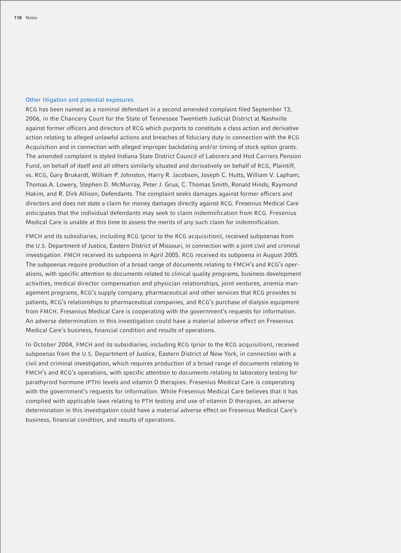#### Other litigation and potential exposures

RCG has been named as a nominal defendant in a second amended complaint filed September 13, 2006, in the Chancery Court for the State of Tennessee Twentieth Judicial District at Nashville against former officers and directors of RCG which purports to constitute a class action and derivative action relating to alleged unlawful actions and breaches of fiduciary duty in connection with the RCG Acquisition and in connection with alleged improper backdating and/or timing of stock option grants. The amended complaint is styled Indiana State District Council of Laborers and Hod Carriers Pension Fund, on behalf of itself and all others similarly situated and derivatively on behalf of RCG, Plaintiff, vs. RCG, Gary Brukardt, William P. Johnston, Harry R. Jacobson, Joseph C. Hutts, William V. Lapham, Thomas A. Lowery, Stephen D. McMurray, Peter J. Grua, C. Thomas Smith, Ronald Hinds, Raymond Hakim, and R. Dirk Allison, Defendants. The complaint seeks damages against former officers and directors and does not state a claim for money damages directly against RCG. Fresenius Medical Care anticipates that the individual defendants may seek to claim indemnification from RCG. Fresenius Medical Care is unable at this time to assess the merits of any such claim for indemnification.

FMCH and its subsidiaries, including RCG (prior to the RCG acquisition), received subpoenas from the U.S. Department of Justice, Eastern District of Missouri, in connection with a joint civil and criminal investigation. FMCH received its subpoena in April 2005. RCG received its subpoena in August 2005. The subpoenas require production of a broad range of documents relating to FMCH's and RCG's operations, with specific attention to documents related to clinical quality programs, business development activities, medical director compensation and physician relationships, joint ventures, anemia management programs, RCG's supply company, pharmaceutical and other services that RCG provides to patients, RCG's relationships to pharmaceutical companies, and RCG's purchase of dialysis equipment from FMCH. Fresenius Medical Care is cooperating with the government's requests for information. An adverse determination in this investigation could have a material adverse effect on Fresenius Medical Care's business, financial condition and results of operations.

In October 2004, FMCH and its subsidiaries, including RCG (prior to the RCG acquisition), received subpoenas from the U.S. Department of Justice, Eastern District of New York, in connection with a civil and criminal investigation, which requires production of a broad range of documents relating to FMCH's and RCG's operations, with specific attention to documents relating to laboratory testing for parathyroid hormone (PTH) levels and vitamin D therapies. Fresenius Medical Care is cooperating with the government's requests for information. While Fresenius Medical Care believes that it has complied with applicable laws relating to PTH testing and use of vitamin D therapies, an adverse determination in this investigation could have a material adverse effect on Fresenius Medical Care's business, financial condition, and results of operations.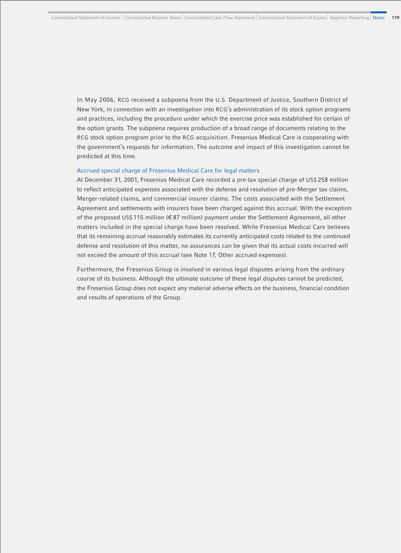In May 2006, RCG received a subpoena from the U.S. Department of Justice, Southern District of New York, in connection with an investigation into RCG's administration of its stock option programs and practices, including the procedure under which the exercise price was established for certain of the option grants. The subpoena requires production of a broad range of documents relating to the RCG stock option program prior to the RCG acquisition. Fresenius Medical Care is cooperating with the government's requests for information. The outcome and impact of this investigation cannot be predicted at this time.

#### Accrued special charge of Fresenius Medical Care for legal matters

At December 31, 2001, Fresenius Medical Care recorded a pre-tax special charge of US\$ 258 million to reflect anticipated expenses associated with the defense and resolution of pre-Merger tax claims, Merger-related claims, and commercial insurer claims. The costs associated with the Settlement Agreement and settlements with insurers have been charged against this accrual. With the exception of the proposed US\$ 115 million (€ 87 million) payment under the Settlement Agreement, all other matters included in the special charge have been resolved. While Fresenius Medical Care believes that its remaining accrual reasonably estimates its currently anticipated costs related to the continued defense and resolution of this matter, no assurances can be given that its actual costs incurred will not exceed the amount of this accrual (see Note 17, Other accrued expenses).

Furthermore, the Fresenius Group is involved in various legal disputes arising from the ordinary course of its business. Although the ultimate outcome of these legal disputes cannot be predicted, the Fresenius Group does not expect any material adverse effects on the business, financial condition and results of operations of the Group.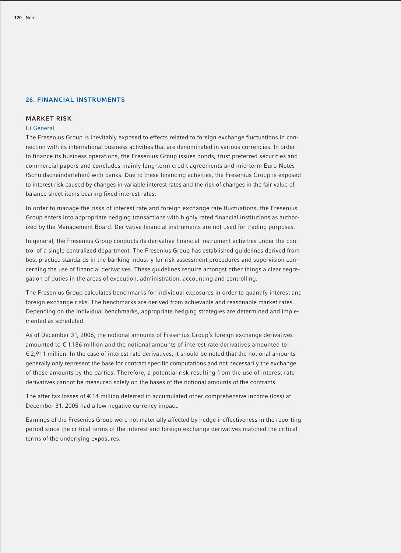#### **26. FINANCIAL INSTRUMENTS**

## **MARKET RISK**

#### I.) General

The Fresenius Group is inevitably exposed to effects related to foreign exchange fluctuations in connection with its international business activities that are denominated in various currencies. In order to finance its business operations, the Fresenius Group issues bonds, trust preferred securities and commercial papers and concludes mainly long-term credit agreements and mid-term Euro Notes (Schuldscheindarlehen) with banks. Due to these financing activities, the Fresenius Group is exposed to interest risk caused by changes in variable interest rates and the risk of changes in the fair value of balance sheet items bearing fixed interest rates.

In order to manage the risks of interest rate and foreign exchange rate fluctuations, the Fresenius Group enters into appropriate hedging transactions with highly rated financial institutions as authorized by the Management Board. Derivative financial instruments are not used for trading purposes.

In general, the Fresenius Group conducts its derivative financial instrument activities under the control of a single centralized department. The Fresenius Group has established guidelines derived from best practice standards in the banking industry for risk assessment procedures and supervision concerning the use of financial derivatives. These guidelines require amongst other things a clear segregation of duties in the areas of execution, administration, accounting and controlling.

The Fresenius Group calculates benchmarks for individual exposures in order to quantify interest and foreign exchange risks. The benchmarks are derived from achievable and reasonable market rates. Depending on the individual benchmarks, appropriate hedging strategies are determined and implemented as scheduled.

As of December 31, 2006, the notional amounts of Fresenius Group's foreign exchange derivatives amounted to € 1,186 million and the notional amounts of interest rate derivatives amounted to € 2,911 million. In the case of interest rate derivatives, it should be noted that the notional amounts generally only represent the base for contract specific computations and not necessarily the exchange of those amounts by the parties. Therefore, a potential risk resulting from the use of interest rate derivatives cannot be measured solely on the bases of the notional amounts of the contracts.

The after tax losses of  $\epsilon$  14 million deferred in accumulated other comprehensive income (loss) at December 31, 2005 had a low negative currency impact.

Earnings of the Fresenius Group were not materially affected by hedge ineffectiveness in the reporting period since the critical terms of the interest and foreign exchange derivatives matched the critical terms of the underlying exposures.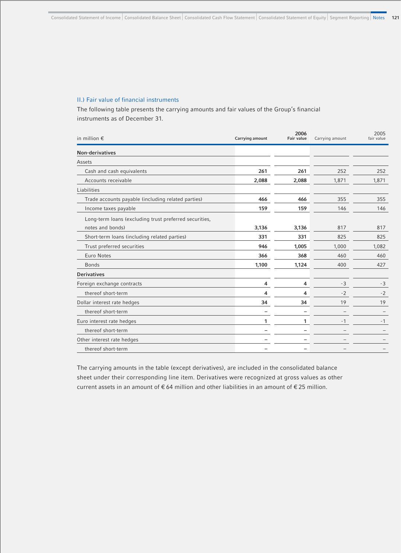# II.) Fair value of financial instruments

The following table presents the carrying amounts and fair values of the Group's financial instruments as of December 31.

| in million $\epsilon$                                  | Carrying amount | 2006<br><b>Fair value</b> | Carrying amount | 2005<br>fair value |
|--------------------------------------------------------|-----------------|---------------------------|-----------------|--------------------|
| <b>Non-derivatives</b>                                 |                 |                           |                 |                    |
| Assets                                                 |                 |                           |                 |                    |
| Cash and cash equivalents                              | 261             | 261                       | 252             | 252                |
| Accounts receivable                                    | 2,088           | 2,088                     | 1,871           | 1,871              |
| Liabilities                                            |                 |                           |                 |                    |
| Trade accounts payable (including related parties)     | 466             | 466                       | 355             | 355                |
| Income taxes payable                                   | 159             | 159                       | 146             | 146                |
| Long-term loans (excluding trust preferred securities, |                 |                           |                 |                    |
| notes and bonds)                                       | 3,136           | 3,136                     | 817             | 817                |
| Short-term loans (including related parties)           | 331             | 331                       | 825             | 825                |
| Trust preferred securities                             | 946             | 1,005                     | 1,000           | 1,082              |
| Euro Notes                                             | 366             | 368                       | 460             | 460                |
| <b>Bonds</b>                                           | 1,100           | 1,124                     | 400             | 427                |
| <b>Derivatives</b>                                     |                 |                           |                 |                    |
| Foreign exchange contracts                             | 4               | 4                         | $-3$            | -3                 |
| thereof short-term                                     | 4               | 4                         | $-2$            | $-2$               |
| Dollar interest rate hedges                            | 34              | 34                        | 19              | 19                 |
| thereof short-term                                     |                 |                           |                 |                    |
| Euro interest rate hedges                              | 1               | 1                         | $-1$            | $-1$               |
| thereof short-term                                     |                 |                           |                 |                    |
| Other interest rate hedges                             |                 |                           |                 |                    |
| thereof short-term                                     |                 |                           |                 |                    |

The carrying amounts in the table (except derivatives), are included in the consolidated balance sheet under their corresponding line item. Derivatives were recognized at gross values as other current assets in an amount of  $\epsilon$  64 million and other liabilities in an amount of  $\epsilon$  25 million.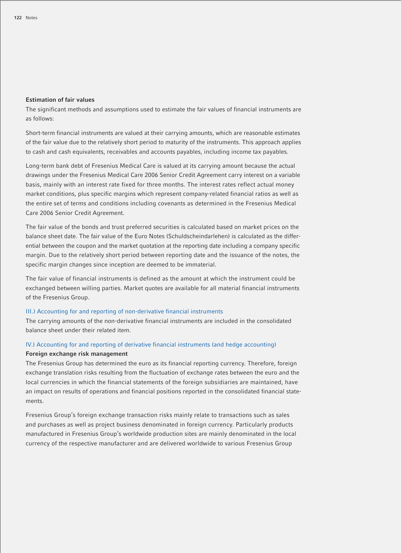#### **Estimation of fair values**

The significant methods and assumptions used to estimate the fair values of financial instruments are as follows:

Short-term financial instruments are valued at their carrying amounts, which are reasonable estimates of the fair value due to the relatively short period to maturity of the instruments. This approach applies to cash and cash equivalents, receivables and accounts payables, including income tax payables.

Long-term bank debt of Fresenius Medical Care is valued at its carrying amount because the actual drawings under the Fresenius Medical Care 2006 Senior Credit Agreement carry interest on a variable basis, mainly with an interest rate fixed for three months. The interest rates reflect actual money market conditions, plus specific margins which represent company-related financial ratios as well as the entire set of terms and conditions including covenants as determined in the Fresenius Medical Care 2006 Senior Credit Agreement.

The fair value of the bonds and trust preferred securities is calculated based on market prices on the balance sheet date. The fair value of the Euro Notes (Schuldscheindarlehen) is calculated as the differential between the coupon and the market quotation at the reporting date including a company specific margin. Due to the relatively short period between reporting date and the issuance of the notes, the specific margin changes since inception are deemed to be immaterial.

The fair value of financial instruments is defined as the amount at which the instrument could be exchanged between willing parties. Market quotes are available for all material financial instruments of the Fresenius Group.

#### III.) Accounting for and reporting of non-derivative financial instruments

The carrying amounts of the non-derivative financial instruments are included in the consolidated balance sheet under their related item.

# IV.) Accounting for and reporting of derivative financial instruments (and hedge accounting) **Foreign exchange risk management**

The Fresenius Group has determined the euro as its financial reporting currency. Therefore, foreign exchange translation risks resulting from the fluctuation of exchange rates between the euro and the local currencies in which the financial statements of the foreign subsidiaries are maintained, have an impact on results of operations and financial positions reported in the consolidated financial statements.

Fresenius Group's foreign exchange transaction risks mainly relate to transactions such as sales and purchases as well as project business denominated in foreign currency. Particularly products manufactured in Fresenius Group's worldwide production sites are mainly denominated in the local currency of the respective manufacturer and are delivered worldwide to various Fresenius Group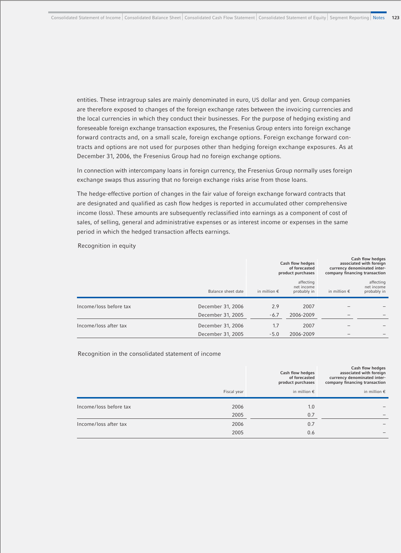entities. These intragroup sales are mainly denominated in euro, US dollar and yen. Group companies are therefore exposed to changes of the foreign exchange rates between the invoicing currencies and the local currencies in which they conduct their businesses. For the purpose of hedging existing and foreseeable foreign exchange transaction exposures, the Fresenius Group enters into foreign exchange forward contracts and, on a small scale, foreign exchange options. Foreign exchange forward contracts and options are not used for purposes other than hedging foreign exchange exposures. As at December 31, 2006, the Fresenius Group had no foreign exchange options.

In connection with intercompany loans in foreign currency, the Fresenius Group normally uses foreign exchange swaps thus assuring that no foreign exchange risks arise from those loans.

The hedge-effective portion of changes in the fair value of foreign exchange forward contracts that are designated and qualified as cash flow hedges is reported in accumulated other comprehensive income (loss). These amounts are subsequently reclassified into earnings as a component of cost of sales, of selling, general and administrative expenses or as interest income or expenses in the same period in which the hedged transaction affects earnings.

Recognition in equity

|                        |                    |                       | Cash flow hedges<br>of forecasted<br>product purchases |                       | Cash flow hedges<br>associated with foreign<br>currency denominated inter-<br>company financing transaction |
|------------------------|--------------------|-----------------------|--------------------------------------------------------|-----------------------|-------------------------------------------------------------------------------------------------------------|
|                        | Balance sheet date | in million $\epsilon$ | affecting<br>net income<br>probably in                 | in million $\epsilon$ | affecting<br>net income<br>probably in                                                                      |
| Income/loss before tax | December 31, 2006  | 2.9                   | 2007                                                   |                       |                                                                                                             |
|                        | December 31, 2005  | $-6.7$                | 2006-2009                                              |                       |                                                                                                             |
| Income/loss after tax  | December 31, 2006  | 1.7                   | 2007                                                   |                       |                                                                                                             |
|                        | December 31, 2005  | $-5.0$                | 2006-2009                                              |                       |                                                                                                             |

Recognition in the consolidated statement of income

|                        |              | Cash flow hedges<br>of forecasted<br>product purchases | Cash flow hedges<br>associated with foreign<br>currency denominated inter-<br>company financing transaction |
|------------------------|--------------|--------------------------------------------------------|-------------------------------------------------------------------------------------------------------------|
|                        | Fiscal year  | in million $\epsilon$                                  | in million $\epsilon$                                                                                       |
| Income/loss before tax | 2006<br>2005 | 1.0<br>0.7                                             |                                                                                                             |
| Income/loss after tax  | 2006<br>2005 | 0.7<br>0.6                                             |                                                                                                             |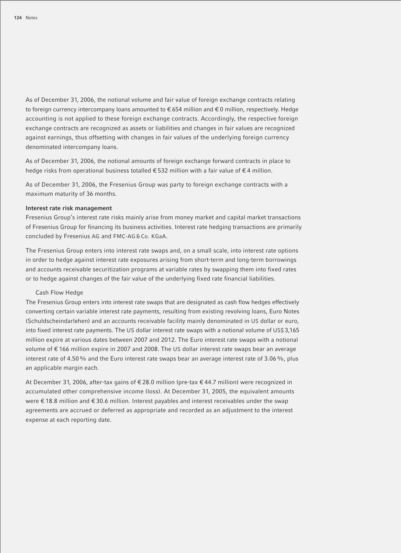As of December 31, 2006, the notional volume and fair value of foreign exchange contracts relating to foreign currency intercompany loans amounted to €654 million and €0 million, respectively. Hedge accounting is not applied to these foreign exchange contracts. Accordingly, the respective foreign exchange contracts are recognized as assets or liabilities and changes in fair values are recognized against earnings, thus offsetting with changes in fair values of the underlying foreign currency denominated intercompany loans.

As of December 31, 2006, the notional amounts of foreign exchange forward contracts in place to hedge risks from operational business totalled  $\epsilon$  532 million with a fair value of  $\epsilon$  4 million.

As of December 31, 2006, the Fresenius Group was party to foreign exchange contracts with a maximum maturity of 36 months.

### **Interest rate risk management**

Fresenius Group's interest rate risks mainly arise from money market and capital market transactions of Fresenius Group for financing its business activities. Interest rate hedging transactions are primarily concluded by Fresenius AG and FMC-AG & Co. KGaA.

The Fresenius Group enters into interest rate swaps and, on a small scale, into interest rate options in order to hedge against interest rate exposures arising from short-term and long-term borrowings and accounts receivable securitization programs at variable rates by swapping them into fixed rates or to hedge against changes of the fair value of the underlying fixed rate financial liabilities.

### Cash Flow Hedge

The Fresenius Group enters into interest rate swaps that are designated as cash flow hedges effectively converting certain variable interest rate payments, resulting from existing revolving loans, Euro Notes (Schuldscheindarlehen) and an accounts receivable facility mainly denominated in US dollar or euro, into fixed interest rate payments. The US dollar interest rate swaps with a notional volume of US\$ 3,165 million expire at various dates between 2007 and 2012. The Euro interest rate swaps with a notional volume of € 166 million expire in 2007 and 2008. The US dollar interest rate swaps bear an average interest rate of 4.50% and the Euro interest rate swaps bear an average interest rate of 3.06%, plus an applicable margin each.

At December 31, 2006, after-tax gains of € 28.0 million (pre-tax € 44.7 million) were recognized in accumulated other comprehensive income (loss). At December 31, 2005, the equivalent amounts were €18.8 million and €30.6 million. Interest payables and interest receivables under the swap agreements are accrued or deferred as appropriate and recorded as an adjustment to the interest expense at each reporting date.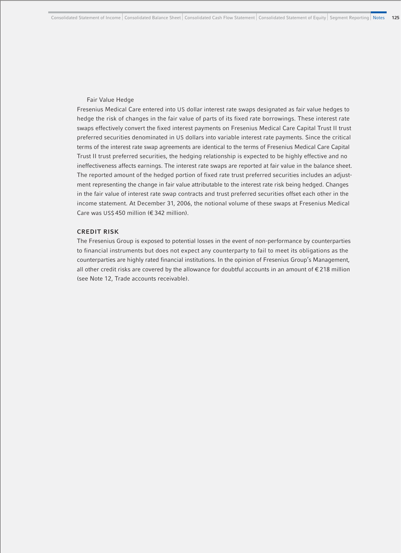#### Fair Value Hedge

Fresenius Medical Care entered into US dollar interest rate swaps designated as fair value hedges to hedge the risk of changes in the fair value of parts of its fixed rate borrowings. These interest rate swaps effectively convert the fixed interest payments on Fresenius Medical Care Capital Trust II trust preferred securities denominated in US dollars into variable interest rate payments. Since the critical terms of the interest rate swap agreements are identical to the terms of Fresenius Medical Care Capital Trust II trust preferred securities, the hedging relationship is expected to be highly effective and no ineffectiveness affects earnings. The interest rate swaps are reported at fair value in the balance sheet. The reported amount of the hedged portion of fixed rate trust preferred securities includes an adjustment representing the change in fair value attributable to the interest rate risk being hedged. Changes in the fair value of interest rate swap contracts and trust preferred securities offset each other in the income statement. At December 31, 2006, the notional volume of these swaps at Fresenius Medical Care was US\$ 450 million (€ 342 million).

# **CREDIT RISK**

The Fresenius Group is exposed to potential losses in the event of non-performance by counterparties to financial instruments but does not expect any counterparty to fail to meet its obligations as the counterparties are highly rated financial institutions. In the opinion of Fresenius Group's Management, all other credit risks are covered by the allowance for doubtful accounts in an amount of € 218 million (see Note 12, Trade accounts receivable).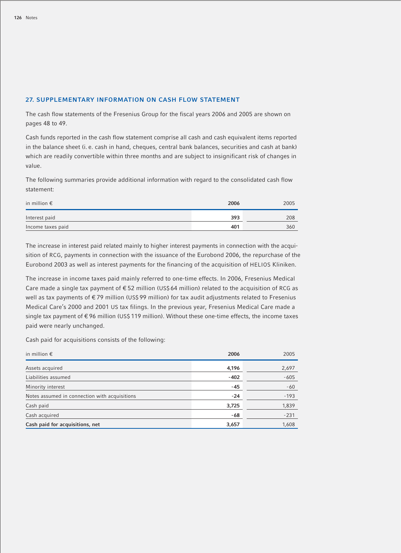## **27. SUPPLEMENTARY INFORMATION ON CASH FLOW STATEMENT**

The cash flow statements of the Fresenius Group for the fiscal years 2006 and 2005 are shown on pages 48 to 49.

Cash funds reported in the cash flow statement comprise all cash and cash equivalent items reported in the balance sheet (i. e. cash in hand, cheques, central bank balances, securities and cash at bank) which are readily convertible within three months and are subject to insignificant risk of changes in value.

The following summaries provide additional information with regard to the consolidated cash flow statement:

| in million $\epsilon$ | 2006 | 2005 |
|-----------------------|------|------|
| Interest paid         | 393  | 208  |
| Income taxes paid     | 401  | 360  |

The increase in interest paid related mainly to higher interest payments in connection with the acquisition of RCG, payments in connection with the issuance of the Eurobond 2006, the repurchase of the Eurobond 2003 as well as interest payments for the financing of the acquisition of HELIOS Kliniken.

The increase in income taxes paid mainly referred to one-time effects. In 2006, Fresenius Medical Care made a single tax payment of € 52 million (US\$ 64 million) related to the acquisition of RCG as well as tax payments of €79 million (US\$99 million) for tax audit adjustments related to Fresenius Medical Care's 2000 and 2001 US tax filings. In the previous year, Fresenius Medical Care made a single tax payment of € 96 million (US\$ 119 million). Without these one-time effects, the income taxes paid were nearly unchanged.

Cash paid for acquisitions consists of the following:

| in million $\epsilon$                         | 2006   | 2005   |
|-----------------------------------------------|--------|--------|
| Assets acquired                               | 4,196  | 2,697  |
| Liabilities assumed                           | $-402$ | $-605$ |
| Minority interest                             | $-45$  | $-60$  |
| Notes assumed in connection with acquisitions | $-24$  | $-193$ |
| Cash paid                                     | 3,725  | 1,839  |
| Cash acquired                                 | -68    | $-231$ |
| Cash paid for acquisitions, net               | 3,657  | 1,608  |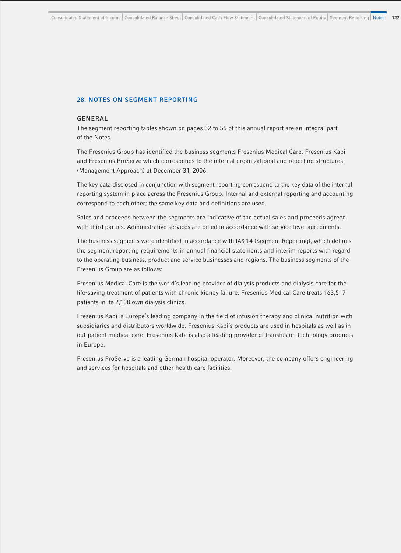## **28. NOTES ON SEGMENT REPORTING**

### **GENERAL**

The segment reporting tables shown on pages 52 to 55 of this annual report are an integral part of the Notes.

The Fresenius Group has identified the business segments Fresenius Medical Care, Fresenius Kabi and Fresenius ProServe which corresponds to the internal organizational and reporting structures (Management Approach) at December 31, 2006.

The key data disclosed in conjunction with segment reporting correspond to the key data of the internal reporting system in place across the Fresenius Group. Internal and external reporting and accounting correspond to each other; the same key data and definitions are used.

Sales and proceeds between the segments are indicative of the actual sales and proceeds agreed with third parties. Administrative services are billed in accordance with service level agreements.

The business segments were identified in accordance with IAS 14 (Segment Reporting), which defines the segment reporting requirements in annual financial statements and interim reports with regard to the operating business, product and service businesses and regions. The business segments of the Fresenius Group are as follows:

Fresenius Medical Care is the world's leading provider of dialysis products and dialysis care for the life-saving treatment of patients with chronic kidney failure. Fresenius Medical Care treats 163,517 patients in its 2,108 own dialysis clinics.

Fresenius Kabi is Europe's leading company in the field of infusion therapy and clinical nutrition with subsidiaries and distributors worldwide. Fresenius Kabi's products are used in hospitals as well as in out-patient medical care. Fresenius Kabi is also a leading provider of transfusion technology products in Europe.

Fresenius ProServe is a leading German hospital operator. Moreover, the company offers engineering and services for hospitals and other health care facilities.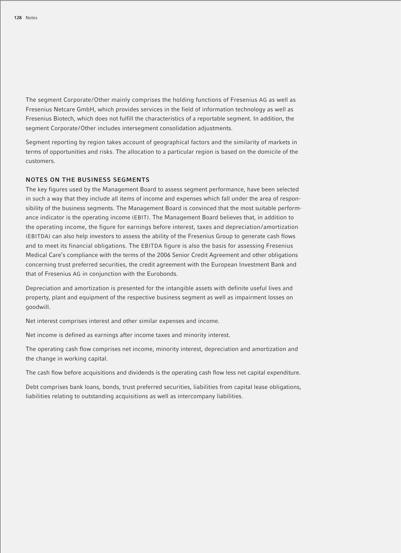The segment Corporate/Other mainly comprises the holding functions of Fresenius AG as well as Fresenius Netcare GmbH, which provides services in the field of information technology as well as Fresenius Biotech, which does not fulfill the characteristics of a reportable segment. In addition, the segment Corporate/Other includes intersegment consolidation adjustments.

Segment reporting by region takes account of geographical factors and the similarity of markets in terms of opportunities and risks. The allocation to a particular region is based on the domicile of the customers.

# **NOTES ON THE BUSINESS SEGMENTS**

The key figures used by the Management Board to assess segment performance, have been selected in such a way that they include all items of income and expenses which fall under the area of responsibility of the business segments. The Management Board is convinced that the most suitable performance indicator is the operating income (EBIT). The Management Board believes that, in addition to the operating income, the figure for earnings before interest, taxes and depreciation/amortization (EBITDA) can also help investors to assess the ability of the Fresenius Group to generate cash flows and to meet its financial obligations. The EBITDA figure is also the basis for assessing Fresenius Medical Care's compliance with the terms of the 2006 Senior Credit Agreement and other obligations concerning trust preferred securities, the credit agreement with the European Investment Bank and that of Fresenius AG in conjunction with the Eurobonds.

Depreciation and amortization is presented for the intangible assets with definite useful lives and property, plant and equipment of the respective business segment as well as impairment losses on goodwill.

Net interest comprises interest and other similar expenses and income.

Net income is defined as earnings after income taxes and minority interest.

The operating cash flow comprises net income, minority interest, depreciation and amortization and the change in working capital.

The cash flow before acquisitions and dividends is the operating cash flow less net capital expenditure.

Debt comprises bank loans, bonds, trust preferred securities, liabilities from capital lease obligations, liabilities relating to outstanding acquisitions as well as intercompany liabilities.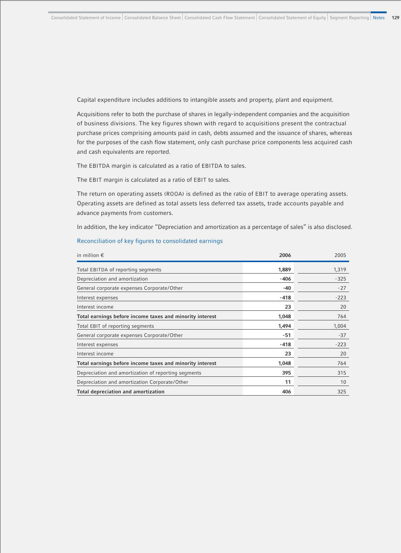Capital expenditure includes additions to intangible assets and property, plant and equipment.

Acquisitions refer to both the purchase of shares in legally-independent companies and the acquisition of business divisions. The key figures shown with regard to acquisitions present the contractual purchase prices comprising amounts paid in cash, debts assumed and the issuance of shares, whereas for the purposes of the cash flow statement, only cash purchase price components less acquired cash and cash equivalents are reported.

The EBITDA margin is calculated as a ratio of EBITDA to sales.

The EBIT margin is calculated as a ratio of EBIT to sales.

The return on operating assets (ROOA) is defined as the ratio of EBIT to average operating assets. Operating assets are defined as total assets less deferred tax assets, trade accounts payable and advance payments from customers.

In addition, the key indicator "Depreciation and amortization as a percentage of sales" is also disclosed.

| in million $\epsilon$                                    | 2006   | 2005   |
|----------------------------------------------------------|--------|--------|
| Total EBITDA of reporting segments                       | 1,889  | 1,319  |
| Depreciation and amortization                            | $-406$ | $-325$ |
| General corporate expenses Corporate/Other               | $-40$  | $-27$  |
| Interest expenses                                        | $-418$ | $-223$ |
| Interest income                                          | 23     | 20     |
| Total earnings before income taxes and minority interest | 1,048  | 764    |
| Total EBIT of reporting segments                         | 1,494  | 1,004  |
| General corporate expenses Corporate/Other               | $-51$  | $-37$  |
| Interest expenses                                        | $-418$ | $-223$ |
| Interest income                                          | 23     | 20     |
| Total earnings before income taxes and minority interest | 1,048  | 764    |
| Depreciation and amortization of reporting segments      | 395    | 315    |
| Depreciation and amortization Corporate/Other            | 11     | 10     |
| <b>Total depreciation and amortization</b>               | 406    | 325    |

### Reconciliation of key figures to consolidated earnings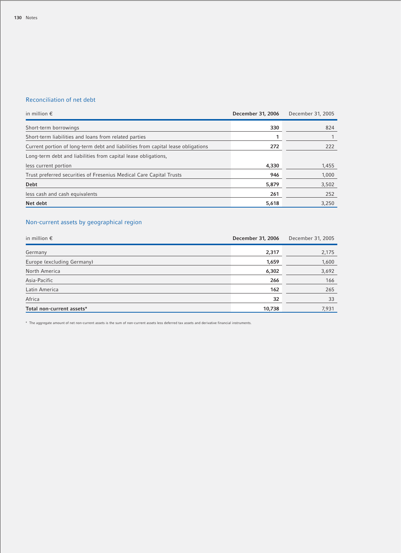# Reconciliation of net debt

| in million $\epsilon$                                                            | December 31, 2006 | December 31, 2005 |
|----------------------------------------------------------------------------------|-------------------|-------------------|
| Short-term borrowings                                                            | 330               | 824               |
| Short-term liabilities and loans from related parties                            |                   |                   |
| Current portion of long-term debt and liabilities from capital lease obligations | 272               | 222               |
| Long-term debt and liabilities from capital lease obligations,                   |                   |                   |
| less current portion                                                             | 4,330             | 1,455             |
| Trust preferred securities of Fresenius Medical Care Capital Trusts              | 946               | 1,000             |
| <b>Debt</b>                                                                      | 5,879             | 3,502             |
| less cash and cash equivalents                                                   | 261               | 252               |
| Net debt                                                                         | 5,618             | 3,250             |

# Non-current assets by geographical region

| in million $\epsilon$      | December 31, 2006 | December 31, 2005 |
|----------------------------|-------------------|-------------------|
| Germany                    | 2,317             | 2,175             |
| Europe (excluding Germany) | 1,659             | 1,600             |
| North America              | 6,302             | 3,692             |
| Asia-Pacific               | 266               | 166               |
| Latin America              | 162               | 265               |
| Africa                     | 32                | 33                |
| Total non-current assets*  | 10,738            | 7,931             |

\* The aggregate amount of net non-current assets is the sum of non-current assets less deferred tax assets and derivative financial instruments.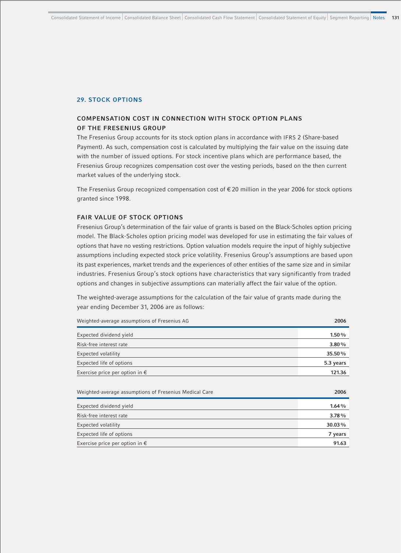## **29. STOCK OPTIONS**

# **COMPENSATION COST IN CONNECTION WITH STOCK OPTION PLANS OF THE FRESENIUS GROUP**

The Fresenius Group accounts for its stock option plans in accordance with IFRS 2 (Share-based Payment). As such, compensation cost is calculated by multiplying the fair value on the issuing date with the number of issued options. For stock incentive plans which are performance based, the Fresenius Group recognizes compensation cost over the vesting periods, based on the then current market values of the underlying stock.

The Fresenius Group recognized compensation cost of  $\epsilon$  20 million in the year 2006 for stock options granted since 1998.

#### **FAIR VALUE OF STOCK OPTIONS**

Fresenius Group's determination of the fair value of grants is based on the Black-Scholes option pricing model. The Black-Scholes option pricing model was developed for use in estimating the fair values of options that have no vesting restrictions. Option valuation models require the input of highly subjective assumptions including expected stock price volatility. Fresenius Group's assumptions are based upon its past experiences, market trends and the experiences of other entities of the same size and in similar industries. Fresenius Group's stock options have characteristics that vary significantly from traded options and changes in subjective assumptions can materially affect the fair value of the option.

The weighted-average assumptions for the calculation of the fair value of grants made during the year ending December 31, 2006 are as follows:

| Weighted-average assumptions of Fresenius AG           | 2006      |
|--------------------------------------------------------|-----------|
| Expected dividend yield                                | 1.50%     |
| Risk-free interest rate                                | 3.80%     |
| Expected volatility                                    | 35.50%    |
| Expected life of options                               | 5.3 years |
| Exercise price per option in $\epsilon$                | 121.36    |
|                                                        |           |
| Weighted-average assumptions of Fresenius Medical Care | 2006      |
| Expected dividend yield                                | 1.64%     |
| Risk-free interest rate                                | 3.78%     |
| Expected volatility                                    | 30.03%    |
| Expected life of options                               | 7 years   |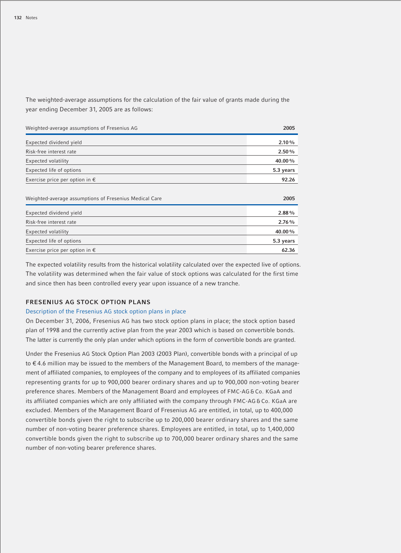The weighted-average assumptions for the calculation of the fair value of grants made during the year ending December 31, 2005 are as follows:

| Weighted-average assumptions of Fresenius AG           | 2005      |
|--------------------------------------------------------|-----------|
| Expected dividend yield                                | 2.10%     |
| Risk-free interest rate                                | 2.50%     |
| <b>Expected volatility</b>                             | 40.00%    |
| Expected life of options                               | 5.3 years |
| Exercise price per option in $\epsilon$                | 92.26     |
|                                                        |           |
| Weighted-average assumptions of Fresenius Medical Care | 2005      |
| Expected dividend yield                                | 2.88%     |
| Risk-free interest rate                                | 2.76%     |
| Expected volatility                                    | 40.00%    |
| Expected life of options                               | 5.3 years |
| Exercise price per option in $\epsilon$                | 62.36     |

The expected volatility results from the historical volatility calculated over the expected live of options. The volatility was determined when the fair value of stock options was calculated for the first time and since then has been controlled every year upon issuance of a new tranche.

# **FRESENIUS AG STOCK OPTION PLANS**

#### Description of the Fresenius AG stock option plans in place

On December 31, 2006, Fresenius AG has two stock option plans in place; the stock option based plan of 1998 and the currently active plan from the year 2003 which is based on convertible bonds. The latter is currently the only plan under which options in the form of convertible bonds are granted.

Under the Fresenius AG Stock Option Plan 2003 (2003 Plan), convertible bonds with a principal of up to € 4.6 million may be issued to the members of the Management Board, to members of the management of affiliated companies, to employees of the company and to employees of its affiliated companies representing grants for up to 900,000 bearer ordinary shares and up to 900,000 non-voting bearer preference shares. Members of the Management Board and employees of FMC-AG & Co. KGaA and its affiliated companies which are only affiliated with the company through FMC-AG & Co. KGaA are excluded. Members of the Management Board of Fresenius AG are entitled, in total, up to 400,000 convertible bonds given the right to subscribe up to 200,000 bearer ordinary shares and the same number of non-voting bearer preference shares. Employees are entitled, in total, up to 1,400,000 convertible bonds given the right to subscribe up to 700,000 bearer ordinary shares and the same number of non-voting bearer preference shares.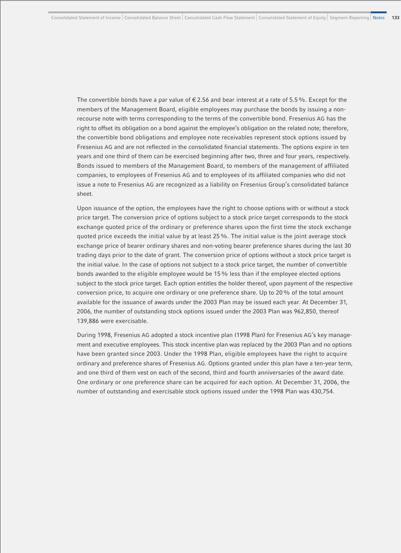The convertible bonds have a par value of  $\epsilon$  2.56 and bear interest at a rate of 5.5%. Except for the members of the Management Board, eligible employees may purchase the bonds by issuing a nonrecourse note with terms corresponding to the terms of the convertible bond. Fresenius AG has the right to offset its obligation on a bond against the employee's obligation on the related note; therefore, the convertible bond obligations and employee note receivables represent stock options issued by Fresenius AG and are not reflected in the consolidated financial statements. The options expire in ten years and one third of them can be exercised beginning after two, three and four years, respectively. Bonds issued to members of the Management Board, to members of the management of affiliated companies, to employees of Fresenius AG and to employees of its affiliated companies who did not issue a note to Fresenius AG are recognized as a liability on Fresenius Group's consolidated balance sheet.

Upon issuance of the option, the employees have the right to choose options with or without a stock price target. The conversion price of options subject to a stock price target corresponds to the stock exchange quoted price of the ordinary or preference shares upon the first time the stock exchange quoted price exceeds the initial value by at least 25%. The initial value is the joint average stock exchange price of bearer ordinary shares and non-voting bearer preference shares during the last 30 trading days prior to the date of grant. The conversion price of options without a stock price target is the initial value. In the case of options not subject to a stock price target, the number of convertible bonds awarded to the eligible employee would be 15% less than if the employee elected options subject to the stock price target. Each option entitles the holder thereof, upon payment of the respective conversion price, to acquire one ordinary or one preference share. Up to 20% of the total amount available for the issuance of awards under the 2003 Plan may be issued each year. At December 31, 2006, the number of outstanding stock options issued under the 2003 Plan was 962,850, thereof 139,886 were exercisable.

During 1998, Fresenius AG adopted a stock incentive plan (1998 Plan) for Fresenius AG's key management and executive employees. This stock incentive plan was replaced by the 2003 Plan and no options have been granted since 2003. Under the 1998 Plan, eligible employees have the right to acquire ordinary and preference shares of Fresenius AG. Options granted under this plan have a ten-year term, and one third of them vest on each of the second, third and fourth anniversaries of the award date. One ordinary or one preference share can be acquired for each option. At December 31, 2006, the number of outstanding and exercisable stock options issued under the 1998 Plan was 430,754.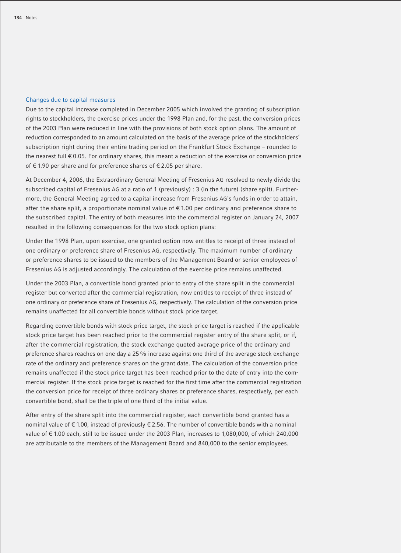## Changes due to capital measures

Due to the capital increase completed in December 2005 which involved the granting of subscription rights to stockholders, the exercise prices under the 1998 Plan and, for the past, the conversion prices of the 2003 Plan were reduced in line with the provisions of both stock option plans. The amount of reduction corresponded to an amount calculated on the basis of the average price of the stockholders' subscription right during their entire trading period on the Frankfurt Stock Exchange – rounded to the nearest full € 0.05. For ordinary shares, this meant a reduction of the exercise or conversion price of € 1.90 per share and for preference shares of € 2.05 per share.

At December 4, 2006, the Extraordinary General Meeting of Fresenius AG resolved to newly divide the subscribed capital of Fresenius AG at a ratio of 1 (previously) : 3 (in the future) (share split). Furthermore, the General Meeting agreed to a capital increase from Fresenius AG's funds in order to attain, after the share split, a proportionate nominal value of € 1.00 per ordinary and preference share to the subscribed capital. The entry of both measures into the commercial register on January 24, 2007 resulted in the following consequences for the two stock option plans:

Under the 1998 Plan, upon exercise, one granted option now entitles to receipt of three instead of one ordinary or preference share of Fresenius AG, respectively. The maximum number of ordinary or preference shares to be issued to the members of the Management Board or senior employees of Fresenius AG is adjusted accordingly. The calculation of the exercise price remains unaffected.

Under the 2003 Plan, a convertible bond granted prior to entry of the share split in the commercial register but converted after the commercial registration, now entitles to receipt of three instead of one ordinary or preference share of Fresenius AG, respectively. The calculation of the conversion price remains unaffected for all convertible bonds without stock price target.

Regarding convertible bonds with stock price target, the stock price target is reached if the applicable stock price target has been reached prior to the commercial register entry of the share split, or if, after the commercial registration, the stock exchange quoted average price of the ordinary and preference shares reaches on one day a 25% increase against one third of the average stock exchange rate of the ordinary and preference shares on the grant date. The calculation of the conversion price remains unaffected if the stock price target has been reached prior to the date of entry into the commercial register. If the stock price target is reached for the first time after the commercial registration the conversion price for receipt of three ordinary shares or preference shares, respectively, per each convertible bond, shall be the triple of one third of the initial value.

After entry of the share split into the commercial register, each convertible bond granted has a nominal value of € 1.00, instead of previously € 2.56. The number of convertible bonds with a nominal value of € 1.00 each, still to be issued under the 2003 Plan, increases to 1,080,000, of which 240,000 are attributable to the members of the Management Board and 840,000 to the senior employees.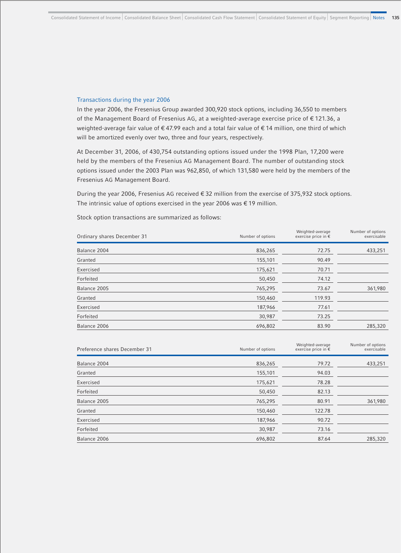### Transactions during the year 2006

In the year 2006, the Fresenius Group awarded 300,920 stock options, including 36,550 to members of the Management Board of Fresenius AG, at a weighted-average exercise price of € 121.36, a weighted-average fair value of € 47.99 each and a total fair value of € 14 million, one third of which will be amortized evenly over two, three and four years, respectively.

At December 31, 2006, of 430,754 outstanding options issued under the 1998 Plan, 17,200 were held by the members of the Fresenius AG Management Board. The number of outstanding stock options issued under the 2003 Plan was 962,850, of which 131,580 were held by the members of the Fresenius AG Management Board.

During the year 2006, Fresenius AG received € 32 million from the exercise of 375,932 stock options. The intrinsic value of options exercised in the year 2006 was  $\in$  19 million.

| Ordinary shares December 31 | Number of options | Weighted-average<br>exercise price in € | Number of options<br>exercisable |
|-----------------------------|-------------------|-----------------------------------------|----------------------------------|
| Balance 2004                | 836,265           | 72.75                                   | 433,251                          |
| Granted                     | 155,101           | 90.49                                   |                                  |
| Exercised                   | 175,621           | 70.71                                   |                                  |
| Forfeited                   | 50,450            | 74.12                                   |                                  |
| Balance 2005                | 765,295           | 73.67                                   | 361,980                          |
| Granted                     | 150,460           | 119.93                                  |                                  |
| Exercised                   | 187,966           | 77.61                                   |                                  |
| Forfeited                   | 30,987            | 73.25                                   |                                  |
| Balance 2006                | 696,802           | 83.90                                   | 285,320                          |
|                             |                   |                                         |                                  |

Stock option transactions are summarized as follows:

| Preference shares December 31 | Number of options | Weighted-average<br>exercise price in € | Number of options<br>exercisable |
|-------------------------------|-------------------|-----------------------------------------|----------------------------------|
| Balance 2004                  | 836,265           | 79.72                                   | 433,251                          |
| Granted                       | 155,101           | 94.03                                   |                                  |
| Exercised                     | 175,621           | 78.28                                   |                                  |
| Forfeited                     | 50,450            | 82.13                                   |                                  |
| Balance 2005                  | 765,295           | 80.91                                   | 361,980                          |
| Granted                       | 150,460           | 122.78                                  |                                  |
| Exercised                     | 187,966           | 90.72                                   |                                  |
| Forfeited                     | 30,987            | 73.16                                   |                                  |
| Balance 2006                  | 696,802           | 87.64                                   | 285,320                          |
|                               |                   |                                         |                                  |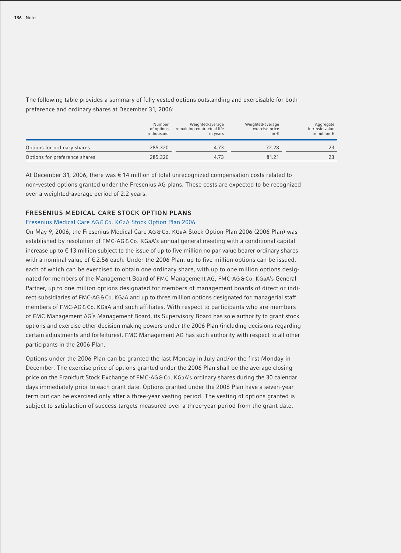The following table provides a summary of fully vested options outstanding and exercisable for both preference and ordinary shares at December 31, 2006:

|                               | Number<br>of options<br>in thousand | Weighted-average<br>remaining contractual life<br>in years | Weighted-average<br>exercise price<br>in $\epsilon$ | Aggregate<br>intrinsic value<br>in million $\epsilon$ |
|-------------------------------|-------------------------------------|------------------------------------------------------------|-----------------------------------------------------|-------------------------------------------------------|
| Options for ordinary shares   | 285,320                             | 4.73                                                       | 72.28                                               |                                                       |
| Options for preference shares | 285,320                             | 4.73                                                       | 81.21                                               |                                                       |

At December 31, 2006, there was € 14 million of total unrecognized compensation costs related to non-vested options granted under the Fresenius AG plans. These costs are expected to be recognized over a weighted-average period of 2.2 years.

# **FRESENIUS MEDICAL CARE STOCK OPTION PLANS**

#### Fresenius Medical Care AG & Co. KGaA Stock Option Plan 2006

On May 9, 2006, the Fresenius Medical Care AG & Co. KGaA Stock Option Plan 2006 (2006 Plan) was established by resolution of FMC-AG & Co. KGaA's annual general meeting with a conditional capital increase up to  $\epsilon$  13 million subject to the issue of up to five million no par value bearer ordinary shares with a nominal value of  $\epsilon$  2.56 each. Under the 2006 Plan, up to five million options can be issued, each of which can be exercised to obtain one ordinary share, with up to one million options designated for members of the Management Board of FMC Management AG, FMC-AG & Co. KGaA's General Partner, up to one million options designated for members of management boards of direct or indirect subsidiaries of FMC-AG&Co. KGaA and up to three million options designated for managerial staff members of FMC-AG& Co. KGaA and such affiliates. With respect to participants who are members of FMC Management AG's Management Board, its Supervisory Board has sole authority to grant stock options and exercise other decision making powers under the 2006 Plan (including decisions regarding certain adjustments and forfeitures). FMC Management AG has such authority with respect to all other participants in the 2006 Plan.

Options under the 2006 Plan can be granted the last Monday in July and/or the first Monday in December. The exercise price of options granted under the 2006 Plan shall be the average closing price on the Frankfurt Stock Exchange of FMC-AG & Co. KGaA's ordinary shares during the 30 calendar days immediately prior to each grant date. Options granted under the 2006 Plan have a seven-year term but can be exercised only after a three-year vesting period. The vesting of options granted is subject to satisfaction of success targets measured over a three-year period from the grant date.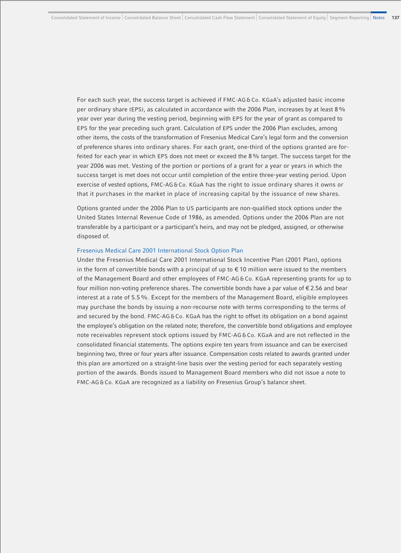For each such year, the success target is achieved if FMC-AG & Co. KGaA's adjusted basic income per ordinary share (EPS), as calculated in accordance with the 2006 Plan, increases by at least 8% year over year during the vesting period, beginning with EPS for the year of grant as compared to EPS for the year preceding such grant. Calculation of EPS under the 2006 Plan excludes, among other items, the costs of the transformation of Fresenius Medical Care's legal form and the conversion of preference shares into ordinary shares. For each grant, one-third of the options granted are forfeited for each year in which EPS does not meet or exceed the 8% target. The success target for the year 2006 was met. Vesting of the portion or portions of a grant for a year or years in which the success target is met does not occur until completion of the entire three-year vesting period. Upon exercise of vested options, FMC-AG & Co. KGaA has the right to issue ordinary shares it owns or that it purchases in the market in place of increasing capital by the issuance of new shares.

Options granted under the 2006 Plan to US participants are non-qualified stock options under the United States Internal Revenue Code of 1986, as amended. Options under the 2006 Plan are not transferable by a participant or a participant's heirs, and may not be pledged, assigned, or otherwise disposed of.

#### Fresenius Medical Care 2001 International Stock Option Plan

Under the Fresenius Medical Care 2001 International Stock Incentive Plan (2001 Plan), options in the form of convertible bonds with a principal of up to  $\epsilon$  10 million were issued to the members of the Management Board and other employees of FMC-AG & Co. KGaA representing grants for up to four million non-voting preference shares. The convertible bonds have a par value of  $\epsilon$  2.56 and bear interest at a rate of 5.5%. Except for the members of the Management Board, eligible employees may purchase the bonds by issuing a non-recourse note with terms corresponding to the terms of and secured by the bond. FMC-AG & Co. KGaA has the right to offset its obligation on a bond against the employee's obligation on the related note; therefore, the convertible bond obligations and employee note receivables represent stock options issued by FMC-AG & Co. KGaA and are not reflected in the consolidated financial statements. The options expire ten years from issuance and can be exercised beginning two, three or four years after issuance. Compensation costs related to awards granted under this plan are amortized on a straight-line basis over the vesting period for each separately vesting portion of the awards. Bonds issued to Management Board members who did not issue a note to FMC-AG & Co. KGaA are recognized as a liability on Fresenius Group's balance sheet.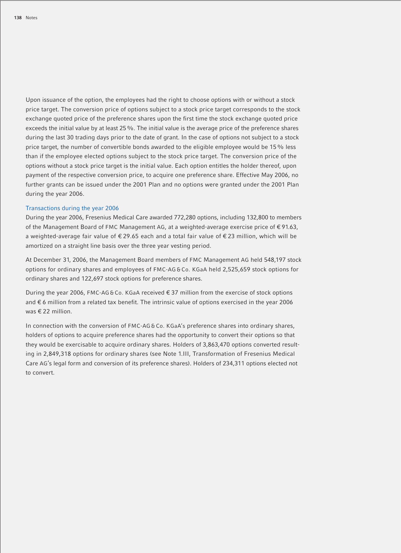Upon issuance of the option, the employees had the right to choose options with or without a stock price target. The conversion price of options subject to a stock price target corresponds to the stock exchange quoted price of the preference shares upon the first time the stock exchange quoted price exceeds the initial value by at least 25 %. The initial value is the average price of the preference shares during the last 30 trading days prior to the date of grant. In the case of options not subject to a stock price target, the number of convertible bonds awarded to the eligible employee would be 15% less than if the employee elected options subject to the stock price target. The conversion price of the options without a stock price target is the initial value. Each option entitles the holder thereof, upon payment of the respective conversion price, to acquire one preference share. Effective May 2006, no further grants can be issued under the 2001 Plan and no options were granted under the 2001 Plan during the year 2006.

#### Transactions during the year 2006

During the year 2006, Fresenius Medical Care awarded 772,280 options, including 132,800 to members of the Management Board of FMC Management AG, at a weighted-average exercise price of € 91.63, a weighted-average fair value of € 29.65 each and a total fair value of € 23 million, which will be amortized on a straight line basis over the three year vesting period.

At December 31, 2006, the Management Board members of FMC Management AG held 548,197 stock options for ordinary shares and employees of FMC-AG & Co. KGaA held 2,525,659 stock options for ordinary shares and 122,697 stock options for preference shares.

During the year 2006, FMC-AG & Co. KGaA received € 37 million from the exercise of stock options and € 6 million from a related tax benefit. The intrinsic value of options exercised in the year 2006 was € 22 million.

In connection with the conversion of FMC-AG & Co. KGaA's preference shares into ordinary shares, holders of options to acquire preference shares had the opportunity to convert their options so that they would be exercisable to acquire ordinary shares. Holders of 3,863,470 options converted resulting in 2,849,318 options for ordinary shares (see Note 1.III, Transformation of Fresenius Medical Care AG's legal form and conversion of its preference shares). Holders of 234,311 options elected not to convert.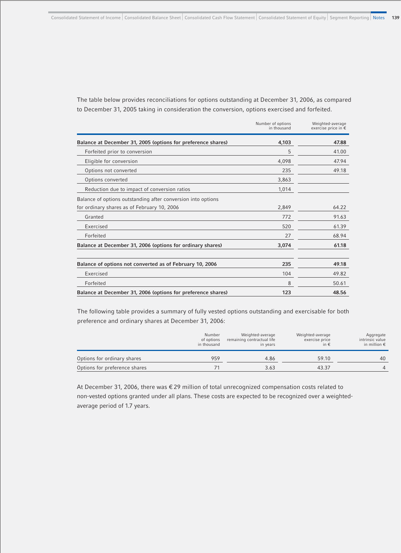The table below provides reconciliations for options outstanding at December 31, 2006, as compared to December 31, 2005 taking in consideration the conversion, options exercised and forfeited.

|                                                              | Number of options<br>in thousand | Weighted-average<br>exercise price in € |
|--------------------------------------------------------------|----------------------------------|-----------------------------------------|
| Balance at December 31, 2005 (options for preference shares) | 4,103                            | 47.88                                   |
| Forfeited prior to conversion                                | 5                                | 41.00                                   |
| Eligible for conversion                                      | 4,098                            | 47.94                                   |
| Options not converted                                        | 235                              | 49.18                                   |
| Options converted                                            | 3,863                            |                                         |
| Reduction due to impact of conversion ratios                 | 1,014                            |                                         |
| Balance of options outstanding after conversion into options |                                  |                                         |
| for ordinary shares as of February 10, 2006                  | 2,849                            | 64.22                                   |
| Granted                                                      | 772                              | 91.63                                   |
| Exercised                                                    | 520                              | 61.39                                   |
| Forfeited                                                    | 27                               | 68.94                                   |
| Balance at December 31, 2006 (options for ordinary shares)   | 3,074                            | 61.18                                   |
| Balance of options not converted as of February 10, 2006     | 235                              | 49.18                                   |
| Exercised                                                    | 104                              | 49.82                                   |
| Forfeited                                                    | 8                                | 50.61                                   |
| Balance at December 31, 2006 (options for preference shares) | 123                              | 48.56                                   |

The following table provides a summary of fully vested options outstanding and exercisable for both preference and ordinary shares at December 31, 2006:

|                               | Number<br>of options<br>in thousand | Weighted-average<br>remaining contractual life<br>in years | Weighted-average<br>exercise price<br>in € | Aggregate<br>intrinsic value<br>in million $\epsilon$ |
|-------------------------------|-------------------------------------|------------------------------------------------------------|--------------------------------------------|-------------------------------------------------------|
| Options for ordinary shares   | 959                                 | 4.86                                                       | 59.10                                      | 40                                                    |
| Options for preference shares |                                     | 3.63                                                       | 43.37                                      |                                                       |

At December 31, 2006, there was € 29 million of total unrecognized compensation costs related to non-vested options granted under all plans. These costs are expected to be recognized over a weightedaverage period of 1.7 years.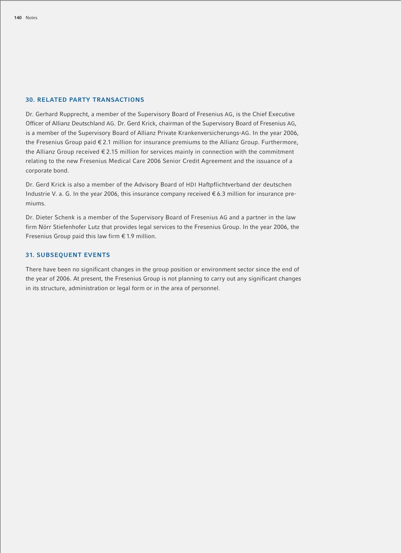#### **30. RELATED PARTY TRANSACTIONS**

Dr. Gerhard Rupprecht, a member of the Supervisory Board of Fresenius AG, is the Chief Executive Officer of Allianz Deutschland AG. Dr. Gerd Krick, chairman of the Supervisory Board of Fresenius AG, is a member of the Supervisory Board of Allianz Private Krankenversicherungs-AG. In the year 2006, the Fresenius Group paid € 2.1 million for insurance premiums to the Allianz Group. Furthermore, the Allianz Group received € 2.15 million for services mainly in connection with the commitment relating to the new Fresenius Medical Care 2006 Senior Credit Agreement and the issuance of a corporate bond.

Dr. Gerd Krick is also a member of the Advisory Board of HDI Haftpflichtverband der deutschen Industrie V. a. G. In the year 2006, this insurance company received € 6.3 million for insurance premiums.

Dr. Dieter Schenk is a member of the Supervisory Board of Fresenius AG and a partner in the law firm Nörr Stiefenhofer Lutz that provides legal services to the Fresenius Group. In the year 2006, the Fresenius Group paid this law firm  $\epsilon$  1.9 million.

# **31. SUBSEQUENT EVENTS**

There have been no significant changes in the group position or environment sector since the end of the year of 2006. At present, the Fresenius Group is not planning to carry out any significant changes in its structure, administration or legal form or in the area of personnel.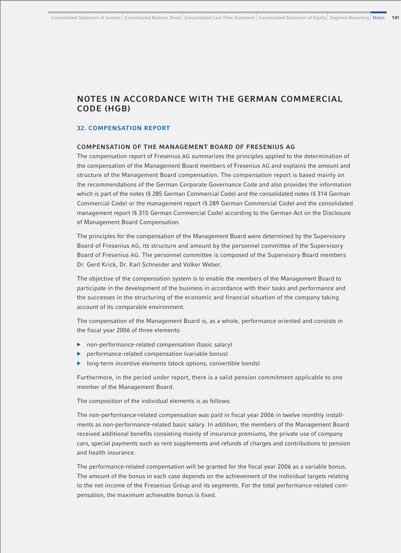# **NOTES IN ACCORDANCE WITH THE GERMAN COMMERCIAL CODE (HGB)**

#### **32. COMPENSATION REPORT**

#### **COMPENSATION OF THE MANAGEMENT BOARD OF FRESENIUS AG**

The compensation report of Fresenius AG summarizes the principles applied to the determination of the compensation of the Management Board members of Fresenius AG and explains the amount and structure of the Management Board compensation. The compensation report is based mainly on the recommendations of the German Corporate Governance Code and also provides the information which is part of the notes (§ 285 German Commercial Code) and the consolidated notes (§ 314 German Commercial Code) or the management report (§ 289 German Commercial Code) and the consolidated management report (§ 315 German Commercial Code) according to the German Act on the Disclosure of Management Board Compensation.

The principles for the compensation of the Management Board were determined by the Supervisory Board of Fresenius AG, its structure and amount by the personnel committee of the Supervisory Board of Fresenius AG. The personnel committee is composed of the Supervisory Board members Dr. Gerd Krick, Dr. Karl Schneider and Volker Weber.

The objective of the compensation system is to enable the members of the Management Board to participate in the development of the business in accordance with their tasks and performance and the successes in the structuring of the economic and financial situation of the company taking account of its comparable environment.

The compensation of the Management Board is, as a whole, performance oriented and consists in the fiscal year 2006 of three elements:

- b non-performance-related compensation (basic salary)
- b performance-related compensation (variable bonus)
- **b** long-term incentive elements (stock options, convertible bonds)

Furthermore, in the period under report, there is a valid pension commitment applicable to one member of the Management Board.

The composition of the individual elements is as follows:

The non-performance-related compensation was paid in fiscal year 2006 in twelve monthly installments as non-performance-related basic salary. In addition, the members of the Management Board received additional benefits consisting mainly of insurance premiums, the private use of company cars, special payments such as rent supplements and refunds of charges and contributions to pension and health insurance.

The performance-related compensation will be granted for the fiscal year 2006 as a variable bonus. The amount of the bonus in each case depends on the achievement of the individual targets relating to the net income of the Fresenius Group and its segments. For the total performance-related compensation, the maximum achievable bonus is fixed.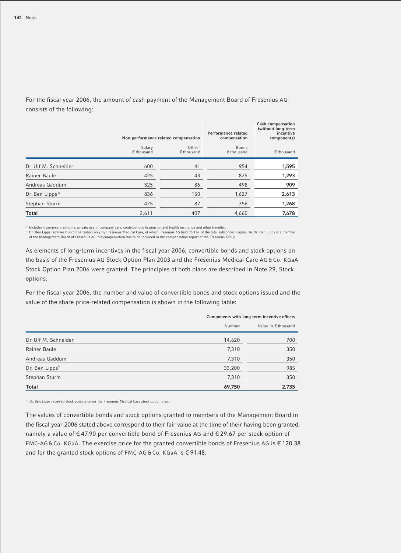|                             | Non-performance related compensation |                                    | Performance related<br>compensation | Cash compensation<br>(without long-term<br>incentive<br>components) |
|-----------------------------|--------------------------------------|------------------------------------|-------------------------------------|---------------------------------------------------------------------|
|                             | Salary<br>$€$ thousand               | Other <sup>1</sup><br>$€$ thousand | <b>Bonus</b><br>$€$ thousand        | $€$ thousand                                                        |
| Dr. Ulf M. Schneider        | 600                                  | 41                                 | 954                                 | 1,595                                                               |
| Rainer Baule                | 425                                  | 43                                 | 825                                 | 1,293                                                               |
| Andreas Gaddum              | 325                                  | 86                                 | 498                                 | 909                                                                 |
| Dr. Ben Lipps <sup>2)</sup> | 836                                  | 150                                | 1,627                               | 2,613                                                               |
| Stephan Sturm               | 425                                  | 87                                 | 756                                 | 1,268                                                               |
| <b>Total</b>                | 2,611                                | 407                                | 4,660                               | 7,678                                                               |

For the fiscal year 2006, the amount of cash payment of the Management Board of Fresenius AG consists of the following:

" Includes insurance premiums, private use of company cars, contributions to pension and health insurance and other benefits.<br>≀Dr. Ben Lipps receives his compensation only by Fresenius Medical Care, of which Fresenius AG of the Management Board of Fresenius AG, his compensation has to be included in the compensation report of the Fresenius Group.

As elements of long-term incentives in the fiscal year 2006, convertible bonds and stock options on the basis of the Fresenius AG Stock Option Plan 2003 and the Fresenius Medical Care AG & Co. KGaA Stock Option Plan 2006 were granted. The principles of both plans are described in Note 29, Stock options.

For the fiscal year 2006, the number and value of convertible bonds and stock options issued and the value of the share price-related compensation is shown in the following table:

|                      | Components with long-term incentive effects |                     |  |
|----------------------|---------------------------------------------|---------------------|--|
|                      | Number                                      | Value in € thousand |  |
| Dr. Ulf M. Schneider | 14,620                                      | 700                 |  |
| Rainer Baule         | 7,310                                       | 350                 |  |
| Andreas Gaddum       | 7,310                                       | 350                 |  |
| Dr. Ben Lipps"       | 33,200                                      | 985                 |  |
| Stephan Sturm        | 7,310                                       | 350                 |  |
| <b>Total</b>         | 69,750                                      | 2,735               |  |

1) Dr. Ben Lipps received stock options under the Fresenius Medical Care stock option plan.

The values of convertible bonds and stock options granted to members of the Management Board in the fiscal year 2006 stated above correspond to their fair value at the time of their having been granted, namely a value of € 47.90 per convertible bond of Fresenius AG and € 29.67 per stock option of FMC-AG & Co. KGaA. The exercise price for the granted convertible bonds of Fresenius AG is € 120.38 and for the granted stock options of FMC-AG&Co. KGaA is €91.48.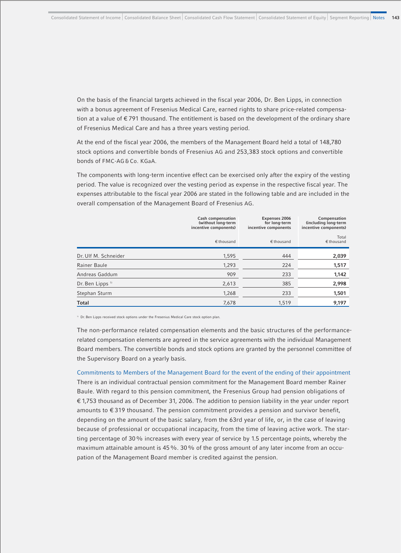On the basis of the financial targets achieved in the fiscal year 2006, Dr. Ben Lipps, in connection with a bonus agreement of Fresenius Medical Care, earned rights to share price-related compensation at a value of € 791 thousand. The entitlement is based on the development of the ordinary share of Fresenius Medical Care and has a three years vesting period.

At the end of the fiscal year 2006, the members of the Management Board held a total of 148,780 stock options and convertible bonds of Fresenius AG and 253,383 stock options and convertible bonds of FMC-AG & Co. KGaA.

The components with long-term incentive effect can be exercised only after the expiry of the vesting period. The value is recognized over the vesting period as expense in the respective fiscal year. The expenses attributable to the fiscal year 2006 are stated in the following table and are included in the overall compensation of the Management Board of Fresenius AG.

|                             | Cash compensation<br>(without long-term<br>incentive components) | Expenses 2006<br>for long-term<br>incentive components | Compensation<br>(including long-term<br>incentive components) |
|-----------------------------|------------------------------------------------------------------|--------------------------------------------------------|---------------------------------------------------------------|
|                             | $€$ thousand                                                     | $€$ thousand                                           | Total<br>$\epsilon$ thousand                                  |
| Dr. Ulf M. Schneider        | 1,595                                                            | 444                                                    | 2,039                                                         |
| Rainer Baule                | 1,293                                                            | 224                                                    | 1,517                                                         |
| Andreas Gaddum              | 909                                                              | 233                                                    | 1,142                                                         |
| Dr. Ben Lipps <sup>11</sup> | 2,613                                                            | 385                                                    | 2,998                                                         |
| Stephan Sturm               | 1,268                                                            | 233                                                    | 1,501                                                         |
| <b>Total</b>                | 7,678                                                            | 1.519                                                  | 9,197                                                         |

1) Dr. Ben Lipps received stock options under the Fresenius Medical Care stock option plan.

The non-performance related compensation elements and the basic structures of the performancerelated compensation elements are agreed in the service agreements with the individual Management Board members. The convertible bonds and stock options are granted by the personnel committee of the Supervisory Board on a yearly basis.

Commitments to Members of the Management Board for the event of the ending of their appointment There is an individual contractual pension commitment for the Management Board member Rainer Baule. With regard to this pension commitment, the Fresenius Group had pension obligations of € 1,753 thousand as of December 31, 2006. The addition to pension liability in the year under report amounts to  $\epsilon$  319 thousand. The pension commitment provides a pension and survivor benefit, depending on the amount of the basic salary, from the 63rd year of life, or, in the case of leaving because of professional or occupational incapacity, from the time of leaving active work. The starting percentage of 30% increases with every year of service by 1.5 percentage points, whereby the maximum attainable amount is 45%. 30% of the gross amount of any later income from an occupation of the Management Board member is credited against the pension.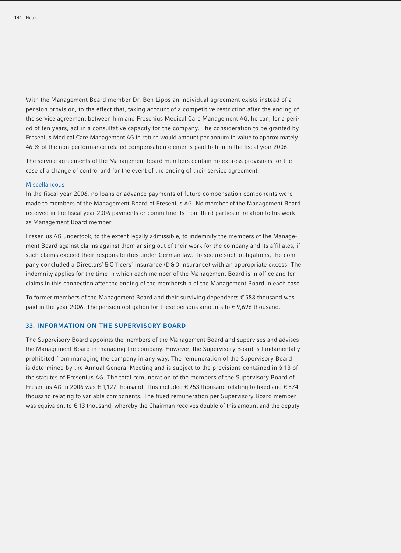With the Management Board member Dr. Ben Lipps an individual agreement exists instead of a pension provision, to the effect that, taking account of a competitive restriction after the ending of the service agreement between him and Fresenius Medical Care Management AG, he can, for a period of ten years, act in a consultative capacity for the company. The consideration to be granted by Fresenius Medical Care Management AG in return would amount per annum in value to approximately 46% of the non-performance related compensation elements paid to him in the fiscal year 2006.

The service agreements of the Management board members contain no express provisions for the case of a change of control and for the event of the ending of their service agreement.

### Miscellaneous

In the fiscal year 2006, no loans or advance payments of future compensation components were made to members of the Management Board of Fresenius AG. No member of the Management Board received in the fiscal year 2006 payments or commitments from third parties in relation to his work as Management Board member.

Fresenius AG undertook, to the extent legally admissible, to indemnify the members of the Management Board against claims against them arising out of their work for the company and its affiliates, if such claims exceed their responsibilities under German law. To secure such obligations, the company concluded a Directors' & Officers' insurance (D&O insurance) with an appropriate excess. The indemnity applies for the time in which each member of the Management Board is in office and for claims in this connection after the ending of the membership of the Management Board in each case.

To former members of the Management Board and their surviving dependents € 588 thousand was paid in the year 2006. The pension obligation for these persons amounts to  $\epsilon$  9,696 thousand.

### **33. INFORMATION ON THE SUPERVISORY BOARD**

The Supervisory Board appoints the members of the Management Board and supervises and advises the Management Board in managing the company. However, the Supervisory Board is fundamentally prohibited from managing the company in any way. The remuneration of the Supervisory Board is determined by the Annual General Meeting and is subject to the provisions contained in § 13 of the statutes of Fresenius AG. The total remuneration of the members of the Supervisory Board of Fresenius AG in 2006 was € 1,127 thousand. This included € 253 thousand relating to fixed and € 874 thousand relating to variable components. The fixed remuneration per Supervisory Board member was equivalent to €13 thousand, whereby the Chairman receives double of this amount and the deputy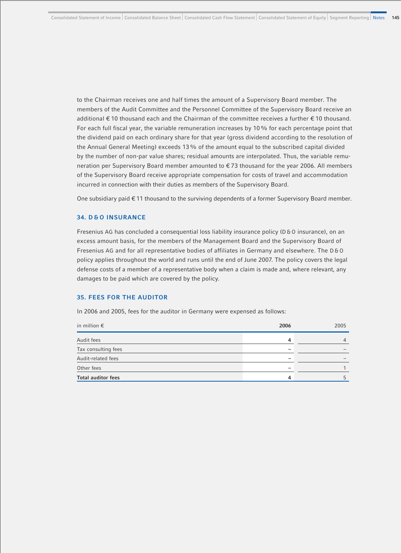to the Chairman receives one and half times the amount of a Supervisory Board member. The members of the Audit Committee and the Personnel Committee of the Supervisory Board receive an additional € 10 thousand each and the Chairman of the committee receives a further € 10 thousand. For each full fiscal year, the variable remuneration increases by 10% for each percentage point that the dividend paid on each ordinary share for that year (gross dividend according to the resolution of the Annual General Meeting) exceeds 13% of the amount equal to the subscribed capital divided by the number of non-par value shares; residual amounts are interpolated. Thus, the variable remuneration per Supervisory Board member amounted to € 73 thousand for the year 2006. All members of the Supervisory Board receive appropriate compensation for costs of travel and accommodation incurred in connection with their duties as members of the Supervisory Board.

One subsidiary paid € 11 thousand to the surviving dependents of a former Supervisory Board member.

### **34. D & O INSURANCE**

Fresenius AG has concluded a consequential loss liability insurance policy (D&O insurance), on an excess amount basis, for the members of the Management Board and the Supervisory Board of Fresenius AG and for all representative bodies of affiliates in Germany and elsewhere. The D&O policy applies throughout the world and runs until the end of June 2007. The policy covers the legal defense costs of a member of a representative body when a claim is made and, where relevant, any damages to be paid which are covered by the policy.

### **35. FEES FOR THE AUDITOR**

In 2006 and 2005, fees for the auditor in Germany were expensed as follows:

| in million $\epsilon$     | 2006                     | 2005 |
|---------------------------|--------------------------|------|
| Audit fees                | 4                        | 4    |
| Tax consulting fees       | $\overline{\phantom{0}}$ |      |
| Audit-related fees        | -                        |      |
| Other fees                | -                        |      |
| <b>Total auditor fees</b> | 4                        | 5    |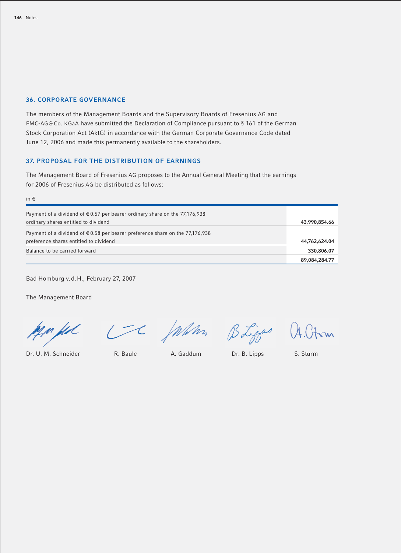### **36. CORPORATE GOVERNANCE**

The members of the Management Boards and the Supervisory Boards of Fresenius AG and FMC-AG & Co. KGaA have submitted the Declaration of Compliance pursuant to § 161 of the German Stock Corporation Act (AktG) in accordance with the German Corporate Governance Code dated June 12, 2006 and made this permanently available to the shareholders.

### **37. PROPOSAL FOR THE DISTRIBUTION OF EARNINGS**

The Management Board of Fresenius AG proposes to the Annual General Meeting that the earnings for 2006 of Fresenius AG be distributed as follows:

| in $\epsilon$                                                                          |               |
|----------------------------------------------------------------------------------------|---------------|
| Payment of a dividend of $\epsilon$ 0.57 per bearer ordinary share on the 77,176,938   |               |
| ordinary shares entitled to dividend                                                   | 43,990,854.66 |
| Payment of a dividend of $\epsilon$ 0.58 per bearer preference share on the 77,176,938 |               |
| preference shares entitled to dividend                                                 | 44,762,624.04 |
| Balance to be carried forward                                                          | 330,806.07    |
|                                                                                        | 89,084,284.77 |

Bad Homburg v.d.H., February 27, 2007

The Management Board

<u>kj n, fix</u>

CC Julian BLigger A.Ct

 $\overline{r}$ 

Dr. U. M. Schneider R. Baule A. Gaddum Dr. B. Lipps S. Sturm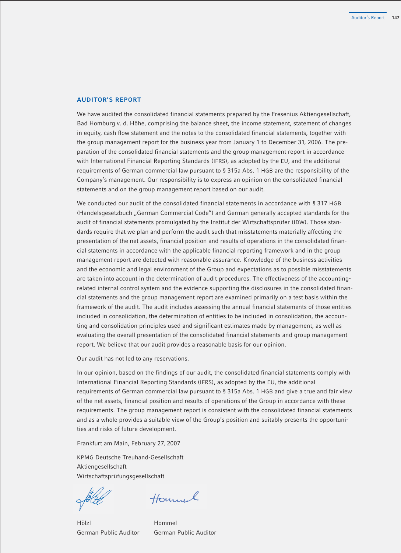### **AUDITOR'S REPORT**

We have audited the consolidated financial statements prepared by the Fresenius Aktiengesellschaft, Bad Homburg v. d. Höhe, comprising the balance sheet, the income statement, statement of changes in equity, cash flow statement and the notes to the consolidated financial statements, together with the group management report for the business year from January 1 to December 31, 2006. The preparation of the consolidated financial statements and the group management report in accordance with International Financial Reporting Standards (IFRS), as adopted by the EU, and the additional requirements of German commercial law pursuant to § 315a Abs. 1 HGB are the responsibility of the Company's management. Our responsibility is to express an opinion on the consolidated financial statements and on the group management report based on our audit.

We conducted our audit of the consolidated financial statements in accordance with § 317 HGB (Handelsgesetzbuch "German Commercial Code") and German generally accepted standards for the audit of financial statements promulgated by the Institut der Wirtschaftsprüfer (IDW). Those standards require that we plan and perform the audit such that misstatements materially affecting the presentation of the net assets, financial position and results of operations in the consolidated financial statements in accordance with the applicable financial reporting framework and in the group management report are detected with reasonable assurance. Knowledge of the business activities and the economic and legal environment of the Group and expectations as to possible misstatements are taken into account in the determination of audit procedures. The effectiveness of the accountingrelated internal control system and the evidence supporting the disclosures in the consolidated financial statements and the group management report are examined primarily on a test basis within the framework of the audit. The audit includes assessing the annual financial statements of those entities included in consolidation, the determination of entities to be included in consolidation, the accounting and consolidation principles used and significant estimates made by management, as well as evaluating the overall presentation of the consolidated financial statements and group management report. We believe that our audit provides a reasonable basis for our opinion.

Our audit has not led to any reservations.

In our opinion, based on the findings of our audit, the consolidated financial statements comply with International Financial Reporting Standards (IFRS), as adopted by the EU, the additional requirements of German commercial law pursuant to § 315a Abs. 1 HGB and give a true and fair view of the net assets, financial position and results of operations of the Group in accordance with these requirements. The group management report is consistent with the consolidated financial statements and as a whole provides a suitable view of the Group's position and suitably presents the opportunities and risks of future development.

Frankfurt am Main, February 27, 2007

KPMG Deutsche Treuhand-Gesellschaft Aktiengesellschaft Wirtschaftsprüfungsgesellschaft

Hounnal

Hölzl Hommel German Public Auditor German Public Auditor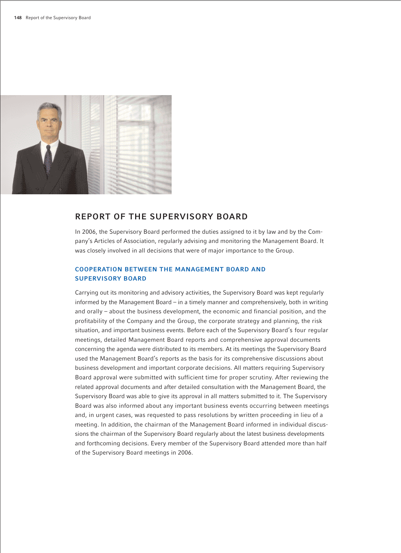

## **REPORT OF THE SUPERVISORY BOARD**

In 2006, the Supervisory Board performed the duties assigned to it by law and by the Company's Articles of Association, regularly advising and monitoring the Management Board. It was closely involved in all decisions that were of major importance to the Group.

### **COOPERATION BETWEEN THE MANAGEMENT BOARD AND SUPERVISORY BOARD**

Carrying out its monitoring and advisory activities, the Supervisory Board was kept regularly informed by the Management Board – in a timely manner and comprehensively, both in writing and orally – about the business development, the economic and financial position, and the profitability of the Company and the Group, the corporate strategy and planning, the risk situation, and important business events. Before each of the Supervisory Board's four regular meetings, detailed Management Board reports and comprehensive approval documents concerning the agenda were distributed to its members. At its meetings the Supervisory Board used the Management Board's reports as the basis for its comprehensive discussions about business development and important corporate decisions. All matters requiring Supervisory Board approval were submitted with sufficient time for proper scrutiny. After reviewing the related approval documents and after detailed consultation with the Management Board, the Supervisory Board was able to give its approval in all matters submitted to it. The Supervisory Board was also informed about any important business events occurring between meetings and, in urgent cases, was requested to pass resolutions by written proceeding in lieu of a meeting. In addition, the chairman of the Management Board informed in individual discussions the chairman of the Supervisory Board regularly about the latest business developments and forthcoming decisions. Every member of the Supervisory Board attended more than half of the Supervisory Board meetings in 2006.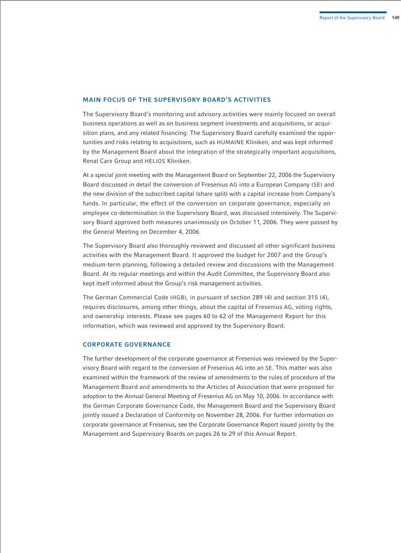### **MAIN FOCUS OF THE SUPERVISORY BOARD'S ACTIVITIES**

The Supervisory Board's monitoring and advisory activities were mainly focused on overall business operations as well as on business segment investments and acquisitions, or acquisition plans, and any related financing. The Supervisory Board carefully examined the opportunities and risks relating to acquisitions, such as HUMAINE Kliniken, and was kept informed by the Management Board about the integration of the strategically important acquisitions, Renal Care Group and HELIOS Kliniken.

At a special joint meeting with the Management Board on September 22, 2006 the Supervisory Board discussed in detail the conversion of Fresenius AG into a European Company (SE) and the new division of the subscribed capital (share split) with a capital increase from Company's funds. In particular, the effect of the conversion on corporate governance, especially on employee co-determination in the Supervisory Board, was discussed intensively. The Supervisory Board approved both measures unanimously on October 11, 2006. They were passed by the General Meeting on December 4, 2006.

The Supervisory Board also thoroughly reviewed and discussed all other significant business activities with the Management Board. It approved the budget for 2007 and the Group's medium-term planning, following a detailed review and discussions with the Management Board. At its regular meetings and within the Audit Committee, the Supervisory Board also kept itself informed about the Group's risk management activities.

The German Commercial Code (HGB), in pursuant of section 289 (4) and section 315 (4), requires disclosures, among other things, about the capital of Fresenius AG, voting rights, and ownership interests. Please see pages 60 to 62 of the Management Report for this information, which was reviewed and approved by the Supervisory Board.

### **CORPORATE GOVERNANCE**

The further development of the corporate governance at Fresenius was reviewed by the Supervisory Board with regard to the conversion of Fresenius AG into an SE. This matter was also examined within the framework of the review of amendments to the rules of procedure of the Management Board and amendments to the Articles of Association that were proposed for adoption to the Annual General Meeting of Fresenius AG on May 10, 2006. In accordance with the German Corporate Governance Code, the Management Board and the Supervisory Board jointly issued a Declaration of Conformity on November 28, 2006. For further information on corporate governance at Fresenius, see the Corporate Governance Report issued jointly by the Management and Supervisory Boards on pages 26 to 29 of this Annual Report.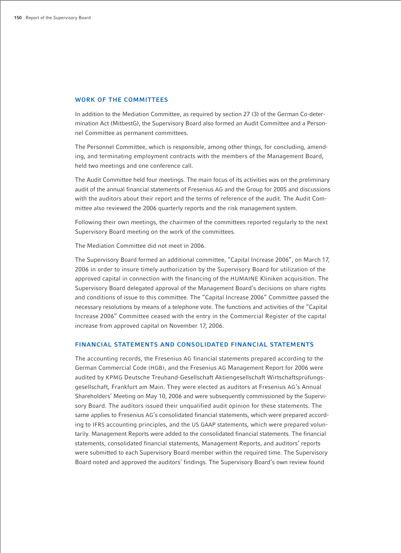### **WORK OF THE COMMITTEES**

In addition to the Mediation Committee, as required by section 27 (3) of the German Co-determination Act (MitbestG), the Supervisory Board also formed an Audit Committee and a Personnel Committee as permanent committees.

The Personnel Committee, which is responsible, among other things, for concluding, amending, and terminating employment contracts with the members of the Management Board, held two meetings and one conference call.

The Audit Committee held four meetings. The main focus of its activities was on the preliminary audit of the annual financial statements of Fresenius AG and the Group for 2005 and discussions with the auditors about their report and the terms of reference of the audit. The Audit Committee also reviewed the 2006 quarterly reports and the risk management system.

Following their own meetings, the chairmen of the committees reported regularly to the next Supervisory Board meeting on the work of the committees.

The Mediation Committee did not meet in 2006.

The Supervisory Board formed an additional committee, "Capital Increase 2006", on March 17, 2006 in order to insure timely authorization by the Supervisory Board for utilization of the approved capital in connection with the financing of the HUMAINE Kliniken acquisition. The Supervisory Board delegated approval of the Management Board's decisions on share rights and conditions of issue to this committee. The "Capital Increase 2006" Committee passed the necessary resolutions by means of a telephone vote. The functions and activities of the "Capital Increase 2006" Committee ceased with the entry in the Commercial Register of the capital increase from approved capital on November 17, 2006.

### **FINANCIAL STATEMENTS AND CONSOLIDATED FINANCIAL STATEMENTS**

The accounting records, the Fresenius AG financial statements prepared according to the German Commercial Code (HGB), and the Fresenius AG Management Report for 2006 were audited by KPMG Deutsche Treuhand-Gesellschaft Aktiengesellschaft Wirtschaftsprüfungsgesellschaft, Frankfurt am Main. They were elected as auditors at Fresenius AG's Annual Shareholders' Meeting on May 10, 2006 and were subsequently commissioned by the Supervisory Board. The auditors issued their unqualified audit opinion for these statements. The same applies to Fresenius AG's consolidated financial statements, which were prepared according to IFRS accounting principles, and the US GAAP statements, which were prepared voluntarily. Management Reports were added to the consolidated financial statements. The financial statements, consolidated financial statements, Management Reports, and auditors' reports were submitted to each Supervisory Board member within the required time. The Supervisory Board noted and approved the auditors' findings. The Supervisory Board's own review found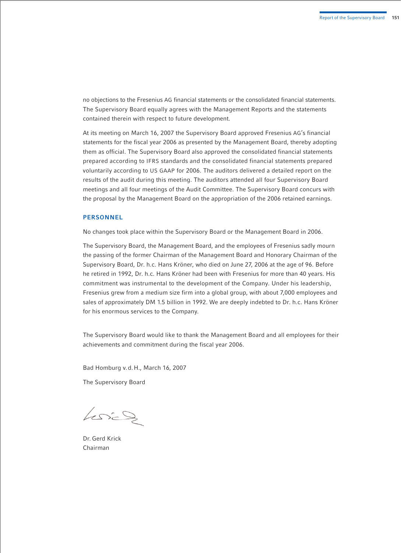no objections to the Fresenius AG financial statements or the consolidated financial statements. The Supervisory Board equally agrees with the Management Reports and the statements contained therein with respect to future development.

At its meeting on March 16, 2007 the Supervisory Board approved Fresenius AG's financial statements for the fiscal year 2006 as presented by the Management Board, thereby adopting them as official. The Supervisory Board also approved the consolidated financial statements prepared according to IFRS standards and the consolidated financial statements prepared voluntarily according to US GAAP for 2006. The auditors delivered a detailed report on the results of the audit during this meeting. The auditors attended all four Supervisory Board meetings and all four meetings of the Audit Committee. The Supervisory Board concurs with the proposal by the Management Board on the appropriation of the 2006 retained earnings.

### **PERSONNEL**

No changes took place within the Supervisory Board or the Management Board in 2006.

The Supervisory Board, the Management Board, and the employees of Fresenius sadly mourn the passing of the former Chairman of the Management Board and Honorary Chairman of the Supervisory Board, Dr. h.c. Hans Kröner, who died on June 27, 2006 at the age of 96. Before he retired in 1992, Dr. h.c. Hans Kröner had been with Fresenius for more than 40 years. His commitment was instrumental to the development of the Company. Under his leadership, Fresenius grew from a medium size firm into a global group, with about 7,000 employees and sales of approximately DM 1.5 billion in 1992. We are deeply indebted to Dr. h.c. Hans Kröner for his enormous services to the Company.

The Supervisory Board would like to thank the Management Board and all employees for their achievements and commitment during the fiscal year 2006.

Bad Homburg v.d.H., March 16, 2007

The Supervisory Board

 $kmin$ 

Dr. Gerd Krick Chairman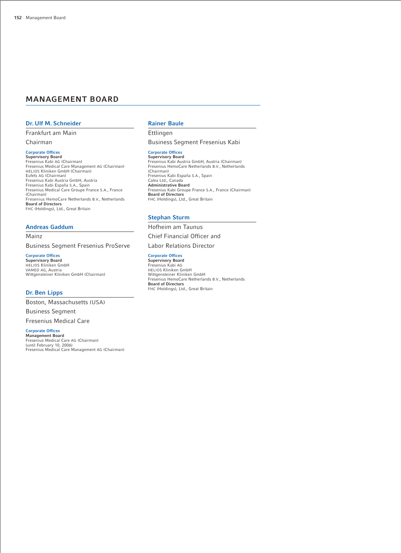### **MANAGEMENT BOARD**

### **Dr. Ulf M. Schneider**

Frankfurt am Main

Chairman

### **Corporate Offices**

**Supervisory Board**<br>Fresenius Kabi AG (Chairman)<br>Fresenius Medical Care Management AG (Chairman)<br>HELIOS Kliniken GmbH (Chairman) Eufets AG (Chairman) Fresenius Kabi Austria GmbH, Austria Fresenius Kabi España S.A., Spain Fresenius Medical Care Groupe France S.A., France (Chairman) Fresenius HemoCare Netherlands B.V., Netherlands **Board of Directors** FHC (Holdings), Ltd., Great Britain

### **Andreas Gaddum**

Mainz

Business Segment Fresenius ProServe

**Corporate Offices**

**Supervisory Board** HELIOS Kliniken GmbH VAMED AG, Austria Wittgensteiner Kliniken GmbH (Chairman)

### **Dr. Ben Lipps**

Boston, Massachusetts (USA)

Business Segment

Fresenius Medical Care

### **Corporate Offices**

**Management Board** Fresenius Medical Care AG (Chairman) (until February 10, 2006) Fresenius Medical Care Management AG (Chairman)

### **Rainer Baule**

Ettlingen

Business Segment Fresenius Kabi

**Corporate Offices Supervisory Board** Fresenius Kabi Austria GmbH, Austria (Chairman) Fresenius HemoCare Netherlands B.V., Netherlands (Chairman) Fresenius Kabi España S.A., Spain Calea Ltd., Canada **Administrative Board** Fresenius Kabi Groupe France S.A., France (Chairman) **Board of Directors** FHC (Holdings), Ltd., Great Britain

#### **Stephan Sturm**

Hofheim am Taunus Chief Financial Officer and

Labor Relations Director

### **Corporate Offices**

**Supervisory Board** Fresenius Kabi AG HELIOS Kliniken GmbH Wittgensteiner Kliniken GmbH Fresenius HemoCare Netherlands B.V., Netherlands **Board of Directors** FHC (Holdings), Ltd., Great Britain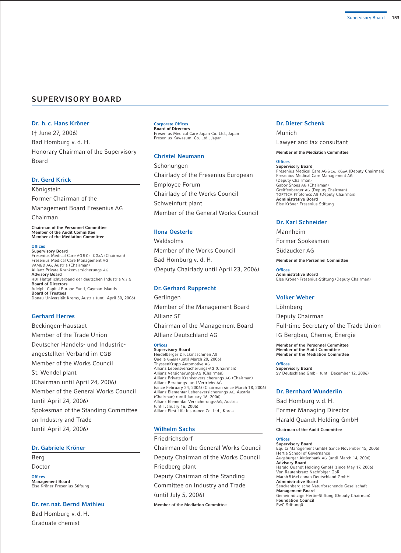### **SUPERVISORY BOARD**

### **Dr. h. c. Hans Kröner**

(† June 27, 2006) Bad Homburg v. d. H. Honorary Chairman of the Supervisory Board

#### **Dr. Gerd Krick**

Königstein Former Chairman of the Management Board Fresenius AG

Chairman

**Chairman of the Personnel Committee Member of the Audit Committee Member of the Mediation Committee**

### **Offices**

**Supervisory Board** Fresenius Medical Care AG & Co. KGaA (Chairman) Fresenius Medical Care Management AG VAMED AG, Austria (Chairman) Allianz Private Krankenversicherungs-AG **Advisory Board** HDI Haftpflichtverband der deutschen Industrie V.a.G. **Board of Directors**  Adelphi Capital Europe Fund, Cayman Islands **Board of Trustees** Donau-Universität Krems, Austria (until April 30, 2006)

### **Gerhard Herres**

Beckingen-Haustadt Member of the Trade Union Deutscher Handels- und Industrieangestellten Verband im CGB Member of the Works Council St. Wendel plant (Chairman until April 24, 2006) Member of the General Works Council (until April 24, 2006) Spokesman of the Standing Committee on Industry and Trade (until April 24, 2006)

### **Dr. Gabriele Kröner**

Berg Doctor

**Offices Management Board** Else Kröner-Fresenius-Stiftung

#### **Dr. rer. nat. Bernd Mathieu**

Bad Homburg v. d. H. Graduate chemist

### **Corporate Offices Board of Directors**

Fresenius Medical Care Japan Co. Ltd., Japan Fresenius-Kawasumi Co. Ltd., Japan

### **Christel Neumann**

Schonungen Chairlady of the Fresenius European Employee Forum Chairlady of the Works Council Schweinfurt plant Member of the General Works Council

#### **Ilona Oesterle**

Waldsolms Member of the Works Council Bad Homburg v. d. H. (Deputy Chairlady until April 23, 2006)

### **Dr. Gerhard Rupprecht**

Gerlingen Member of the Management Board Allianz SE Chairman of the Management Board Allianz Deutschland AG

#### **Offices Supervisory Board**

Heidelberger Druckmaschinen AG Quelle GmbH (until March 20, 2006) ThyssenKrupp Automotive AG Allianz Lebensversicherungs-AG (Chairman) Allianz Versicherungs-AG (Chairman) Allianz Private Krankenversicherungs-AG (Chairman) Allianz Beratungs- und Vertriebs-AG (since February 24, 2006) (Chairman since March 18, 2006) Allianz Elementar Lebensversicherungs-AG, Austria (Chairman) (until January 16, 2006) Allianz Elementar Versicherungs-AG, Austria (until January 16, 2006) Allianz First Life Insurance Co. Ltd., Korea

### **Wilhelm Sachs**

Friedrichsdorf Chairman of the General Works Council Deputy Chairman of the Works Council Friedberg plant Deputy Chairman of the Standing Committee on Industry and Trade (until July 5, 2006) **Member of the Mediation Committee**

#### **Dr. Dieter Schenk**

Munich

Lawyer and tax consultant

**Member of the Mediation Committee**

#### **Offices**

**Supervisory Board** Fresenius Medical Care AG & Co. KGaA (Deputy Chairman) Fresenius Medical Care Management AG (Deputy Chairman) Gabor Shoes AG (Chairman) Greiffenberger AG (Deputy Chairman) TOPTICA Photonics AG (Deputy Chairman) **Administrative Board** Else Kröner-Fresenius-Stiftung

### **Dr. Karl Schneider**

Mannheim

Former Spokesman

Südzucker AG

**Member of the Personnel Committee**

**Offices Administrative Board** Else Kröner-Fresenius-Stiftung (Deputy Chairman)

### **Volker Weber**

Löhnberg Deputy Chairman Full-time Secretary of the Trade Union IG Bergbau, Chemie, Energie **Member of the Personnel Committee**

**Member of the Audit Committee Member of the Mediation Committee**

**Offices Supervisory Board** SV Deutschland GmbH (until December 12, 2006)

### **Dr. Bernhard Wunderlin**

Bad Homburg v. d. H.

Former Managing Director

Harald Quandt Holding GmbH

**Chairman of the Audit Committee**

#### **Offices**

**Supervisory Board** Equita Management GmbH (since November 15, 2006) Hertie School of Governance Augsburger Aktienbank AG (until March 14, 2006) **Advisory Board** Harald Quandt Holding GmbH (since May 17, 2006) Von Rautenkranz Nachfolger GbR Marsh& McLennan Deutschland GmbH **Administrative Board** Senckenbergische Naturforschende Gesellschaft **Management Board** Gemeinnützige Hertie-Stiftung (Deputy Chairman) **Foundation Council** PwC-Stiftung0